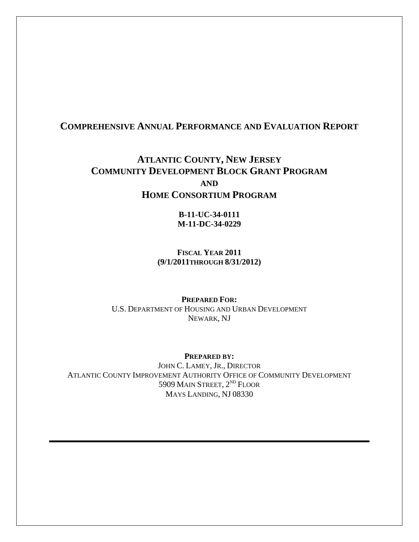## **COMPREHENSIVE ANNUAL PERFORMANCE AND EVALUATION REPORT**

# **ATLANTIC COUNTY, NEW JERSEY COMMUNITY DEVELOPMENT BLOCK GRANT PROGRAM AND HOME CONSORTIUM PROGRAM**

**B-11-UC-34-0111 M-11-DC-34-0229** 

**FISCAL YEAR 2011 (9/1/2011THROUGH 8/31/2012)** 

**PREPARED FOR:**  U.S. DEPARTMENT OF HOUSING AND URBAN DEVELOPMENT NEWARK, NJ

**PREPARED BY:**  JOHN C. LAMEY, JR., DIRECTOR ATLANTIC COUNTY IMPROVEMENT AUTHORITY OFFICE OF COMMUNITY DEVELOPMENT 5909 MAIN STREET, 2<sup>ND</sup> FLOOR MAYS LANDING, NJ 08330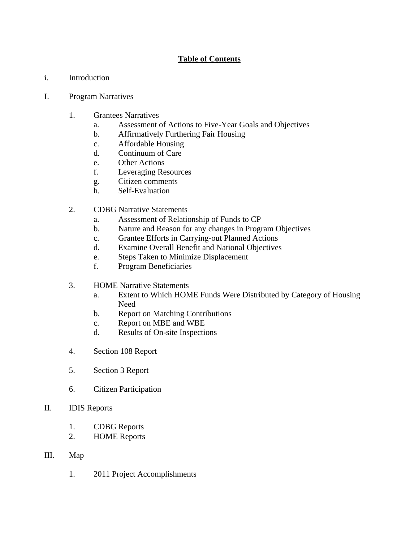## **Table of Contents**

i. Introduction

#### I. Program Narratives

- 1. Grantees Narratives
	- a. Assessment of Actions to Five-Year Goals and Objectives
	- b. Affirmatively Furthering Fair Housing
	- c. Affordable Housing
	- d. Continuum of Care
	- e. Other Actions
	- f. Leveraging Resources
	- g. Citizen comments
	- h. Self-Evaluation
- 2. CDBG Narrative Statements
	- a. Assessment of Relationship of Funds to CP
	- b. Nature and Reason for any changes in Program Objectives
	- c. Grantee Efforts in Carrying-out Planned Actions
	- d. Examine Overall Benefit and National Objectives
	- e. Steps Taken to Minimize Displacement
	- f. Program Beneficiaries
- 3. HOME Narrative Statements
	- a. Extent to Which HOME Funds Were Distributed by Category of Housing Need
	- b. Report on Matching Contributions
	- c. Report on MBE and WBE
	- d. Results of On-site Inspections
- 4. Section 108 Report
- 5. Section 3 Report
- 6. Citizen Participation
- II. IDIS Reports
	- 1. CDBG Reports
	- 2. HOME Reports

#### III. Map

1. 2011 Project Accomplishments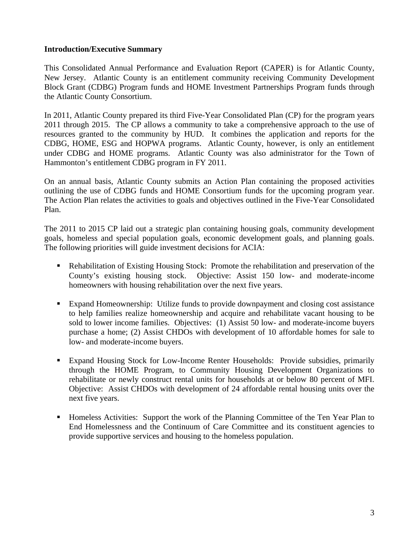#### **Introduction/Executive Summary**

This Consolidated Annual Performance and Evaluation Report (CAPER) is for Atlantic County, New Jersey. Atlantic County is an entitlement community receiving Community Development Block Grant (CDBG) Program funds and HOME Investment Partnerships Program funds through the Atlantic County Consortium.

In 2011, Atlantic County prepared its third Five-Year Consolidated Plan (CP) for the program years 2011 through 2015. The CP allows a community to take a comprehensive approach to the use of resources granted to the community by HUD. It combines the application and reports for the CDBG, HOME, ESG and HOPWA programs. Atlantic County, however, is only an entitlement under CDBG and HOME programs. Atlantic County was also administrator for the Town of Hammonton's entitlement CDBG program in FY 2011.

On an annual basis, Atlantic County submits an Action Plan containing the proposed activities outlining the use of CDBG funds and HOME Consortium funds for the upcoming program year. The Action Plan relates the activities to goals and objectives outlined in the Five-Year Consolidated Plan.

The 2011 to 2015 CP laid out a strategic plan containing housing goals, community development goals, homeless and special population goals, economic development goals, and planning goals. The following priorities will guide investment decisions for ACIA:

- Rehabilitation of Existing Housing Stock: Promote the rehabilitation and preservation of the County's existing housing stock. Objective: Assist 150 low- and moderate-income homeowners with housing rehabilitation over the next five years.
- Expand Homeownership: Utilize funds to provide downpayment and closing cost assistance to help families realize homeownership and acquire and rehabilitate vacant housing to be sold to lower income families. Objectives: (1) Assist 50 low- and moderate-income buyers purchase a home; (2) Assist CHDOs with development of 10 affordable homes for sale to low- and moderate-income buyers.
- Expand Housing Stock for Low-Income Renter Households: Provide subsidies, primarily through the HOME Program, to Community Housing Development Organizations to rehabilitate or newly construct rental units for households at or below 80 percent of MFI. Objective: Assist CHDOs with development of 24 affordable rental housing units over the next five years.
- **Homeless Activities: Support the work of the Planning Committee of the Ten Year Plan to** End Homelessness and the Continuum of Care Committee and its constituent agencies to provide supportive services and housing to the homeless population.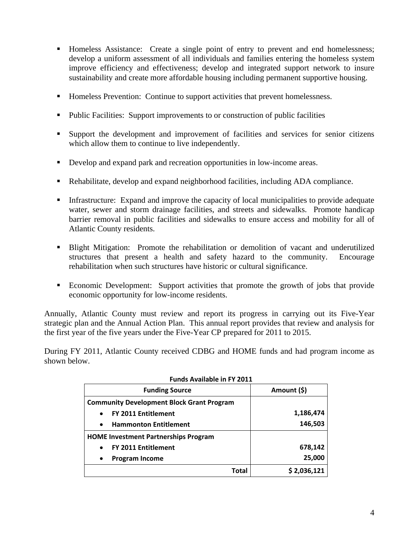- **Homeless Assistance:** Create a single point of entry to prevent and end homelessness; develop a uniform assessment of all individuals and families entering the homeless system improve efficiency and effectiveness; develop and integrated support network to insure sustainability and create more affordable housing including permanent supportive housing.
- Homeless Prevention: Continue to support activities that prevent homelessness.
- Public Facilities: Support improvements to or construction of public facilities
- Support the development and improvement of facilities and services for senior citizens which allow them to continue to live independently.
- Develop and expand park and recreation opportunities in low-income areas.
- Rehabilitate, develop and expand neighborhood facilities, including ADA compliance.
- Infrastructure: Expand and improve the capacity of local municipalities to provide adequate water, sewer and storm drainage facilities, and streets and sidewalks. Promote handicap barrier removal in public facilities and sidewalks to ensure access and mobility for all of Atlantic County residents.
- **Blight Mitigation:** Promote the rehabilitation or demolition of vacant and underutilized structures that present a health and safety hazard to the community. Encourage rehabilitation when such structures have historic or cultural significance.
- Economic Development: Support activities that promote the growth of jobs that provide economic opportunity for low-income residents.

Annually, Atlantic County must review and report its progress in carrying out its Five-Year strategic plan and the Annual Action Plan. This annual report provides that review and analysis for the first year of the five years under the Five-Year CP prepared for 2011 to 2015.

During FY 2011, Atlantic County received CDBG and HOME funds and had program income as shown below.

| <b>Funding Source</b>                            | Amount (\$) |
|--------------------------------------------------|-------------|
| <b>Community Development Block Grant Program</b> |             |
| <b>FY 2011 Entitlement</b><br>$\bullet$          | 1,186,474   |
| <b>Hammonton Entitlement</b><br>$\bullet$        | 146,503     |
| <b>HOME Investment Partnerships Program</b>      |             |
| <b>FY 2011 Entitlement</b><br>$\bullet$          | 678,142     |
| <b>Program Income</b><br>$\bullet$               | 25,000      |
| Total                                            | \$2,036,121 |

#### **Funds Available in FY 2011**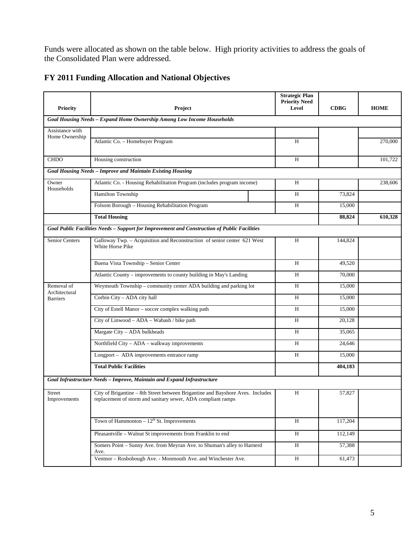Funds were allocated as shown on the table below. High priority activities to address the goals of the Consolidated Plan were addressed.

|  |  | FY 2011 Funding Allocation and National Objectives |  |
|--|--|----------------------------------------------------|--|
|  |  |                                                    |  |

| <b>Priority</b>                   | Project                                                                                                                                        | <b>Strategic Plan</b><br><b>Priority Need</b><br>Level | <b>CDBG</b> | <b>HOME</b> |
|-----------------------------------|------------------------------------------------------------------------------------------------------------------------------------------------|--------------------------------------------------------|-------------|-------------|
|                                   | Goal Housing Needs - Expand Home Ownership Among Low Income Households                                                                         |                                                        |             |             |
| Assistance with<br>Home Ownership |                                                                                                                                                |                                                        |             |             |
|                                   | Atlantic Co. - Homebuyer Program                                                                                                               | H                                                      |             | 270,000     |
| <b>CHDO</b>                       | Housing construction                                                                                                                           | H                                                      |             | 101,722     |
|                                   | <b>Goal Housing Needs - Improve and Maintain Existing Housing</b>                                                                              |                                                        |             |             |
| Owner<br>Households               | Atlantic Co. - Housing Rehabilitation Program (includes program income)                                                                        | H                                                      |             | 238,606     |
|                                   | Hamilton Township                                                                                                                              | H                                                      | 73,824      |             |
|                                   | Folsom Borough - Housing Rehabilitation Program                                                                                                | H                                                      | 15,000      |             |
|                                   | <b>Total Housing</b>                                                                                                                           |                                                        | 88,824      | 610,328     |
|                                   | Goal Public Facilities Needs - Support for Improvement and Construction of Public Facilities                                                   |                                                        |             |             |
| Senior Centers                    | Galloway Twp. - Acquisition and Reconstruction of senior center 621 West<br>White Horse Pike                                                   | H                                                      | 144,824     |             |
|                                   | Buena Vista Township - Senior Center                                                                                                           | H                                                      | 49,520      |             |
|                                   | Atlantic County - improvements to county building in May's Landing                                                                             | H                                                      | 70,000      |             |
| Removal of<br>Architectural       | Weymouth Township - community center ADA building and parking lot                                                                              | H                                                      | 15,000      |             |
| <b>Barriers</b>                   | Corbin City - ADA city hall                                                                                                                    | H                                                      | 15,000      |             |
|                                   | City of Estell Manor - soccer complex walking path                                                                                             | H                                                      | 15,000      |             |
|                                   | City of Linwood - ADA - Wabash / bike path                                                                                                     | Н                                                      | 20,128      |             |
|                                   | Margate City - ADA bulkheads                                                                                                                   | H                                                      | 35,065      |             |
|                                   | Northfield City - ADA - walkway improvements                                                                                                   | H                                                      | 24,646      |             |
|                                   | Longport - ADA improvements entrance ramp                                                                                                      | H                                                      | 15,000      |             |
|                                   | <b>Total Public Facilities</b>                                                                                                                 |                                                        | 404,183     |             |
|                                   | Goal Infrastructure Needs - Improve, Maintain and Expand Infrastructure                                                                        |                                                        |             |             |
| Street<br>Improvements            | City of Brigantine - 8th Street between Brigantine and Bayshore Aves. Includes<br>replacement of storm and sanitary sewer, ADA compliant ramps | H                                                      | 57,827      |             |
|                                   | Town of Hammonton $-12^{th}$ St. Improvements                                                                                                  | H                                                      | 117,204     |             |
|                                   | Pleasantville - Walnut St improvements from Franklin to end                                                                                    | H                                                      | 112,149     |             |
|                                   | Somers Point - Sunny Ave. from Meyran Ave. to Shuman's alley to Harnerd<br>Ave.                                                                | H                                                      | 57,388      |             |
|                                   | Ventnor - Rosbobough Ave. - Monmouth Ave. and Winchester Ave.                                                                                  | $\overline{H}$                                         | 61,473      |             |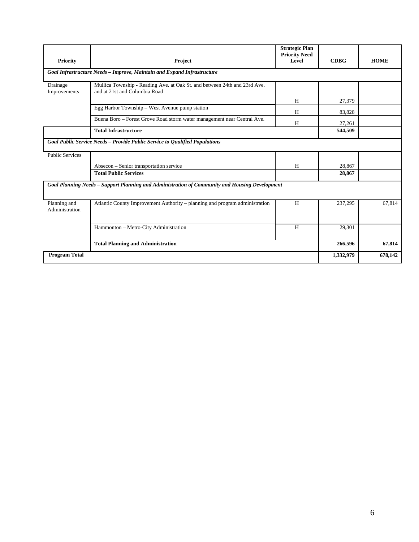|                                |                                                                                                            | <b>Strategic Plan</b><br><b>Priority Need</b> |             |             |
|--------------------------------|------------------------------------------------------------------------------------------------------------|-----------------------------------------------|-------------|-------------|
| <b>Priority</b>                | Project                                                                                                    | Level                                         | <b>CDBG</b> | <b>HOME</b> |
|                                | Goal Infrastructure Needs - Improve, Maintain and Expand Infrastructure                                    |                                               |             |             |
| Drainage<br>Improvements       | Mullica Township - Reading Ave. at Oak St. and between 24th and 23rd Ave.<br>and at 21st and Columbia Road |                                               |             |             |
|                                |                                                                                                            | H                                             | 27,379      |             |
|                                | Egg Harbor Township - West Avenue pump station                                                             | H                                             | 83,828      |             |
|                                | Buena Boro - Forest Grove Road storm water management near Central Ave.                                    | H                                             | 27,261      |             |
|                                | <b>Total Infrastructure</b>                                                                                |                                               | 544,509     |             |
|                                | Goal Public Service Needs - Provide Public Service to Qualified Populations                                |                                               |             |             |
| <b>Public Services</b>         |                                                                                                            |                                               |             |             |
|                                | Absecon – Senior transportation service                                                                    | H                                             | 28,867      |             |
|                                | <b>Total Public Services</b>                                                                               |                                               | 28,867      |             |
|                                | Goal Planning Needs - Support Planning and Administration of Community and Housing Development             |                                               |             |             |
| Planning and<br>Administration | Atlantic County Improvement Authority – planning and program administration                                | H                                             | 237,295     | 67,814      |
|                                | Hammonton - Metro-City Administration                                                                      | H                                             | 29,301      |             |
|                                | <b>Total Planning and Administration</b>                                                                   |                                               | 266,596     | 67,814      |
| <b>Program Total</b>           |                                                                                                            |                                               | 1,332,979   | 678,142     |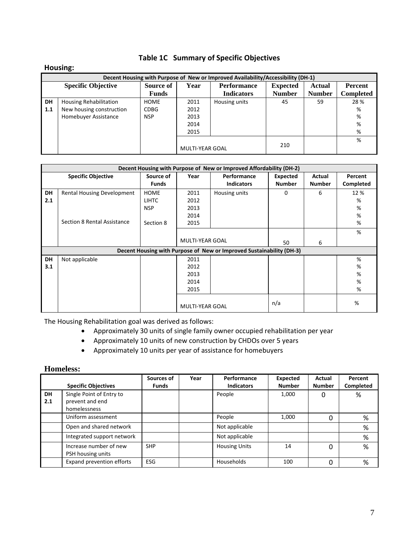## **Table 1C Summary of Specific Objectives**

#### **Housing:**

|             | Decent Housing with Purpose of New or Improved Availability/Accessibility (DH-1) |              |                        |                    |                 |               |                  |  |  |  |
|-------------|----------------------------------------------------------------------------------|--------------|------------------------|--------------------|-----------------|---------------|------------------|--|--|--|
|             | <b>Specific Objective</b>                                                        | Source of    | Year                   | <b>Performance</b> | <b>Expected</b> | <b>Actual</b> | Percent          |  |  |  |
|             |                                                                                  | <b>Funds</b> |                        | <b>Indicators</b>  | <b>Number</b>   | <b>Number</b> | <b>Completed</b> |  |  |  |
| <b>DH</b>   | <b>Housing Rehabilitation</b>                                                    | <b>HOME</b>  | 2011                   | Housing units      | 45              | 59            | 28 %             |  |  |  |
| $\vert$ 1.1 | New housing construction                                                         | <b>CDBG</b>  | 2012                   |                    |                 |               | %                |  |  |  |
|             | Homebuyer Assistance                                                             | <b>NSP</b>   | 2013                   |                    |                 |               | %                |  |  |  |
|             |                                                                                  |              | 2014                   |                    |                 |               | %                |  |  |  |
|             |                                                                                  |              | 2015                   |                    |                 |               | %                |  |  |  |
|             |                                                                                  |              |                        |                    |                 |               | %                |  |  |  |
|             |                                                                                  |              | <b>MULTI-YEAR GOAL</b> |                    | 210             |               |                  |  |  |  |

|           | Decent Housing with Purpose of New or Improved Affordability (DH-2) |              |                        |                                                                      |               |               |           |  |  |
|-----------|---------------------------------------------------------------------|--------------|------------------------|----------------------------------------------------------------------|---------------|---------------|-----------|--|--|
|           | <b>Specific Objective</b>                                           | Source of    | Year                   | Performance                                                          | Expected      | Actual        | Percent   |  |  |
|           |                                                                     | <b>Funds</b> |                        | <b>Indicators</b>                                                    | <b>Number</b> | <b>Number</b> | Completed |  |  |
| DH        | <b>Rental Housing Development</b>                                   | <b>HOME</b>  | 2011                   | Housing units                                                        | $\Omega$      | 6             | 12 %      |  |  |
| 2.1       |                                                                     | <b>LIHTC</b> | 2012                   |                                                                      |               |               | %         |  |  |
|           |                                                                     | <b>NSP</b>   | 2013                   |                                                                      |               |               | %         |  |  |
|           |                                                                     |              | 2014                   |                                                                      |               |               | %         |  |  |
|           | Section 8 Rental Assistance                                         | Section 8    | 2015                   |                                                                      |               |               | %         |  |  |
|           |                                                                     |              |                        |                                                                      |               |               | %         |  |  |
|           |                                                                     |              | <b>MULTI-YEAR GOAL</b> |                                                                      | 50            | 6             |           |  |  |
|           |                                                                     |              |                        | Decent Housing with Purpose of New or Improved Sustainability (DH-3) |               |               |           |  |  |
| <b>DH</b> | Not applicable                                                      |              | 2011                   |                                                                      |               |               | %         |  |  |
| 3.1       |                                                                     |              | 2012                   |                                                                      |               |               | %         |  |  |
|           |                                                                     |              | 2013                   |                                                                      |               |               | %         |  |  |
|           |                                                                     |              | 2014                   |                                                                      |               |               | %         |  |  |
|           |                                                                     |              | 2015                   |                                                                      |               |               | %         |  |  |
|           |                                                                     |              | <b>MULTI-YEAR GOAL</b> |                                                                      | n/a           |               | %         |  |  |

The Housing Rehabilitation goal was derived as follows:

- Approximately 30 units of single family owner occupied rehabilitation per year
- Approximately 10 units of new construction by CHDOs over 5 years
- Approximately 10 units per year of assistance for homebuyers

#### **Homeless:**

|           | <b>Specific Objectives</b>                                  | Sources of<br><b>Funds</b> | Year | Performance<br><b>Indicators</b> | Expected<br><b>Number</b> | Actual<br><b>Number</b> | Percent<br>Completed |
|-----------|-------------------------------------------------------------|----------------------------|------|----------------------------------|---------------------------|-------------------------|----------------------|
| DH<br>2.1 | Single Point of Entry to<br>prevent and end<br>homelessness |                            |      | People                           | 1,000                     | 0                       | %                    |
|           | Uniform assessment                                          |                            |      | People                           | 1,000                     | 0                       | %                    |
|           | Open and shared network                                     |                            |      | Not applicable                   |                           |                         | $\%$                 |
|           | Integrated support network                                  |                            |      | Not applicable                   |                           |                         | %                    |
|           | Increase number of new<br>PSH housing units                 | <b>SHP</b>                 |      | <b>Housing Units</b>             | 14                        | 0                       | $\%$                 |
|           | Expand prevention efforts                                   | ESG                        |      | Households                       | 100                       | 0                       | %                    |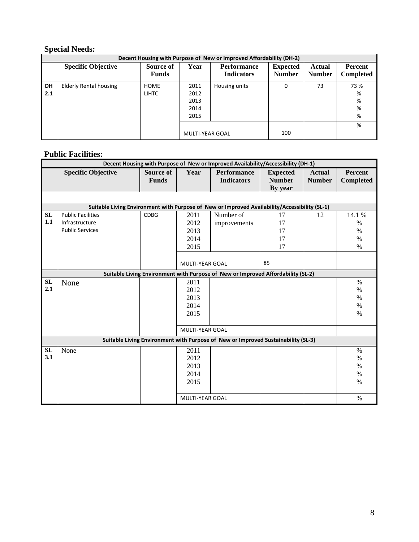## **Special Needs:**

|                  | Decent Housing with Purpose of New or Improved Affordability (DH-2) |                             |                                      |                                         |                                  |                                |                          |  |  |  |  |
|------------------|---------------------------------------------------------------------|-----------------------------|--------------------------------------|-----------------------------------------|----------------------------------|--------------------------------|--------------------------|--|--|--|--|
|                  | <b>Specific Objective</b>                                           | Source of<br><b>Funds</b>   | Year                                 | <b>Performance</b><br><b>Indicators</b> | <b>Expected</b><br><b>Number</b> | <b>Actual</b><br><b>Number</b> | Percent<br>Completed     |  |  |  |  |
| <b>DH</b><br>2.1 | <b>Elderly Rental housing</b>                                       | <b>HOME</b><br><b>LIHTC</b> | 2011<br>2012<br>2013<br>2014<br>2015 | Housing units                           | 0                                | 73                             | 73 %<br>%<br>%<br>%<br>% |  |  |  |  |
|                  |                                                                     |                             | MULTI-YEAR GOAL                      |                                         | 100                              |                                | %                        |  |  |  |  |

## **Public Facilities:**

|           | Decent Housing with Purpose of New or Improved Availability/Accessibility (DH-1)              |              |                        |                                                                                   |                 |               |           |  |  |
|-----------|-----------------------------------------------------------------------------------------------|--------------|------------------------|-----------------------------------------------------------------------------------|-----------------|---------------|-----------|--|--|
|           | <b>Specific Objective</b>                                                                     | Source of    | Year                   | <b>Performance</b>                                                                | <b>Expected</b> | <b>Actual</b> | Percent   |  |  |
|           |                                                                                               | <b>Funds</b> |                        | <b>Indicators</b>                                                                 | <b>Number</b>   | <b>Number</b> | Completed |  |  |
|           |                                                                                               |              |                        |                                                                                   | By year         |               |           |  |  |
|           |                                                                                               |              |                        |                                                                                   |                 |               |           |  |  |
|           | Suitable Living Environment with Purpose of New or Improved Availability/Accessibility (SL-1) |              |                        |                                                                                   |                 |               |           |  |  |
| <b>SL</b> | <b>Public Facilities</b>                                                                      | <b>CDBG</b>  | 2011                   | Number of                                                                         | 17              | 12            | 14.1 %    |  |  |
| 1.1       | Infrastructure                                                                                |              | 2012                   | improvements                                                                      | 17              |               | $\%$      |  |  |
|           | <b>Public Services</b>                                                                        |              | 2013                   |                                                                                   | 17              |               | $\%$      |  |  |
|           |                                                                                               |              | 2014                   |                                                                                   | 17              |               | $\%$      |  |  |
|           |                                                                                               |              | 2015                   |                                                                                   | 17              |               | $\%$      |  |  |
|           |                                                                                               |              |                        |                                                                                   |                 |               |           |  |  |
|           |                                                                                               |              | <b>MULTI-YEAR GOAL</b> |                                                                                   | 85              |               |           |  |  |
|           |                                                                                               |              |                        | Suitable Living Environment with Purpose of New or Improved Affordability (SL-2)  |                 |               |           |  |  |
| <b>SL</b> | None                                                                                          |              | 2011                   |                                                                                   |                 |               | $\%$      |  |  |
| 2.1       |                                                                                               |              | 2012                   |                                                                                   |                 |               | $\%$      |  |  |
|           |                                                                                               |              | 2013                   |                                                                                   |                 |               | $\%$      |  |  |
|           |                                                                                               |              | 2014                   |                                                                                   |                 |               | $\%$      |  |  |
|           |                                                                                               |              | 2015                   |                                                                                   |                 |               | $\%$      |  |  |
|           |                                                                                               |              |                        |                                                                                   |                 |               |           |  |  |
|           |                                                                                               |              | <b>MULTI-YEAR GOAL</b> |                                                                                   |                 |               |           |  |  |
|           |                                                                                               |              |                        | Suitable Living Environment with Purpose of New or Improved Sustainability (SL-3) |                 |               |           |  |  |
| <b>SL</b> | None                                                                                          |              | 2011                   |                                                                                   |                 |               | $\%$      |  |  |
| 3.1       |                                                                                               |              | 2012                   |                                                                                   |                 |               | $\%$      |  |  |
|           |                                                                                               |              | 2013                   |                                                                                   |                 |               | $\%$      |  |  |
|           |                                                                                               |              | 2014                   |                                                                                   |                 |               | $\%$      |  |  |
|           |                                                                                               |              | 2015                   |                                                                                   |                 |               | $\%$      |  |  |
|           |                                                                                               |              |                        |                                                                                   |                 |               |           |  |  |
|           |                                                                                               |              | <b>MULTI-YEAR GOAL</b> |                                                                                   |                 |               | $\%$      |  |  |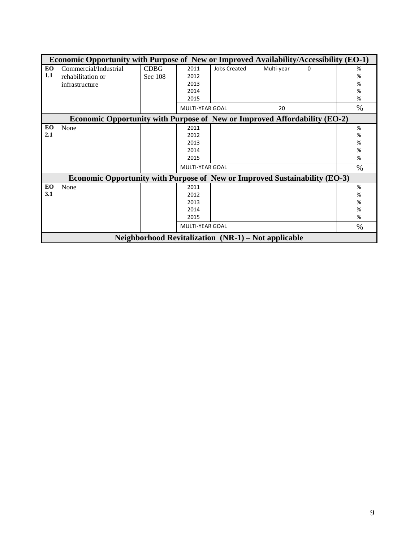|     | Economic Opportunity with Purpose of New or Improved Availability/Accessibility (EO-1) |             |                        |                                                     |            |   |        |  |  |  |  |
|-----|----------------------------------------------------------------------------------------|-------------|------------------------|-----------------------------------------------------|------------|---|--------|--|--|--|--|
| EO  | Commercial/Industrial                                                                  | <b>CDBG</b> | 2011                   | <b>Jobs Created</b>                                 | Multi-year | 0 | %      |  |  |  |  |
| 1.1 | rehabilitation or                                                                      | Sec 108     | 2012                   |                                                     |            |   | %      |  |  |  |  |
|     | infrastructure                                                                         |             | 2013                   |                                                     |            |   | $\%$   |  |  |  |  |
|     |                                                                                        |             | 2014<br>2015           |                                                     |            |   | %<br>% |  |  |  |  |
|     |                                                                                        |             |                        |                                                     |            |   |        |  |  |  |  |
|     |                                                                                        |             | <b>MULTI-YEAR GOAL</b> |                                                     | 20         |   | $\%$   |  |  |  |  |
|     | <b>Economic Opportunity with Purpose of New or Improved Affordability (EO-2)</b>       |             |                        |                                                     |            |   |        |  |  |  |  |
| EO  | None                                                                                   |             | 2011                   |                                                     |            |   | %      |  |  |  |  |
| 2.1 |                                                                                        |             | 2012                   |                                                     |            |   | %      |  |  |  |  |
|     |                                                                                        |             | 2013                   |                                                     |            |   | %      |  |  |  |  |
|     |                                                                                        |             | 2014                   |                                                     |            |   | %      |  |  |  |  |
|     |                                                                                        |             | 2015                   |                                                     |            |   | %      |  |  |  |  |
|     |                                                                                        |             | <b>MULTI-YEAR GOAL</b> |                                                     |            |   | $\%$   |  |  |  |  |
|     | <b>Economic Opportunity with Purpose of New or Improved Sustainability (EO-3)</b>      |             |                        |                                                     |            |   |        |  |  |  |  |
| EO  | None                                                                                   |             | 2011                   |                                                     |            |   | %      |  |  |  |  |
| 3.1 |                                                                                        |             | 2012                   |                                                     |            |   | %      |  |  |  |  |
|     |                                                                                        |             | 2013                   |                                                     |            |   | %      |  |  |  |  |
|     |                                                                                        |             | 2014                   |                                                     |            |   | %      |  |  |  |  |
|     |                                                                                        |             | 2015                   |                                                     |            |   | %      |  |  |  |  |
|     |                                                                                        |             | <b>MULTI-YEAR GOAL</b> |                                                     |            |   | $\%$   |  |  |  |  |
|     |                                                                                        |             |                        | Neighborhood Revitalization (NR-1) – Not applicable |            |   |        |  |  |  |  |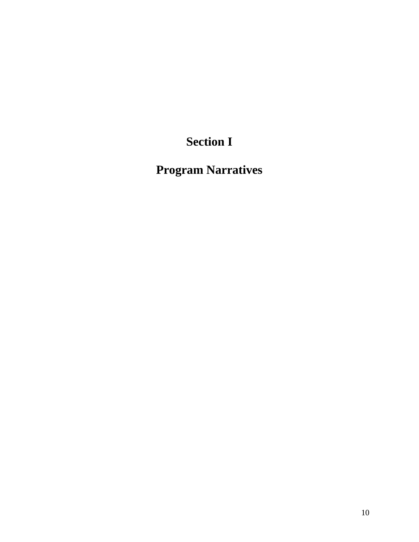# **Section I**

**Program Narratives**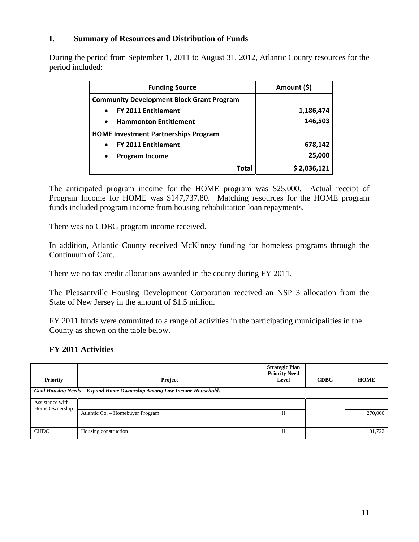#### **I. Summary of Resources and Distribution of Funds**

During the period from September 1, 2011 to August 31, 2012, Atlantic County resources for the period included:

| <b>Funding Source</b>                            | Amount (\$) |
|--------------------------------------------------|-------------|
| <b>Community Development Block Grant Program</b> |             |
| <b>FY 2011 Entitlement</b><br>$\bullet$          | 1,186,474   |
| <b>Hammonton Entitlement</b><br>$\bullet$        | 146,503     |
| <b>HOME Investment Partnerships Program</b>      |             |
| <b>FY 2011 Entitlement</b><br>$\bullet$          | 678,142     |
| <b>Program Income</b><br>$\bullet$               | 25,000      |
| Total                                            | \$2,036,121 |

The anticipated program income for the HOME program was \$25,000. Actual receipt of Program Income for HOME was \$147,737.80. Matching resources for the HOME program funds included program income from housing rehabilitation loan repayments.

There was no CDBG program income received.

In addition, Atlantic County received McKinney funding for homeless programs through the Continuum of Care.

There we no tax credit allocations awarded in the county during FY 2011.

The Pleasantville Housing Development Corporation received an NSP 3 allocation from the State of New Jersey in the amount of \$1.5 million.

FY 2011 funds were committed to a range of activities in the participating municipalities in the County as shown on the table below.

### **FY 2011 Activities**

| <b>Priority</b>                   | Project                                                                | <b>Strategic Plan</b><br><b>Priority Need</b><br>Level | CDBG | <b>HOME</b> |  |  |  |  |  |
|-----------------------------------|------------------------------------------------------------------------|--------------------------------------------------------|------|-------------|--|--|--|--|--|
|                                   | Goal Housing Needs - Expand Home Ownership Among Low Income Households |                                                        |      |             |  |  |  |  |  |
| Assistance with<br>Home Ownership |                                                                        |                                                        |      |             |  |  |  |  |  |
|                                   | Atlantic Co. - Homebuyer Program                                       | H                                                      |      | 270,000     |  |  |  |  |  |
| <b>CHDO</b>                       | Housing construction                                                   | H                                                      |      | 101,722     |  |  |  |  |  |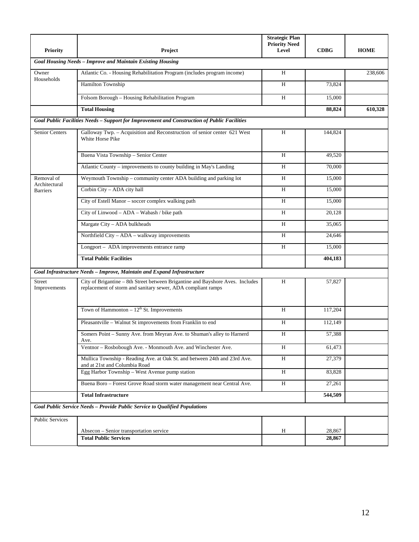| <b>Priority</b>             | Project                                                                                                                                        | <b>Strategic Plan</b><br><b>Priority Need</b><br>Level | <b>CDBG</b>      | <b>HOME</b> |
|-----------------------------|------------------------------------------------------------------------------------------------------------------------------------------------|--------------------------------------------------------|------------------|-------------|
|                             | Goal Housing Needs - Improve and Maintain Existing Housing                                                                                     |                                                        |                  |             |
| Owner                       | Atlantic Co. - Housing Rehabilitation Program (includes program income)                                                                        | H                                                      |                  | 238,606     |
| Households                  | Hamilton Township                                                                                                                              | H                                                      | 73,824           |             |
|                             | Folsom Borough - Housing Rehabilitation Program                                                                                                | H                                                      | 15,000           |             |
|                             | <b>Total Housing</b>                                                                                                                           |                                                        | 88,824           | 610,328     |
|                             | Goal Public Facilities Needs - Support for Improvement and Construction of Public Facilities                                                   |                                                        |                  |             |
| <b>Senior Centers</b>       | Galloway Twp. - Acquisition and Reconstruction of senior center 621 West<br>White Horse Pike                                                   | H                                                      | 144,824          |             |
|                             | Buena Vista Township - Senior Center                                                                                                           | H                                                      | 49,520           |             |
|                             | Atlantic County - improvements to county building in May's Landing                                                                             | H                                                      | 70,000           |             |
| Removal of<br>Architectural | Weymouth Township - community center ADA building and parking lot                                                                              | H                                                      | 15,000           |             |
| <b>Barriers</b>             | Corbin City - ADA city hall                                                                                                                    | H                                                      | 15,000           |             |
|                             | City of Estell Manor - soccer complex walking path                                                                                             | H                                                      | 15,000           |             |
|                             | City of Linwood - ADA - Wabash / bike path                                                                                                     | H                                                      | 20,128           |             |
|                             | Margate City - ADA bulkheads                                                                                                                   | H                                                      | 35,065           |             |
|                             | Northfield City - ADA - walkway improvements                                                                                                   | H                                                      | 24,646           |             |
|                             | Longport - ADA improvements entrance ramp                                                                                                      | H                                                      | 15,000           |             |
|                             | <b>Total Public Facilities</b>                                                                                                                 |                                                        | 404,183          |             |
|                             | Goal Infrastructure Needs - Improve, Maintain and Expand Infrastructure                                                                        |                                                        |                  |             |
| Street<br>Improvements      | City of Brigantine - 8th Street between Brigantine and Bayshore Aves. Includes<br>replacement of storm and sanitary sewer, ADA compliant ramps | H                                                      | 57,827           |             |
|                             | Town of Hammonton $-12^{th}$ St. Improvements                                                                                                  | H                                                      | 117,204          |             |
|                             | Pleasantville - Walnut St improvements from Franklin to end                                                                                    | H                                                      | 112,149          |             |
|                             | Somers Point - Sunny Ave. from Meyran Ave. to Shuman's alley to Harnerd<br>Ave.                                                                | H                                                      | 57,388           |             |
|                             | Ventnor - Rosbobough Ave. - Monmouth Ave. and Winchester Ave.                                                                                  | H                                                      | 61,473           |             |
|                             | Mullica Township - Reading Ave. at Oak St. and between 24th and 23rd Ave.<br>and at 21st and Columbia Road                                     | H                                                      | 27,379           |             |
|                             | Egg Harbor Township - West Avenue pump station                                                                                                 | H                                                      | 83,828           |             |
|                             | Buena Boro - Forest Grove Road storm water management near Central Ave.                                                                        | H                                                      | 27,261           |             |
|                             | <b>Total Infrastructure</b>                                                                                                                    |                                                        | 544,509          |             |
|                             | Goal Public Service Needs - Provide Public Service to Oualified Populations                                                                    |                                                        |                  |             |
| <b>Public Services</b>      |                                                                                                                                                |                                                        |                  |             |
|                             | Absecon - Senior transportation service<br><b>Total Public Services</b>                                                                        | H                                                      | 28,867<br>28,867 |             |
|                             |                                                                                                                                                |                                                        |                  |             |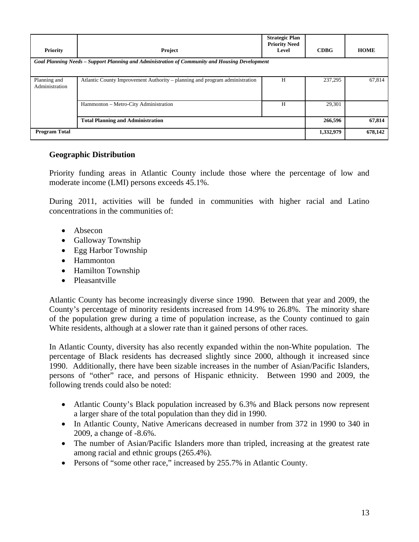| Priority                       | Project                                                                                        | <b>Strategic Plan</b><br><b>Priority Need</b><br>Level | <b>CDBG</b> | <b>HOME</b> |
|--------------------------------|------------------------------------------------------------------------------------------------|--------------------------------------------------------|-------------|-------------|
|                                | Goal Planning Needs – Support Planning and Administration of Community and Housing Development |                                                        |             |             |
| Planning and<br>Administration | Atlantic County Improvement Authority – planning and program administration                    | H                                                      | 237,295     | 67,814      |
|                                | Hammonton - Metro-City Administration                                                          | H                                                      | 29,301      |             |
|                                | <b>Total Planning and Administration</b>                                                       |                                                        | 266,596     | 67,814      |
| <b>Program Total</b>           |                                                                                                |                                                        | 1,332,979   | 678,142     |

#### **Geographic Distribution**

Priority funding areas in Atlantic County include those where the percentage of low and moderate income (LMI) persons exceeds 45.1%.

During 2011, activities will be funded in communities with higher racial and Latino concentrations in the communities of:

- Absecon
- Galloway Township
- Egg Harbor Township
- Hammonton
- Hamilton Township
- Pleasantville

Atlantic County has become increasingly diverse since 1990. Between that year and 2009, the County's percentage of minority residents increased from 14.9% to 26.8%. The minority share of the population grew during a time of population increase, as the County continued to gain White residents, although at a slower rate than it gained persons of other races.

In Atlantic County, diversity has also recently expanded within the non-White population. The percentage of Black residents has decreased slightly since 2000, although it increased since 1990. Additionally, there have been sizable increases in the number of Asian/Pacific Islanders, persons of "other" race, and persons of Hispanic ethnicity. Between 1990 and 2009, the following trends could also be noted:

- Atlantic County's Black population increased by 6.3% and Black persons now represent a larger share of the total population than they did in 1990.
- In Atlantic County, Native Americans decreased in number from 372 in 1990 to 340 in 2009, a change of -8.6%.
- The number of Asian/Pacific Islanders more than tripled, increasing at the greatest rate among racial and ethnic groups (265.4%).
- Persons of "some other race," increased by 255.7% in Atlantic County.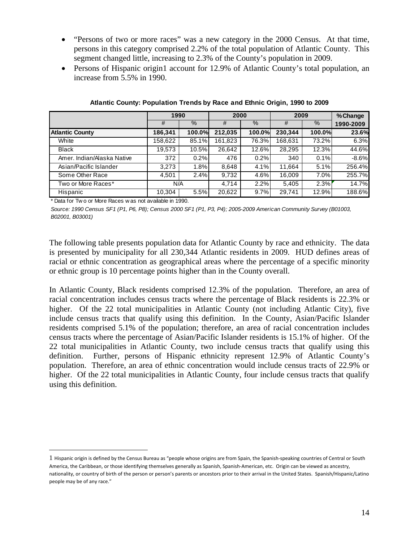- "Persons of two or more races" was a new category in the 2000 Census. At that time, persons in this category comprised 2.2% of the total population of Atlantic County. This segment changed little, increasing to 2.3% of the County's population in 2009.
- Persons of Hispanic origin1 account for 12.9% of Atlantic County's total population, an increase from 5.5% in 1990.

|                            |         | 1990   |         | 2000          |         | 2009   |           |
|----------------------------|---------|--------|---------|---------------|---------|--------|-----------|
|                            | #       | %      | #       | $\frac{9}{6}$ | #       | $\%$   | 1990-2009 |
| <b>Atlantic County</b>     | 186,341 | 100.0% | 212,035 | 100.0%        | 230,344 | 100.0% | 23.6%     |
| White                      | 158,622 | 85.1%  | 161,823 | 76.3%         | 168,631 | 73.2%  | 6.3%      |
| <b>Black</b>               | 19,573  | 10.5%  | 26,642  | 12.6%         | 28,295  | 12.3%  | 44.6%     |
| Amer. Indian/Alaska Native | 372     | 0.2%   | 476     | 0.2%          | 340     | 0.1%   | $-8.6%$   |
| Asian/Pacific Islander     | 3,273   | 1.8%   | 8,648   | 4.1%          | 11,664  | 5.1%   | 256.4%    |
| Some Other Race            | 4,501   | 2.4%   | 9,732   | 4.6%          | 16,009  | 7.0%   | 255.7%    |
| Two or More Races*         | N/A     |        | 4.714   | 2.2%          | 5.405   | 2.3%   | 14.7%     |
| Hispanic                   | 10,304  | 5.5%   | 20,622  | 9.7%          | 29,741  | 12.9%  | 188.6%    |

**Atlantic County: Population Trends by Race and Ethnic Origin, 1990 to 2009**

\* Data for Tw o or More Races w as not available in 1990.

 $\overline{a}$ 

*Source: 1990 Census SF1 (P1, P6, P8); Census 2000 SF1 (P1, P3, P4); 2005-2009 American Community Survey (B01003, B02001, B03001)*

The following table presents population data for Atlantic County by race and ethnicity. The data is presented by municipality for all 230,344 Atlantic residents in 2009. HUD defines areas of racial or ethnic concentration as geographical areas where the percentage of a specific minority or ethnic group is 10 percentage points higher than in the County overall.

In Atlantic County, Black residents comprised 12.3% of the population. Therefore, an area of racial concentration includes census tracts where the percentage of Black residents is 22.3% or higher. Of the 22 total municipalities in Atlantic County (not including Atlantic City), five include census tracts that qualify using this definition. In the County, Asian/Pacific Islander residents comprised 5.1% of the population; therefore, an area of racial concentration includes census tracts where the percentage of Asian/Pacific Islander residents is 15.1% of higher. Of the 22 total municipalities in Atlantic County, two include census tracts that qualify using this definition. Further, persons of Hispanic ethnicity represent 12.9% of Atlantic County's population. Therefore, an area of ethnic concentration would include census tracts of 22.9% or higher. Of the 22 total municipalities in Atlantic County, four include census tracts that qualify using this definition.

<sup>1</sup> Hispanic origin is defined by the Census Bureau as "people whose origins are from Spain, the Spanish‐speaking countries of Central or South America, the Caribbean, or those identifying themselves generally as Spanish, Spanish‐American, etc. Origin can be viewed as ancestry, nationality, or country of birth of the person or person's parents or ancestors prior to their arrival in the United States. Spanish/Hispanic/Latino people may be of any race."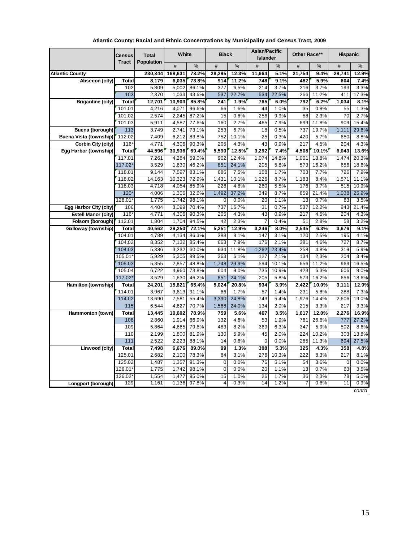|                               | Census               | <b>Total</b>   | White          |                | <b>Black</b>     |               | Asian/Pacific<br><b>Islander</b> |              | Other Race**            |               | <b>Hispanic</b> |               |
|-------------------------------|----------------------|----------------|----------------|----------------|------------------|---------------|----------------------------------|--------------|-------------------------|---------------|-----------------|---------------|
|                               | <b>Tract</b>         | Population     | #              | %              | #                | %             | #                                | %            | #                       | %             | #               | %             |
| <b>Atlantic County</b>        |                      | 230,344        | 168,631        | 73.2%          | 28,295           | 12.3%         | 11,664                           | 5.1%         | 21,754                  | 9.4%          | 29,741          | 12.9%         |
| Absecon (city)                | Total                | 8,179          | 6.035          | 73.8%          | 914              | 11.2%         | 748                              | 9.1%         | 482                     | 5.9%          | 604             | 7.4%          |
|                               | 102                  | 5,809          | 5,002          | 86.1%          | $\overline{377}$ | 6.5%          | 214                              | 3.7%         | $\overline{216}$        | 3.7%          | 193             | 3.3%          |
|                               | 103                  | 2,370          | 1,033          | 43.6%          | 537              | 22.7%         | 534                              | 22.5%        | 266                     | 11.2%         | 411             | 17.3%         |
| <b>Brigantine (city)</b>      | Total                | 12,701         | 10,903         | 85.8%          | 241              | 1.9%          | 765                              | 6.0%         | 792                     | 6.2%          | 1,034           | 8.1%          |
|                               | 101.01               | 4,216          | 4,071          | 96.6%          | 66               | 1.6%          | 44                               | 1.0%         | $\overline{35}$         | 0.8%          | 55              | 1.3%          |
|                               | 101.02               | 2,574          | 2,245          | 87.2%          | 15               | 0.6%          | 256                              | 9.9%         | 58                      | 2.3%          | 70              | 2.7%          |
|                               | 101.03               | 5,911          | 4,587          | 77.6%          | 160              | 2.7%          | 465                              | 7.9%         | 699                     | 11.8%         | 909             | 15.4%         |
| Buena (borough)               | 113                  | 3,749          | 2,741          | 73.1%          | 253              | 6.7%          | 18                               | 0.5%         | 737                     | 19.7%         | 1,111           | 29.6%         |
| <b>Buena Vista (township)</b> | 112.02               | 7,409          | 6,212          | 83.8%          | 752              | 10.1%         | $\overline{25}$                  | 0.3%         | 420                     | 5.7%          | 650             | 8.8%          |
| Corbin City (city)            | $116*$               | 4,771          | 4,306          | 90.3%          | 205              | 4.3%          | 43                               | 0.9%         | 217                     | 4.5%          | 204             | 4.3%          |
| Egg Harbor (township)         | Total                | 44,596         | 30,936         | 69.4%          | 5,590            | 12.5%         | 3,292                            | 7.4%         | 4,508                   | 10.1%         | 6,043           | 13.6%         |
|                               | 117.01               | 7,261          | 4,284          | 59.0%          | 902              | 12.4%         | 1.074                            | 14.8%        | 1.001                   | 13.8%         | 1,474           | 20.3%         |
|                               | 117.02*<br>118.01    | 3,529<br>9,144 | 1,630<br>7,597 | 46.2%<br>83.1% | 851<br>686       | 24.1%<br>7.5% | 205<br>158                       | 5.8%<br>1.7% | 573<br>$\overline{703}$ | 16.2%<br>7.7% | 656<br>726      | 18.6%<br>7.9% |
|                               | 118.02               | 14,163         | 10,323         | 72.9%          | 1,431            | 10.1%         | 1,226                            | 8.7%         | 1,183                   | 8.4%          | 1,571           | 11.1%         |
|                               | 118.03               | 4,718          | 4,054          | 85.9%          | 228              | 4.8%          | 260                              | 5.5%         | 176                     | 3.7%          | 515             | 10.9%         |
|                               | $120*$               | 4,006          | 1,306          | 32.6%          | 1,492            | 37.2%         | 349                              | 8.7%         | 859                     | 21.4%         | 1,038           | 25.9%         |
|                               | 126.01*              | 1,775          | 1.742          | 98.1%          | 0                | 0.0%          | 20                               | 1.1%         | 13                      | 0.7%          | 63              | 3.5%          |
| Egg Harbor City (city)        | 106                  | 4,404          | 3,099          | 70.4%          | 737              | 16.7%         | 31                               | 0.7%         | 537                     | 12.2%         | 943             | 21.4%         |
| Estell Manor (city)           | $116*$               | 4,771          | 4,306          | 90.3%          | 205              | 4.3%          | 43                               | 0.9%         | 217                     | 4.5%          | 204             | 4.3%          |
| Folsom (borough)              | 112.01               | 1,804          | 1,704          | 94.5%          | 42               | 2.3%          | $\overline{7}$                   | 0.4%         | 51                      | 2.8%          | 58              | 3.2%          |
| Galloway (township)           | Total                | 40,562         | 29,250         | 72.1%          | 5,251            | 12.9%         | 3,246                            | 8.0%         | 2,545                   | 6.3%          | 3,676           | 9.1%          |
|                               | 104.01               | 4,789          | 4,134          | 86.3%          | 388              | 8.1%          | 147                              | 3.1%         | 120                     | 2.5%          | 195             | 4.1%          |
|                               | 104.02               | 8,352          | 7,132          | 85.4%          | 663              | 7.9%          | 176                              | 2.1%         | 381                     | 4.6%          | 727             | 8.7%          |
|                               | 104.03               | 5,386          | 3,232          | 60.0%          | 634              | 11.8%         | 1,262                            | 23.4%        | 258                     | 4.8%          | 319             | 5.9%          |
|                               | 105.01*              | 5,929          | 5,305          | 89.5%          | 363              | 6.1%          | 127                              | 2.1%         | 134                     | 2.3%          | 204             | 3.4%          |
|                               | 105.03               | 5,855          | 2,857          | 48.8%          | 1,748            | 29.9%         | 594                              | 10.1%        | 656                     | 11.2%         | 969             | 16.5%         |
|                               | 105.04               | 6,722          | 4,960          | 73.8%          | 604              | 9.0%          | 735                              | 10.9%        | 423                     | 6.3%          | 606             | 9.0%          |
|                               | 117.02*              | 3,529          | 1,630          | 46.2%          | 851              | 24.1%         | 205                              | 5.8%         | 573                     | 16.2%         | 656             | 18.6%         |
| Hamilton (township)           | Total                | 24,201         | 15,821         | 65.4%          | 5,024            | 20.8%         | 934                              | 3.9%         | 2,422                   | 10.0%         | 3,111           | 12.9%         |
|                               | 114.01               | 3,967          | 3,613          | 91.1%          | 66               | 1.7%          | 57                               | 1.4%         | 231                     | 5.8%          | 288             | 7.3%          |
|                               | 114.02               | 13,690         | 7,581          | 55.4%          | 3,390            | 24.8%         | $\overline{743}$                 | 5.4%         | 1,976                   | 14.4%         | 2,606           | 19.0%         |
|                               | 115                  | 6,544          | 4,627          | 70.7%          | 1,568            | 24.0%         | 134                              | 2.0%         | 215                     | 3.3%          | 217             | 3.3%          |
| Hammonton (town)              | Total                | 13,445         | 10,602         | 78.9%          | 759              | 5.6%          | 467                              | 3.5%         | 1,617                   | 12.0%         | 2,276           | 16.9%         |
|                               | 108                  | 2,860          | 1,914          | 66.9%          | 132              | 4.6%          | 53                               | 1.9%         | 761                     | 26.6%         | 777             | 27.2%         |
|                               | 109                  | 5,864          | 4,665          | 79.6%          | 483              | 8.2%          | 369                              | 6.3%         | 347                     | 5.9%          | 502             | 8.6%          |
|                               | 110                  | 2,199          | 1,800          | 81.9%          | 130              | 5.9%          | 45                               | 2.0%         | 224                     | 10.2%         | 303             | 13.8%         |
|                               | $111$                | 2,522          | 2,223          | 88.1%          | 14               | 0.6%          | $\mathbf 0$                      | 0.0%         | 285                     | 11.3%         | 694             | 27.5%         |
| Linwood (city)                | Total                | 7,498          | 6,676          | 89.0%          | 99               | 1.3%          | 398                              | 5.3%         | 325                     | 4.3%          | 358             | 4.8%          |
|                               | 125.01               | 2,682          | 2,100          | 78.3%          | 84               | 3.1%<br>0.0%  | 276<br>76                        | 10.3%        | 222                     | 8.3%          | 217             | 8.1%          |
|                               | 125.02               | 1,487          | 1,357          | 91.3%          | 0<br>$\mathbf 0$ | 0.0%          |                                  | 5.1%<br>1.1% | 54<br>13                | 3.6%<br>0.7%  | $\mathbf 0$     | 0.0%<br>3.5%  |
|                               | $126.01*$<br>126.02* | 1,775          | 1.742          | 98.1%<br>95.0% | 15               | 1.0%          | 20<br>26                         | 1.7%         | 36                      | 2.3%          | 63<br>78        | 5.0%          |
|                               | 129                  | 1,554<br>1,161 | 1,477<br>1,136 | 97.8%          | 4                | 0.3%          | 14                               | 1.2%         | 7                       | 0.6%          | 11              | 0.9%          |
| Longport (borough)            |                      |                |                |                |                  |               |                                  |              |                         |               |                 |               |

**Atlantic County: Racial and Ethnic Concentrations by Municipality and Census Tract, 2009**

*cont'd*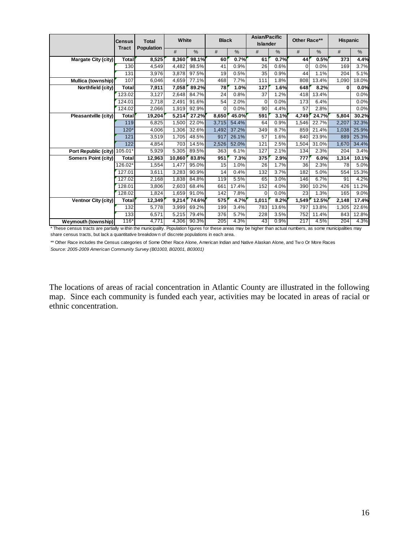|                            | <b>Census</b><br><b>Tract</b> | <b>Total</b><br>Population | White  |       | <b>Black</b> |       | <b>Asian/Pacific</b><br><b>Islander</b> |       | Other Race** |       | <b>Hispanic</b> |       |
|----------------------------|-------------------------------|----------------------------|--------|-------|--------------|-------|-----------------------------------------|-------|--------------|-------|-----------------|-------|
|                            |                               |                            | #      | %     | #            | %     | #                                       | %     | #            | %     | #               | %     |
| Margate City (city)        | Total                         | 8,525                      | 8.360  | 98.1% | 60           | 0.7%  | 61                                      | 0.7%  | 44           | 0.5%  | 373             | 4.4%  |
|                            | 130                           | 4.549                      | 4,482  | 98.5% | 41           | 0.9%  | 26                                      | 0.6%  | 0            | 0.0%  | 169             | 3.7%  |
|                            | 131                           | 3,976                      | 3.878  | 97.5% | 19           | 0.5%  | 35                                      | 0.9%  | 44           | 1.1%  | 204             | 5.1%  |
| Mullica (township)         | 107                           | 6.046                      | 4,659  | 77.1% | 468          | 7.7%  | 111                                     | 1.8%  | 808          | 13.4% | 1.090           | 18.0% |
| Northfield (city)          | Total                         | 7,911                      | 7.058  | 89.2% | 78           | 1.0%  | 127                                     | 1.6%  | 648          | 8.2%  | 0               | 0.0%  |
|                            | 123.02                        | 3,127                      | 2,648  | 84.7% | 24           | 0.8%  | 37                                      | 1.2%  | 418          | 13.4% |                 | 0.0%  |
|                            | 124.01                        | 2,718                      | 2,491  | 91.6% | 54           | 2.0%  | $\mathbf 0$                             | 0.0%  | 173          | 6.4%  |                 | 0.0%  |
|                            | 124.02                        | 2,066                      | 1,919  | 92.9% | $\Omega$     | 0.0%  | 90                                      | 4.4%  | 57           | 2.8%  |                 | 0.0%  |
| Pleasantville (city)       | Total                         | 19,204                     | 5,214  | 27.2% | 8,650        | 45.0% | 591                                     | 3.1%  | 4,749        | 24.7% | 5,804           | 30.2% |
|                            | 119                           | 6,825                      | 1,500  | 22.0% | 3,715        | 54.4% | 64                                      | 0.9%  | 1,546        | 22.7% | 2,207           | 32.3% |
|                            | $120*$                        | 4,006                      | 1,306  | 32.6% | 1,492        | 37.2% | 349                                     | 8.7%  | 859          | 21.4% | 1,038           | 25.9% |
|                            | 121                           | 3,519                      | 1,705  | 48.5% | 917          | 26.1% | 57                                      | 1.6%  | 840          | 23.9% | 889             | 25.3% |
|                            | 122                           | 4.854                      | 703    | 14.5% | 2.526        | 52.0% | 121                                     | 2.5%  | 1.504        | 31.0% | 1.670           | 34.4% |
| Port Republic (city)       | 105.01*                       | 5,929                      | 5.305  | 89.5% | 363          | 6.1%  | 127                                     | 2.1%  | 134          | 2.3%  | 204             | 3.4%  |
| Somers Point (city)        | Total                         | 12,963                     | 10.860 | 83.8% | 951          | 7.3%  | 375                                     | 2.9%  | 777          | 6.0%  | 1,314           | 10.1% |
|                            | 126.02*                       | 1,554                      | 1,477  | 95.0% | 15           | 1.0%  | 26                                      | 1.7%  | 36           | 2.3%  | 78              | 5.0%  |
|                            | 127.01                        | 3,611                      | 3,283  | 90.9% | 14           | 0.4%  | 132                                     | 3.7%  | 182          | 5.0%  | 554             | 15.3% |
|                            | 127.02                        | 2,168                      | 1,838  | 84.8% | 119          | 5.5%  | 65                                      | 3.0%  | 146          | 6.7%  | 91              | 4.2%  |
|                            | 128.01                        | 3,806                      | 2.603  | 68.4% | 661          | 17.4% | 152                                     | 4.0%  | 390          | 10.2% | 426             | 11.2% |
|                            | 128.02                        | 1,824                      | 1,659  | 91.0% | 142          | 7.8%  | 0                                       | 0.0%  | 23           | 1.3%  | 165             | 9.0%  |
| Ventnor City (city)        | <b>Total</b>                  | 12,349                     | 9,214  | 74.6% | 575          | 4.7%  | 1,011                                   | 8.2%  | 1,549        | 12.5% | 2,148           | 17.4% |
|                            | 132                           | 5,778                      | 3,999  | 69.2% | 199          | 3.4%  | 783                                     | 13.6% | 797          | 13.8% | 1,305           | 22.6% |
|                            | 133                           | 6,571                      | 5,215  | 79.4% | 376          | 5.7%  | 228                                     | 3.5%  | 752          | 11.4% | 843             | 12.8% |
| <b>Weymouth (township)</b> | $116*$                        | 4,771                      | 4,306  | 90.3% | 205          | 4.3%  | 43                                      | 0.9%  | 217          | 4.5%  | 204             | 4.3%  |

\* These census tracts are partially w ithin the municipality. Population figures for these areas may be higher than actual numbers, as some municipalities may share census tracts, but lack a quantitative breakdow n of discrete populations in each area.

*Source: 2005-2009 American Community Survey (B01003, B02001, B03001)* \*\* Other Race includes the Census categories of Some Other Race Alone, American Indian and Native Alaskan Alone, and Two Or More Races

The locations of areas of racial concentration in Atlantic County are illustrated in the following map. Since each community is funded each year, activities may be located in areas of racial or ethnic concentration.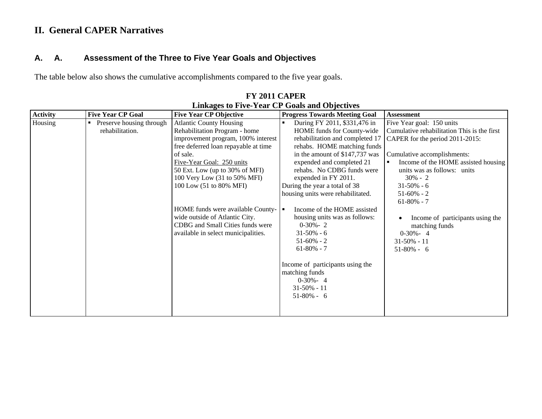# **II. General CAPER Narratives**

## **A. A. Assessment of the Three to Five Year Goals and Objectives**

The table below also shows the cumulative accomplishments compared to the five year goals.

| <b>Progress Towards Meeting Goal</b>                                                                                                                                                                                                                                                                                                                                                                                                                                                                                                                                    | <b>Assessment</b>                                                                                                                                                                                                                                                                                                                                                                               |
|-------------------------------------------------------------------------------------------------------------------------------------------------------------------------------------------------------------------------------------------------------------------------------------------------------------------------------------------------------------------------------------------------------------------------------------------------------------------------------------------------------------------------------------------------------------------------|-------------------------------------------------------------------------------------------------------------------------------------------------------------------------------------------------------------------------------------------------------------------------------------------------------------------------------------------------------------------------------------------------|
| During FY 2011, \$331,476 in<br>HOME funds for County-wide<br>rehabilitation and completed 17<br>rehabs. HOME matching funds<br>in the amount of \$147,737 was<br>expended and completed 21<br>rehabs. No CDBG funds were<br>expended in FY 2011.<br>During the year a total of 38<br>housing units were rehabilitated.<br>Income of the HOME assisted<br>л<br>housing units was as follows:<br>$0-30% - 2$<br>$31 - 50\% - 6$<br>$51-60\% - 2$<br>$61-80\% - 7$<br>Income of participants using the<br>matching funds<br>$0-30% - 4$<br>$31-50\% - 11$<br>$51-80% - 6$ | Five Year goal: 150 units<br>Cumulative rehabilitation This is the first<br>CAPER for the period 2011-2015:<br>Cumulative accomplishments:<br>Income of the HOME assisted housing<br>٠<br>units was as follows: units<br>$30\% - 2$<br>$31-50\% - 6$<br>$51-60\% - 2$<br>$61-80% - 7$<br>Income of participants using the<br>matching funds<br>$0-30% - 4$<br>$31 - 50\% - 11$<br>$51-80\% - 6$ |
|                                                                                                                                                                                                                                                                                                                                                                                                                                                                                                                                                                         |                                                                                                                                                                                                                                                                                                                                                                                                 |
|                                                                                                                                                                                                                                                                                                                                                                                                                                                                                                                                                                         |                                                                                                                                                                                                                                                                                                                                                                                                 |

#### **FY 2011 CAPER Linkages to Five-Year CP Goals and Objectives**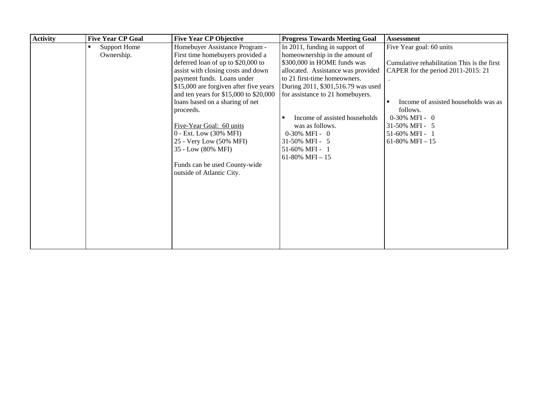| <b>Activity</b> | <b>Five Year CP Goal</b> | <b>Five Year CP Objective</b>            | <b>Progress Towards Meeting Goal</b> | <b>Assessment</b>                           |
|-----------------|--------------------------|------------------------------------------|--------------------------------------|---------------------------------------------|
|                 | <b>Support Home</b>      | Homebuyer Assistance Program -           | In 2011, funding in support of       | Five Year goal: 60 units                    |
|                 | Ownership.               | First time homebuyers provided a         | homeownership in the amount of       |                                             |
|                 |                          | deferred loan of up to \$20,000 to       | \$300,000 in HOME funds was          | Cumulative rehabilitation This is the first |
|                 |                          | assist with closing costs and down       | allocated. Assistance was provided   | CAPER for the period 2011-2015: 21          |
|                 |                          | payment funds. Loans under               | to 21 first-time homeowners.         |                                             |
|                 |                          | \$15,000 are forgiven after five years   | During 2011, \$301,516.79 was used   |                                             |
|                 |                          | and ten years for $$15,000$ to $$20,000$ | for assistance to 21 homebuyers.     |                                             |
|                 |                          | loans based on a sharing of net          |                                      | Income of assisted households was as        |
|                 |                          | proceeds.                                |                                      | follows.                                    |
|                 |                          |                                          | Income of assisted households        | $0-30\% \text{ MFI} - 0$                    |
|                 |                          | Five-Year Goal: 60 units                 | was as follows.                      | 31-50% MFI - 5                              |
|                 |                          | 0 - Ext. Low (30% MFI)                   | $0-30\% \text{ MFI} - 0$             | 51-60% MFI - 1                              |
|                 |                          | 25 - Very Low (50% MFI)                  | 31-50% MFI - 5                       | 61-80% MFI $-15$                            |
|                 |                          | 35 - Low (80% MFI)                       | 51-60% MFI - 1                       |                                             |
|                 |                          |                                          | 61-80% MFI $-15$                     |                                             |
|                 |                          | Funds can be used County-wide            |                                      |                                             |
|                 |                          | outside of Atlantic City.                |                                      |                                             |
|                 |                          |                                          |                                      |                                             |
|                 |                          |                                          |                                      |                                             |
|                 |                          |                                          |                                      |                                             |
|                 |                          |                                          |                                      |                                             |
|                 |                          |                                          |                                      |                                             |
|                 |                          |                                          |                                      |                                             |
|                 |                          |                                          |                                      |                                             |
|                 |                          |                                          |                                      |                                             |
|                 |                          |                                          |                                      |                                             |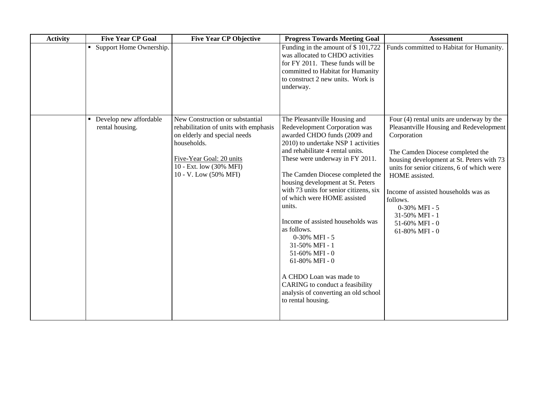| <b>Activity</b> | <b>Five Year CP Goal</b>                        | <b>Five Year CP Objective</b>                                                                                                                                                                           | <b>Progress Towards Meeting Goal</b>                                                                                                                                                                                                                                                                                                                                                                                                                                                                                                                                                                                              | <b>Assessment</b>                                                                                                                                                                                                                                                                                                                                                                 |
|-----------------|-------------------------------------------------|---------------------------------------------------------------------------------------------------------------------------------------------------------------------------------------------------------|-----------------------------------------------------------------------------------------------------------------------------------------------------------------------------------------------------------------------------------------------------------------------------------------------------------------------------------------------------------------------------------------------------------------------------------------------------------------------------------------------------------------------------------------------------------------------------------------------------------------------------------|-----------------------------------------------------------------------------------------------------------------------------------------------------------------------------------------------------------------------------------------------------------------------------------------------------------------------------------------------------------------------------------|
|                 | Support Home Ownership.<br>$\blacksquare$       |                                                                                                                                                                                                         | Funding in the amount of \$101,722<br>was allocated to CHDO activities<br>for FY 2011. These funds will be<br>committed to Habitat for Humanity<br>to construct 2 new units. Work is<br>underway.                                                                                                                                                                                                                                                                                                                                                                                                                                 | Funds committed to Habitat for Humanity.                                                                                                                                                                                                                                                                                                                                          |
|                 | Develop new affordable<br>п.<br>rental housing. | New Construction or substantial<br>rehabilitation of units with emphasis<br>on elderly and special needs<br>households.<br>Five-Year Goal: 20 units<br>10 - Ext. low (30% MFI)<br>10 - V. Low (50% MFI) | The Pleasantville Housing and<br>Redevelopment Corporation was<br>awarded CHDO funds (2009 and<br>2010) to undertake NSP 1 activities<br>and rehabilitate 4 rental units.<br>These were underway in FY 2011.<br>The Camden Diocese completed the<br>housing development at St. Peters<br>with 73 units for senior citizens, six<br>of which were HOME assisted<br>units.<br>Income of assisted households was<br>as follows.<br>0-30% MFI - 5<br>31-50% MFI - 1<br>51-60% MFI - 0<br>61-80% MFI - $0$<br>A CHDO Loan was made to<br>CARING to conduct a feasibility<br>analysis of converting an old school<br>to rental housing. | Four (4) rental units are underway by the<br>Pleasantville Housing and Redevelopment<br>Corporation<br>The Camden Diocese completed the<br>housing development at St. Peters with 73<br>units for senior citizens, 6 of which were<br>HOME assisted.<br>Income of assisted households was as<br>follows.<br>0-30% MFI - 5<br>31-50% MFI - 1<br>51-60% MFI - 0<br>61-80% MFI - $0$ |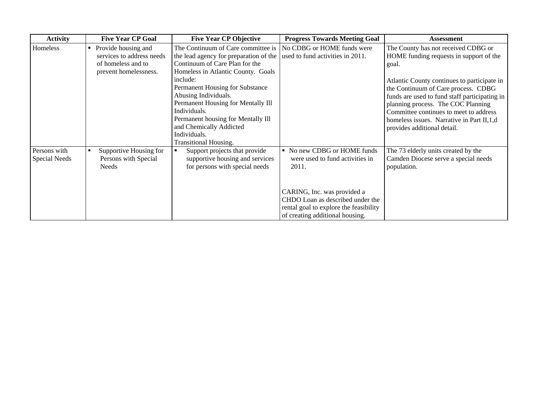| <b>Activity</b>               | <b>Five Year CP Goal</b>                                                                          | <b>Five Year CP Objective</b>                                                                                                                                                                                                                                                                                                                                                               | <b>Progress Towards Meeting Goal</b>                                                                                                                                                                                  | <b>Assessment</b>                                                                                                                                                                                                                                                                                                                                                                            |
|-------------------------------|---------------------------------------------------------------------------------------------------|---------------------------------------------------------------------------------------------------------------------------------------------------------------------------------------------------------------------------------------------------------------------------------------------------------------------------------------------------------------------------------------------|-----------------------------------------------------------------------------------------------------------------------------------------------------------------------------------------------------------------------|----------------------------------------------------------------------------------------------------------------------------------------------------------------------------------------------------------------------------------------------------------------------------------------------------------------------------------------------------------------------------------------------|
| Homeless                      | • Provide housing and<br>services to address needs<br>of homeless and to<br>prevent homelessness. | The Continuum of Care committee is<br>the lead agency for preparation of the<br>Continuum of Care Plan for the<br>Homeless in Atlantic County. Goals<br>include:<br>Permanent Housing for Substance<br>Abusing Individuals.<br>Permanent Housing for Mentally Ill<br>Individuals.<br>Permanent housing for Mentally Ill<br>and Chemically Addicted<br>Individuals.<br>Transitional Housing. | No CDBG or HOME funds were<br>used to fund activities in 2011.                                                                                                                                                        | The County has not received CDBG or<br>HOME funding requests in support of the<br>goal.<br>Atlantic County continues to participate in<br>the Continuum of Care process. CDBG<br>funds are used to fund staff participating in<br>planning process. The COC Planning<br>Committee continues to meet to address<br>homeless issues. Narrative in Part II, 1, d<br>provides additional detail. |
| Persons with<br>Special Needs | Supportive Housing for<br>٠<br>Persons with Special<br>Needs                                      | Support projects that provide<br>supportive housing and services<br>for persons with special needs                                                                                                                                                                                                                                                                                          | No new CDBG or HOME funds<br>were used to fund activities in<br>2011.<br>CARING, Inc. was provided a<br>CHDO Loan as described under the<br>rental goal to explore the feasibility<br>of creating additional housing. | The 73 elderly units created by the<br>Camden Diocese serve a special needs<br>population.                                                                                                                                                                                                                                                                                                   |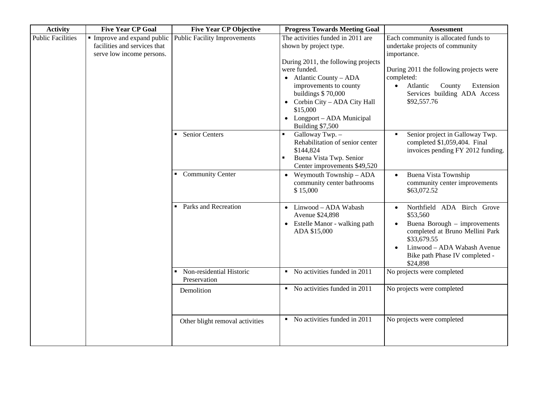| <b>Activity</b>          | <b>Five Year CP Goal</b>                                                               | <b>Five Year CP Objective</b>            | <b>Progress Towards Meeting Goal</b>                                                                                                                                                                                                                                                               | <b>Assessment</b>                                                                                                                                                                                                                              |
|--------------------------|----------------------------------------------------------------------------------------|------------------------------------------|----------------------------------------------------------------------------------------------------------------------------------------------------------------------------------------------------------------------------------------------------------------------------------------------------|------------------------------------------------------------------------------------------------------------------------------------------------------------------------------------------------------------------------------------------------|
| <b>Public Facilities</b> | Improve and expand public<br>facilities and services that<br>serve low income persons. | <b>Public Facility Improvements</b>      | The activities funded in 2011 are<br>shown by project type.<br>During 2011, the following projects<br>were funded.<br>$\bullet$ Atlantic County – ADA<br>improvements to county<br>buildings \$70,000<br>Corbin City - ADA City Hall<br>\$15,000<br>• Longport - ADA Municipal<br>Building \$7,500 | Each community is allocated funds to<br>undertake projects of community<br>importance.<br>During 2011 the following projects were<br>completed:<br>County<br>Extension<br>Atlantic<br>$\bullet$<br>Services building ADA Access<br>\$92,557.76 |
|                          |                                                                                        | <b>Senior Centers</b>                    | Galloway Twp. -<br>Rehabilitation of senior center<br>\$144,824<br>Buena Vista Twp. Senior<br>Center improvements \$49,520                                                                                                                                                                         | Senior project in Galloway Twp.<br>٠<br>completed \$1,059,404. Final<br>invoices pending FY 2012 funding.                                                                                                                                      |
|                          |                                                                                        | • Community Center                       | Weymouth Township - ADA<br>community center bathrooms<br>\$15,000                                                                                                                                                                                                                                  | Buena Vista Township<br>community center improvements<br>\$63,072.52                                                                                                                                                                           |
|                          |                                                                                        | Parks and Recreation                     | • Linwood - ADA Wabash<br>Avenue \$24,898<br>• Estelle Manor - walking path<br>ADA \$15,000                                                                                                                                                                                                        | Northfield ADA Birch Grove<br>$\bullet$<br>\$53,560<br>Buena Borough - improvements<br>completed at Bruno Mellini Park<br>\$33,679.55<br>Linwood - ADA Wabash Avenue<br>Bike path Phase IV completed -<br>\$24,898                             |
|                          |                                                                                        | Non-residential Historic<br>Preservation | No activities funded in 2011<br>$\blacksquare$                                                                                                                                                                                                                                                     | No projects were completed                                                                                                                                                                                                                     |
|                          |                                                                                        | Demolition                               | • No activities funded in 2011                                                                                                                                                                                                                                                                     | No projects were completed                                                                                                                                                                                                                     |
|                          |                                                                                        | Other blight removal activities          | • No activities funded in 2011                                                                                                                                                                                                                                                                     | No projects were completed                                                                                                                                                                                                                     |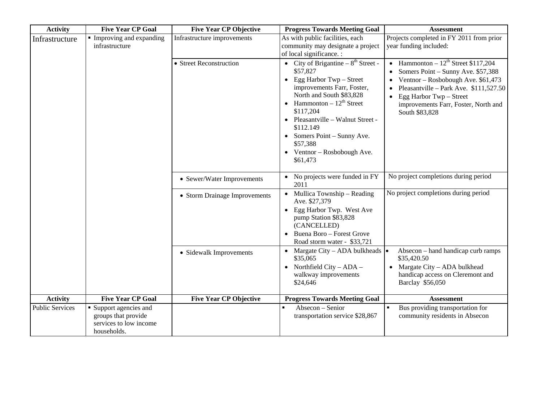| <b>Activity</b>        | <b>Five Year CP Goal</b>                                                               | <b>Five Year CP Objective</b> | <b>Progress Towards Meeting Goal</b>                                                                                                                                                                                                                                                                                                  | <b>Assessment</b>                                                                                                                                                                                                                                                                                       |
|------------------------|----------------------------------------------------------------------------------------|-------------------------------|---------------------------------------------------------------------------------------------------------------------------------------------------------------------------------------------------------------------------------------------------------------------------------------------------------------------------------------|---------------------------------------------------------------------------------------------------------------------------------------------------------------------------------------------------------------------------------------------------------------------------------------------------------|
| Infrastructure         | Improving and expanding<br>infrastructure                                              | Infrastructure improvements   | As with public facilities, each<br>community may designate a project<br>of local significance. :                                                                                                                                                                                                                                      | Projects completed in FY 2011 from prior<br>year funding included:                                                                                                                                                                                                                                      |
|                        |                                                                                        | • Street Reconstruction       | • City of Brigantine $-8^{th}$ Street -<br>\$57,827<br>Egg Harbor Twp – Street<br>$\bullet$<br>improvements Farr, Foster,<br>North and South \$83,828<br>Hammonton $-12^{th}$ Street<br>\$117,204<br>Pleasantville - Walnut Street -<br>\$112.149<br>Somers Point – Sunny Ave.<br>\$57,388<br>• Ventnor – Rosbobough Ave.<br>\$61,473 | • Hammonton – $12^{th}$ Street \$117,204<br>Somers Point – Sunny Ave. \$57,388<br>$\bullet$<br>Ventnor - Rosbobough Ave. \$61,473<br>$\bullet$<br>Pleasantville - Park Ave. \$111,527.50<br>$\bullet$<br>Egg Harbor Twp - Street<br>$\bullet$<br>improvements Farr, Foster, North and<br>South \$83,828 |
|                        |                                                                                        | • Sewer/Water Improvements    | No projects were funded in FY<br>2011                                                                                                                                                                                                                                                                                                 | No project completions during period                                                                                                                                                                                                                                                                    |
|                        |                                                                                        | • Storm Drainage Improvements | Mullica Township – Reading<br>$\bullet$<br>Ave. \$27,379<br>Egg Harbor Twp. West Ave<br>$\bullet$<br>pump Station \$83,828<br>(CANCELLED)<br>• Buena Boro - Forest Grove<br>Road storm water - \$33,721                                                                                                                               | No project completions during period                                                                                                                                                                                                                                                                    |
|                        |                                                                                        | • Sidewalk Improvements       | • Margate City – ADA bulkheads $  \bullet  $<br>\$35,065<br>• Northfield City – $ADA -$<br>walkway improvements<br>\$24,646                                                                                                                                                                                                           | Absecon – hand handicap curb ramps<br>\$35,420.50<br>• Margate City - ADA bulkhead<br>handicap access on Cleremont and<br>Barclay \$56,050                                                                                                                                                              |
| <b>Activity</b>        | <b>Five Year CP Goal</b>                                                               | <b>Five Year CP Objective</b> | <b>Progress Towards Meeting Goal</b>                                                                                                                                                                                                                                                                                                  | <b>Assessment</b>                                                                                                                                                                                                                                                                                       |
| <b>Public Services</b> | • Support agencies and<br>groups that provide<br>services to low income<br>households. |                               | Absecon - Senior<br>transportation service \$28,867                                                                                                                                                                                                                                                                                   | Bus providing transportation for<br>$\blacksquare$<br>community residents in Absecon                                                                                                                                                                                                                    |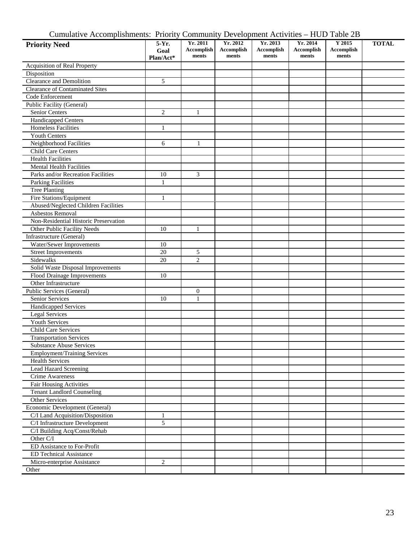| Cumulative Accomplishments: Priority Community Development Activities – HUD Table 2B |  |  |  |  |  |  |
|--------------------------------------------------------------------------------------|--|--|--|--|--|--|
|--------------------------------------------------------------------------------------|--|--|--|--|--|--|

| . <u>.</u><br><b>Priority Need</b>                                | 5-Yr.<br>Goal<br>Plan/Act* | Yr. 2011<br><b>Accomplish</b><br>ments | Yr. 2012<br>Accomplish<br>ments | Yr. 2013<br><b>Accomplish</b><br>ments | Yr. 2014<br>Accomplish<br>ments | Y 2015<br>Accomplish<br>ments | <b>TOTAL</b> |
|-------------------------------------------------------------------|----------------------------|----------------------------------------|---------------------------------|----------------------------------------|---------------------------------|-------------------------------|--------------|
| Acquisition of Real Property                                      |                            |                                        |                                 |                                        |                                 |                               |              |
| Disposition                                                       |                            |                                        |                                 |                                        |                                 |                               |              |
| Clearance and Demolition                                          | 5                          |                                        |                                 |                                        |                                 |                               |              |
| <b>Clearance of Contaminated Sites</b>                            |                            |                                        |                                 |                                        |                                 |                               |              |
| Code Enforcement                                                  |                            |                                        |                                 |                                        |                                 |                               |              |
| Public Facility (General)                                         |                            |                                        |                                 |                                        |                                 |                               |              |
| <b>Senior Centers</b>                                             | 2                          | 1                                      |                                 |                                        |                                 |                               |              |
| <b>Handicapped Centers</b>                                        |                            |                                        |                                 |                                        |                                 |                               |              |
| <b>Homeless Facilities</b>                                        | $\mathbf{1}$               |                                        |                                 |                                        |                                 |                               |              |
| <b>Youth Centers</b>                                              |                            |                                        |                                 |                                        |                                 |                               |              |
| Neighborhood Facilities                                           | 6                          | 1                                      |                                 |                                        |                                 |                               |              |
| Child Care Centers                                                |                            |                                        |                                 |                                        |                                 |                               |              |
| <b>Health Facilities</b>                                          |                            |                                        |                                 |                                        |                                 |                               |              |
| <b>Mental Health Facilities</b>                                   |                            |                                        |                                 |                                        |                                 |                               |              |
| Parks and/or Recreation Facilities                                | 10                         | 3                                      |                                 |                                        |                                 |                               |              |
| <b>Parking Facilities</b>                                         | $\mathbf{1}$               |                                        |                                 |                                        |                                 |                               |              |
| <b>Tree Planting</b>                                              |                            |                                        |                                 |                                        |                                 |                               |              |
| Fire Stations/Equipment                                           | 1                          |                                        |                                 |                                        |                                 |                               |              |
| Abused/Neglected Children Facilities                              |                            |                                        |                                 |                                        |                                 |                               |              |
| Asbestos Removal                                                  |                            |                                        |                                 |                                        |                                 |                               |              |
| Non-Residential Historic Preservation                             |                            |                                        |                                 |                                        |                                 |                               |              |
| Other Public Facility Needs                                       | 10                         | $\mathbf{1}$                           |                                 |                                        |                                 |                               |              |
| Infrastructure (General)                                          |                            |                                        |                                 |                                        |                                 |                               |              |
| Water/Sewer Improvements                                          | 10                         |                                        |                                 |                                        |                                 |                               |              |
| <b>Street Improvements</b>                                        | $20\,$                     | 5                                      |                                 |                                        |                                 |                               |              |
| Sidewalks                                                         | 20                         | $\overline{c}$                         |                                 |                                        |                                 |                               |              |
| Solid Waste Disposal Improvements                                 |                            |                                        |                                 |                                        |                                 |                               |              |
| Flood Drainage Improvements                                       | 10                         |                                        |                                 |                                        |                                 |                               |              |
| Other Infrastructure                                              |                            |                                        |                                 |                                        |                                 |                               |              |
| Public Services (General)                                         |                            | $\boldsymbol{0}$                       |                                 |                                        |                                 |                               |              |
| Senior Services                                                   | 10                         | $\mathbf{1}$                           |                                 |                                        |                                 |                               |              |
|                                                                   |                            |                                        |                                 |                                        |                                 |                               |              |
| Handicapped Services<br><b>Legal Services</b>                     |                            |                                        |                                 |                                        |                                 |                               |              |
| Youth Services                                                    |                            |                                        |                                 |                                        |                                 |                               |              |
|                                                                   |                            |                                        |                                 |                                        |                                 |                               |              |
| Child Care Services                                               |                            |                                        |                                 |                                        |                                 |                               |              |
| <b>Transportation Services</b><br><b>Substance Abuse Services</b> |                            |                                        |                                 |                                        |                                 |                               |              |
| <b>Employment/Training Services</b>                               |                            |                                        |                                 |                                        |                                 |                               |              |
| <b>Health Services</b>                                            |                            |                                        |                                 |                                        |                                 |                               |              |
| Lead Hazard Screening                                             |                            |                                        |                                 |                                        |                                 |                               |              |
| Crime Awareness                                                   |                            |                                        |                                 |                                        |                                 |                               |              |
|                                                                   |                            |                                        |                                 |                                        |                                 |                               |              |
| <b>Fair Housing Activities</b>                                    |                            |                                        |                                 |                                        |                                 |                               |              |
| <b>Tenant Landlord Counseling</b>                                 |                            |                                        |                                 |                                        |                                 |                               |              |
| Other Services                                                    |                            |                                        |                                 |                                        |                                 |                               |              |
| Economic Development (General)                                    |                            |                                        |                                 |                                        |                                 |                               |              |
| C/I Land Acquisition/Disposition                                  | $\mathbf{1}$               |                                        |                                 |                                        |                                 |                               |              |
| C/I Infrastructure Development                                    | 5                          |                                        |                                 |                                        |                                 |                               |              |
| C/I Building Acq/Const/Rehab                                      |                            |                                        |                                 |                                        |                                 |                               |              |
| Other $C/I$                                                       |                            |                                        |                                 |                                        |                                 |                               |              |
| ED Assistance to For-Profit                                       |                            |                                        |                                 |                                        |                                 |                               |              |
| <b>ED Technical Assistance</b>                                    |                            |                                        |                                 |                                        |                                 |                               |              |
| Micro-enterprise Assistance                                       | 2                          |                                        |                                 |                                        |                                 |                               |              |
| Other                                                             |                            |                                        |                                 |                                        |                                 |                               |              |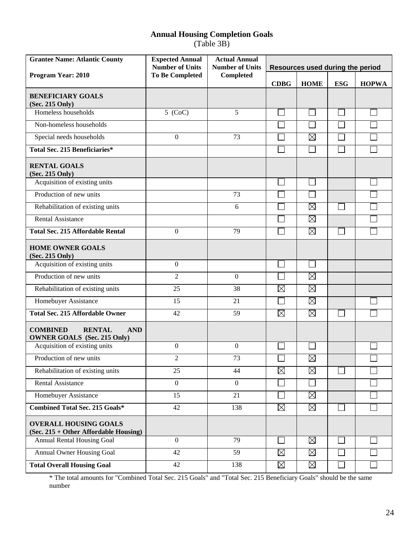# **Annual Housing Completion Goals**

(Table 3B)

| <b>Grantee Name: Atlantic County</b>                                                 | <b>Expected Annual</b><br><b>Number of Units</b> | <b>Actual Annual</b><br><b>Number of Units</b> | Resources used during the period |             |            |              |
|--------------------------------------------------------------------------------------|--------------------------------------------------|------------------------------------------------|----------------------------------|-------------|------------|--------------|
| Program Year: 2010                                                                   | <b>To Be Completed</b><br>Completed              |                                                | <b>CDBG</b>                      | <b>HOME</b> | <b>ESG</b> | <b>HOPWA</b> |
| <b>BENEFICIARY GOALS</b><br>(Sec. 215 Only)                                          |                                                  |                                                |                                  |             |            |              |
| Homeless households                                                                  | $5$ (CoC)                                        | 5                                              |                                  |             |            |              |
| Non-homeless households                                                              |                                                  |                                                |                                  |             |            |              |
| Special needs households                                                             | $\boldsymbol{0}$                                 | 73                                             |                                  | $\boxtimes$ |            |              |
| <b>Total Sec. 215 Beneficiaries*</b>                                                 |                                                  |                                                |                                  |             |            |              |
| <b>RENTAL GOALS</b><br>(Sec. 215 Only)                                               |                                                  |                                                |                                  |             |            |              |
| Acquisition of existing units                                                        |                                                  |                                                |                                  |             |            |              |
| Production of new units                                                              |                                                  | 73                                             |                                  |             |            |              |
| Rehabilitation of existing units                                                     |                                                  | 6                                              |                                  | $\boxtimes$ |            |              |
| <b>Rental Assistance</b>                                                             |                                                  |                                                |                                  | $\boxtimes$ |            |              |
| <b>Total Sec. 215 Affordable Rental</b>                                              | $\boldsymbol{0}$                                 | 79                                             |                                  | $\boxtimes$ |            |              |
| <b>HOME OWNER GOALS</b><br>(Sec. 215 Only)                                           |                                                  |                                                |                                  |             |            |              |
| Acquisition of existing units                                                        | $\boldsymbol{0}$                                 |                                                |                                  |             |            |              |
| Production of new units                                                              | $\overline{2}$                                   | $\boldsymbol{0}$                               |                                  | $\boxtimes$ |            |              |
| Rehabilitation of existing units                                                     | 25                                               | 38                                             | $\boxtimes$                      | $\boxtimes$ |            |              |
| Homebuyer Assistance                                                                 | 15                                               | 21                                             |                                  | $\boxtimes$ |            |              |
| <b>Total Sec. 215 Affordable Owner</b>                                               | 42                                               | 59                                             | $\boxtimes$                      | $\boxtimes$ |            |              |
| <b>COMBINED</b><br><b>RENTAL</b><br><b>AND</b><br><b>OWNER GOALS</b> (Sec. 215 Only) |                                                  |                                                |                                  |             |            |              |
| Acquisition of existing units                                                        | $\boldsymbol{0}$                                 | $\mathbf{0}$                                   |                                  |             |            |              |
| Production of new units                                                              | $\overline{2}$                                   | 73                                             |                                  | $\boxtimes$ |            |              |
| Rehabilitation of existing units                                                     | 25                                               | 44                                             | $\boxtimes$                      | $\boxtimes$ |            |              |
| <b>Rental Assistance</b>                                                             | $\mathbf{0}$                                     | $\boldsymbol{0}$                               |                                  |             |            |              |
| Homebuyer Assistance                                                                 | 15                                               | 21                                             |                                  | $\boxtimes$ |            |              |
| <b>Combined Total Sec. 215 Goals*</b>                                                | 42                                               | 138                                            | $\boxtimes$                      | $\boxtimes$ |            |              |
| <b>OVERALL HOUSING GOALS</b><br>(Sec. 215 + Other Affordable Housing)                |                                                  |                                                |                                  |             |            |              |
| Annual Rental Housing Goal                                                           | $\overline{0}$                                   | 79                                             |                                  | $\boxtimes$ |            |              |
| <b>Annual Owner Housing Goal</b>                                                     | 42                                               | 59                                             | $\boxtimes$                      | $\boxtimes$ |            |              |
| <b>Total Overall Housing Goal</b>                                                    | 42                                               | 138                                            | $\boxtimes$                      | $\boxtimes$ |            |              |

\* The total amounts for "Combined Total Sec. 215 Goals" and "Total Sec. 215 Beneficiary Goals" should be the same number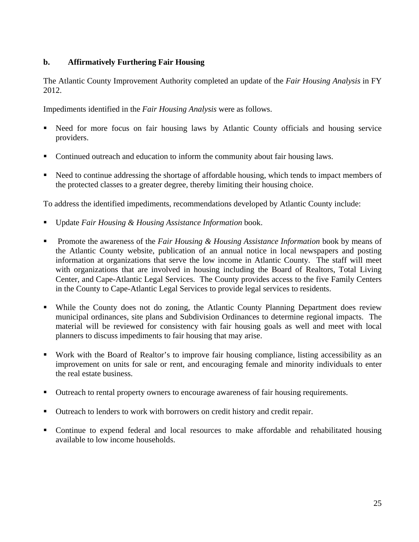## **b. Affirmatively Furthering Fair Housing**

The Atlantic County Improvement Authority completed an update of the *Fair Housing Analysis* in FY 2012.

Impediments identified in the *Fair Housing Analysis* were as follows.

- Need for more focus on fair housing laws by Atlantic County officials and housing service providers.
- Continued outreach and education to inform the community about fair housing laws.
- Need to continue addressing the shortage of affordable housing, which tends to impact members of the protected classes to a greater degree, thereby limiting their housing choice.

To address the identified impediments, recommendations developed by Atlantic County include:

- Update *Fair Housing & Housing Assistance Information* book.
- **Promote the awareness of the** *Fair Housing & Housing Assistance Information* **book by means of** the Atlantic County website, publication of an annual notice in local newspapers and posting information at organizations that serve the low income in Atlantic County. The staff will meet with organizations that are involved in housing including the Board of Realtors, Total Living Center, and Cape-Atlantic Legal Services. The County provides access to the five Family Centers in the County to Cape-Atlantic Legal Services to provide legal services to residents.
- While the County does not do zoning, the Atlantic County Planning Department does review municipal ordinances, site plans and Subdivision Ordinances to determine regional impacts. The material will be reviewed for consistency with fair housing goals as well and meet with local planners to discuss impediments to fair housing that may arise.
- Work with the Board of Realtor's to improve fair housing compliance, listing accessibility as an improvement on units for sale or rent, and encouraging female and minority individuals to enter the real estate business.
- Outreach to rental property owners to encourage awareness of fair housing requirements.
- Outreach to lenders to work with borrowers on credit history and credit repair.
- Continue to expend federal and local resources to make affordable and rehabilitated housing available to low income households.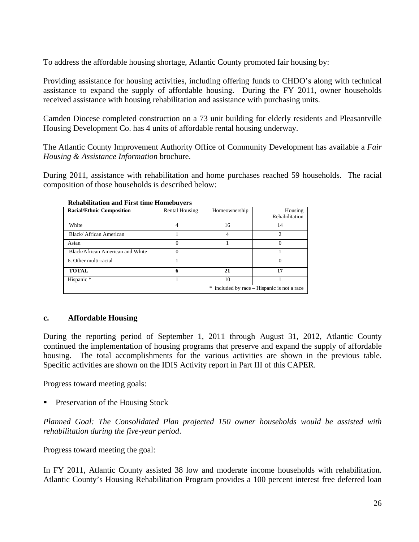To address the affordable housing shortage, Atlantic County promoted fair housing by:

Providing assistance for housing activities, including offering funds to CHDO's along with technical assistance to expand the supply of affordable housing. During the FY 2011, owner households received assistance with housing rehabilitation and assistance with purchasing units.

Camden Diocese completed construction on a 73 unit building for elderly residents and Pleasantville Housing Development Co. has 4 units of affordable rental housing underway.

The Atlantic County Improvement Authority Office of Community Development has available a *Fair Housing & Assistance Information* brochure.

During 2011, assistance with rehabilitation and home purchases reached 59 households. The racial composition of those households is described below:

| Renabilitation and First unit Homebuvers |                       |               |                                             |  |  |  |  |
|------------------------------------------|-----------------------|---------------|---------------------------------------------|--|--|--|--|
| <b>Racial/Ethnic Composition</b>         | <b>Rental Housing</b> | Homeownership | Housing<br>Rehabilitation                   |  |  |  |  |
| White                                    | 4                     | 16            | 14                                          |  |  |  |  |
| Black/African American                   |                       | 4             | 2                                           |  |  |  |  |
| Asian                                    | 0                     |               |                                             |  |  |  |  |
| Black/African American and White         | 0                     |               |                                             |  |  |  |  |
| 6. Other multi-racial                    |                       |               |                                             |  |  |  |  |
| <b>TOTAL</b>                             | 6                     | 21            | 17                                          |  |  |  |  |
| Hispanic *                               |                       | 10            |                                             |  |  |  |  |
|                                          |                       |               | * included by race – Hispanic is not a race |  |  |  |  |

#### **Rehabilitation and First time Homebuyers**

#### **c. Affordable Housing**

During the reporting period of September 1, 2011 through August 31, 2012, Atlantic County continued the implementation of housing programs that preserve and expand the supply of affordable housing. The total accomplishments for the various activities are shown in the previous table. Specific activities are shown on the IDIS Activity report in Part III of this CAPER.

Progress toward meeting goals:

Preservation of the Housing Stock

*Planned Goal: The Consolidated Plan projected 150 owner households would be assisted with rehabilitation during the five-year period*.

Progress toward meeting the goal:

In FY 2011, Atlantic County assisted 38 low and moderate income households with rehabilitation. Atlantic County's Housing Rehabilitation Program provides a 100 percent interest free deferred loan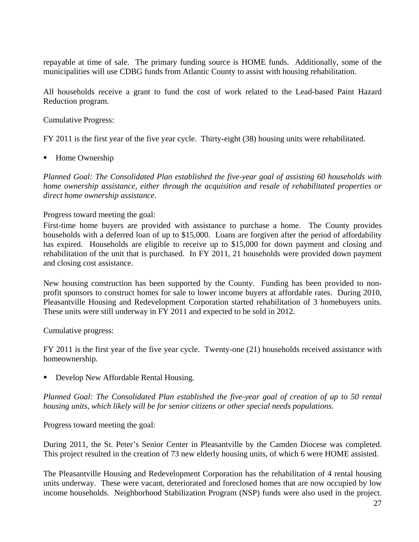repayable at time of sale. The primary funding source is HOME funds. Additionally, some of the municipalities will use CDBG funds from Atlantic County to assist with housing rehabilitation.

All households receive a grant to fund the cost of work related to the Lead-based Paint Hazard Reduction program.

Cumulative Progress:

FY 2011 is the first year of the five year cycle. Thirty-eight (38) housing units were rehabilitated.

Home Ownership

*Planned Goal: The Consolidated Plan established the five-year goal of assisting 60 households with home ownership assistance, either through the acquisition and resale of rehabilitated properties or direct home ownership assistance*.

Progress toward meeting the goal:

First-time home buyers are provided with assistance to purchase a home. The County provides households with a deferred loan of up to \$15,000. Loans are forgiven after the period of affordability has expired. Households are eligible to receive up to \$15,000 for down payment and closing and rehabilitation of the unit that is purchased. In FY 2011, 21 households were provided down payment and closing cost assistance.

New housing construction has been supported by the County. Funding has been provided to nonprofit sponsors to construct homes for sale to lower income buyers at affordable rates. During 2010, Pleasantville Housing and Redevelopment Corporation started rehabilitation of 3 homebuyers units. These units were still underway in FY 2011 and expected to be sold in 2012.

Cumulative progress:

FY 2011 is the first year of the five year cycle. Twenty-one (21) households received assistance with homeownership.

Develop New Affordable Rental Housing.

*Planned Goal: The Consolidated Plan established the five-year goal of creation of up to 50 rental housing units, which likely will be for senior citizens or other special needs populations*.

Progress toward meeting the goal:

During 2011, the St. Peter's Senior Center in Pleasantville by the Camden Diocese was completed. This project resulted in the creation of 73 new elderly housing units, of which 6 were HOME assisted.

The Pleasantville Housing and Redevelopment Corporation has the rehabilitation of 4 rental housing units underway. These were vacant, deteriorated and foreclosed homes that are now occupied by low income households. Neighborhood Stabilization Program (NSP) funds were also used in the project.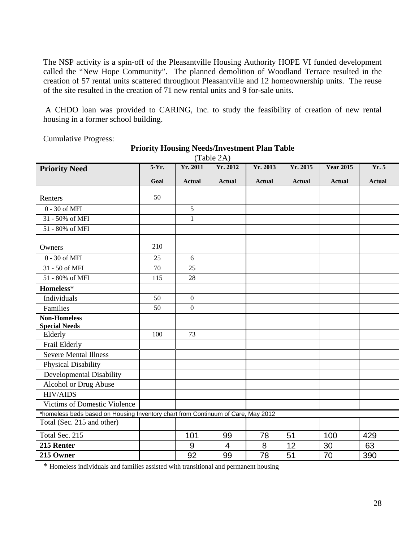The NSP activity is a spin-off of the Pleasantville Housing Authority HOPE VI funded development called the "New Hope Community". The planned demolition of Woodland Terrace resulted in the creation of 57 rental units scattered throughout Pleasantville and 12 homeownership units. The reuse of the site resulted in the creation of 71 new rental units and 9 for-sale units.

 A CHDO loan was provided to CARING, Inc. to study the feasibility of creation of new rental housing in a former school building.

| (Table 2A)                                                                       |       |                  |                |               |               |                  |               |
|----------------------------------------------------------------------------------|-------|------------------|----------------|---------------|---------------|------------------|---------------|
| <b>Priority Need</b>                                                             | 5-Yr. | Yr. 2011         | Yr. 2012       | Yr. 2013      | Yr. 2015      | <b>Year 2015</b> | Yr. 5         |
|                                                                                  | Goal  | <b>Actual</b>    | <b>Actual</b>  | <b>Actual</b> | <b>Actual</b> | <b>Actual</b>    | <b>Actual</b> |
|                                                                                  |       |                  |                |               |               |                  |               |
| Renters                                                                          | 50    |                  |                |               |               |                  |               |
| 0 - 30 of MFI                                                                    |       | 5                |                |               |               |                  |               |
| 31 - 50% of MFI                                                                  |       | 1                |                |               |               |                  |               |
| 51 - 80% of MFI                                                                  |       |                  |                |               |               |                  |               |
|                                                                                  |       |                  |                |               |               |                  |               |
| Owners                                                                           | 210   |                  |                |               |               |                  |               |
| 0 - 30 of MFI                                                                    | 25    | 6                |                |               |               |                  |               |
| 31 - 50 of MFI                                                                   | 70    | 25               |                |               |               |                  |               |
| 51 - 80% of MFI                                                                  | 115   | 28               |                |               |               |                  |               |
| Homeless*                                                                        |       |                  |                |               |               |                  |               |
| Individuals                                                                      | 50    | $\mathbf{0}$     |                |               |               |                  |               |
| Families                                                                         | 50    | $\boldsymbol{0}$ |                |               |               |                  |               |
| <b>Non-Homeless</b>                                                              |       |                  |                |               |               |                  |               |
| <b>Special Needs</b>                                                             |       |                  |                |               |               |                  |               |
| Elderly                                                                          | 100   | 73               |                |               |               |                  |               |
| Frail Elderly                                                                    |       |                  |                |               |               |                  |               |
| <b>Severe Mental Illness</b>                                                     |       |                  |                |               |               |                  |               |
| Physical Disability                                                              |       |                  |                |               |               |                  |               |
| Developmental Disability                                                         |       |                  |                |               |               |                  |               |
| Alcohol or Drug Abuse                                                            |       |                  |                |               |               |                  |               |
| <b>HIV/AIDS</b>                                                                  |       |                  |                |               |               |                  |               |
| Victims of Domestic Violence                                                     |       |                  |                |               |               |                  |               |
| *homeless beds based on Housing Inventory chart from Continuum of Care, May 2012 |       |                  |                |               |               |                  |               |
| Total (Sec. 215 and other)                                                       |       |                  |                |               |               |                  |               |
| Total Sec. 215                                                                   |       | 101              | 99             | 78            | 51            | 100              | 429           |
| 215 Renter                                                                       |       | 9                | $\overline{4}$ | 8             | 12            | 30               | 63            |
| 215 Owner                                                                        |       | 92               | 99             | 78            | 51            | 70               | 390           |

Cumulative Progress:

#### **Priority Housing Needs/Investment Plan Table**

\* Homeless individuals and families assisted with transitional and permanent housing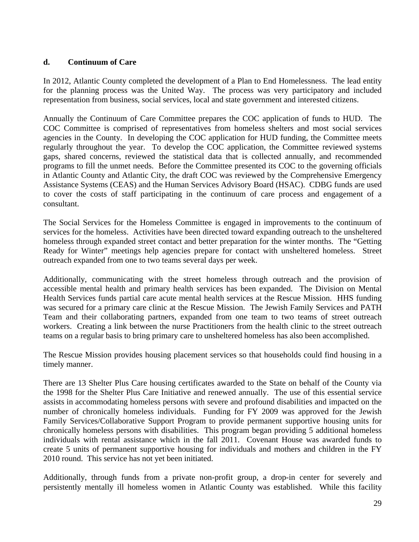## **d. Continuum of Care**

In 2012, Atlantic County completed the development of a Plan to End Homelessness. The lead entity for the planning process was the United Way. The process was very participatory and included representation from business, social services, local and state government and interested citizens.

Annually the Continuum of Care Committee prepares the COC application of funds to HUD. The COC Committee is comprised of representatives from homeless shelters and most social services agencies in the County. In developing the COC application for HUD funding, the Committee meets regularly throughout the year. To develop the COC application, the Committee reviewed systems gaps, shared concerns, reviewed the statistical data that is collected annually, and recommended programs to fill the unmet needs. Before the Committee presented its COC to the governing officials in Atlantic County and Atlantic City, the draft COC was reviewed by the Comprehensive Emergency Assistance Systems (CEAS) and the Human Services Advisory Board (HSAC). CDBG funds are used to cover the costs of staff participating in the continuum of care process and engagement of a consultant.

The Social Services for the Homeless Committee is engaged in improvements to the continuum of services for the homeless. Activities have been directed toward expanding outreach to the unsheltered homeless through expanded street contact and better preparation for the winter months. The "Getting Ready for Winter" meetings help agencies prepare for contact with unsheltered homeless. Street outreach expanded from one to two teams several days per week.

Additionally, communicating with the street homeless through outreach and the provision of accessible mental health and primary health services has been expanded. The Division on Mental Health Services funds partial care acute mental health services at the Rescue Mission. HHS funding was secured for a primary care clinic at the Rescue Mission. The Jewish Family Services and PATH Team and their collaborating partners, expanded from one team to two teams of street outreach workers. Creating a link between the nurse Practitioners from the health clinic to the street outreach teams on a regular basis to bring primary care to unsheltered homeless has also been accomplished.

The Rescue Mission provides housing placement services so that households could find housing in a timely manner.

There are 13 Shelter Plus Care housing certificates awarded to the State on behalf of the County via the 1998 for the Shelter Plus Care Initiative and renewed annually. The use of this essential service assists in accommodating homeless persons with severe and profound disabilities and impacted on the number of chronically homeless individuals. Funding for FY 2009 was approved for the Jewish Family Services/Collaborative Support Program to provide permanent supportive housing units for chronically homeless persons with disabilities. This program began providing 5 additional homeless individuals with rental assistance which in the fall 2011. Covenant House was awarded funds to create 5 units of permanent supportive housing for individuals and mothers and children in the FY 2010 round. This service has not yet been initiated.

Additionally, through funds from a private non-profit group, a drop-in center for severely and persistently mentally ill homeless women in Atlantic County was established. While this facility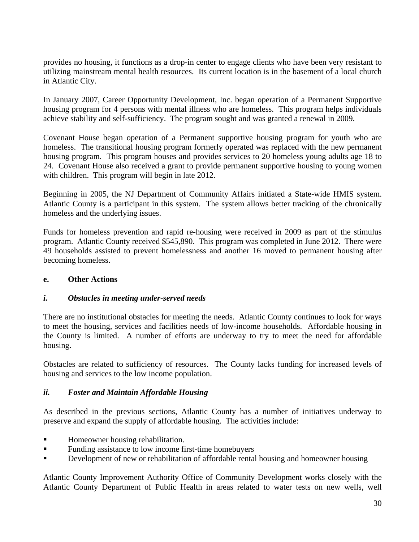provides no housing, it functions as a drop-in center to engage clients who have been very resistant to utilizing mainstream mental health resources. Its current location is in the basement of a local church in Atlantic City.

In January 2007, Career Opportunity Development, Inc. began operation of a Permanent Supportive housing program for 4 persons with mental illness who are homeless. This program helps individuals achieve stability and self-sufficiency. The program sought and was granted a renewal in 2009.

Covenant House began operation of a Permanent supportive housing program for youth who are homeless. The transitional housing program formerly operated was replaced with the new permanent housing program. This program houses and provides services to 20 homeless young adults age 18 to 24. Covenant House also received a grant to provide permanent supportive housing to young women with children. This program will begin in late 2012.

Beginning in 2005, the NJ Department of Community Affairs initiated a State-wide HMIS system. Atlantic County is a participant in this system. The system allows better tracking of the chronically homeless and the underlying issues.

Funds for homeless prevention and rapid re-housing were received in 2009 as part of the stimulus program. Atlantic County received \$545,890. This program was completed in June 2012. There were 49 households assisted to prevent homelessness and another 16 moved to permanent housing after becoming homeless.

### **e. Other Actions**

### *i. Obstacles in meeting under-served needs*

There are no institutional obstacles for meeting the needs. Atlantic County continues to look for ways to meet the housing, services and facilities needs of low-income households. Affordable housing in the County is limited. A number of efforts are underway to try to meet the need for affordable housing.

Obstacles are related to sufficiency of resources. The County lacks funding for increased levels of housing and services to the low income population.

### *ii. Foster and Maintain Affordable Housing*

As described in the previous sections, Atlantic County has a number of initiatives underway to preserve and expand the supply of affordable housing. The activities include:

- **Homeowner housing rehabilitation.**
- Funding assistance to low income first-time homebuyers
- **PERICE 2.5 EXECUTE:** Development of new or rehabilitation of affordable rental housing and homeowner housing

Atlantic County Improvement Authority Office of Community Development works closely with the Atlantic County Department of Public Health in areas related to water tests on new wells, well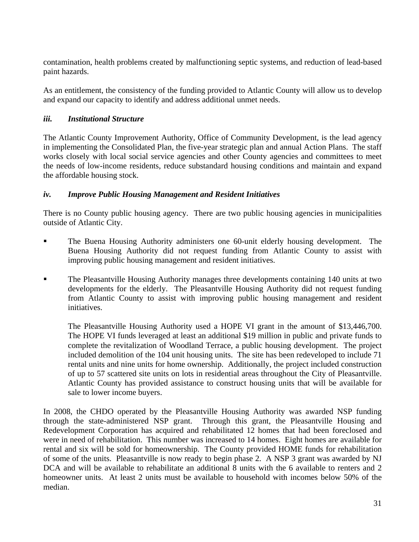contamination, health problems created by malfunctioning septic systems, and reduction of lead-based paint hazards.

As an entitlement, the consistency of the funding provided to Atlantic County will allow us to develop and expand our capacity to identify and address additional unmet needs.

## *iii. Institutional Structure*

The Atlantic County Improvement Authority, Office of Community Development, is the lead agency in implementing the Consolidated Plan, the five-year strategic plan and annual Action Plans. The staff works closely with local social service agencies and other County agencies and committees to meet the needs of low-income residents, reduce substandard housing conditions and maintain and expand the affordable housing stock.

## *iv. Improve Public Housing Management and Resident Initiatives*

There is no County public housing agency. There are two public housing agencies in municipalities outside of Atlantic City.

- The Buena Housing Authority administers one 60-unit elderly housing development. The Buena Housing Authority did not request funding from Atlantic County to assist with improving public housing management and resident initiatives.
- The Pleasantville Housing Authority manages three developments containing 140 units at two developments for the elderly. The Pleasantville Housing Authority did not request funding from Atlantic County to assist with improving public housing management and resident initiatives.

The Pleasantville Housing Authority used a HOPE VI grant in the amount of \$13,446,700. The HOPE VI funds leveraged at least an additional \$19 million in public and private funds to complete the revitalization of Woodland Terrace, a public housing development. The project included demolition of the 104 unit housing units. The site has been redeveloped to include 71 rental units and nine units for home ownership. Additionally, the project included construction of up to 57 scattered site units on lots in residential areas throughout the City of Pleasantville. Atlantic County has provided assistance to construct housing units that will be available for sale to lower income buyers.

In 2008, the CHDO operated by the Pleasantville Housing Authority was awarded NSP funding through the state-administered NSP grant. Through this grant, the Pleasantville Housing and Redevelopment Corporation has acquired and rehabilitated 12 homes that had been foreclosed and were in need of rehabilitation. This number was increased to 14 homes. Eight homes are available for rental and six will be sold for homeownership. The County provided HOME funds for rehabilitation of some of the units. Pleasantville is now ready to begin phase 2. A NSP 3 grant was awarded by NJ DCA and will be available to rehabilitate an additional 8 units with the 6 available to renters and 2 homeowner units. At least 2 units must be available to household with incomes below 50% of the median.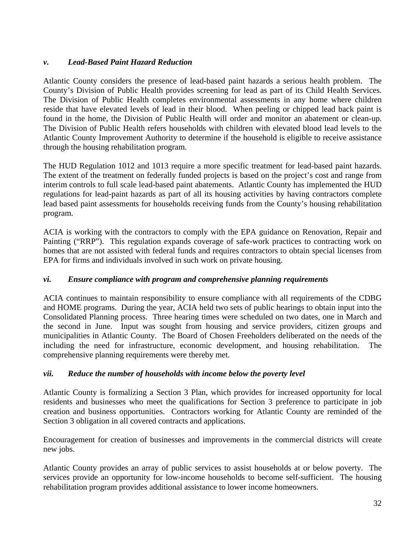## *v. Lead-Based Paint Hazard Reduction*

Atlantic County considers the presence of lead-based paint hazards a serious health problem. The County's Division of Public Health provides screening for lead as part of its Child Health Services. The Division of Public Health completes environmental assessments in any home where children reside that have elevated levels of lead in their blood. When peeling or chipped lead back paint is found in the home, the Division of Public Health will order and monitor an abatement or clean-up. The Division of Public Health refers households with children with elevated blood lead levels to the Atlantic County Improvement Authority to determine if the household is eligible to receive assistance through the housing rehabilitation program.

The HUD Regulation 1012 and 1013 require a more specific treatment for lead-based paint hazards. The extent of the treatment on federally funded projects is based on the project's cost and range from interim controls to full scale lead-based paint abatements. Atlantic County has implemented the HUD regulations for lead-paint hazards as part of all its housing activities by having contractors complete lead based paint assessments for households receiving funds from the County's housing rehabilitation program.

ACIA is working with the contractors to comply with the EPA guidance on Renovation, Repair and Painting ("RRP"). This regulation expands coverage of safe-work practices to contracting work on homes that are not assisted with federal funds and requires contractors to obtain special licenses from EPA for firms and individuals involved in such work on private housing.

### *vi. Ensure compliance with program and comprehensive planning requirements*

ACIA continues to maintain responsibility to ensure compliance with all requirements of the CDBG and HOME programs. During the year, ACIA held two sets of public hearings to obtain input into the Consolidated Planning process. Three hearing times were scheduled on two dates, one in March and the second in June. Input was sought from housing and service providers, citizen groups and municipalities in Atlantic County. The Board of Chosen Freeholders deliberated on the needs of the including the need for infrastructure, economic development, and housing rehabilitation. The comprehensive planning requirements were thereby met.

### *vii. Reduce the number of households with income below the poverty level*

Atlantic County is formalizing a Section 3 Plan, which provides for increased opportunity for local residents and businesses who meet the qualifications for Section 3 preference to participate in job creation and business opportunities. Contractors working for Atlantic County are reminded of the Section 3 obligation in all covered contracts and applications.

Encouragement for creation of businesses and improvements in the commercial districts will create new jobs.

Atlantic County provides an array of public services to assist households at or below poverty. The services provide an opportunity for low-income households to become self-sufficient. The housing rehabilitation program provides additional assistance to lower income homeowners.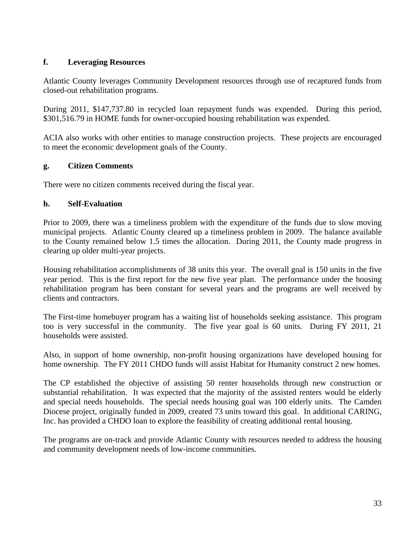## **f. Leveraging Resources**

Atlantic County leverages Community Development resources through use of recaptured funds from closed-out rehabilitation programs.

During 2011, \$147,737.80 in recycled loan repayment funds was expended. During this period, \$301,516.79 in HOME funds for owner-occupied housing rehabilitation was expended.

ACIA also works with other entities to manage construction projects. These projects are encouraged to meet the economic development goals of the County.

## **g. Citizen Comments**

There were no citizen comments received during the fiscal year.

## **h. Self-Evaluation**

Prior to 2009, there was a timeliness problem with the expenditure of the funds due to slow moving municipal projects. Atlantic County cleared up a timeliness problem in 2009. The balance available to the County remained below 1.5 times the allocation. During 2011, the County made progress in clearing up older multi-year projects.

Housing rehabilitation accomplishments of 38 units this year. The overall goal is 150 units in the five year period. This is the first report for the new five year plan. The performance under the housing rehabilitation program has been constant for several years and the programs are well received by clients and contractors.

The First-time homebuyer program has a waiting list of households seeking assistance. This program too is very successful in the community. The five year goal is 60 units. During FY 2011, 21 households were assisted.

Also, in support of home ownership, non-profit housing organizations have developed housing for home ownership. The FY 2011 CHDO funds will assist Habitat for Humanity construct 2 new homes.

The CP established the objective of assisting 50 renter households through new construction or substantial rehabilitation. It was expected that the majority of the assisted renters would be elderly and special needs households. The special needs housing goal was 100 elderly units. The Camden Diocese project, originally funded in 2009, created 73 units toward this goal. In additional CARING, Inc. has provided a CHDO loan to explore the feasibility of creating additional rental housing.

The programs are on-track and provide Atlantic County with resources needed to address the housing and community development needs of low-income communities.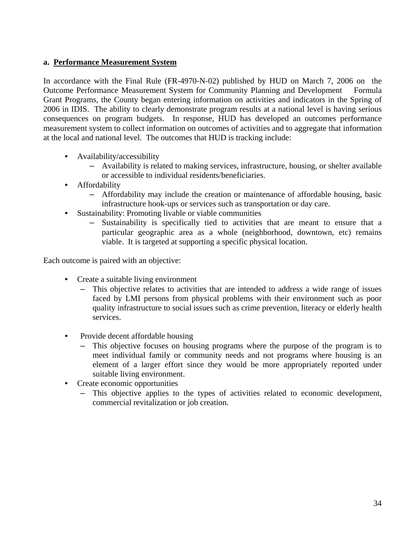## **a. Performance Measurement System**

In accordance with the Final Rule (FR-4970-N-02) published by HUD on March 7, 2006 on the Outcome Performance Measurement System for Community Planning and Development Formula Grant Programs, the County began entering information on activities and indicators in the Spring of 2006 in IDIS. The ability to clearly demonstrate program results at a national level is having serious consequences on program budgets. In response, HUD has developed an outcomes performance measurement system to collect information on outcomes of activities and to aggregate that information at the local and national level. The outcomes that HUD is tracking include:

- Availability/accessibility
	- Availability is related to making services, infrastructure, housing, or shelter available or accessible to individual residents/beneficiaries.
- Affordability
	- Affordability may include the creation or maintenance of affordable housing, basic infrastructure hook-ups or services such as transportation or day care.
- Sustainability: Promoting livable or viable communities
	- Sustainability is specifically tied to activities that are meant to ensure that a particular geographic area as a whole (neighborhood, downtown, etc) remains viable. It is targeted at supporting a specific physical location.

Each outcome is paired with an objective:

- Create a suitable living environment
	- This objective relates to activities that are intended to address a wide range of issues faced by LMI persons from physical problems with their environment such as poor quality infrastructure to social issues such as crime prevention, literacy or elderly health services.
- Provide decent affordable housing
	- This objective focuses on housing programs where the purpose of the program is to meet individual family or community needs and not programs where housing is an element of a larger effort since they would be more appropriately reported under suitable living environment.
- Create economic opportunities
	- This objective applies to the types of activities related to economic development, commercial revitalization or job creation.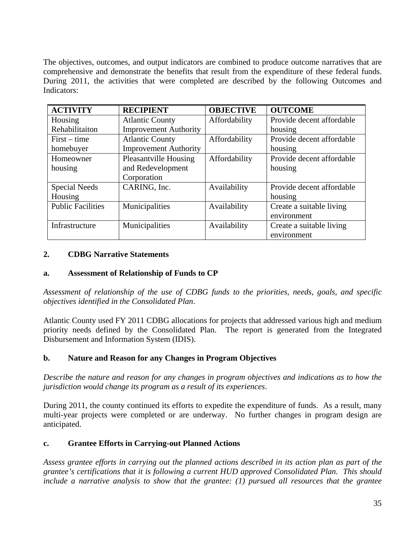The objectives, outcomes, and output indicators are combined to produce outcome narratives that are comprehensive and demonstrate the benefits that result from the expenditure of these federal funds. During 2011, the activities that were completed are described by the following Outcomes and Indicators:

| <b>ACTIVITY</b>          | <b>RECIPIENT</b>             | <b>OBJECTIVE</b> | <b>OUTCOME</b>            |
|--------------------------|------------------------------|------------------|---------------------------|
| Housing                  | <b>Atlantic County</b>       | Affordability    | Provide decent affordable |
| Rehabilitaiton           | <b>Improvement Authority</b> |                  | housing                   |
| $First-time$             | <b>Atlantic County</b>       | Affordability    | Provide decent affordable |
| homebuyer                | <b>Improvement Authority</b> |                  | housing                   |
| Homeowner                | <b>Pleasantville Housing</b> | Affordability    | Provide decent affordable |
| housing                  | and Redevelopment            |                  | housing                   |
|                          | Corporation                  |                  |                           |
| Special Needs            | CARING, Inc.                 | Availability     | Provide decent affordable |
| Housing                  |                              |                  | housing                   |
| <b>Public Facilities</b> | Municipalities               | Availability     | Create a suitable living  |
|                          |                              |                  | environment               |
| Infrastructure           | Municipalities               | Availability     | Create a suitable living  |
|                          |                              |                  | environment               |

### **2. CDBG Narrative Statements**

### **a. Assessment of Relationship of Funds to CP**

*Assessment of relationship of the use of CDBG funds to the priorities, needs, goals, and specific objectives identified in the Consolidated Plan*.

Atlantic County used FY 2011 CDBG allocations for projects that addressed various high and medium priority needs defined by the Consolidated Plan. The report is generated from the Integrated Disbursement and Information System (IDIS).

### **b. Nature and Reason for any Changes in Program Objectives**

*Describe the nature and reason for any changes in program objectives and indications as to how the jurisdiction would change its program as a result of its experiences*.

During 2011, the county continued its efforts to expedite the expenditure of funds. As a result, many multi-year projects were completed or are underway. No further changes in program design are anticipated.

#### **c. Grantee Efforts in Carrying-out Planned Actions**

*Assess grantee efforts in carrying out the planned actions described in its action plan as part of the grantee's certifications that it is following a current HUD approved Consolidated Plan. This should include a narrative analysis to show that the grantee: (1) pursued all resources that the grantee*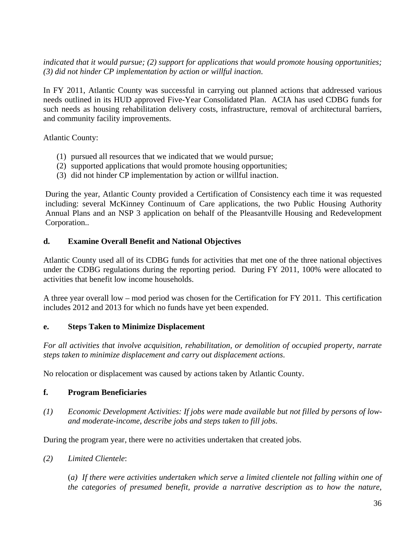*indicated that it would pursue; (2) support for applications that would promote housing opportunities; (3) did not hinder CP implementation by action or willful inaction*.

In FY 2011, Atlantic County was successful in carrying out planned actions that addressed various needs outlined in its HUD approved Five-Year Consolidated Plan. ACIA has used CDBG funds for such needs as housing rehabilitation delivery costs, infrastructure, removal of architectural barriers, and community facility improvements.

Atlantic County:

- (1) pursued all resources that we indicated that we would pursue;
- (2) supported applications that would promote housing opportunities;
- (3) did not hinder CP implementation by action or willful inaction.

During the year, Atlantic County provided a Certification of Consistency each time it was requested including: several McKinney Continuum of Care applications, the two Public Housing Authority Annual Plans and an NSP 3 application on behalf of the Pleasantville Housing and Redevelopment Corporation..

#### **d. Examine Overall Benefit and National Objectives**

Atlantic County used all of its CDBG funds for activities that met one of the three national objectives under the CDBG regulations during the reporting period. During FY 2011, 100% were allocated to activities that benefit low income households.

A three year overall low – mod period was chosen for the Certification for FY 2011. This certification includes 2012 and 2013 for which no funds have yet been expended.

#### **e. Steps Taken to Minimize Displacement**

*For all activities that involve acquisition, rehabilitation, or demolition of occupied property, narrate steps taken to minimize displacement and carry out displacement actions*.

No relocation or displacement was caused by actions taken by Atlantic County.

### **f. Program Beneficiaries**

*(1) Economic Development Activities: If jobs were made available but not filled by persons of lowand moderate-income, describe jobs and steps taken to fill jobs*.

During the program year, there were no activities undertaken that created jobs.

*(2) Limited Clientele*:

(*a) If there were activities undertaken which serve a limited clientele not falling within one of the categories of presumed benefit, provide a narrative description as to how the nature,*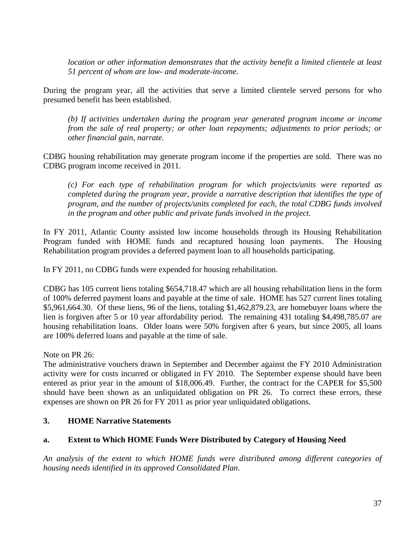*location or other information demonstrates that the activity benefit a limited clientele at least 51 percent of whom are low- and moderate-income*.

During the program year, all the activities that serve a limited clientele served persons for who presumed benefit has been established.

*(b) If activities undertaken during the program year generated program income or income from the sale of real property; or other loan repayments; adjustments to prior periods; or other financial gain, narrate.*

CDBG housing rehabilitation may generate program income if the properties are sold. There was no CDBG program income received in 2011.

*(c) For each type of rehabilitation program for which projects/units were reported as completed during the program year, provide a narrative description that identifies the type of program, and the number of projects/units completed for each, the total CDBG funds involved in the program and other public and private funds involved in the project.*

In FY 2011, Atlantic County assisted low income households through its Housing Rehabilitation Program funded with HOME funds and recaptured housing loan payments. The Housing Rehabilitation program provides a deferred payment loan to all households participating.

In FY 2011, no CDBG funds were expended for housing rehabilitation.

CDBG has 105 current liens totaling \$654,718.47 which are all housing rehabilitation liens in the form of 100% deferred payment loans and payable at the time of sale. HOME has 527 current lines totaling \$5,961,664.30. Of these liens, 96 of the liens, totaling \$1,462,879.23, are homebuyer loans where the lien is forgiven after 5 or 10 year affordability period. The remaining 431 totaling \$4,498,785.07 are housing rehabilitation loans. Older loans were 50% forgiven after 6 years, but since 2005, all loans are 100% deferred loans and payable at the time of sale.

Note on PR 26:

The administrative vouchers drawn in September and December against the FY 2010 Administration activity were for costs incurred or obligated in FY 2010. The September expense should have been entered as prior year in the amount of \$18,006.49. Further, the contract for the CAPER for \$5,500 should have been shown as an unliquidated obligation on PR 26. To correct these errors, these expenses are shown on PR 26 for FY 2011 as prior year unliquidated obligations.

### **3. HOME Narrative Statements**

### **a. Extent to Which HOME Funds Were Distributed by Category of Housing Need**

*An analysis of the extent to which HOME funds were distributed among different categories of housing needs identified in its approved Consolidated Plan*.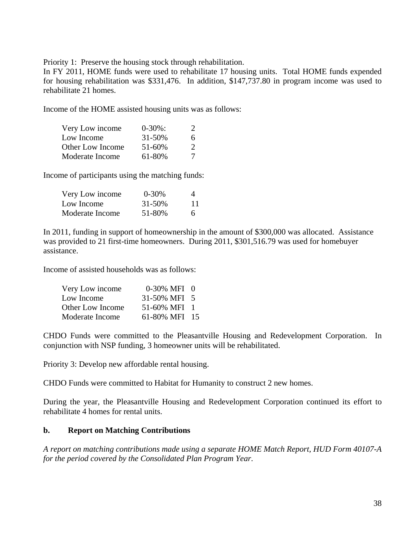Priority 1: Preserve the housing stock through rehabilitation.

In FY 2011, HOME funds were used to rehabilitate 17 housing units. Total HOME funds expended for housing rehabilitation was \$331,476. In addition, \$147,737.80 in program income was used to rehabilitate 21 homes.

Income of the HOME assisted housing units was as follows:

| Very Low income  | $0-30\%$ : | $\mathcal{L}$               |
|------------------|------------|-----------------------------|
| Low Income       | 31-50%     | 6.                          |
| Other Low Income | 51-60%     | $\mathcal{D}_{\mathcal{L}}$ |
| Moderate Income  | 61-80%     | 7                           |

Income of participants using the matching funds:

| Very Low income | $0 - 30\%$ | 4  |
|-----------------|------------|----|
| Low Income      | 31-50%     | 11 |
| Moderate Income | 51-80%     | 6  |

In 2011, funding in support of homeownership in the amount of \$300,000 was allocated. Assistance was provided to 21 first-time homeowners. During 2011, \$301,516.79 was used for homebuyer assistance.

Income of assisted households was as follows:

| Very Low income  | 0-30% MFI 0   |  |
|------------------|---------------|--|
| Low Income       | 31-50% MFI 5  |  |
| Other Low Income | 51-60% MFI 1  |  |
| Moderate Income  | 61-80% MFI 15 |  |

CHDO Funds were committed to the Pleasantville Housing and Redevelopment Corporation. In conjunction with NSP funding, 3 homeowner units will be rehabilitated.

Priority 3: Develop new affordable rental housing.

CHDO Funds were committed to Habitat for Humanity to construct 2 new homes.

During the year, the Pleasantville Housing and Redevelopment Corporation continued its effort to rehabilitate 4 homes for rental units.

### **b. Report on Matching Contributions**

*A report on matching contributions made using a separate HOME Match Report, HUD Form 40107-A for the period covered by the Consolidated Plan Program Year*.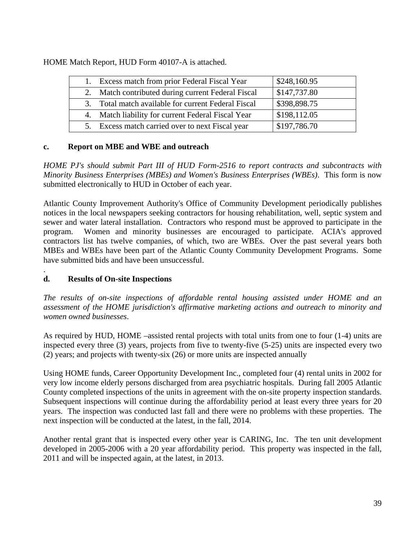HOME Match Report, HUD Form 40107-A is attached.

|    | Excess match from prior Federal Fiscal Year         | \$248,160.95 |
|----|-----------------------------------------------------|--------------|
| 2. | Match contributed during current Federal Fiscal     | \$147,737.80 |
|    | 3. Total match available for current Federal Fiscal | \$398,898.75 |
|    | 4. Match liability for current Federal Fiscal Year  | \$198,112.05 |
|    | 5. Excess match carried over to next Fiscal year    | \$197,786.70 |

### **c. Report on MBE and WBE and outreach**

*HOME PJ's should submit Part III of HUD Form-2516 to report contracts and subcontracts with Minority Business Enterprises (MBEs) and Women's Business Enterprises (WBEs)*. This form is now submitted electronically to HUD in October of each year.

Atlantic County Improvement Authority's Office of Community Development periodically publishes notices in the local newspapers seeking contractors for housing rehabilitation, well, septic system and sewer and water lateral installation. Contractors who respond must be approved to participate in the program. Women and minority businesses are encouraged to participate. ACIA's approved contractors list has twelve companies, of which, two are WBEs. Over the past several years both MBEs and WBEs have been part of the Atlantic County Community Development Programs. Some have submitted bids and have been unsuccessful.

### . **d. Results of On-site Inspections**

*The results of on-site inspections of affordable rental housing assisted under HOME and an assessment of the HOME jurisdiction's affirmative marketing actions and outreach to minority and women owned businesses*.

As required by HUD, HOME –assisted rental projects with total units from one to four (1-4) units are inspected every three (3) years, projects from five to twenty-five (5-25) units are inspected every two (2) years; and projects with twenty-six (26) or more units are inspected annually

Using HOME funds, Career Opportunity Development Inc., completed four (4) rental units in 2002 for very low income elderly persons discharged from area psychiatric hospitals. During fall 2005 Atlantic County completed inspections of the units in agreement with the on-site property inspection standards. Subsequent inspections will continue during the affordability period at least every three years for 20 years. The inspection was conducted last fall and there were no problems with these properties. The next inspection will be conducted at the latest, in the fall, 2014.

Another rental grant that is inspected every other year is CARING, Inc. The ten unit development developed in 2005-2006 with a 20 year affordability period. This property was inspected in the fall, 2011 and will be inspected again, at the latest, in 2013.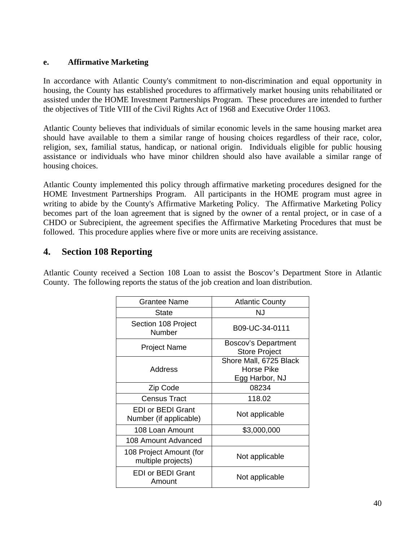### **e. Affirmative Marketing**

In accordance with Atlantic County's commitment to non-discrimination and equal opportunity in housing, the County has established procedures to affirmatively market housing units rehabilitated or assisted under the HOME Investment Partnerships Program. These procedures are intended to further the objectives of Title VIII of the Civil Rights Act of 1968 and Executive Order 11063.

Atlantic County believes that individuals of similar economic levels in the same housing market area should have available to them a similar range of housing choices regardless of their race, color, religion, sex, familial status, handicap, or national origin. Individuals eligible for public housing assistance or individuals who have minor children should also have available a similar range of housing choices.

Atlantic County implemented this policy through affirmative marketing procedures designed for the HOME Investment Partnerships Program. All participants in the HOME program must agree in writing to abide by the County's Affirmative Marketing Policy. The Affirmative Marketing Policy becomes part of the loan agreement that is signed by the owner of a rental project, or in case of a CHDO or Subrecipient, the agreement specifies the Affirmative Marketing Procedures that must be followed. This procedure applies where five or more units are receiving assistance.

## **4. Section 108 Reporting**

Atlantic County received a Section 108 Loan to assist the Boscov's Department Store in Atlantic County. The following reports the status of the job creation and loan distribution.

| Grantee Name                                       | <b>Atlantic County</b>                      |
|----------------------------------------------------|---------------------------------------------|
| <b>State</b>                                       | NJ                                          |
| Section 108 Project<br>Number                      | B09-UC-34-0111                              |
| <b>Project Name</b>                                | Boscov's Department<br><b>Store Project</b> |
|                                                    | Shore Mall, 6725 Black                      |
| Address                                            | Horse Pike                                  |
|                                                    | Egg Harbor, NJ                              |
| Zip Code                                           | 08234                                       |
| <b>Census Tract</b>                                | 118.02                                      |
| <b>EDI or BEDI Grant</b><br>Number (if applicable) | Not applicable                              |
| 108 Loan Amount                                    | \$3,000,000                                 |
| 108 Amount Advanced                                |                                             |
| 108 Project Amount (for<br>multiple projects)      | Not applicable                              |
| EDI or BEDI Grant<br>Amount                        | Not applicable                              |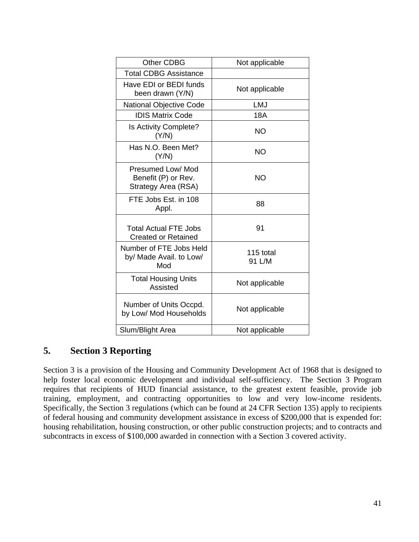| <b>Other CDBG</b>                                               | Not applicable      |
|-----------------------------------------------------------------|---------------------|
| <b>Total CDBG Assistance</b>                                    |                     |
| Have EDI or BEDI funds<br>been drawn (Y/N)                      | Not applicable      |
| <b>National Objective Code</b>                                  | LMJ                 |
| <b>IDIS Matrix Code</b>                                         | <b>18A</b>          |
| Is Activity Complete?<br>(Y/N)                                  | NΟ                  |
| Has N.O. Been Met?<br>(Y/N)                                     | <b>NO</b>           |
| Presumed Low/ Mod<br>Benefit (P) or Rev.<br>Strategy Area (RSA) | NΟ                  |
| FTE Jobs Est. in 108<br>Appl.                                   | 88                  |
| <b>Total Actual FTE Jobs</b><br><b>Created or Retained</b>      | 91                  |
| Number of FTE Jobs Held<br>by/ Made Avail. to Low/<br>Mod       | 115 total<br>91 L/M |
| <b>Total Housing Units</b><br>Assisted                          | Not applicable      |
| Number of Units Occpd.<br>by Low/ Mod Households                | Not applicable      |
| Slum/Blight Area                                                | Not applicable      |

# **5. Section 3 Reporting**

Section 3 is a provision of the Housing and Community Development Act of 1968 that is designed to help foster local economic development and individual self-sufficiency. The Section 3 Program requires that recipients of HUD financial assistance, to the greatest extent feasible, provide job training, employment, and contracting opportunities to low and very low-income residents. Specifically, the Section 3 regulations (which can be found at 24 CFR Section 135) apply to recipients of federal housing and community development assistance in excess of \$200,000 that is expended for: housing rehabilitation, housing construction, or other public construction projects; and to contracts and subcontracts in excess of \$100,000 awarded in connection with a Section 3 covered activity.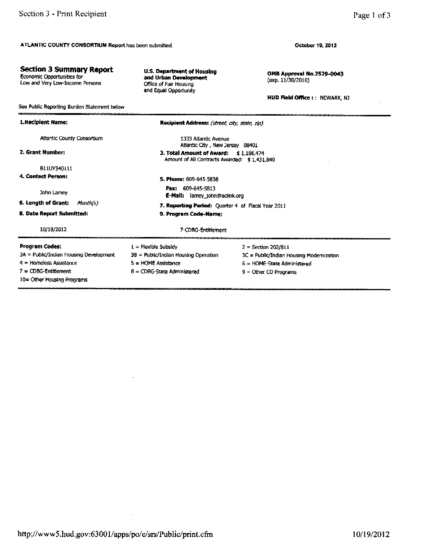**Section 3 Summary Report** 

Low and Very Low-Income Persons

Economic Opportunities for

October 19, 2012

OMB Approval No.2529-0043 (exp. 11/30/2010)

**HUD Field Office: : NEWARK, NJ** 

| See Public Reporting Burden Statement below |                                                                                          |                       |  |  |
|---------------------------------------------|------------------------------------------------------------------------------------------|-----------------------|--|--|
| 1.Recipient Name:                           | Recipient Address: (street, city, state, zip)                                            |                       |  |  |
| <b>Atlantic County Consortium</b>           | 1333 Atlantic Avenue<br>Atlantic City, New Jersey 08401                                  |                       |  |  |
| 2. Grant Number:                            | 3. Total Amount of Award:<br>\$1.186.474<br>Amount of All Contracts Awarded: \$1,431,840 |                       |  |  |
| B11UY340111                                 |                                                                                          |                       |  |  |
| 4. Contact Person:                          | 5. Phone: 609-645-5838                                                                   |                       |  |  |
| John Lamey                                  | Fax: 609-645-5813<br>E-Mail: lamey_john@aclink.org                                       |                       |  |  |
| 6. Length of Grant:<br>Month(s)             | 7. Reporting Period: Quarter 4 of Fiscal Year 2011                                       |                       |  |  |
| <b>8. Date Report Submitted:</b>            | 9. Program Code-Name:                                                                    |                       |  |  |
| 10/19/2012                                  | 7-CDBG-Entitlement                                                                       |                       |  |  |
| Program Codes:                              | $1 =$ Flexible Subsidy                                                                   | $2 =$ Section 202/811 |  |  |
| 3A = Public/Indian Housing Development      | 38 = Public/Indian Housing Operation<br>3C = Public/Indian Housing Modernization         |                       |  |  |
| $4 =$ Homeless Assistance                   | $5 =$ HOME Assistance<br>$6 =$ HOME-State Administered                                   |                       |  |  |
| 7 = CDBG-Entitlement                        | 8 = CDBG-State Administered<br>$9 =$ Other CD Programs                                   |                       |  |  |
| 10= Other Housing Programs                  |                                                                                          |                       |  |  |

**U.S. Department of Housing** 

and Urban Development

Office of Fair Housing and Equal Opportunity

http://www5.hud.gov:63001/apps/po/e/srs/Public/print.cfm

 $\ddot{\phantom{a}}$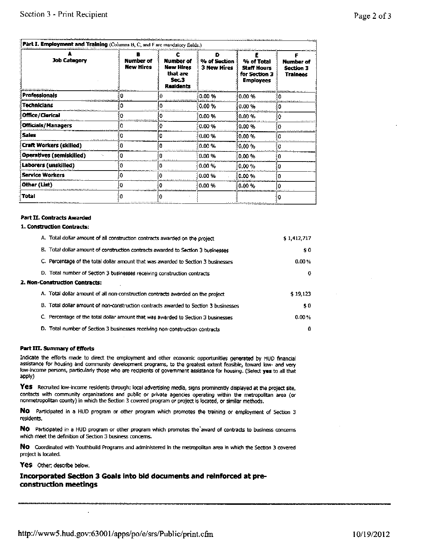| Part I. Employment and Training (Columns B, C, and F arc mandatory fields.) |                               |                                                          |                                  |                                                                       |                                    |
|-----------------------------------------------------------------------------|-------------------------------|----------------------------------------------------------|----------------------------------|-----------------------------------------------------------------------|------------------------------------|
| <b>Job Category</b>                                                         | Number of<br><b>New Hires</b> | Number of<br>New Hires<br>that are<br>Sec.3<br>Residents | D<br>% of Section<br>3 New Hires | % of Total<br><b>Staff Hours</b><br>for Section 3<br><b>Employees</b> | Number of<br>Section 3<br>Trainees |
| Professionals                                                               |                               |                                                          | 0.00 %                           | 0.00%                                                                 | n                                  |
| <b>Technicians</b>                                                          |                               |                                                          | 0.00 %                           | $0.00 \%$                                                             |                                    |
| <b>Office/Clerical</b>                                                      |                               |                                                          | 0.00 %                           | $0.00 \%$                                                             |                                    |
| <b>Officials/Managers</b>                                                   |                               |                                                          | 0.00%                            | 0.00 %                                                                |                                    |
| <b>Sales</b>                                                                |                               |                                                          | 0.00%                            | 0.00 %                                                                |                                    |
| <b>Craft Workers (skilled)</b>                                              |                               |                                                          | 0.00 %                           | 10.00 %                                                               |                                    |
| Operatives (semiskilled)                                                    |                               |                                                          | 0.00%                            | 0.00%                                                                 |                                    |
| Laborers (unskilled)                                                        |                               |                                                          | 0.00%                            | 0.00%                                                                 | o                                  |
| Service Workers                                                             |                               |                                                          | 0.00%                            | 0.00%                                                                 |                                    |
| Other (List)                                                                |                               |                                                          | 0.00 %                           | 0.00%                                                                 |                                    |
| Total                                                                       |                               |                                                          |                                  |                                                                       |                                    |

#### **Part II. Contracts Awarded**

#### 1. Construction Contracts:

| A. Total dollar amount of all construction contracts awarded on the project          | \$1,412,717 |
|--------------------------------------------------------------------------------------|-------------|
| B. Total dollar amount of construction contracts awarded to Section 3 businesses     | \$0         |
| C. Percentage of the total dollar amount that was awarded to Section 3 businesses    | 0.00%       |
| D. Total number of Section 3 businesses receiving construction contracts             | 0           |
| 2. Non-Construction Contracts:                                                       |             |
| A. Total dollar amount of all non-construction contracts awarded on the project      | \$19,123    |
| B. Total dollar amount of non-construction contracts awarded to Section 3 businesses | \$0         |
| C. Percentage of the total dollar amount that was awarded to Section 3 businesses    | 0.00%       |
| D. Total number of Section 3 businesses receiving non-construction contracts         | 0           |

#### Part III. Summary of Efforts

Indicate the efforts made to direct the employment and other economic opportunities generated by HUD financial assistance for housing and community development programs, to the greatest extent feasible, toward low- and very low-income persons, particularly those who are recipients of government assistance for housing. (Select yes to all that apply)

Yes Recruited low-income residents through; local advertising media, signs prominently displayed at the project site, contacts with community organizations and public or private agencies operating within the metropolitan area (or nonmetropolitan county) in which the Section 3 covered program or project is located, or similar methods.

No Participated in a HUD program or other program which promotes the training or employment of Section 3 residents.

No Participated in a HUD program or other program which promotes the award of contracts to business concerns which meet the definition of Section 3 business concerns.

No Coordinated with Youthbuild Programs and administered in the metropolitan area in which the Section 3 covered project is located.

Yes Other; describe below.

Incorporated Section 3 Goals into bid documents and reinforced at preconstruction meetings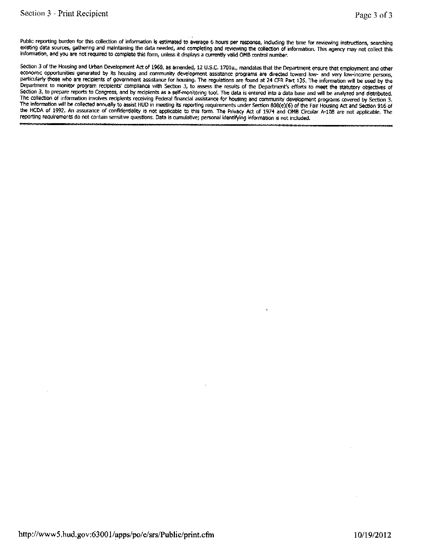Public reporting burden for this collection of information is estimated to average 6 hours per response, including the time for reviewing instructions, searching existing data sources, gathering and maintaining the data needed, and completing and reviewing the collection of information. This agency may not collect this information, and you are not required to complete this form, unless it displays a currently valid OMB control number.

Section 3 of the Housing and Urban Development Act of 1968, as amended, 12 U.S.C. 1701u., mandates that the Department ensure that employment and other economic opportunities generated by its housing and community development assistance programs are directed toward low- and very low-income persons, particularly those who are recipients of government assistance for housing. The regulations are found at 24 CFR Part 135. The information will be used by the Department to monitor program recipients' compliance with Section 3, to assess the results of the Department's efforts to meet the statutory objectives of Section 3, to prepare reports to Congress, and by recipients as a self-monitoring tool. The data is entered into a data base and will be analyzed and distributed. The collection of information involves reciplents receiving Federal financial assistance for housing and community development programs covered by Section 3. The information will be collected annually to assist HUD in meeting its reporting requirements under Section 808(e)(6) of the Fair Housing Act and Section 916 of the HCDA of 1992. An assurance of confidentiality is not applicable to this form. The Privacy Act of 1974 and OMB Circular A-108 are not applicable. The reporting requirements do not contain sensitive questions. Data is cumulative; personal identifying information is not included.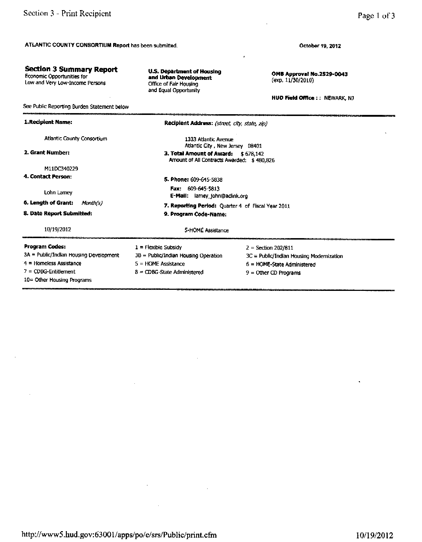**Section 3 Summary Report** 

Economic Opportunities for<br>Low and Very Low-Income Persons

October 19, 2012

OMB Approval No.2529-0043 (exp. 11/30/2010)

**HUD Field Office : : NEWARK, NJ** 

| See Public Reporting Burden Statement below |                                                                                   |                                          |  |  |
|---------------------------------------------|-----------------------------------------------------------------------------------|------------------------------------------|--|--|
| 1. Recipient Name:                          | Recipient Address: (street, city, state, zip)                                     |                                          |  |  |
| Atlantic County Consortium                  | 1333 Atlantic Avenue<br>Atlantic City, New Jersey 08401                           |                                          |  |  |
| 2. Grant Number:                            | 3. Total Amount of Award: \$678,142<br>Amount of All Contracts Awarded: \$480,826 |                                          |  |  |
| M11DC340229                                 |                                                                                   |                                          |  |  |
| 4. Contact Person:                          | 5. Phone: 609-645-5838                                                            |                                          |  |  |
| Lohn Lamey                                  | <b>Fax: 609-645-5813</b><br>E-Mail: lamey_john@aclink.org                         |                                          |  |  |
| 6. Length of Grant:<br>Month(s)             |                                                                                   |                                          |  |  |
| 8. Date Report Submitted:                   | 7. Reporting Period: Quarter 4 of Fiscal Year 2011<br>9. Program Code-Name:       |                                          |  |  |
| 10/19/2012                                  | 5-HOME Assistance                                                                 |                                          |  |  |
| Program Codes:                              | $1 =$ Flexible Subsidy                                                            | $2 = Section 202/811$                    |  |  |
| 3A = Public/Indian Housing Development      | 3B = Public/Indian Housing Operation                                              | 3C = Public/Indian Housing Modernization |  |  |
| 4 = Homeless Assistance                     | 5 = HOME Assistance                                                               | 6 = HOME-State Administered              |  |  |
| $7 = \text{CDBG-Entillement}$               | $8 = CDBG-State$ Administered<br>$9 =$ Other CD Programs                          |                                          |  |  |
| $10 =$ Other Housing Programs               |                                                                                   |                                          |  |  |

**U.S. Department of Housing** 

and Urban Development

Office of Fair Housing and Equal Opportunity

```
http://www5.hud.gov:63001/apps/po/e/srs/Public/print.cfm
```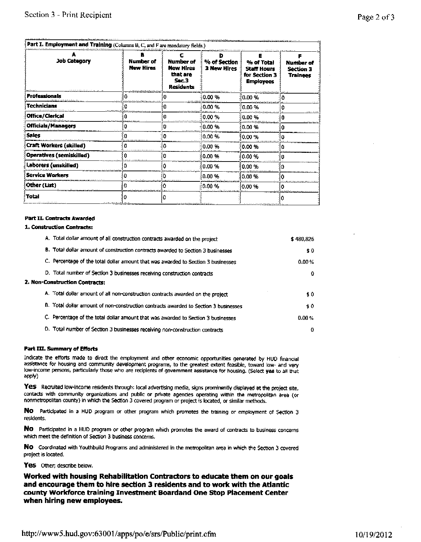| <b>Job Category</b>             | Number of<br><b>New Hires</b>            | Number of<br><b>New Hires</b><br>that are<br>Sec.3<br>Residents | % of Section<br>3 New Hires | % of Total<br><b>Staff Hours</b><br>for Section 3<br><b>Employees</b> | Number of<br><b>Section 3</b><br><b>Trainees</b> |
|---------------------------------|------------------------------------------|-----------------------------------------------------------------|-----------------------------|-----------------------------------------------------------------------|--------------------------------------------------|
| <b>Professionals</b>            | and the theory of the state of the state |                                                                 | {0.00 %                     | $0.00 \%$                                                             |                                                  |
| Technicians                     | o                                        |                                                                 | $0.00 \%$                   | 0.00 %                                                                |                                                  |
| Office/Clerical                 |                                          |                                                                 | i0.00 %                     | $0.00 \%$                                                             |                                                  |
| <b>Officials/Managers</b>       |                                          |                                                                 | $0.00 \%$                   | 0.00 %                                                                |                                                  |
| Sales                           |                                          |                                                                 | 10.00 %                     | 10.00 %                                                               |                                                  |
| <b>Craft Workers (skilled)</b>  | Ω                                        |                                                                 | 0.00%                       | 0.00%                                                                 |                                                  |
| <b>Operatives (semiskilled)</b> |                                          |                                                                 | $0.00 \%$                   | 0.00%                                                                 |                                                  |
| Laborers (unskilled)            |                                          |                                                                 | $0.00 \%$                   | 0.00 %                                                                | n                                                |
| <b>Service Workers</b>          | o                                        |                                                                 | 0.00%                       | $0.00 \%$                                                             |                                                  |
| Other (List)                    |                                          |                                                                 | 0.00 %                      | 0.00 %                                                                |                                                  |
| Total                           |                                          |                                                                 |                             |                                                                       |                                                  |

#### **Part II. Contracts Awarded**

#### 1. Construction Contracts:

| A. Total dollar amount of all construction contracts awarded on the project          | \$480,826 |
|--------------------------------------------------------------------------------------|-----------|
| B. Total dollar amount of construction contracts awarded to Section 3 businesses     | \$0       |
| C. Percentage of the total dollar amount that was awarded to Section 3 businesses    | 0.00%     |
| D. Total number of Section 3 businesses receiving construction contracts             | 0         |
| 2. Non-Construction Contracts:                                                       |           |
| A. Total dollar amount of all non-construction contracts awarded on the project      | \$0       |
| B. Total dollar amount of non-construction contracts awarded to Section 3 businesses | \$0       |
| C. Percentage of the total dollar amount that was awarded to Section 3 businesses    | 0.00%     |
| D. Total number of Section 3 businesses receiving non-construction contracts         | 0         |

#### Part III. Summary of Efforts

Indicate the efforts made to direct the employment and other economic opportunities generated by HUD financial assistance for housing and community development programs, to the greatest extent feasible, toward low- and very low-income persons, particularly those who are recipients of government assistance for housing. (Select yes to all that apply)

Yes Recruited low-income residents through: local advertising media, signs prominently displayed at the project site, contacts with community organizations and public or private agencies operating within the metropolitan area (or nonmetropolitan county) in which the Section 3 covered program or project is located, or similar methods.

No Participated in a HUD program or other program which promotes the training or employment of Section 3 residents.

No Participated in a HUD program or other program which promotes the award of contracts to business concerns which meet the definition of Section 3 business concerns.

NO Coordinated with Youthbuild Programs and administered in the metropolitan area in which the Section 3 covered project is located.

Yes Other; describe below.

Worked with housing Rehabilitation Contractors to educate them on our goals and encourage them to hire section 3 residents and to work with the Atlantic county Workforce training Investment Boardand One Stop Placement Center when hiring new employees.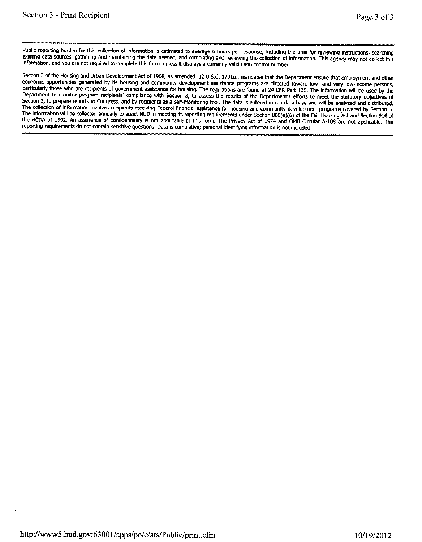Public reporting burden for this collection of information is estimated to average 6 hours per response, including the time for reviewing instructions, searching existing data sources, gathering and maintaining the data needed, and completing and reviewing the collection of information. This agency may not collect this information, and you are not required to complete this form, unless it displays a currently valid OMB control number.

Section 3 of the Housing and Urban Development Act of 1968, as amended, 12 U.S.C. 1701u., mandates that the Department ensure that employment and other economic opportunities generated by its housing and community development assistance programs are directed toward low- and very low-income persons, particularly those who are recipients of government assistance for housing. The regulations are found at 24 CFR Part 135. The information will be used by the Department to monitor program recipients' compliance with Section 3, to assess the results of the Department's efforts to meet the statutory objectives of Section 3, to prepare reports to Congress, and by recipients as a self-monitoring tool. The data is entered into a data base and will be analyzed and distributed. The collection of information involves recipients receiving Federal financial assistance for housing and community development programs covered by Section 3. The information will be collected annually to assist HUD in meeting its reporting requirements under Section 808(e)(6) of the Fair Housing Act and Section 916 of the HCDA of 1992. An assurance of confidentiality is not applicable to this form. The Privacy Act of 1974 and OMB Circular A-108 are not applicable. The reporting requirements do not contain sensitive questions. Data is cumulative; personal identifying information is not included.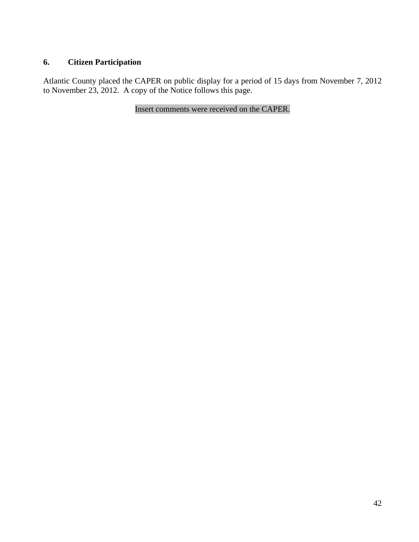### **6. Citizen Participation**

Atlantic County placed the CAPER on public display for a period of 15 days from November 7, 2012 to November 23, 2012. A copy of the Notice follows this page.

Insert comments were received on the CAPER.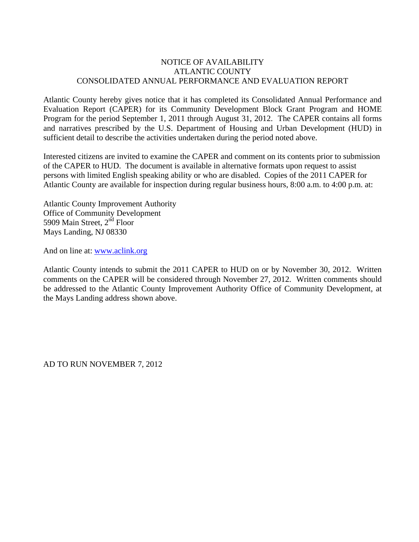### NOTICE OF AVAILABILITY ATLANTIC COUNTY CONSOLIDATED ANNUAL PERFORMANCE AND EVALUATION REPORT

Atlantic County hereby gives notice that it has completed its Consolidated Annual Performance and Evaluation Report (CAPER) for its Community Development Block Grant Program and HOME Program for the period September 1, 2011 through August 31, 2012. The CAPER contains all forms and narratives prescribed by the U.S. Department of Housing and Urban Development (HUD) in sufficient detail to describe the activities undertaken during the period noted above.

Interested citizens are invited to examine the CAPER and comment on its contents prior to submission of the CAPER to HUD. The document is available in alternative formats upon request to assist persons with limited English speaking ability or who are disabled. Copies of the 2011 CAPER for Atlantic County are available for inspection during regular business hours, 8:00 a.m. to 4:00 p.m. at:

Atlantic County Improvement Authority Office of Community Development 5909 Main Street, 2<sup>nd</sup> Floor Mays Landing, NJ 08330

And on line at: www.aclink.org

Atlantic County intends to submit the 2011 CAPER to HUD on or by November 30, 2012. Written comments on the CAPER will be considered through November 27, 2012. Written comments should be addressed to the Atlantic County Improvement Authority Office of Community Development, at the Mays Landing address shown above.

AD TO RUN NOVEMBER 7, 2012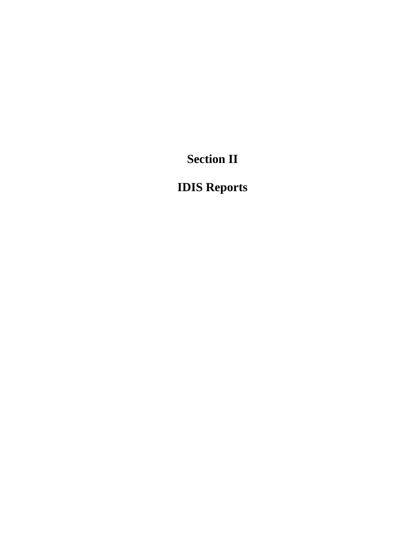**Section II** 

# **IDIS Reports**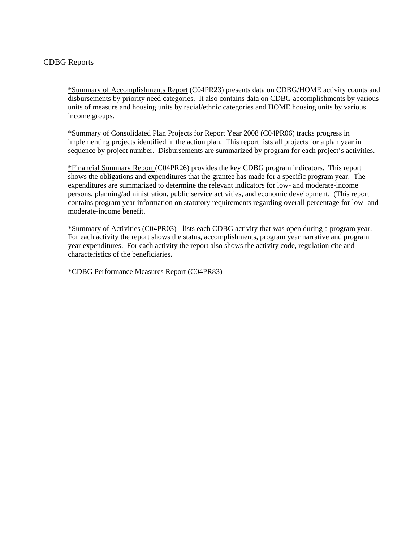### CDBG Reports

\*Summary of Accomplishments Report (C04PR23) presents data on CDBG/HOME activity counts and disbursements by priority need categories. It also contains data on CDBG accomplishments by various units of measure and housing units by racial/ethnic categories and HOME housing units by various income groups.

\*Summary of Consolidated Plan Projects for Report Year 2008 (C04PR06) tracks progress in implementing projects identified in the action plan. This report lists all projects for a plan year in sequence by project number. Disbursements are summarized by program for each project's activities.

\*Financial Summary Report (C04PR26) provides the key CDBG program indicators. This report shows the obligations and expenditures that the grantee has made for a specific program year. The expenditures are summarized to determine the relevant indicators for low- and moderate-income persons, planning/administration, public service activities, and economic development. (This report contains program year information on statutory requirements regarding overall percentage for low- and moderate-income benefit.

\*Summary of Activities (C04PR03) - lists each CDBG activity that was open during a program year. For each activity the report shows the status, accomplishments, program year narrative and program year expenditures. For each activity the report also shows the activity code, regulation cite and characteristics of the beneficiaries.

\*CDBG Performance Measures Report (C04PR83)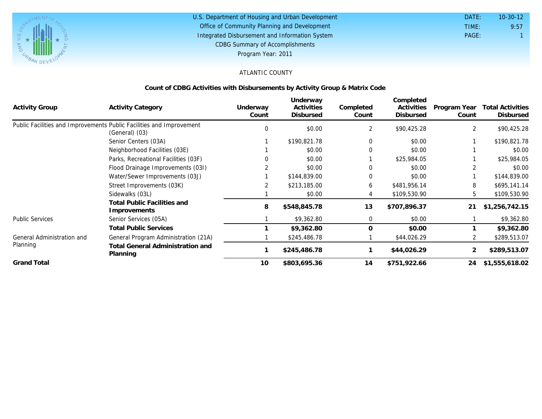

#### U.S. Department of Housing and Urban Development Office of Community Planning and Development Integrated Disbursement and Information System DATE: TIME: PAGE: 1 9:57 10-30-12 CDBG Summary of Accomplishments Program Year: 2011

### ATLANTIC COUNTY

### **Count of CDBG Activities with Disbursements by Activity Group & Matrix Code**

| <b>Activity Group</b>      | <b>Activity Category</b>                                                               | Underway<br>Count | Underway<br>Activities<br>Disbursed | Completed<br>Count | Completed<br>Activities<br><b>Disbursed</b> | Program Year<br>Count | <b>Total Activities</b><br>Disbursed |
|----------------------------|----------------------------------------------------------------------------------------|-------------------|-------------------------------------|--------------------|---------------------------------------------|-----------------------|--------------------------------------|
|                            | Public Facilities and Improvements Public Facilities and Improvement<br>(General) (03) | 0                 | \$0.00                              | 2                  | \$90,425.28                                 | 2                     | \$90,425.28                          |
|                            | Senior Centers (03A)                                                                   |                   | \$190,821.78                        | $\Omega$           | \$0.00                                      |                       | \$190,821.78                         |
|                            | Neighborhood Facilities (03E)                                                          |                   | \$0.00                              |                    | \$0.00                                      |                       | \$0.00                               |
|                            | Parks, Recreational Facilities (03F)                                                   |                   | \$0.00                              |                    | \$25,984.05                                 |                       | \$25,984.05                          |
|                            | Flood Drainage Improvements (031)                                                      |                   | \$0.00                              | 0                  | \$0.00                                      |                       | \$0.00                               |
|                            | Water/Sewer Improvements (03J)                                                         |                   | \$144,839.00                        | $\Omega$           | \$0.00                                      |                       | \$144,839.00                         |
|                            | Street Improvements (03K)                                                              |                   | \$213,185.00                        | 6                  | \$481,956.14                                | 8                     | \$695,141.14                         |
|                            | Sidewalks (03L)                                                                        |                   | \$0.00                              |                    | \$109,530.90                                | 5.                    | \$109,530.90                         |
|                            | <b>Total Public Facilities and</b><br>Improvements                                     | 8                 | \$548,845.78                        | 13                 | \$707,896.37                                | 21                    | \$1,256,742.15                       |
| <b>Public Services</b>     | Senior Services (05A)                                                                  |                   | \$9,362.80                          | $\mathbf{0}$       | \$0.00                                      |                       | \$9,362.80                           |
|                            | <b>Total Public Services</b>                                                           |                   | \$9,362.80                          | $\Omega$           | \$0.00                                      |                       | \$9,362.80                           |
| General Administration and | General Program Administration (21A)                                                   |                   | \$245,486.78                        |                    | \$44,026.29                                 |                       | \$289,513.07                         |
| Planning                   | <b>Total General Administration and</b><br>Planning                                    |                   | \$245,486.78                        |                    | \$44,026.29                                 |                       | \$289,513.07                         |
| <b>Grand Total</b>         |                                                                                        | 10                | \$803,695.36                        | 14                 | \$751,922.66                                | 24                    | \$1,555,618.02                       |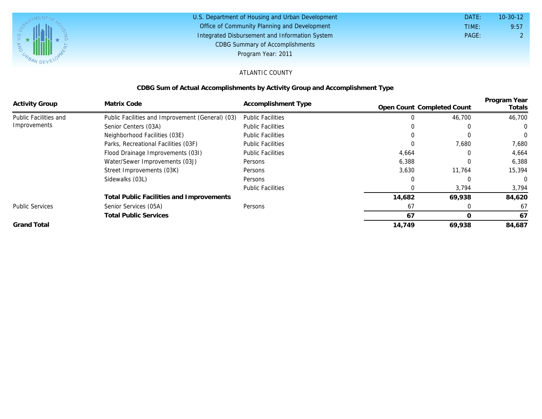

| U.S. Department of Housing and Urban Development | DATE: | $10 - 30 - 12$ |
|--------------------------------------------------|-------|----------------|
| Office of Community Planning and Development     | TIME: | 9:57           |
| Integrated Disbursement and Information System   | PAGE: |                |
| <b>CDBG Summary of Accomplishments</b>           |       |                |
| Program Year: 2011                               |       |                |

### ATLANTIC COUNTY

### **CDBG Sum of Actual Accomplishments by Activity Group and Accomplishment Type**

|                        | Matrix Code                                      |                          |                            |          | Program Year   |
|------------------------|--------------------------------------------------|--------------------------|----------------------------|----------|----------------|
| <b>Activity Group</b>  |                                                  | Accomplishment Type      | Open Count Completed Count |          | Totals         |
| Public Facilities and  | Public Facilities and Improvement (General) (03) | <b>Public Facilities</b> |                            | 46,700   | 46,700         |
| Improvements           | Senior Centers (03A)                             | <b>Public Facilities</b> |                            |          | $\Omega$       |
|                        | Neighborhood Facilities (03E)                    | <b>Public Facilities</b> |                            |          | $\Omega$       |
|                        | Parks, Recreational Facilities (03F)             | <b>Public Facilities</b> |                            | 7,680    | 7,680          |
|                        | Flood Drainage Improvements (031)                | <b>Public Facilities</b> | 4,664                      | 0        | 4,664          |
|                        | Water/Sewer Improvements (03J)                   | Persons                  | 6,388                      | $\Omega$ | 6,388          |
|                        | Street Improvements (03K)                        | Persons                  | 3,630                      | 11,764   | 15,394         |
|                        | Sidewalks (03L)                                  | Persons                  |                            | 0        | $\overline{0}$ |
|                        |                                                  | <b>Public Facilities</b> |                            | 3,794    | 3,794          |
|                        | Total Public Facilities and Improvements         |                          | 14,682                     | 69,938   | 84,620         |
| <b>Public Services</b> | Senior Services (05A)                            | Persons                  | 67                         |          | 67             |
|                        | <b>Total Public Services</b>                     |                          | 67                         | O        | 67             |
| <b>Grand Total</b>     |                                                  |                          | 14,749                     | 69,938   | 84,687         |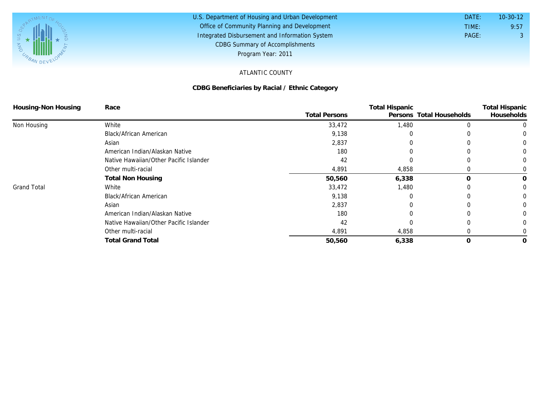

#### U.S. Department of Housing and Urban Development Office of Community Planning and Development Integrated Disbursement and Information System DATE: TIME: PAGE: 3 9:57 10-30-12 CDBG Summary of Accomplishments Program Year: 2011

### ATLANTIC COUNTY

### **CDBG Beneficiaries by Racial / Ethnic Category**

| Housing-Non Housing | Race                                   |                      | <b>Total Hispanic</b>    |          |                                     |
|---------------------|----------------------------------------|----------------------|--------------------------|----------|-------------------------------------|
|                     |                                        | <b>Total Persons</b> | Persons Total Households |          | <b>Total Hispanic</b><br>Households |
| Non Housing         | White                                  | 33,472               | 1,480                    |          |                                     |
|                     | Black/African American                 | 9,138                | $\left($                 |          |                                     |
|                     | Asian                                  | 2,837                |                          |          |                                     |
|                     | American Indian/Alaskan Native         | 180                  |                          |          |                                     |
|                     | Native Hawaiian/Other Pacific Islander | 42                   |                          |          |                                     |
|                     | Other multi-racial                     | 4,891                | 4,858                    |          |                                     |
|                     | <b>Total Non Housing</b>               | 50,560               | 6,338                    | $\Omega$ | 0                                   |
| <b>Grand Total</b>  | White                                  | 33,472               | 1,480                    |          |                                     |
|                     | Black/African American                 | 9,138                |                          |          |                                     |
|                     | Asian                                  | 2,837                |                          |          |                                     |
|                     | American Indian/Alaskan Native         | 180                  |                          |          |                                     |
|                     | Native Hawaiian/Other Pacific Islander | 42                   |                          |          |                                     |
|                     | Other multi-racial                     | 4,891                | 4,858                    |          |                                     |
|                     | <b>Total Grand Total</b>               | 50,560               | 6,338                    | 0        | 0                                   |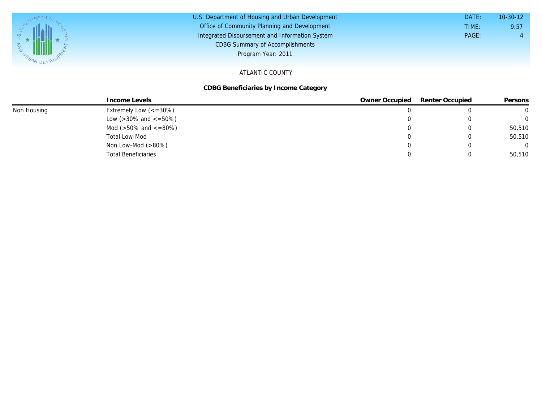| $V_{R}$ MILLEVEL | U.S. Department of Housing and Urban Development<br>Office of Community Planning and Development<br>Integrated Disbursement and Information System<br><b>CDBG Summary of Accomplishments</b><br>Program Year: 2011 | DATE:<br>TIME:<br>PAGE: | $10-30-12$<br>9:57 |
|------------------|--------------------------------------------------------------------------------------------------------------------------------------------------------------------------------------------------------------------|-------------------------|--------------------|
|                  | $\lambda$ TI ANITIO OOLINITY                                                                                                                                                                                       |                         |                    |

#### ATLANTIC COUNTY

### **CDBG Beneficiaries by Income Category**

|             | Income Levels                       | Owner Occupied | Renter Occupied | Persons  |
|-------------|-------------------------------------|----------------|-----------------|----------|
| Non Housing | Extremely Low $\left(<=30\%\right)$ |                |                 |          |
|             | Low ( $>30\%$ and $\lt$ =50%)       |                |                 | $\Omega$ |
|             | Mod ( $>50\%$ and $\lt$ =80%)       |                | 0               | 50,510   |
|             | Total Low-Mod                       |                |                 | 50,510   |
|             | Non Low-Mod $(>80\%)$               |                |                 | $\Omega$ |
|             | <b>Total Beneficiaries</b>          |                |                 | 50,510   |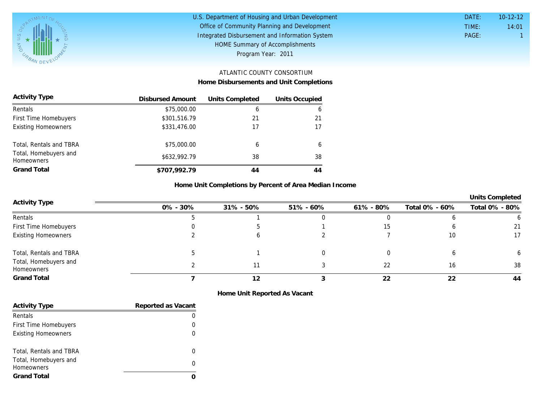

| U.S. Department of Housing and Urban Development | DATE: | $10 - 12 - 12$ |
|--------------------------------------------------|-------|----------------|
| Office of Community Planning and Development     | TIME: | 14:01          |
| Integrated Disbursement and Information System   | PAGE: |                |
| HOME Summary of Accomplishments                  |       |                |
| Program Year: 2011                               |       |                |

# ATLANTIC COUNTY CONSORTIUM

**Home Disbursements and Unit Completions**

| <b>Activity Type</b>                       | Disbursed Amount | Units Completed | Units Occupied |
|--------------------------------------------|------------------|-----------------|----------------|
| Rentals                                    | \$75,000.00      | 6               | 6              |
| First Time Homebuyers                      | \$301,516.79     | 21              | 21             |
| <b>Existing Homeowners</b>                 | \$331,476.00     | 17              |                |
| Total, Rentals and TBRA                    | \$75,000.00      | 6               | 6              |
| Total, Homebuyers and<br><b>Homeowners</b> | \$632,992.79     | 38              | 38             |
| Grand Total                                | \$707,992.79     | 44              | 44             |

### **Home Unit Completions by Percent of Area Median Income**

|                                     |              |           |               |           |                | <b>Units Completed</b> |
|-------------------------------------|--------------|-----------|---------------|-----------|----------------|------------------------|
| Activity Type                       | $0\% - 30\%$ | 31% - 50% | $51\% - 60\%$ | 61% - 80% | Total 0% - 60% | Total 0% - 80%         |
| Rentals                             |              |           |               |           |                |                        |
| First Time Homebuyers               |              |           |               |           |                | 21                     |
| <b>Existing Homeowners</b>          |              |           |               |           | 10             | 17                     |
| Total, Rentals and TBRA             |              |           |               |           |                |                        |
| Total, Homebuyers and<br>Homeowners |              |           |               | 22        | 16             | 38                     |
| Grand Total                         |              |           |               | 22        | 22             | 44                     |

**Home Unit Reported As Vacant**

| <b>Activity Type</b>       | Reported as Vacant |
|----------------------------|--------------------|
| Rentals                    |                    |
| First Time Homebuyers      |                    |
| <b>Existing Homeowners</b> |                    |
|                            |                    |
| Total, Rentals and TBRA    |                    |
| Total, Homebuyers and      | O                  |
| <b>Homeowners</b>          |                    |
| <b>Grand Total</b>         |                    |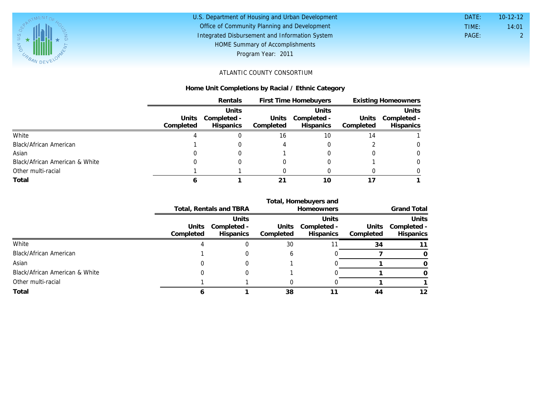

# U.S. Department of Housing and Urban Development Office of Community Planning and Development Integrated Disbursement and Information System HOME Summary of Accomplishments

| DATE: | $10-12-12$ |
|-------|------------|
| TIME: | 14:01      |
| PAGE: | 2          |
|       |            |

Program Year: 2011

### ATLANTIC COUNTY CONSORTIUM

### **Home Unit Completions by Racial / Ethnic Category**

|                                |           | Rentals     |           | First Time Homebuyers |           | <b>Existing Homeowners</b> |  |
|--------------------------------|-----------|-------------|-----------|-----------------------|-----------|----------------------------|--|
|                                |           | Units       |           | Units                 |           | Units                      |  |
|                                | Units     | Completed - | Units     | Completed -           | Units     | Completed -                |  |
|                                | Completed | Hispanics   | Completed | <b>Hispanics</b>      | Completed | Hispanics                  |  |
| White                          |           |             | 16        | 10                    | 14        |                            |  |
| Black/African American         |           |             |           |                       |           | $\Omega$                   |  |
| Asian                          |           |             |           |                       |           | $\Omega$                   |  |
| Black/African American & White |           |             |           |                       |           | $\Omega$                   |  |
| Other multi-racial             |           |             |           |                       |           |                            |  |
| Total                          |           |             |           | 10                    |           |                            |  |

|                                |           |                            |              | Total, Homebuyers and      |           |                      |
|--------------------------------|-----------|----------------------------|--------------|----------------------------|-----------|----------------------|
|                                |           | Total, Rentals and TBRA    |              | <b>Homeowners</b>          |           | <b>Grand Total</b>   |
|                                |           | Units<br>Units Completed - |              | Units<br>Units Completed - | Units     | Units<br>Completed - |
|                                | Completed | <b>Hispanics</b>           | Completed    | Hispanics                  | Completed | <b>Hispanics</b>     |
| White                          |           |                            | 30           |                            | 34        |                      |
| Black/African American         |           |                            | <sub>6</sub> |                            |           |                      |
| Asian                          |           |                            |              |                            |           |                      |
| Black/African American & White |           |                            |              |                            |           |                      |
| Other multi-racial             |           |                            |              |                            |           |                      |
| Total                          |           |                            | 38           |                            | 44        | 12                   |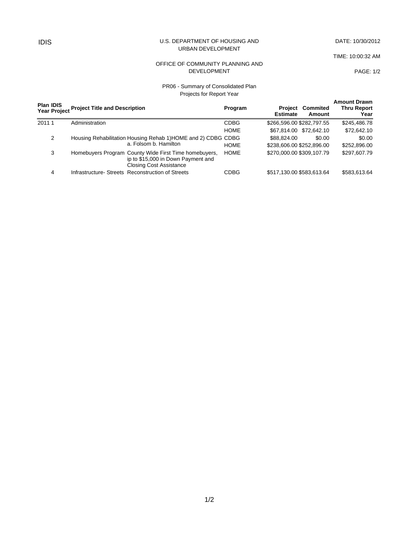#### IDIS U.S. DEPARTMENT OF HOUSING AND URBAN DEVELOPMENT

DATE: 10/30/2012

TIME: 10:00:32 AM

PAGE: 1/2

#### OFFICE OF COMMUNITY PLANNING AND DEVELOPMENT

### PR06 - Summary of Consolidated Plan Projects for Report Year

|       | <b>Plan IDIS</b> | Year Project Project Title and Description                    |                                                                                                                               | Program     | Project<br><b>Estimate</b> | Commited<br>Amount      | <b>Amount Drawn</b><br><b>Thru Report</b><br>Year |
|-------|------------------|---------------------------------------------------------------|-------------------------------------------------------------------------------------------------------------------------------|-------------|----------------------------|-------------------------|---------------------------------------------------|
| 20111 |                  | Administration                                                |                                                                                                                               | <b>CDBG</b> | \$266,596.00 \$282,797.55  |                         | \$245,486.78                                      |
|       |                  |                                                               |                                                                                                                               | <b>HOME</b> |                            | \$67,814.00 \$72,642.10 | \$72,642.10                                       |
| 2     |                  | Housing Rehabilitation Housing Rehab 1) HOME and 2) CDBG CDBG |                                                                                                                               |             | \$88.824.00                | \$0.00                  | \$0.00                                            |
|       |                  |                                                               | a. Folsom b. Hamilton                                                                                                         | <b>HOME</b> | \$238,606.00 \$252,896.00  |                         | \$252,896.00                                      |
|       | 3                |                                                               | Homebuyers Program County Wide First Time homebuyers,<br>ip to \$15,000 in Down Payment and<br><b>Closing Cost Assistance</b> | <b>HOME</b> | \$270,000,00 \$309,107.79  |                         | \$297.607.79                                      |
|       | 4                |                                                               | Infrastructure-Streets Reconstruction of Streets                                                                              | CDBG        | \$517,130.00 \$583,613.64  |                         | \$583,613.64                                      |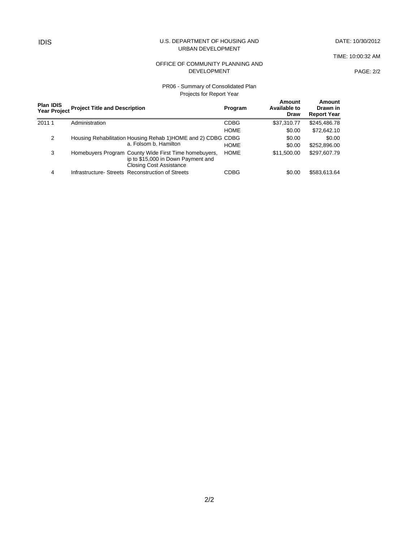#### IDIS U.S. DEPARTMENT OF HOUSING AND URBAN DEVELOPMENT

DATE: 10/30/2012

TIME: 10:00:32 AM

#### OFFICE OF COMMUNITY PLANNING AND DEVELOPMENT

PAGE: 2/2

#### PR06 - Summary of Consolidated Plan Projects for Report Year

| <b>Plan IDIS</b><br><b>Year Project</b> | <b>Project Title and Description</b> |                                                                                                                               | Program     | Amount<br><b>Available to</b><br><b>Draw</b> | Amount<br>Drawn in<br><b>Report Year</b> |  |
|-----------------------------------------|--------------------------------------|-------------------------------------------------------------------------------------------------------------------------------|-------------|----------------------------------------------|------------------------------------------|--|
| 20111                                   | Administration                       |                                                                                                                               | <b>CDBG</b> | \$37,310.77                                  | \$245,486.78                             |  |
|                                         |                                      |                                                                                                                               | <b>HOME</b> | \$0.00                                       | \$72,642.10                              |  |
| 2                                       |                                      | Housing Rehabilitation Housing Rehab 1) HOME and 2) CDBG CDBG                                                                 |             | \$0.00                                       | \$0.00                                   |  |
|                                         |                                      | a. Folsom b. Hamilton                                                                                                         | <b>HOME</b> | \$0.00                                       | \$252,896.00                             |  |
| 3                                       |                                      | Homebuyers Program County Wide First Time homebuyers,<br>ip to \$15,000 in Down Payment and<br><b>Closing Cost Assistance</b> | <b>HOME</b> | \$11,500.00                                  | \$297,607.79                             |  |
| 4                                       |                                      | Infrastructure-Streets Reconstruction of Streets                                                                              | CDBG        | \$0.00                                       | \$583,613.64                             |  |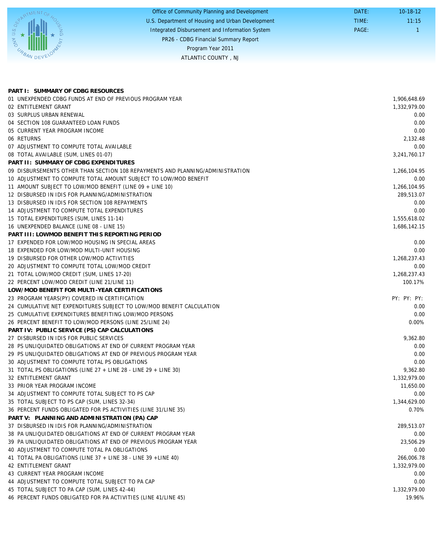|                 | Office of Community Planning and Development     | DATE: | $10-18-12$ |
|-----------------|--------------------------------------------------|-------|------------|
|                 | U.S. Department of Housing and Urban Development | TIME: | 11:15      |
| $\infty$        | Integrated Disbursement and Information System   | PAGE: |            |
|                 | PR26 - CDBG Financial Summary Report             |       |            |
| $\alpha$        | Program Year 2011                                |       |            |
| <b>BAN DEVE</b> | ATLANTIC COUNTY, NJ                              |       |            |

| PART I: SUMMARY OF CDBG RESOURCES                                              |              |
|--------------------------------------------------------------------------------|--------------|
| 01 UNEXPENDED CDBG FUNDS AT END OF PREVIOUS PROGRAM YEAR                       | 1,906,648.69 |
| 02 ENTITLEMENT GRANT                                                           | 1,332,979.00 |
| 03 SURPLUS URBAN RENEWAL                                                       | 0.00         |
| 04 SECTION 108 GUARANTEED LOAN FUNDS                                           | 0.00         |
| 05 CURRENT YEAR PROGRAM INCOME                                                 | 0.00         |
| 06 RETURNS                                                                     | 2,132.48     |
| 07 ADJUSTMENT TO COMPUTE TOTAL AVAILABLE                                       | 0.00         |
| 08 TOTAL AVAILABLE (SUM, LINES 01-07)                                          | 3,241,760.17 |
| PART II: SUMMARY OF CDBG EXPENDITURES                                          |              |
| 09 DISBURSEMENTS OTHER THAN SECTION 108 REPAYMENTS AND PLANNING/ADMINISTRATION | 1,266,104.95 |
| 10 ADJUSTMENT TO COMPUTE TOTAL AMOUNT SUBJECT TO LOW/MOD BENEFIT               | 0.00         |
| 11 AMOUNT SUBJECT TO LOW/MOD BENEFIT (LINE 09 + LINE 10)                       | 1,266,104.95 |
| 12 DISBURSED IN IDIS FOR PLANNING/ADMINISTRATION                               | 289,513.07   |
| 13 DISBURSED IN IDIS FOR SECTION 108 REPAYMENTS                                | 0.00         |
| 14 ADJUSTMENT TO COMPUTE TOTAL EXPENDITURES                                    | 0.00         |
| 15 TOTAL EXPENDITURES (SUM, LINES 11-14)                                       | 1,555,618.02 |
| 16 UNEXPENDED BALANCE (LINE 08 - LINE 15)                                      | 1,686,142.15 |
| PART III: LOWMOD BENEFIT THIS REPORTING PERIOD                                 |              |
| 17 EXPENDED FOR LOW/MOD HOUSING IN SPECIAL AREAS                               | 0.00         |
| 18 EXPENDED FOR LOW/MOD MULTI-UNIT HOUSING                                     | 0.00         |
| 19 DISBURSED FOR OTHER LOW/MOD ACTIVITIES                                      | 1,268,237.43 |
| 20 ADJUSTMENT TO COMPUTE TOTAL LOW/MOD CREDIT                                  | 0.00         |
| 21 TOTAL LOW/MOD CREDIT (SUM, LINES 17-20)                                     | 1,268,237.43 |
| 22 PERCENT LOW/MOD CREDIT (LINE 21/LINE 11)                                    | 100.17%      |
| LOW/MOD BENEFIT FOR MULTI-YEAR CERTIFICATIONS                                  |              |
| 23 PROGRAM YEARS(PY) COVERED IN CERTIFICATION                                  | PY: PY: PY:  |
| 24 CUMULATIVE NET EXPENDITURES SUBJECT TO LOW/MOD BENEFIT CALCULATION          | 0.00         |
| 25 CUMULATIVE EXPENDITURES BENEFITING LOW/MOD PERSONS                          | 0.00         |
| 26 PERCENT BENEFIT TO LOW/MOD PERSONS (LINE 25/LINE 24)                        | 0.00%        |
| PART IV: PUBLIC SERVICE (PS) CAP CALCULATIONS                                  |              |
| 27 DISBURSED IN IDIS FOR PUBLIC SERVICES                                       | 9,362.80     |
| 28 PS UNLIQUIDATED OBLIGATIONS AT END OF CURRENT PROGRAM YEAR                  | 0.00         |
| 29 PS UNLIQUIDATED OBLIGATIONS AT END OF PREVIOUS PROGRAM YEAR                 | 0.00         |
| 30 ADJUSTMENT TO COMPUTE TOTAL PS OBLIGATIONS                                  | 0.00         |
| 31 TOTAL PS OBLIGATIONS (LINE 27 + LINE 28 - LINE 29 + LINE 30)                | 9,362.80     |
| 32 ENTITLEMENT GRANT                                                           | 1,332,979.00 |
| 33 PRIOR YEAR PROGRAM INCOME                                                   | 11.650.00    |
| 34 ADJUSTMENT TO COMPUTE TOTAL SUBJECT TO PS CAP                               | 0.00         |
| 35 TOTAL SUBJECT TO PS CAP (SUM, LINES 32-34)                                  | 1,344,629.00 |
| 36 PERCENT FUNDS OBLIGATED FOR PS ACTIVITIES (LINE 31/LINE 35)                 | 0.70%        |
| PART V: PLANNING AND ADMINISTRATION (PA) CAP                                   |              |
| 37 DISBURSED IN IDIS FOR PLANNING/ADMINISTRATION                               | 289,513.07   |
| 38 PA UNLIQUIDATED OBLIGATIONS AT END OF CURRENT PROGRAM YEAR                  | 0.00         |
| 39 PA UNLIQUIDATED OBLIGATIONS AT END OF PREVIOUS PROGRAM YEAR                 | 23,506.29    |
| 40 ADJUSTMENT TO COMPUTE TOTAL PA OBLIGATIONS                                  | 0.00         |
| 41 TOTAL PA OBLIGATIONS (LINE 37 + LINE 38 - LINE 39 + LINE 40)                | 266,006.78   |
| 42 ENTITLEMENT GRANT                                                           | 1,332,979.00 |
| 43 CURRENT YEAR PROGRAM INCOME                                                 | 0.00         |
| 44 ADJUSTMENT TO COMPUTE TOTAL SUBJECT TO PA CAP                               | 0.00         |
| 45 TOTAL SUBJECT TO PA CAP (SUM, LINES 42-44)                                  | 1,332,979.00 |
| 46 PERCENT FUNDS OBLIGATED FOR PA ACTIVITIES (LINE 41/LINE 45)                 | 19.96%       |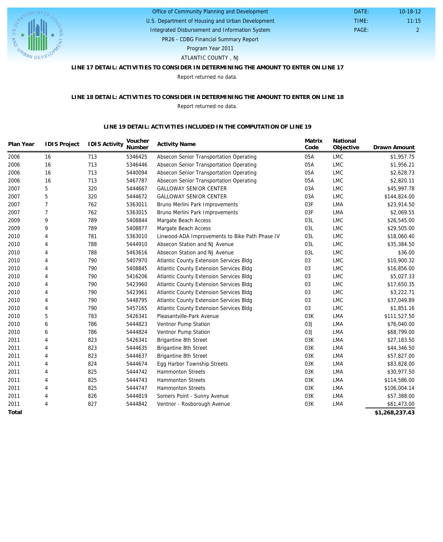

### U.S. Department of Housing and Urban Development Office of Community Planning and Development

Integrated Disbursement and Information System

 DATE: TIME:

PR26 - CDBG Financial Summary Report Program Year 2011

ATLANTIC COUNTY , NJ

### **LINE 17 DETAIL: ACTIVITIES TO CONSIDER IN DETERMINING THE AMOUNT TO ENTER ON LINE 17**

Report returned no data.

### **LINE 18 DETAIL: ACTIVITIES TO CONSIDER IN DETERMINING THE AMOUNT TO ENTER ON LINE 18** Report returned no data.

#### **LINE 19 DETAIL: ACTIVITIES INCLUDED IN THE COMPUTATION OF LINE 19**

| Plan Year | <b>IDIS Project</b> | <b>IDIS Activity</b> | Voucher<br>Number | <b>Activity Name</b>                           | Matrix<br>Code | National<br>Objective | Drawn Amount   |
|-----------|---------------------|----------------------|-------------------|------------------------------------------------|----------------|-----------------------|----------------|
| 2006      | 16                  | 713                  | 5346425           | Absecon Senior Transportation Operating        | 05A            | <b>LMC</b>            | \$1,957.75     |
| 2006      | 16                  | 713                  | 5346446           | Absecon Senior Transportation Operating        | 05A            | <b>LMC</b>            | \$1,956.21     |
| 2006      | 16                  | 713                  | 5440094           | Absecon Senior Transportation Operating        | 05A            | <b>LMC</b>            | \$2,628.73     |
| 2006      | 16                  | 713                  | 5467787           | Absecon Senior Transportation Operating        | 05A            | <b>LMC</b>            | \$2,820.11     |
| 2007      | 5                   | 320                  | 5444667           | <b>GALLOWAY SENIOR CENTER</b>                  | 03A            | <b>LMC</b>            | \$45,997.78    |
| 2007      | 5                   | 320                  | 5444672           | <b>GALLOWAY SENIOR CENTER</b>                  | 03A            | <b>LMC</b>            | \$144,824.00   |
| 2007      | $\overline{7}$      | 762                  | 5363011           | Bruno Merlini Park Improvements                | 03F            | LMA                   | \$23,914.50    |
| 2007      | $\overline{7}$      | 762                  | 5363015           | Bruno Merlini Park Improvements                | 03F            | <b>LMA</b>            | \$2,069.55     |
| 2009      | 9                   | 789                  | 5408844           | Margate Beach Access                           | 03L            | <b>LMC</b>            | \$26,545.00    |
| 2009      | 9                   | 789                  | 5408877           | Margate Beach Access                           | 03L            | <b>LMC</b>            | \$29,505.00    |
| 2010      | $\overline{4}$      | 781                  | 5363010           | Linwood-ADA Improvements to Bike Path Phase IV | 03L            | <b>LMC</b>            | \$18,060.40    |
| 2010      | 4                   | 788                  | 5444910           | Absecon Station and NJ Avenue                  | 03L            | LMC                   | \$35,384.50    |
| 2010      | $\overline{4}$      | 788                  | 5463616           | Absecon Station and NJ Avenue                  | 03L            | <b>LMC</b>            | \$36.00        |
| 2010      | $\overline{4}$      | 790                  | 5407970           | Atlantic County Extension Services Bldg        | 03             | <b>LMC</b>            | \$10,900.32    |
| 2010      | $\overline{4}$      | 790                  | 5408845           | Atlantic County Extension Services Bldg        | 03             | <b>LMC</b>            | \$16,856.00    |
| 2010      | $\overline{4}$      | 790                  | 5416206           | Atlantic County Extension Services Bldg        | 03             | <b>LMC</b>            | \$5,027.33     |
| 2010      | $\overline{4}$      | 790                  | 5423960           | Atlantic County Extension Services Bldg        | 03             | <b>LMC</b>            | \$17,650.35    |
| 2010      | $\overline{4}$      | 790                  | 5423961           | Atlantic County Extension Services Bldg        | 03             | <b>LMC</b>            | \$3,222.71     |
| 2010      | $\overline{4}$      | 790                  | 5448795           | Atlantic County Extension Services Bldg        | 03             | <b>LMC</b>            | \$37,049.89    |
| 2010      | $\overline{4}$      | 790                  | 5457165           | Atlantic County Extension Services Bldg        | 03             | <b>LMC</b>            | \$1,851.16     |
| 2010      | 5                   | 783                  | 5426341           | Pleasantville-Park Avenue                      | 03K            | <b>LMA</b>            | \$111,527.50   |
| 2010      | 6                   | 786                  | 5444823           | Ventnor Pump Station                           | 03J            | <b>LMA</b>            | \$76,040.00    |
| 2010      | 6                   | 786                  | 5444824           | Ventnor Pump Station                           | 03J            | <b>LMA</b>            | \$68,799.00    |
| 2011      | 4                   | 823                  | 5426341           | Brigantine 8th Street                          | 03K            | LMA                   | \$27,183.50    |
| 2011      | $\overline{4}$      | 823                  | 5444635           | <b>Brigantine 8th Street</b>                   | 03K            | LMA                   | \$44,346.50    |
| 2011      | $\overline{4}$      | 823                  | 5444637           | <b>Brigantine 8th Street</b>                   | 03K            | LMA                   | \$57,827.00    |
| 2011      | $\overline{4}$      | 824                  | 5444674           | Egg Harbor Township Streets                    | 03K            | <b>LMA</b>            | \$83,828.00    |
| 2011      | $\overline{4}$      | 825                  | 5444742           | <b>Hammonton Streets</b>                       | 03K            | <b>LMA</b>            | \$30,977.50    |
| 2011      | 4                   | 825                  | 5444743           | <b>Hammonton Streets</b>                       | 03K            | LMA                   | \$114,586.00   |
| 2011      | $\overline{4}$      | 825                  | 5444747           | <b>Hammonton Streets</b>                       | 03K            | <b>LMA</b>            | \$106,004.14   |
| 2011      | 4                   | 826                  | 5444819           | Somers Point - Sunny Avenue                    | 03K            | LMA                   | \$57,388.00    |
| 2011      | 4                   | 827                  | 5444842           | Ventnor - Rosborough Avenue                    | 03K            | <b>LMA</b>            | \$61,473.00    |
| Total     |                     |                      |                   |                                                |                |                       | \$1.268.237.43 |

**\$1,268,237.43**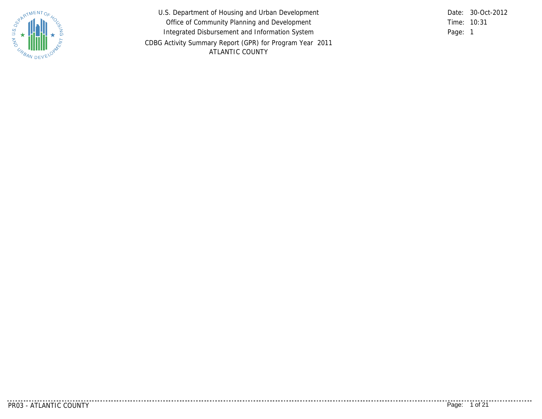

U.S. Department of Housing and Urban Development Office of Community Planning and Development Integrated Disbursement and Information System CDBG Activity Summary Report (GPR) for Program Year 2011 ATLANTIC COUNTY

Time: 10:31 Page: 1 Date: 30-Oct-2012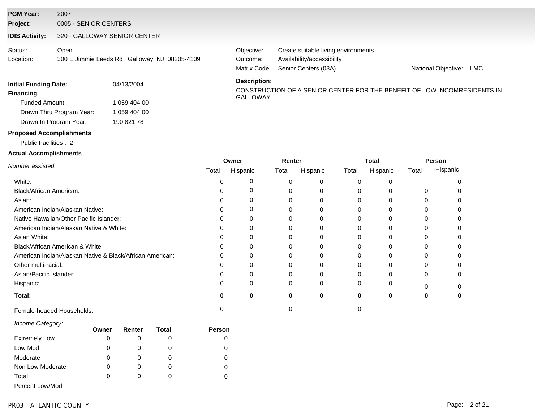### **PGM Year:** 2007

**Project:** 0005 - SENIOR CENTERS

### **IDIS Activity:** 320 - GALLOWAY SENIOR CENTER

| Status:   | Open                                          |  |
|-----------|-----------------------------------------------|--|
| Location: | 300 E Jimmie Leeds Rd Galloway, NJ 08205-4109 |  |

Matrix Code: Senior Centers (03A) Availability/accessibility Objective: Create suitable living environments Outcome:

National Objective: LMC

#### **Financing**<br>GALLOWAY Funded Amount: Drawn In Program Year: Drawn Thru Program Year: **Initial Funding Date:** 04/13/2004 1,059,404.00 1,059,404.00 190,821.78

#### **Description:**

CONSTRUCTION OF A SENIOR CENTER FOR THE BENEFIT OF LOW INCOMRESIDENTS IN

### **Proposed Accomplishments**

Public Facilities : 2

### **Actual Accomplishments**

|                                                          | Owner |          |       | Renter   |       | Total    |       | Person   |  |
|----------------------------------------------------------|-------|----------|-------|----------|-------|----------|-------|----------|--|
| Number assisted:                                         | Total | Hispanic | Total | Hispanic | Total | Hispanic | Total | Hispanic |  |
| White:                                                   |       |          | O     |          |       |          |       |          |  |
| Black/African American:                                  |       |          | 0     |          |       |          |       |          |  |
| Asian:                                                   |       |          | 0     |          |       |          | 0     |          |  |
| American Indian/Alaskan Native:                          |       |          | 0     |          |       |          |       |          |  |
| Native Hawaiian/Other Pacific Islander:                  |       |          |       |          |       |          |       |          |  |
| American Indian/Alaskan Native & White:                  |       |          |       |          |       |          |       |          |  |
| Asian White:                                             |       |          | 0     |          |       |          |       |          |  |
| Black/African American & White:                          |       |          |       |          |       |          |       |          |  |
| American Indian/Alaskan Native & Black/African American: |       |          | C     |          |       |          |       |          |  |
| Other multi-racial:                                      |       |          |       |          |       |          |       |          |  |
| Asian/Pacific Islander:                                  |       |          |       |          |       |          | 0     |          |  |
| Hispanic:                                                |       | 0        | 0     | $\Omega$ |       | O        |       |          |  |
| Total:                                                   | 0     | 0        | 0     | 0        | 0     | 0        |       |          |  |
| Female-headed Households:                                |       |          |       |          |       |          |       |          |  |

#### *Income Category:*

|                      | Owner | Renter | Total | <b>Person</b> |
|----------------------|-------|--------|-------|---------------|
| <b>Extremely Low</b> | 0     |        | O     |               |
| Low Mod              | 0     |        |       |               |
| Moderate             | 0     |        | O     |               |
| Non Low Moderate     | 0     |        | O     |               |
| Total                | 0     |        |       |               |
| Percent Low/Mod      |       |        |       |               |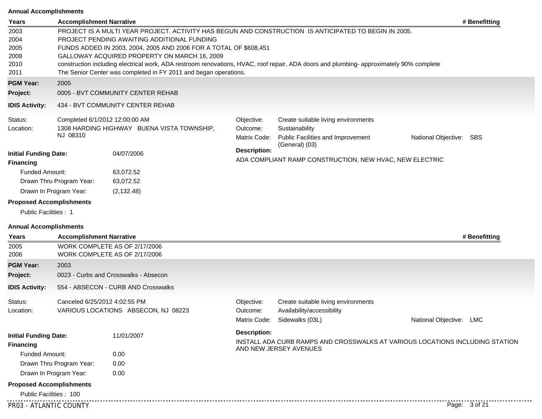### **Annual Accomplishments**

| Years                                                                                     | <b>Accomplishment Narrative</b>                        |                                                                                                                                                                                                                                      |                                                                           |                                                                                                                                                                                                                                                  |                         | # Benefitting |  |  |
|-------------------------------------------------------------------------------------------|--------------------------------------------------------|--------------------------------------------------------------------------------------------------------------------------------------------------------------------------------------------------------------------------------------|---------------------------------------------------------------------------|--------------------------------------------------------------------------------------------------------------------------------------------------------------------------------------------------------------------------------------------------|-------------------------|---------------|--|--|
| 2003<br>2004<br>2005<br>2008<br>2010<br>2011                                              |                                                        | PROJECT PENDING AWAITING ADDITIONAL FUNDING<br>FUNDS ADDED IN 2003, 2004, 2005 AND 2006 FOR A TOTAL OF \$608,451<br>GALLOWAY ACQUIRED PROPERTY ON MARCH 16, 2009<br>The Senior Center was completed in FY 2011 and began operations. |                                                                           | PROJECT IS A MULTI YEAR PROJECT. ACTIVITY HAS BEGUN AND CONSTRUCTION IS ANTICIPATED TO BEGIN IN 2005.<br>construction including electrical work, ADA restroom renovations, HVAC, roof repair, ADA doors and plumbing- approximately 90% complete |                         |               |  |  |
| <b>PGM Year:</b>                                                                          | 2005                                                   |                                                                                                                                                                                                                                      |                                                                           |                                                                                                                                                                                                                                                  |                         |               |  |  |
| <b>Project:</b>                                                                           |                                                        | 0005 - BVT COMMUNITY CENTER REHAB                                                                                                                                                                                                    |                                                                           |                                                                                                                                                                                                                                                  |                         |               |  |  |
| <b>IDIS Activity:</b>                                                                     |                                                        | 434 - BVT COMMUNITY CENTER REHAB                                                                                                                                                                                                     |                                                                           |                                                                                                                                                                                                                                                  |                         |               |  |  |
| Status:                                                                                   | Completed 6/1/2012 12:00:00 AM                         |                                                                                                                                                                                                                                      | Objective:                                                                | Create suitable living environments                                                                                                                                                                                                              |                         |               |  |  |
| Location:                                                                                 | 1308 HARDING HIGHWAY BUENA VISTA TOWNSHIP,<br>NJ 08310 |                                                                                                                                                                                                                                      | Outcome:<br>Matrix Code:                                                  | Sustainability<br>Public Facilities and Improvement                                                                                                                                                                                              | National Objective: SBS |               |  |  |
| <b>Initial Funding Date:</b><br>04/07/2006<br><b>Financing</b>                            |                                                        | <b>Description:</b>                                                                                                                                                                                                                  | (General) (03)<br>ADA COMPLIANT RAMP CONSTRUCTION, NEW HVAC, NEW ELECTRIC |                                                                                                                                                                                                                                                  |                         |               |  |  |
| <b>Funded Amount:</b>                                                                     |                                                        | 63,072.52                                                                                                                                                                                                                            |                                                                           |                                                                                                                                                                                                                                                  |                         |               |  |  |
|                                                                                           | Drawn Thru Program Year:<br>63,072.52                  |                                                                                                                                                                                                                                      |                                                                           |                                                                                                                                                                                                                                                  |                         |               |  |  |
|                                                                                           | Drawn In Program Year:                                 | (2, 132.48)                                                                                                                                                                                                                          |                                                                           |                                                                                                                                                                                                                                                  |                         |               |  |  |
| <b>Proposed Accomplishments</b><br>Public Facilities : 1<br><b>Annual Accomplishments</b> |                                                        |                                                                                                                                                                                                                                      |                                                                           |                                                                                                                                                                                                                                                  |                         |               |  |  |
| Years                                                                                     | <b>Accomplishment Narrative</b>                        |                                                                                                                                                                                                                                      |                                                                           |                                                                                                                                                                                                                                                  |                         | # Benefitting |  |  |
| 2005<br>2006                                                                              |                                                        | WORK COMPLETE AS OF 2/17/2006<br>WORK COMPLETE AS OF 2/17/2006                                                                                                                                                                       |                                                                           |                                                                                                                                                                                                                                                  |                         |               |  |  |
| <b>PGM Year:</b>                                                                          | 2003                                                   |                                                                                                                                                                                                                                      |                                                                           |                                                                                                                                                                                                                                                  |                         |               |  |  |
| Project:                                                                                  |                                                        | 0023 - Curbs and Crosswalks - Absecon                                                                                                                                                                                                |                                                                           |                                                                                                                                                                                                                                                  |                         |               |  |  |
| <b>IDIS Activity:</b>                                                                     |                                                        | 554 - ABSECON - CURB AND Crosswalks                                                                                                                                                                                                  |                                                                           |                                                                                                                                                                                                                                                  |                         |               |  |  |
| Status:<br>Location:                                                                      | Canceled 6/25/2012 4:02:55 PM                          | VARIOUS LOCATIONS ABSECON, NJ 08223                                                                                                                                                                                                  | Objective:<br>Outcome:<br>Matrix Code:                                    | Create suitable living environments<br>Availability/accessibility<br>Sidewalks (03L)                                                                                                                                                             | National Objective:     | LMC           |  |  |
| <b>Initial Funding Date:</b><br><b>Financing</b>                                          |                                                        | 11/01/2007                                                                                                                                                                                                                           | <b>Description:</b>                                                       | INSTALL ADA CURB RAMPS AND CROSSWALKS AT VARIOUS LOCATIONS INCLUDING STATION                                                                                                                                                                     |                         |               |  |  |
| <b>Funded Amount:</b>                                                                     |                                                        | 0.00                                                                                                                                                                                                                                 |                                                                           | AND NEW JERSEY AVENUES                                                                                                                                                                                                                           |                         |               |  |  |
|                                                                                           | Drawn Thru Program Year:                               | 0.00                                                                                                                                                                                                                                 |                                                                           |                                                                                                                                                                                                                                                  |                         |               |  |  |
|                                                                                           | Drawn In Program Year:                                 | 0.00                                                                                                                                                                                                                                 |                                                                           |                                                                                                                                                                                                                                                  |                         |               |  |  |
| <b>Proposed Accomplishments</b>                                                           |                                                        |                                                                                                                                                                                                                                      |                                                                           |                                                                                                                                                                                                                                                  |                         |               |  |  |
| Public Facilities: 100                                                                    |                                                        |                                                                                                                                                                                                                                      |                                                                           |                                                                                                                                                                                                                                                  |                         |               |  |  |
| PR03 - ATLANTIC COUNTY                                                                    |                                                        |                                                                                                                                                                                                                                      |                                                                           |                                                                                                                                                                                                                                                  |                         | Page: 3 of 21 |  |  |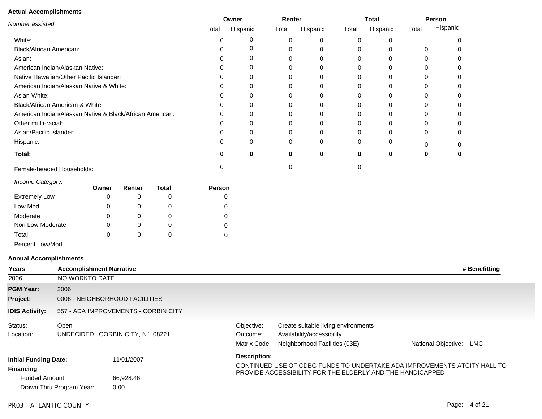#### **Actual Accomplishments**

| Number assisted:<br>White:<br>Black/African American:<br>Asian:<br>American Indian/Alaskan Native:<br>Native Hawaiian/Other Pacific Islander:<br>American Indian/Alaskan Native & White:<br>Asian White:<br>Black/African American & White:<br>American Indian/Alaskan Native & Black/African American:<br>Other multi-racial:<br>Asian/Pacific Islander:<br>Hispanic: |       | Owner  |              |        | Renter   |       | <b>Total</b> |       | Person   |   |   |
|------------------------------------------------------------------------------------------------------------------------------------------------------------------------------------------------------------------------------------------------------------------------------------------------------------------------------------------------------------------------|-------|--------|--------------|--------|----------|-------|--------------|-------|----------|---|---|
|                                                                                                                                                                                                                                                                                                                                                                        |       | Total  | Hispanic     | Total  | Hispanic | Total | Hispanic     | Total | Hispanic |   |   |
|                                                                                                                                                                                                                                                                                                                                                                        |       |        |              | 0      | 0        | 0     | 0            | 0     | 0        |   | 0 |
|                                                                                                                                                                                                                                                                                                                                                                        |       |        |              | O      | 0        | 0     | 0            | 0     | $\Omega$ | 0 | 0 |
|                                                                                                                                                                                                                                                                                                                                                                        |       |        |              |        |          | 0     | 0            | 0     | 0        | 0 |   |
|                                                                                                                                                                                                                                                                                                                                                                        |       |        |              |        |          | O     | 0            |       | 0        | O | 0 |
|                                                                                                                                                                                                                                                                                                                                                                        |       |        |              |        |          |       | 0            |       | 0        |   |   |
|                                                                                                                                                                                                                                                                                                                                                                        |       |        |              | 0      | 0        |       | 0            |       | 0        |   | 0 |
|                                                                                                                                                                                                                                                                                                                                                                        |       |        |              |        |          |       | 0            |       | $\Omega$ |   |   |
|                                                                                                                                                                                                                                                                                                                                                                        |       |        |              |        |          |       | 0            |       | 0        |   | ი |
|                                                                                                                                                                                                                                                                                                                                                                        |       |        |              |        |          |       |              |       | 0        |   |   |
|                                                                                                                                                                                                                                                                                                                                                                        |       |        |              |        |          |       |              |       | 0        |   | O |
|                                                                                                                                                                                                                                                                                                                                                                        |       |        |              | O      | 0        |       | 0            | 0     | 0        | O | 0 |
|                                                                                                                                                                                                                                                                                                                                                                        |       |        |              | 0      | 0        | 0     | 0            | 0     | 0        |   | 0 |
| Total:                                                                                                                                                                                                                                                                                                                                                                 |       |        |              | O      | 0        | 0     | 0            | 0     | 0        | 0 | 0 |
| Female-headed Households:                                                                                                                                                                                                                                                                                                                                              |       |        |              | 0      |          |       |              | 0     |          |   |   |
| Income Category:                                                                                                                                                                                                                                                                                                                                                       | Owner | Renter | <b>Total</b> | Person |          |       |              |       |          |   |   |
| <b>Extremely Low</b>                                                                                                                                                                                                                                                                                                                                                   |       | 0      |              |        |          |       |              |       |          |   |   |
| Low Mod                                                                                                                                                                                                                                                                                                                                                                | 0     | 0      | 0            |        |          |       |              |       |          |   |   |

 

Percent Low/Mod

Non Low Moderate

Moderate

Total

### **Annual Accomplishments**

 

 

 

| Years                                                                     | <b>Accomplishment Narrative</b> |                                      |                                        |                                                                                                    | # Benefitting                                                            |
|---------------------------------------------------------------------------|---------------------------------|--------------------------------------|----------------------------------------|----------------------------------------------------------------------------------------------------|--------------------------------------------------------------------------|
| 2006                                                                      | NO WORKTO DATE                  |                                      |                                        |                                                                                                    |                                                                          |
| <b>PGM Year:</b>                                                          | 2006                            |                                      |                                        |                                                                                                    |                                                                          |
| Project:                                                                  |                                 | 0006 - NEIGHBORHOOD FACILITIES       |                                        |                                                                                                    |                                                                          |
| <b>IDIS Activity:</b>                                                     |                                 | 557 - ADA IMPROVEMENTS - CORBIN CITY |                                        |                                                                                                    |                                                                          |
| Status:<br>Location:                                                      | Open                            | UNDECIDED CORBIN CITY, NJ 08221      | Objective:<br>Outcome:<br>Matrix Code: | Create suitable living environments<br>Availability/accessibility<br>Neighborhood Facilities (03E) | National Objective:<br>LMC                                               |
| <b>Initial Funding Date:</b><br><b>Financing</b><br><b>Funded Amount:</b> | Drawn Thru Program Year:        | 11/01/2007<br>66,928.46<br>0.00      | <b>Description:</b>                    | PROVIDE ACCESSIBILITY FOR THE ELDERLY AND THE HANDICAPPED                                          | CONTINUED USE OF CDBG FUNDS TO UNDERTAKE ADA IMPROVEMENTS ATCITY HALL TO |
|                                                                           |                                 |                                      |                                        |                                                                                                    |                                                                          |

PR03 - ATLANTIC COUNTY Page: 4 of 21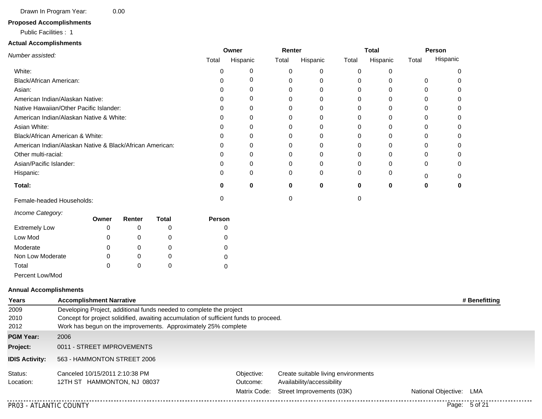Drawn In Program Year: 0.00

### **Proposed Accomplishments**

#### Public Facilities : 1

### **Actual Accomplishments**

|                                                          |       |        | Owner        |        | Renter   |          | <b>Total</b> |       | Person   |          |          |
|----------------------------------------------------------|-------|--------|--------------|--------|----------|----------|--------------|-------|----------|----------|----------|
| Number assisted:                                         |       |        |              | Total  | Hispanic | Total    | Hispanic     | Total | Hispanic | Total    | Hispanic |
| White:                                                   |       |        |              | 0      | 0        | 0        | 0            | 0     | 0        |          | 0        |
| Black/African American:                                  |       |        |              |        | 0        | 0        | 0            | 0     | 0        | 0        | U        |
| Asian:                                                   |       |        |              |        | 0        | 0        | 0            | 0     | 0        | 0        | 0        |
| American Indian/Alaskan Native:                          |       |        |              |        | 0        | 0        | 0            | 0     | 0        | 0        |          |
| Native Hawaiian/Other Pacific Islander:                  |       |        |              |        | 0        | 0        | 0            | 0     | 0        | 0        | 0        |
| American Indian/Alaskan Native & White:                  |       |        |              |        | 0        | 0        | 0            | 0     | 0        | 0        | 0        |
| Asian White:                                             |       |        |              |        | 0        | 0        | 0            | 0     | 0        | 0        | 0        |
| Black/African American & White:                          |       |        |              |        | 0        | 0        | 0            | 0     | 0        | 0        | 0        |
| American Indian/Alaskan Native & Black/African American: |       |        |              |        | 0        | 0        | 0            | 0     | 0        | 0        | 0        |
| Other multi-racial:                                      |       |        |              |        | 0        | 0        | 0            | 0     | O        | 0        |          |
| Asian/Pacific Islander:                                  |       |        |              |        | 0        | 0        | 0            | 0     | 0        | 0        | 0        |
| Hispanic:                                                |       |        |              |        | 0        | $\Omega$ | 0            | 0     | 0        | $\Omega$ | 0        |
| Total:                                                   |       |        |              | 0      | $\bf{0}$ | $\bf{0}$ | $\bf{0}$     | 0     | 0        | 0        | 0        |
| Female-headed Households:                                |       |        |              | 0      |          | 0        |              | 0     |          |          |          |
| Income Category:                                         | Owner | Renter | <b>Total</b> | Person |          |          |              |       |          |          |          |
| <b>Extremely Low</b>                                     | 0     | 0      | 0            | U      |          |          |              |       |          |          |          |
| Low Mod                                                  | 0     | 0      | 0            |        |          |          |              |       |          |          |          |
| Moderate                                                 | n     | 0      |              |        |          |          |              |       |          |          |          |
| Non Low Moderate                                         |       | 0      |              |        |          |          |              |       |          |          |          |
| Total                                                    |       | O      |              |        |          |          |              |       |          |          |          |

Percent Low/Mod

#### **Annual Accomplishments**

| Years                 | <b>Accomplishment Narrative</b>                                                       |                                                                |                                     |                     | # Benefitting |  |  |  |  |  |
|-----------------------|---------------------------------------------------------------------------------------|----------------------------------------------------------------|-------------------------------------|---------------------|---------------|--|--|--|--|--|
| 2009                  | Developing Project, additional funds needed to complete the project                   |                                                                |                                     |                     |               |  |  |  |  |  |
| 2010                  | Concept for project solidified, awaiting accumulation of sufficient funds to proceed. |                                                                |                                     |                     |               |  |  |  |  |  |
| 2012                  |                                                                                       | Work has begun on the improvements. Approximately 25% complete |                                     |                     |               |  |  |  |  |  |
| <b>PGM Year:</b>      | 2006                                                                                  |                                                                |                                     |                     |               |  |  |  |  |  |
| Project:              | 0011 - STREET IMPROVEMENTS                                                            |                                                                |                                     |                     |               |  |  |  |  |  |
| <b>IDIS Activity:</b> | 563 - HAMMONTON STREET 2006                                                           |                                                                |                                     |                     |               |  |  |  |  |  |
| Status:               | Canceled 10/15/2011 2:10:38 PM                                                        | Objective:                                                     | Create suitable living environments |                     |               |  |  |  |  |  |
| Location:             | 12TH ST HAMMONTON, NJ 08037                                                           | Outcome:                                                       | Availability/accessibility          |                     |               |  |  |  |  |  |
|                       |                                                                                       | Matrix Code:                                                   | Street Improvements (03K)           | National Objective: | LMA           |  |  |  |  |  |

. . . . . . . . . . . . .

<u>. . . . . . . . . . . . . . . . . . .</u>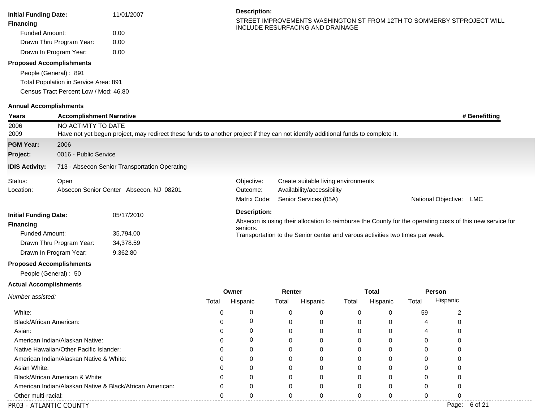| <b>Initial Funding Date:</b>          | 11/01/2007 | <b>Description:</b>                                                                                        |
|---------------------------------------|------------|------------------------------------------------------------------------------------------------------------|
| <b>Financing</b>                      |            | STREET IMPROVEMENTS WASHINGTON ST FROM 12TH TO SOMMERBY STPROJECT WILL<br>INCLUDE RESURFACING AND DRAINAGE |
| Funded Amount:                        | 0.00       |                                                                                                            |
| Drawn Thru Program Year:              | 0.00       |                                                                                                            |
| Drawn In Program Year:                | 0.00       |                                                                                                            |
| <b>Proposed Accomplishments</b>       |            |                                                                                                            |
| People (General): 891                 |            |                                                                                                            |
| Total Population in Service Area: 891 |            |                                                                                                            |
| Census Tract Percent Low / Mod: 46.80 |            |                                                                                                            |
| <b>Annual Accomplishments</b>         |            |                                                                                                            |

| Years                         | <b>Accomplishment Narrative</b>         |                                                                                                                                   |                                                                                           |                     |          |                                     |              |          |          |                                                                                                           | # Benefitting |
|-------------------------------|-----------------------------------------|-----------------------------------------------------------------------------------------------------------------------------------|-------------------------------------------------------------------------------------------|---------------------|----------|-------------------------------------|--------------|----------|----------|-----------------------------------------------------------------------------------------------------------|---------------|
| 2006                          |                                         | NO ACTIVITY TO DATE                                                                                                               |                                                                                           |                     |          |                                     |              |          |          |                                                                                                           |               |
| 2009                          |                                         | Have not yet begun project, may redirect these funds to another project if they can not identify additional funds to complete it. |                                                                                           |                     |          |                                     |              |          |          |                                                                                                           |               |
| <b>PGM Year:</b>              | 2006                                    |                                                                                                                                   |                                                                                           |                     |          |                                     |              |          |          |                                                                                                           |               |
| Project:                      | 0016 - Public Service                   |                                                                                                                                   |                                                                                           |                     |          |                                     |              |          |          |                                                                                                           |               |
| <b>IDIS Activity:</b>         |                                         | 713 - Absecon Senior Transportation Operating                                                                                     |                                                                                           |                     |          |                                     |              |          |          |                                                                                                           |               |
| Status:                       | Open                                    |                                                                                                                                   |                                                                                           | Objective:          |          | Create suitable living environments |              |          |          |                                                                                                           |               |
| Location:                     |                                         | Absecon Senior Center Absecon, NJ 08201                                                                                           |                                                                                           | Outcome:            |          | Availability/accessibility          |              |          |          |                                                                                                           |               |
|                               |                                         |                                                                                                                                   |                                                                                           | Matrix Code:        |          | Senior Services (05A)               |              |          |          | National Objective: LMC                                                                                   |               |
| <b>Initial Funding Date:</b>  |                                         | 05/17/2010                                                                                                                        |                                                                                           | <b>Description:</b> |          |                                     |              |          |          |                                                                                                           |               |
| <b>Financing</b>              |                                         |                                                                                                                                   |                                                                                           |                     |          |                                     |              |          |          | Absecon is using their allocation to reimburse the County for the operating costs of this new service for |               |
| <b>Funded Amount:</b>         |                                         | 35,794.00                                                                                                                         | seniors.<br>Transportation to the Senior center and varous activities two times per week. |                     |          |                                     |              |          |          |                                                                                                           |               |
|                               | Drawn Thru Program Year:                |                                                                                                                                   |                                                                                           |                     |          |                                     |              |          |          |                                                                                                           |               |
|                               | Drawn In Program Year:                  | 34,378.59<br>9,362.80                                                                                                             |                                                                                           |                     |          |                                     |              |          |          |                                                                                                           |               |
|                               | <b>Proposed Accomplishments</b>         |                                                                                                                                   |                                                                                           |                     |          |                                     |              |          |          |                                                                                                           |               |
|                               | People (General): 50                    |                                                                                                                                   |                                                                                           |                     |          |                                     |              |          |          |                                                                                                           |               |
| <b>Actual Accomplishments</b> |                                         |                                                                                                                                   |                                                                                           |                     |          |                                     |              |          |          |                                                                                                           |               |
| Number assisted:              |                                         |                                                                                                                                   |                                                                                           | Owner               | Renter   |                                     | <b>Total</b> |          | Person   |                                                                                                           |               |
|                               |                                         |                                                                                                                                   | Total                                                                                     | Hispanic            | Total    | Hispanic                            | Total        | Hispanic | Total    | Hispanic                                                                                                  |               |
| White:                        |                                         |                                                                                                                                   | $\mathbf 0$                                                                               | 0                   | 0        | 0                                   | 0            | 0        | 59       | $\overline{c}$                                                                                            |               |
| Black/African American:       |                                         |                                                                                                                                   | 0                                                                                         | 0                   | 0        | 0                                   | 0            | 0        | 4        | 0                                                                                                         |               |
| Asian:                        |                                         |                                                                                                                                   | $\Omega$                                                                                  | 0                   | $\Omega$ | 0                                   | $\Omega$     | 0        | 4        | $\Omega$                                                                                                  |               |
|                               | American Indian/Alaskan Native:         |                                                                                                                                   | 0                                                                                         | 0                   | 0        | 0                                   | 0            | 0        | 0        | 0                                                                                                         |               |
|                               | Native Hawaiian/Other Pacific Islander: |                                                                                                                                   | 0                                                                                         | 0                   | 0        | $\Omega$                            | 0            | 0        | 0        | 0                                                                                                         |               |
|                               | American Indian/Alaskan Native & White: |                                                                                                                                   | 0                                                                                         | 0                   | 0        | 0                                   | 0            | 0        | 0        | 0                                                                                                         |               |
| Asian White:                  |                                         |                                                                                                                                   | $\Omega$                                                                                  | $\Omega$            | $\Omega$ | $\Omega$                            | $\Omega$     | $\Omega$ | $\Omega$ | $\Omega$                                                                                                  |               |
|                               | Black/African American & White:         |                                                                                                                                   | $\Omega$                                                                                  | $\Omega$            | 0        | 0                                   | $\Omega$     | 0        | $\Omega$ | 0                                                                                                         |               |
|                               |                                         | American Indian/Alaskan Native & Black/African American:                                                                          | 0                                                                                         | 0                   | 0        | 0                                   | 0            | 0        | 0        | 0                                                                                                         |               |
| Other multi-racial:           |                                         |                                                                                                                                   | $\Omega$                                                                                  | $\Omega$            | $\Omega$ | $\Omega$                            | $\Omega$     | $\Omega$ | $\Omega$ | $\Omega$                                                                                                  |               |

PR03 - ATLANTIC COUNTY Page: 6 of 21

...........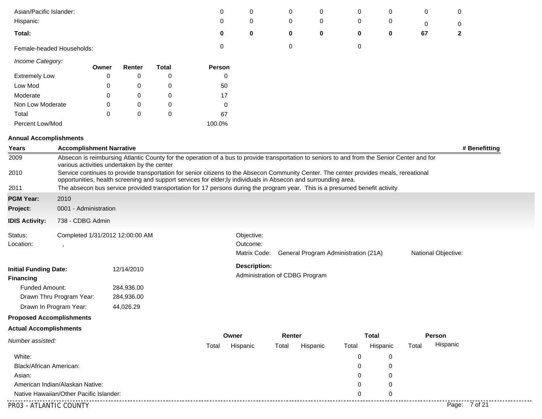| Asian/Pacific Islander:         |                                             |             |            |              | 0                                                                                                                                                                                                                                                          | 0                        | 0                              | 0        | 0                                    | 0           | 0                   | 0             |               |
|---------------------------------|---------------------------------------------|-------------|------------|--------------|------------------------------------------------------------------------------------------------------------------------------------------------------------------------------------------------------------------------------------------------------------|--------------------------|--------------------------------|----------|--------------------------------------|-------------|---------------------|---------------|---------------|
| Hispanic:                       |                                             |             |            |              | 0                                                                                                                                                                                                                                                          | 0                        | 0                              | 0        | 0                                    | 0           | 0                   | 0             |               |
| Total:                          |                                             |             |            |              | 0                                                                                                                                                                                                                                                          | 0                        | 0                              | 0        | 0                                    | $\mathbf 0$ | 67                  | $\mathbf{2}$  |               |
|                                 | Female-headed Households:                   |             |            |              | 0                                                                                                                                                                                                                                                          |                          | 0                              |          | 0                                    |             |                     |               |               |
| Income Category:                |                                             | Owner       | Renter     | <b>Total</b> | Person                                                                                                                                                                                                                                                     |                          |                                |          |                                      |             |                     |               |               |
| <b>Extremely Low</b>            |                                             | 0           | 0          | 0            | 0                                                                                                                                                                                                                                                          |                          |                                |          |                                      |             |                     |               |               |
| Low Mod                         |                                             | 0           | 0          | 0            | 50                                                                                                                                                                                                                                                         |                          |                                |          |                                      |             |                     |               |               |
| Moderate                        |                                             | 0           | 0          | $\mathbf 0$  | 17                                                                                                                                                                                                                                                         |                          |                                |          |                                      |             |                     |               |               |
| Non Low Moderate                |                                             | 0           | 0          | $\mathbf 0$  | 0                                                                                                                                                                                                                                                          |                          |                                |          |                                      |             |                     |               |               |
| Total                           |                                             | $\mathbf 0$ | 0          | $\mathbf 0$  | 67                                                                                                                                                                                                                                                         |                          |                                |          |                                      |             |                     |               |               |
| Percent Low/Mod                 |                                             |             |            |              | 100.0%                                                                                                                                                                                                                                                     |                          |                                |          |                                      |             |                     |               |               |
| <b>Annual Accomplishments</b>   |                                             |             |            |              |                                                                                                                                                                                                                                                            |                          |                                |          |                                      |             |                     |               |               |
| Years                           | <b>Accomplishment Narrative</b>             |             |            |              |                                                                                                                                                                                                                                                            |                          |                                |          |                                      |             |                     |               | # Benefitting |
| 2009                            | various activities undertaken by the center |             |            |              | Absecon is reimbursing Atlantic County for the operation of a bus to provide transportation to seniors to and from the Senior Center and for                                                                                                               |                          |                                |          |                                      |             |                     |               |               |
| 2010                            |                                             |             |            |              | Service continues to provide transportation for senior citizens to the Absecon Community Center. The center provides meals, rereational<br>opportunities, health screening and support services for elder; ly individuals in Absecon and surrounding area. |                          |                                |          |                                      |             |                     |               |               |
| 2011                            |                                             |             |            |              | The absecon bus service provided transportation for 17 persons during the program year. This is a presumed benefit activity                                                                                                                                |                          |                                |          |                                      |             |                     |               |               |
| <b>PGM Year:</b>                | 2010                                        |             |            |              |                                                                                                                                                                                                                                                            |                          |                                |          |                                      |             |                     |               |               |
| Project:                        | 0001 - Administration                       |             |            |              |                                                                                                                                                                                                                                                            |                          |                                |          |                                      |             |                     |               |               |
| <b>IDIS Activity:</b>           | 738 - CDBG Admin                            |             |            |              |                                                                                                                                                                                                                                                            |                          |                                |          |                                      |             |                     |               |               |
| Status:                         | Completed 1/31/2012 12:00:00 AM             |             |            |              |                                                                                                                                                                                                                                                            | Objective:               |                                |          |                                      |             |                     |               |               |
| Location:                       | $\,$                                        |             |            |              |                                                                                                                                                                                                                                                            | Outcome:<br>Matrix Code: |                                |          | General Program Administration (21A) |             | National Objective: |               |               |
|                                 |                                             |             |            |              |                                                                                                                                                                                                                                                            |                          |                                |          |                                      |             |                     |               |               |
| <b>Initial Funding Date:</b>    |                                             |             | 12/14/2010 |              |                                                                                                                                                                                                                                                            | <b>Description:</b>      |                                |          |                                      |             |                     |               |               |
| <b>Financing</b>                |                                             |             |            |              |                                                                                                                                                                                                                                                            |                          | Administration of CDBG Program |          |                                      |             |                     |               |               |
| Funded Amount:                  |                                             |             | 284,936.00 |              |                                                                                                                                                                                                                                                            |                          |                                |          |                                      |             |                     |               |               |
|                                 | Drawn Thru Program Year:                    |             | 284,936.00 |              |                                                                                                                                                                                                                                                            |                          |                                |          |                                      |             |                     |               |               |
|                                 | Drawn In Program Year:                      |             | 44,026.29  |              |                                                                                                                                                                                                                                                            |                          |                                |          |                                      |             |                     |               |               |
| <b>Proposed Accomplishments</b> |                                             |             |            |              |                                                                                                                                                                                                                                                            |                          |                                |          |                                      |             |                     |               |               |
| <b>Actual Accomplishments</b>   |                                             |             |            |              |                                                                                                                                                                                                                                                            |                          |                                |          |                                      |             |                     |               |               |
| Number assisted:                |                                             |             |            |              | Owner<br>Total                                                                                                                                                                                                                                             | Hispanic                 | Renter<br>Total                | Hispanic | <b>Total</b><br>Total                | Hispanic    | Person<br>Total     | Hispanic      |               |
| White:                          |                                             |             |            |              |                                                                                                                                                                                                                                                            |                          |                                |          | 0                                    | 0           |                     |               |               |
| Black/African American:         |                                             |             |            |              |                                                                                                                                                                                                                                                            |                          |                                |          | 0                                    | 0           |                     |               |               |
| Asian:                          |                                             |             |            |              |                                                                                                                                                                                                                                                            |                          |                                |          | 0                                    | 0           |                     |               |               |
|                                 | American Indian/Alaskan Native:             |             |            |              |                                                                                                                                                                                                                                                            |                          |                                |          | 0                                    | 0           |                     |               |               |
|                                 | Native Hawaiian/Other Pacific Islander:     |             |            |              |                                                                                                                                                                                                                                                            |                          |                                |          | 0                                    | 0           |                     |               |               |
|                                 |                                             |             |            |              |                                                                                                                                                                                                                                                            |                          |                                |          |                                      |             |                     |               |               |
| PR03 - ATLANTIC COUNTY          |                                             |             |            |              |                                                                                                                                                                                                                                                            |                          |                                |          |                                      |             |                     | Page: 7 of 21 |               |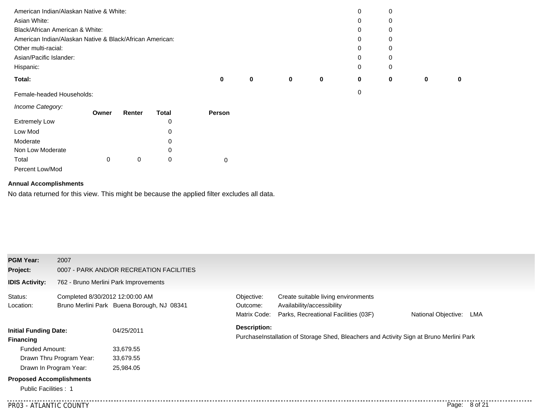| American Indian/Alaskan Native & White:                  |   |   |   |   | 0 |   |   |          |
|----------------------------------------------------------|---|---|---|---|---|---|---|----------|
| Asian White:                                             |   |   |   |   | 0 |   |   |          |
| Black/African American & White:                          |   |   |   |   | 0 | 0 |   |          |
| American Indian/Alaskan Native & Black/African American: |   |   |   |   | 0 | 0 |   |          |
| Other multi-racial:                                      |   |   |   |   | 0 |   |   |          |
| Asian/Pacific Islander:                                  |   |   |   |   | 0 | 0 |   |          |
| Hispanic:                                                |   |   |   |   | 0 | 0 |   |          |
| Total:                                                   | 0 | 0 | 0 | 0 | 0 | 0 | 0 | $\bf{0}$ |
| Female-headed Households:                                |   |   |   |   | 0 |   |   |          |

#### *Income Category:*

|                      | Owner | Renter | <b>Total</b> | <b>Person</b> |
|----------------------|-------|--------|--------------|---------------|
| <b>Extremely Low</b> |       |        | 0            |               |
| Low Mod              |       |        | 0            |               |
| Moderate             |       |        | 0            |               |
| Non Low Moderate     |       |        | 0            |               |
| Total                | 0     | 0      | 0            |               |
| Percent Low/Mod      |       |        |              |               |

#### **Annual Accomplishments**

No data returned for this view. This might be because the applied filter excludes all data.

| <b>PGM Year:</b>                                 | 2007                            |                                            |                                        |                                                                                                           |                            |  |
|--------------------------------------------------|---------------------------------|--------------------------------------------|----------------------------------------|-----------------------------------------------------------------------------------------------------------|----------------------------|--|
| Project:                                         |                                 | 0007 - PARK AND/OR RECREATION FACILITIES   |                                        |                                                                                                           |                            |  |
| <b>IDIS Activity:</b>                            |                                 | 762 - Bruno Merlini Park Improvements      |                                        |                                                                                                           |                            |  |
| Status:<br>Location:                             | Completed 8/30/2012 12:00:00 AM | Bruno Merlini Park Buena Borough, NJ 08341 | Objective:<br>Outcome:<br>Matrix Code: | Create suitable living environments<br>Availability/accessibility<br>Parks, Recreational Facilities (03F) | National Objective:<br>LMA |  |
| <b>Initial Funding Date:</b><br><b>Financing</b> |                                 | 04/25/2011                                 | Description:                           | PurchaseInstallation of Storage Shed, Bleachers and Activity Sign at Bruno Merlini Park                   |                            |  |
| <b>Funded Amount:</b>                            |                                 | 33,679.55                                  |                                        |                                                                                                           |                            |  |
|                                                  | Drawn Thru Program Year:        | 33,679.55                                  |                                        |                                                                                                           |                            |  |
|                                                  | Drawn In Program Year:          | 25,984.05                                  |                                        |                                                                                                           |                            |  |
| <b>Proposed Accomplishments</b>                  |                                 |                                            |                                        |                                                                                                           |                            |  |
| Public Facilities: 1                             |                                 |                                            |                                        |                                                                                                           |                            |  |
| PR03 - ATLANTIC COUNTY                           |                                 |                                            |                                        |                                                                                                           | Page: 8 of 21              |  |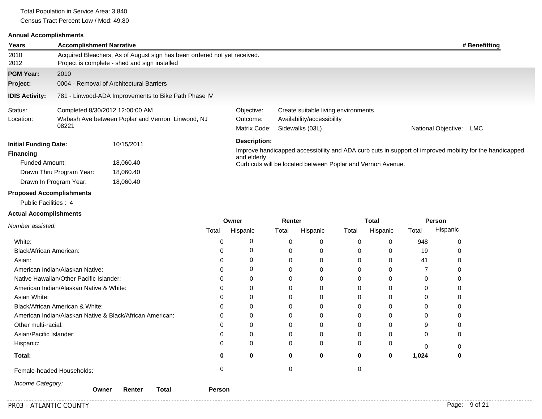Total Population in Service Area: 3,840 Census Tract Percent Low / Mod: 49.80

#### **Annual Accomplishments**

| Years                                                                                         | <b>Accomplishment Narrative</b>                      |                                                                                                                           |                                                                                                         |                                                                                      | # Benefitting              |  |  |  |
|-----------------------------------------------------------------------------------------------|------------------------------------------------------|---------------------------------------------------------------------------------------------------------------------------|---------------------------------------------------------------------------------------------------------|--------------------------------------------------------------------------------------|----------------------------|--|--|--|
| 2010<br>2012                                                                                  |                                                      | Acquired Bleachers, As of August sign has been ordered not yet received.<br>Project is complete - shed and sign installed |                                                                                                         |                                                                                      |                            |  |  |  |
| <b>PGM Year:</b>                                                                              | 2010                                                 |                                                                                                                           |                                                                                                         |                                                                                      |                            |  |  |  |
| Project:                                                                                      | 0004 - Removal of Architectural Barriers             |                                                                                                                           |                                                                                                         |                                                                                      |                            |  |  |  |
| <b>IDIS Activity:</b>                                                                         | 781 - Linwood-ADA Improvements to Bike Path Phase IV |                                                                                                                           |                                                                                                         |                                                                                      |                            |  |  |  |
| Status:<br>Location:                                                                          | 08221                                                | Completed 8/30/2012 12:00:00 AM<br>Wabash Ave between Poplar and Vernon Linwood, NJ                                       | Objective:<br>Outcome:<br>Matrix Code:                                                                  | Create suitable living environments<br>Availability/accessibility<br>Sidewalks (03L) | National Objective:<br>LMC |  |  |  |
| <b>Initial Funding Date:</b><br>10/15/2011<br><b>Financing</b><br>Funded Amount:<br>18,060.40 |                                                      | Description:<br>and elderly.<br>Curb cuts will be located between Poplar and Vernon Avenue.                               | Improve handicapped accessibility and ADA curb cuts in support of improved mobility for the handicapped |                                                                                      |                            |  |  |  |
|                                                                                               | Drawn Thru Program Year:                             | 18,060.40                                                                                                                 |                                                                                                         |                                                                                      |                            |  |  |  |
| Dranasad Assampliahments                                                                      | Drawn In Program Year:                               | 18,060.40                                                                                                                 |                                                                                                         |                                                                                      |                            |  |  |  |

#### **Proposed Accomplishments**

Public Facilities : 4

### **Actual Accomplishments**

|                                                          | Owner         |          | Renter   |          | Total |          | Person   |          |
|----------------------------------------------------------|---------------|----------|----------|----------|-------|----------|----------|----------|
| Number assisted:                                         | Total         | Hispanic | Total    | Hispanic | Total | Hispanic | Total    | Hispanic |
| White:                                                   | 0             |          | $\Omega$ | 0        | 0     | 0        | 948      | 0        |
| Black/African American:                                  | 0             |          | 0        | 0        | 0     | 0        | 19       |          |
| Asian:                                                   | 0             |          |          | 0        | 0     | $\Omega$ | 41       |          |
| American Indian/Alaskan Native:                          | 0             |          |          | 0        |       | 0        |          | 0        |
| Native Hawaiian/Other Pacific Islander:                  | 0             |          |          | 0        |       | 0        | 0        | 0        |
| American Indian/Alaskan Native & White:                  | 0             |          |          | 0        |       | 0        | 0        | 0        |
| Asian White:                                             |               |          |          | 0        |       | 0        | 0        | 0        |
| Black/African American & White:                          | 0             |          |          | 0        |       | 0        | 0        | 0        |
| American Indian/Alaskan Native & Black/African American: | 0             |          |          | 0        |       | 0        | 0        | 0        |
| Other multi-racial:                                      | ი             |          |          |          |       | 0        | 9        | 0        |
| Asian/Pacific Islander:                                  | 0             |          |          |          |       | 0        | 0        | 0        |
| Hispanic:                                                | 0             |          | $\Omega$ | 0        | 0     | 0        | $\Omega$ | 0        |
| Total:                                                   | o             | 0        | 0        | 0        | 0     | 0        | 1,024    | 0        |
| Female-headed Households:                                |               |          |          |          |       |          |          |          |
| Income Category:<br>Owner<br>Renter<br>Total             | <b>Person</b> |          |          |          |       |          |          |          |

. . . . . . . . . . . . .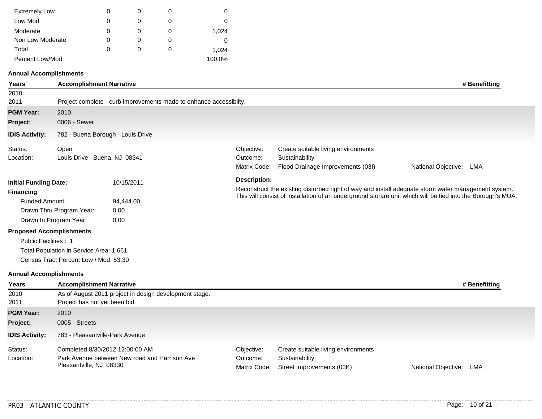| <b>Extremely Low</b> | 0 | O | 0      |
|----------------------|---|---|--------|
| Low Mod              | 0 | 0 | 0      |
| Moderate             | 0 | O | 1,024  |
| Non Low Moderate     | 0 | O | 0      |
| Total                | 0 | O | 1,024  |
| Percent Low/Mod      |   |   | 100.0% |

#### **Annual Accomplishments**

| <b>Years</b>                  | <b>Accomplishment Narrative</b>         |                                                                    |                                        |                                                                                            | # Benefitting                                                                                                                                                                                                      |
|-------------------------------|-----------------------------------------|--------------------------------------------------------------------|----------------------------------------|--------------------------------------------------------------------------------------------|--------------------------------------------------------------------------------------------------------------------------------------------------------------------------------------------------------------------|
| 2010                          |                                         |                                                                    |                                        |                                                                                            |                                                                                                                                                                                                                    |
| 2011                          |                                         | Project complete - curb improvements made to enhance accessiblity. |                                        |                                                                                            |                                                                                                                                                                                                                    |
| <b>PGM Year:</b>              | 2010                                    |                                                                    |                                        |                                                                                            |                                                                                                                                                                                                                    |
| Project:                      | 0006 - Sewer                            |                                                                    |                                        |                                                                                            |                                                                                                                                                                                                                    |
| <b>IDIS Activity:</b>         |                                         | 782 - Buena Borough - Louis Drive                                  |                                        |                                                                                            |                                                                                                                                                                                                                    |
| Status:<br>Location:          | Open<br>Louis Drive Buena, NJ 08341     |                                                                    | Objective:<br>Outcome:<br>Matrix Code: | Create suitable living environments<br>Sustainability<br>Flood Drainage Improvements (03I) | National Objective: LMA                                                                                                                                                                                            |
| <b>Initial Funding Date:</b>  |                                         | 10/15/2011                                                         | <b>Description:</b>                    |                                                                                            |                                                                                                                                                                                                                    |
| <b>Financing</b>              |                                         |                                                                    |                                        |                                                                                            | Reconstruct the existing disturbed right of way and install adequate storm water management system.<br>This will consist of installation of an underground storare unit which will be tied into the Borough's MUA. |
| Funded Amount:                |                                         | 94,444.00                                                          |                                        |                                                                                            |                                                                                                                                                                                                                    |
|                               | Drawn Thru Program Year:                | 0.00                                                               |                                        |                                                                                            |                                                                                                                                                                                                                    |
|                               | Drawn In Program Year:                  | 0.00                                                               |                                        |                                                                                            |                                                                                                                                                                                                                    |
|                               | <b>Proposed Accomplishments</b>         |                                                                    |                                        |                                                                                            |                                                                                                                                                                                                                    |
| Public Facilities: 1          |                                         |                                                                    |                                        |                                                                                            |                                                                                                                                                                                                                    |
|                               | Total Population in Service Area: 1,661 |                                                                    |                                        |                                                                                            |                                                                                                                                                                                                                    |
|                               | Census Tract Percent Low / Mod: 53.30   |                                                                    |                                        |                                                                                            |                                                                                                                                                                                                                    |
| <b>Annual Accomplishments</b> |                                         |                                                                    |                                        |                                                                                            |                                                                                                                                                                                                                    |
| Years                         | <b>Accomplishment Narrative</b>         |                                                                    |                                        |                                                                                            | # Benefitting                                                                                                                                                                                                      |
| 2010                          |                                         | As of August 2011 project in design development stage.             |                                        |                                                                                            |                                                                                                                                                                                                                    |
| 2011                          | Project has not yet been bid            |                                                                    |                                        |                                                                                            |                                                                                                                                                                                                                    |
| <b>PGM Year:</b>              | 2010                                    |                                                                    |                                        |                                                                                            |                                                                                                                                                                                                                    |

|                      | <b>IDIS Activity:</b> 783 - Pleasantville-Park Avenue                                                       |                        |                                                                                                 |                         |  |
|----------------------|-------------------------------------------------------------------------------------------------------------|------------------------|-------------------------------------------------------------------------------------------------|-------------------------|--|
| Status:<br>Location: | Completed 8/30/2012 12:00:00 AM<br>Park Avenue between New road and Harrison Ave<br>Pleasantville, NJ 08330 | Objective:<br>Outcome: | Create suitable living environments<br>Sustainability<br>Matrix Code: Street Improvements (03K) | National Objective: LMA |  |

**Project:** 0005 - Streets

...........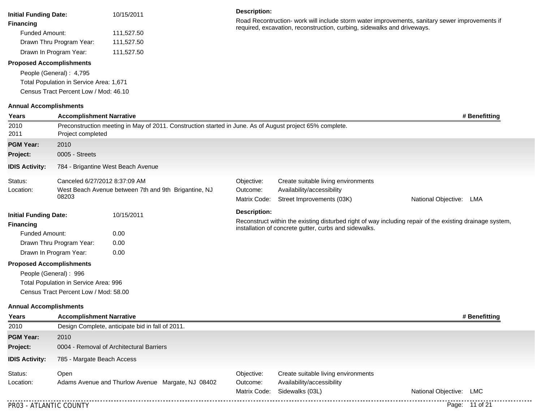| <b>Initial Funding Date:</b><br><b>Financing</b><br><b>Funded Amount:</b><br><b>Proposed Accomplishments</b> | Drawn Thru Program Year:<br>Drawn In Program Year:<br>People (General): 4,795<br>Total Population in Service Area: 1,671<br>Census Tract Percent Low / Mod: 46.10                 | 10/15/2011<br>111,527.50<br>111,527.50<br>111,527.50 |                                                      | <b>Description:</b>                    | Road Recontruction- work will include storm water improvements, sanitary sewer improvements if<br>required, excavation, reconstruction, curbing, sidewalks and driveways. |                         |  |  |  |  |
|--------------------------------------------------------------------------------------------------------------|-----------------------------------------------------------------------------------------------------------------------------------------------------------------------------------|------------------------------------------------------|------------------------------------------------------|----------------------------------------|---------------------------------------------------------------------------------------------------------------------------------------------------------------------------|-------------------------|--|--|--|--|
| <b>Annual Accomplishments</b>                                                                                |                                                                                                                                                                                   |                                                      |                                                      |                                        |                                                                                                                                                                           |                         |  |  |  |  |
| Years<br>2010<br>2011                                                                                        | <b>Accomplishment Narrative</b><br># Benefitting<br>Preconstruction meeting in May of 2011. Construction started in June. As of August project 65% complete.<br>Project completed |                                                      |                                                      |                                        |                                                                                                                                                                           |                         |  |  |  |  |
| <b>PGM Year:</b>                                                                                             | 2010                                                                                                                                                                              |                                                      |                                                      |                                        |                                                                                                                                                                           |                         |  |  |  |  |
| Project:                                                                                                     | 0005 - Streets                                                                                                                                                                    |                                                      |                                                      |                                        |                                                                                                                                                                           |                         |  |  |  |  |
| <b>IDIS Activity:</b>                                                                                        |                                                                                                                                                                                   | 784 - Brigantine West Beach Avenue                   |                                                      |                                        |                                                                                                                                                                           |                         |  |  |  |  |
| Status:<br>Location:                                                                                         | Canceled 6/27/2012 8:37:09 AM<br>08203                                                                                                                                            |                                                      | West Beach Avenue between 7th and 9th Brigantine, NJ | Objective:<br>Outcome:<br>Matrix Code: | Create suitable living environments<br>Availability/accessibility<br>Street Improvements (03K)                                                                            | National Objective: LMA |  |  |  |  |
| <b>Initial Funding Date:</b><br><b>Financing</b><br><b>Funded Amount:</b><br><b>Proposed Accomplishments</b> | Drawn Thru Program Year:<br>Drawn In Program Year:<br>People (General): 996<br>Total Population in Service Area: 996<br>Census Tract Percent Low / Mod: 58.00                     | 10/15/2011<br>0.00<br>0.00<br>0.00                   |                                                      | <b>Description:</b>                    | Reconstruct within the existing disturbed right of way including repair of the existing drainage system,<br>installation of concrete gutter, curbs and sidewalks.         |                         |  |  |  |  |
| <b>Annual Accomplishments</b>                                                                                |                                                                                                                                                                                   |                                                      |                                                      |                                        |                                                                                                                                                                           |                         |  |  |  |  |
| Years                                                                                                        | <b>Accomplishment Narrative</b>                                                                                                                                                   |                                                      |                                                      |                                        |                                                                                                                                                                           | # Benefitting           |  |  |  |  |
| 2010<br><b>PGM Year:</b>                                                                                     | 2010                                                                                                                                                                              | Design Complete, anticipate bid in fall of 2011.     |                                                      |                                        |                                                                                                                                                                           |                         |  |  |  |  |
| Project:                                                                                                     |                                                                                                                                                                                   | 0004 - Removal of Architectural Barriers             |                                                      |                                        |                                                                                                                                                                           |                         |  |  |  |  |
| <b>IDIS Activity:</b>                                                                                        | 785 - Margate Beach Access                                                                                                                                                        |                                                      |                                                      |                                        |                                                                                                                                                                           |                         |  |  |  |  |
| Status:<br>Location:                                                                                         | Open                                                                                                                                                                              |                                                      | Adams Avenue and Thurlow Avenue Margate, NJ 08402    | Objective:<br>Outcome:<br>Matrix Code: | Create suitable living environments<br>Availability/accessibility<br>Sidewalks (03L)                                                                                      | National Objective: LMC |  |  |  |  |
| PR03 - ATLANTIC COUNTY                                                                                       |                                                                                                                                                                                   |                                                      |                                                      |                                        |                                                                                                                                                                           | Page: 11 of 21          |  |  |  |  |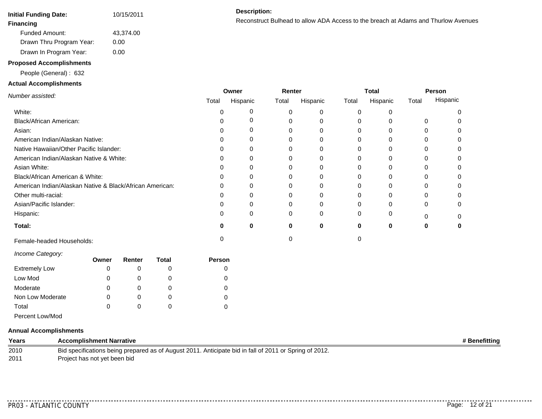| Initial Funding Date:    | 10/15/2011 |  |  |
|--------------------------|------------|--|--|
| Financing                |            |  |  |
| Funded Amount:           | 43,374.00  |  |  |
| Drawn Thru Program Year: | 0.00       |  |  |
| Drawn In Program Year:   | 0.00       |  |  |

#### **Proposed Accomplishments**

People (General) : 632

#### **Actual Accomplishments**

Reconstruct Bulhead to allow ADA Access to the breach at Adams and Thurlow Avenues **Financing**

| .                                                        | Owner |          | Renter   |          | <b>Total</b> |          | <b>Person</b> |          |
|----------------------------------------------------------|-------|----------|----------|----------|--------------|----------|---------------|----------|
| Number assisted:                                         | Total | Hispanic | Total    | Hispanic | Total        | Hispanic | Total         | Hispanic |
| White:                                                   |       |          | 0        |          |              |          |               |          |
| Black/African American:                                  |       |          | 0        |          |              |          | 0             |          |
| Asian:                                                   |       |          | 0        |          |              |          |               |          |
| American Indian/Alaskan Native:                          |       |          |          |          |              |          |               |          |
| Native Hawaiian/Other Pacific Islander:                  |       |          | 0        |          |              |          |               |          |
| American Indian/Alaskan Native & White:                  |       |          | 0        |          |              |          | $^{(1)}$      |          |
| Asian White:                                             |       |          |          |          |              |          |               |          |
| Black/African American & White:                          |       |          |          |          |              |          |               |          |
| American Indian/Alaskan Native & Black/African American: |       |          |          |          |              |          |               |          |
| Other multi-racial:                                      |       |          |          |          |              |          |               |          |
| Asian/Pacific Islander:                                  |       |          | 0        |          |              |          | 0             |          |
| Hispanic:                                                |       |          | $\Omega$ | $\Omega$ |              |          |               |          |
| Total:                                                   | 0     | 0        | 0        | 0        | 0            | 0        | O             |          |
| Female-headed Households:                                |       |          |          |          |              |          |               |          |

*Income Category:*

| Owner | Renter | Total | Person |
|-------|--------|-------|--------|
| 0     |        |       |        |
| 0     |        |       |        |
| 0     |        |       |        |
| 0     |        |       |        |
| 0     |        |       |        |
|       |        |       |        |

## Percent Low/Mod

#### **Annual Accomplishments**

**Years Accomplishment Narrative # Benefitting** Bid specifications being prepared as of August 2011. Anticipate bid in fall of 2011 or Spring of 2012. Project has not yet been bid

. . . . . . . . . . . . .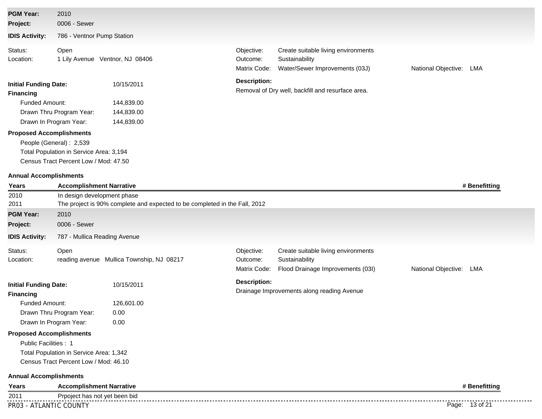| <b>PGM Year:</b>                                 | 2010                                                               |                                                                            |                                        |                                                                                            |                            |
|--------------------------------------------------|--------------------------------------------------------------------|----------------------------------------------------------------------------|----------------------------------------|--------------------------------------------------------------------------------------------|----------------------------|
| Project:                                         | 0006 - Sewer                                                       |                                                                            |                                        |                                                                                            |                            |
| <b>IDIS Activity:</b>                            | 786 - Ventnor Pump Station                                         |                                                                            |                                        |                                                                                            |                            |
| Status:                                          | Open                                                               |                                                                            | Objective:                             | Create suitable living environments                                                        |                            |
| Location:                                        |                                                                    | 1 Lily Avenue Ventnor, NJ 08406                                            | Outcome:<br>Matrix Code:               | Sustainability<br>Water/Sewer Improvements (03J)                                           | National Objective:<br>LMA |
| <b>Initial Funding Date:</b><br><b>Financing</b> |                                                                    | 10/15/2011                                                                 | <b>Description:</b>                    | Removal of Dry well, backfill and resurface area.                                          |                            |
| <b>Funded Amount:</b>                            |                                                                    | 144,839.00                                                                 |                                        |                                                                                            |                            |
|                                                  | Drawn Thru Program Year:                                           | 144,839.00                                                                 |                                        |                                                                                            |                            |
|                                                  | Drawn In Program Year:                                             | 144,839.00                                                                 |                                        |                                                                                            |                            |
| <b>Proposed Accomplishments</b>                  | People (General): 2,539<br>Total Population in Service Area: 3,194 |                                                                            |                                        |                                                                                            |                            |
|                                                  | Census Tract Percent Low / Mod: 47.50                              |                                                                            |                                        |                                                                                            |                            |
| <b>Annual Accomplishments</b>                    |                                                                    |                                                                            |                                        |                                                                                            |                            |
| Years                                            | <b>Accomplishment Narrative</b>                                    |                                                                            |                                        |                                                                                            | # Benefitting              |
| 2010<br>2011                                     | In design development phase                                        | The project is 90% complete and expected to be completed in the Fall, 2012 |                                        |                                                                                            |                            |
| <b>PGM Year:</b>                                 | 2010                                                               |                                                                            |                                        |                                                                                            |                            |
| Project:                                         | 0006 - Sewer                                                       |                                                                            |                                        |                                                                                            |                            |
| <b>IDIS Activity:</b>                            | 787 - Mullica Reading Avenue                                       |                                                                            |                                        |                                                                                            |                            |
| Status:<br>Location:                             | Open                                                               | reading avenue Mullica Township, NJ 08217                                  | Objective:<br>Outcome:<br>Matrix Code: | Create suitable living environments<br>Sustainability<br>Flood Drainage Improvements (03I) | National Objective:<br>LMA |
| <b>Initial Funding Date:</b><br><b>Financing</b> |                                                                    | 10/15/2011                                                                 | <b>Description:</b>                    | Drainage Improvements along reading Avenue                                                 |                            |
| Funded Amount:                                   |                                                                    | 126,601.00                                                                 |                                        |                                                                                            |                            |
|                                                  | Drawn Thru Program Year:                                           | 0.00                                                                       |                                        |                                                                                            |                            |
|                                                  | Drawn In Program Year:                                             | 0.00                                                                       |                                        |                                                                                            |                            |
| <b>Proposed Accomplishments</b>                  |                                                                    |                                                                            |                                        |                                                                                            |                            |
| Public Facilities: 1                             |                                                                    |                                                                            |                                        |                                                                                            |                            |
|                                                  | Total Population in Service Area: 1,342                            |                                                                            |                                        |                                                                                            |                            |
|                                                  | Census Tract Percent Low / Mod: 46.10                              |                                                                            |                                        |                                                                                            |                            |
| <b>Annual Accomplishments</b>                    |                                                                    |                                                                            |                                        |                                                                                            |                            |
| Years                                            | <b>Accomplishment Narrative</b>                                    |                                                                            |                                        |                                                                                            | # Benefitting              |
| 2011                                             | Prpoject has not yet been bid                                      |                                                                            |                                        |                                                                                            |                            |
| PR03 - ATLANTIC COUNTY                           |                                                                    |                                                                            |                                        |                                                                                            | Page: 13 of 21             |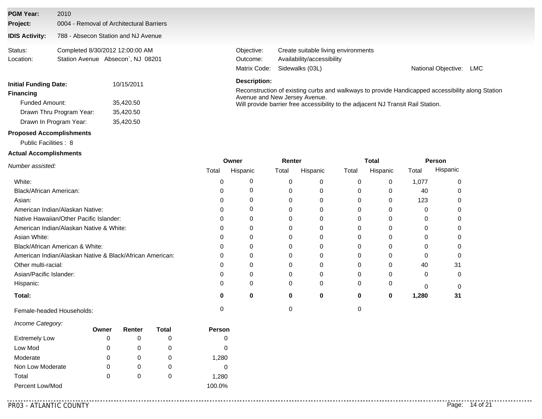## **IDIS Activity:** 788 - Absecon Station and NJ Avenue **Project:** 0004 - Removal of Architectural Barriers **PGM Year:** 2010

| Status:   | Completed 8/30/2012 12:00:00 AM   |
|-----------|-----------------------------------|
| Location: | Station Avenue Absecon', NJ 08201 |

| <b>Initial Funding Date:</b> | 10/15/2011 |  |  |  |
|------------------------------|------------|--|--|--|
| Financing                    |            |  |  |  |
| <b>Funded Amount:</b>        | 35.420.50  |  |  |  |
| Drawn Thru Program Year:     | 35.420.50  |  |  |  |
| Drawn In Program Year:       | 35,420.50  |  |  |  |

#### **Proposed Accomplishments**

#### Public Facilities : 8

#### **Actual Accomplishments**

| Objective: | Create suitable living environments |                     |     |
|------------|-------------------------------------|---------------------|-----|
| Outcome:   | Availability/accessibility          |                     |     |
|            | Matrix Code: Sidewalks (03L)        | National Objective: | LMC |

#### **Description:**

Reconstruction of existing curbs and walkways to provide Handicapped accessibility along Station Avenue and New Jersey Avenue. Will provide barrier free accessibility to the adjacent NJ Transit Rail Station.

|                                                          | Owner |          | Renter |          | Total |          | Person |          |
|----------------------------------------------------------|-------|----------|--------|----------|-------|----------|--------|----------|
| Number assisted:                                         | Total | Hispanic | Total  | Hispanic | Total | Hispanic | Total  | Hispanic |
| White:                                                   |       |          |        |          |       | 0        | 1,077  | 0        |
| Black/African American:                                  |       |          |        |          |       |          | 40     |          |
| Asian:                                                   |       |          | 0      |          |       | 0        | 123    |          |
| American Indian/Alaskan Native:                          |       |          | 0      |          |       |          |        |          |
| Native Hawaiian/Other Pacific Islander:                  |       |          |        |          |       |          |        | O        |
| American Indian/Alaskan Native & White:                  |       |          |        |          |       |          |        |          |
| Asian White:                                             |       |          | 0      |          |       |          |        |          |
| Black/African American & White:                          |       |          | 0      |          |       |          |        |          |
| American Indian/Alaskan Native & Black/African American: |       |          |        |          |       |          |        |          |
| Other multi-racial:                                      |       |          |        |          |       |          | 40     | 31       |
| Asian/Pacific Islander:                                  |       |          |        |          |       |          |        | $\Omega$ |
| Hispanic:                                                |       | 0        | 0      | $\Omega$ |       | 0        |        |          |
| Total:                                                   | 0     | 0        | 0      | 0        | 0     | 0        | 1,280  | 31       |
| Female-headed Households:                                |       |          |        |          |       |          |        |          |

#### *Income Category:*

|                      | Owner | Renter   | Total | <b>Person</b> |
|----------------------|-------|----------|-------|---------------|
| <b>Extremely Low</b> | 0     |          | 0     |               |
| Low Mod              | 0     |          | 0     | 0             |
| Moderate             | 0     | O        | 0     | 1,280         |
| Non Low Moderate     | 0     | O        | 0     |               |
| Total                | 0     | $\Omega$ | O     | 1,280         |
| Percent Low/Mod      |       |          |       | 100.0%        |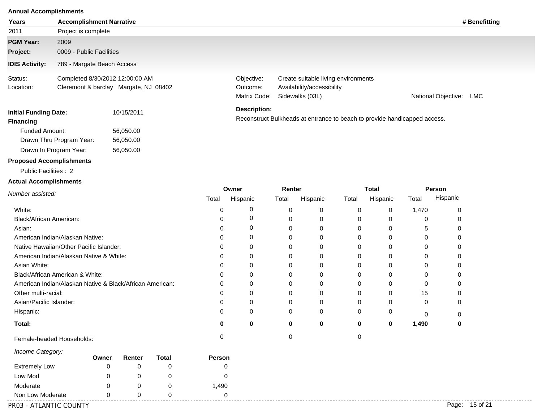#### **Annual Accomplishments**

| Years                                            | <b>Accomplishment Narrative</b>         |                                                                          |          |                                        |          |                                                                                      |              |             |             |                         | # Benefitting |
|--------------------------------------------------|-----------------------------------------|--------------------------------------------------------------------------|----------|----------------------------------------|----------|--------------------------------------------------------------------------------------|--------------|-------------|-------------|-------------------------|---------------|
| 2011                                             | Project is complete                     |                                                                          |          |                                        |          |                                                                                      |              |             |             |                         |               |
| <b>PGM Year:</b>                                 | 2009                                    |                                                                          |          |                                        |          |                                                                                      |              |             |             |                         |               |
| Project:                                         | 0009 - Public Facilities                |                                                                          |          |                                        |          |                                                                                      |              |             |             |                         |               |
| <b>IDIS Activity:</b>                            | 789 - Margate Beach Access              |                                                                          |          |                                        |          |                                                                                      |              |             |             |                         |               |
| Status:<br>Location:                             |                                         | Completed 8/30/2012 12:00:00 AM<br>Cleremont & barclay Margate, NJ 08402 |          | Objective:<br>Outcome:<br>Matrix Code: |          | Create suitable living environments<br>Availability/accessibility<br>Sidewalks (03L) |              |             |             | National Objective: LMC |               |
| <b>Initial Funding Date:</b><br><b>Financing</b> |                                         | 10/15/2011                                                               |          | <b>Description:</b>                    |          | Reconstruct Bulkheads at entrance to beach to provide handicapped access.            |              |             |             |                         |               |
| <b>Funded Amount:</b>                            |                                         | 56,050.00                                                                |          |                                        |          |                                                                                      |              |             |             |                         |               |
|                                                  | Drawn Thru Program Year:                | 56,050.00                                                                |          |                                        |          |                                                                                      |              |             |             |                         |               |
|                                                  | Drawn In Program Year:                  | 56,050.00                                                                |          |                                        |          |                                                                                      |              |             |             |                         |               |
|                                                  | <b>Proposed Accomplishments</b>         |                                                                          |          |                                        |          |                                                                                      |              |             |             |                         |               |
| Public Facilities : 2                            |                                         |                                                                          |          |                                        |          |                                                                                      |              |             |             |                         |               |
| <b>Actual Accomplishments</b>                    |                                         |                                                                          |          |                                        |          |                                                                                      |              |             |             |                         |               |
| Number assisted:                                 |                                         |                                                                          | Owner    | Renter                                 |          |                                                                                      | <b>Total</b> |             | Person      |                         |               |
|                                                  |                                         |                                                                          | Total    | Hispanic                               | Total    | Hispanic                                                                             | Total        | Hispanic    | Total       | Hispanic                |               |
| White:                                           |                                         |                                                                          | $\,0\,$  | 0                                      | 0        | 0                                                                                    | 0            | 0           | 1,470       | $\pmb{0}$               |               |
| Black/African American:                          |                                         |                                                                          | $\Omega$ | 0                                      | 0        | 0                                                                                    | 0            | $\mathbf 0$ | 0           | 0                       |               |
| Asian:                                           |                                         |                                                                          | $\Omega$ | 0                                      | 0        | 0                                                                                    | 0            | $\mathbf 0$ | 5           | 0                       |               |
|                                                  | American Indian/Alaskan Native:         |                                                                          | 0        | 0                                      | $\Omega$ | 0                                                                                    | 0            | 0           | 0           | 0                       |               |
|                                                  | Native Hawaiian/Other Pacific Islander: |                                                                          | 0        | 0                                      | $\Omega$ | $\Omega$                                                                             | 0            | $\Omega$    | 0           | 0                       |               |
|                                                  | American Indian/Alaskan Native & White: |                                                                          | 0        | 0                                      | 0        | 0                                                                                    | 0            | $\mathbf 0$ | 0           | 0                       |               |
| Asian White:                                     |                                         |                                                                          | 0        | 0                                      | 0        | 0                                                                                    | 0            | 0           | 0           | 0                       |               |
|                                                  | Black/African American & White:         |                                                                          | 0        | 0                                      | 0        | 0                                                                                    | 0            | 0           | 0           | 0                       |               |
|                                                  |                                         | American Indian/Alaskan Native & Black/African American:                 | 0        | 0                                      | 0        | 0                                                                                    | 0            | 0           | 0           | 0                       |               |
| Other multi-racial:                              |                                         |                                                                          | 0        | 0                                      | 0        | 0                                                                                    | 0            | 0           | 15          | 0                       |               |
| Asian/Pacific Islander:                          |                                         |                                                                          | 0        | 0                                      | 0        | 0                                                                                    | 0            | 0           | 0           | 0                       |               |
| Hispanic:                                        |                                         |                                                                          | 0        | 0                                      | 0        | 0                                                                                    | 0            | 0           | $\mathbf 0$ | $\,0\,$                 |               |
| Total:                                           |                                         |                                                                          | 0        | $\bf{0}$                               | 0        | 0                                                                                    | 0            | 0           | 1,490       | $\mathbf 0$             |               |
|                                                  | Female-headed Households:               |                                                                          | 0        |                                        | 0        |                                                                                      | 0            |             |             |                         |               |
| Income Category:                                 | Owner                                   | Renter<br>Total                                                          | Person   |                                        |          |                                                                                      |              |             |             |                         |               |

|                        | Owner | Renter | Гоtal | <b>Person</b> |                   |
|------------------------|-------|--------|-------|---------------|-------------------|
| <b>Extremely Low</b>   |       |        |       |               |                   |
| Low Mod                |       |        |       |               |                   |
| Moderate               |       |        |       | 490,          |                   |
| Non Low Moderate       |       |        |       |               |                   |
| PR03 - ATLANTIC COUNTY |       |        |       |               | 15 of 21<br>Page: |

. . . . . . . . . . . . .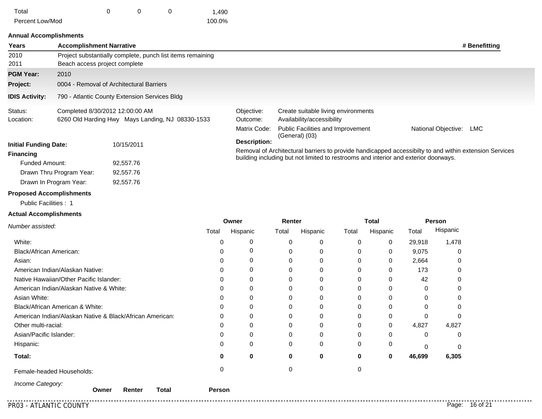| Total           |  | 1,490  |
|-----------------|--|--------|
| Percent Low/Mod |  | 100.0% |

92,557.76 92,557.76

#### **Annual Accomplishments**

| Years                        | <b>Accomplishment Narrative</b> |                                                            |                                                                                                                                                                                               |                                                            |                     | # Benefitting |
|------------------------------|---------------------------------|------------------------------------------------------------|-----------------------------------------------------------------------------------------------------------------------------------------------------------------------------------------------|------------------------------------------------------------|---------------------|---------------|
| 2010                         |                                 | Project substantially complete, punch list items remaining |                                                                                                                                                                                               |                                                            |                     |               |
| 2011                         | Beach access project complete   |                                                            |                                                                                                                                                                                               |                                                            |                     |               |
| <b>PGM Year:</b>             | 2010                            |                                                            |                                                                                                                                                                                               |                                                            |                     |               |
| Project:                     |                                 | 0004 - Removal of Architectural Barriers                   |                                                                                                                                                                                               |                                                            |                     |               |
| <b>IDIS Activity:</b>        |                                 | 790 - Atlantic County Extension Services Bldg              |                                                                                                                                                                                               |                                                            |                     |               |
| Status:                      | Completed 8/30/2012 12:00:00 AM |                                                            | Objective:                                                                                                                                                                                    | Create suitable living environments                        |                     |               |
| Location:                    |                                 | 6260 Old Harding Hwy Mays Landing, NJ 08330-1533           | Outcome:                                                                                                                                                                                      | Availability/accessibility                                 |                     |               |
|                              |                                 |                                                            | Matrix Code:                                                                                                                                                                                  | <b>Public Facilities and Improvement</b><br>(General) (03) | National Objective: | LMC           |
| <b>Initial Funding Date:</b> |                                 | 10/15/2011                                                 | <b>Description:</b>                                                                                                                                                                           |                                                            |                     |               |
| Financing                    |                                 |                                                            | Removal of Architectural barriers to provide handicapped accessibilty to and within extension Services<br>building including but not limited to restrooms and interior and exterior doorways. |                                                            |                     |               |
| Funded Amount:               |                                 | 92,557.76                                                  |                                                                                                                                                                                               |                                                            |                     |               |
|                              | Drawn Thru Program Year:        | 92,557.76                                                  |                                                                                                                                                                                               |                                                            |                     |               |

#### **Proposed Accomplishments**

Drawn In Program Year:

Public Facilities : 1

#### **Actual Accomplishments**

|                                                          | Owner |          | Renter   |          | Total |          | Person       |          |
|----------------------------------------------------------|-------|----------|----------|----------|-------|----------|--------------|----------|
| Number assisted:                                         | Total | Hispanic | Total    | Hispanic | Total | Hispanic | Total        | Hispanic |
| White:                                                   | U     |          | $\Omega$ | 0        | 0     | 0        | 29,918       | 1,478    |
| Black/African American:                                  | U     |          |          | 0        | 0     | 0        | 9,075        | 0        |
| Asian:                                                   |       |          |          | 0        | 0     | 0        | 2,664        | 0        |
| American Indian/Alaskan Native:                          | 0     |          |          |          |       | 0        | 173          | 0        |
| Native Hawaiian/Other Pacific Islander:                  | 0     |          |          |          |       | 0        | 42           | 0        |
| American Indian/Alaskan Native & White:                  | 0     |          |          |          |       | 0        | 0            | 0        |
| Asian White:                                             | U     |          |          | 0        | 0     | 0        | 0            | 0        |
| Black/African American & White:                          | 0     |          |          | $\Omega$ | O     | 0        | <sup>0</sup> | 0        |
| American Indian/Alaskan Native & Black/African American: | U     |          |          |          |       | 0        | ∩            | 0        |
| Other multi-racial:                                      | n     |          |          |          | 0     | 0        | 4,827        | 4,827    |
| Asian/Pacific Islander:                                  | U     |          |          |          |       | 0        | 0            | 0        |
| Hispanic:                                                | 0     | 0        | 0        | 0        | 0     | 0        | $\Omega$     | 0        |
| Total:                                                   | o     | 0        | 0        | 0        | 0     | 0        | 46,699       | 6,305    |
| Female-headed Households:                                |       |          |          |          | 0     |          |              |          |
| Income Category:                                         |       |          |          |          |       |          |              |          |

.............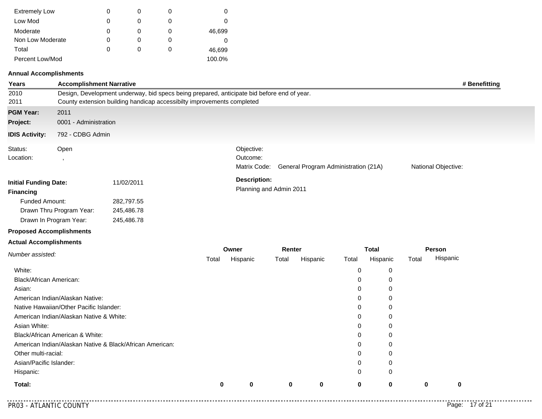| <b>Extremely Low</b> | 0 |   | 0      |
|----------------------|---|---|--------|
| Low Mod              | 0 |   | 0      |
| Moderate             | O |   | 46,699 |
| Non Low Moderate     | O | O | 0      |
| Total                | O | O | 46,699 |
| Percent Low/Mod      |   |   | 100.0% |

#### **Annual Accomplishments**

| Years                                            | <b>Accomplishment Narrative</b>         |                                                                                                                                                                      |                                                                                |          |             |          |          |              |                     |             | # Benefitting |
|--------------------------------------------------|-----------------------------------------|----------------------------------------------------------------------------------------------------------------------------------------------------------------------|--------------------------------------------------------------------------------|----------|-------------|----------|----------|--------------|---------------------|-------------|---------------|
| 2010<br>2011                                     |                                         | Design, Development underway, bid specs being prepared, anticipate bid before end of year.<br>County extension building handicap accessibilty improvements completed |                                                                                |          |             |          |          |              |                     |             |               |
| <b>PGM Year:</b>                                 | 2011                                    |                                                                                                                                                                      |                                                                                |          |             |          |          |              |                     |             |               |
| Project:                                         | 0001 - Administration                   |                                                                                                                                                                      |                                                                                |          |             |          |          |              |                     |             |               |
| <b>IDIS Activity:</b>                            | 792 - CDBG Admin                        |                                                                                                                                                                      |                                                                                |          |             |          |          |              |                     |             |               |
| Status:<br>Location:                             | Open<br>$\cdot$                         |                                                                                                                                                                      | Objective:<br>Outcome:<br>Matrix Code:<br>General Program Administration (21A) |          |             |          |          |              | National Objective: |             |               |
| <b>Initial Funding Date:</b><br><b>Financing</b> |                                         | 11/02/2011                                                                                                                                                           | <b>Description:</b><br>Planning and Admin 2011                                 |          |             |          |          |              |                     |             |               |
| Funded Amount:                                   |                                         | 282,797.55                                                                                                                                                           |                                                                                |          |             |          |          |              |                     |             |               |
|                                                  | Drawn Thru Program Year:                | 245,486.78                                                                                                                                                           |                                                                                |          |             |          |          |              |                     |             |               |
|                                                  | Drawn In Program Year:                  | 245,486.78                                                                                                                                                           |                                                                                |          |             |          |          |              |                     |             |               |
| <b>Proposed Accomplishments</b>                  |                                         |                                                                                                                                                                      |                                                                                |          |             |          |          |              |                     |             |               |
| <b>Actual Accomplishments</b>                    |                                         |                                                                                                                                                                      |                                                                                |          |             |          |          |              |                     |             |               |
| Number assisted:                                 |                                         |                                                                                                                                                                      |                                                                                | Owner    | Renter      |          |          | <b>Total</b> |                     | Person      |               |
|                                                  |                                         |                                                                                                                                                                      | Total                                                                          | Hispanic | Total       | Hispanic | Total    | Hispanic     | Total               | Hispanic    |               |
| White:                                           |                                         |                                                                                                                                                                      |                                                                                |          |             |          | 0        | 0            |                     |             |               |
| Black/African American:                          |                                         |                                                                                                                                                                      |                                                                                |          |             |          | 0        | $\mathbf 0$  |                     |             |               |
| Asian:                                           |                                         |                                                                                                                                                                      |                                                                                |          |             |          | 0        | 0            |                     |             |               |
|                                                  | American Indian/Alaskan Native:         |                                                                                                                                                                      |                                                                                |          |             |          | 0        | 0            |                     |             |               |
|                                                  | Native Hawaiian/Other Pacific Islander: |                                                                                                                                                                      |                                                                                |          |             |          | 0        | 0            |                     |             |               |
|                                                  | American Indian/Alaskan Native & White: |                                                                                                                                                                      |                                                                                |          |             |          | 0        | 0            |                     |             |               |
| Asian White:                                     |                                         |                                                                                                                                                                      |                                                                                |          |             |          | $\Omega$ | 0            |                     |             |               |
|                                                  | Black/African American & White:         |                                                                                                                                                                      |                                                                                |          |             |          | 0        | 0            |                     |             |               |
|                                                  |                                         | American Indian/Alaskan Native & Black/African American:                                                                                                             |                                                                                |          |             |          | 0        | 0            |                     |             |               |
| Other multi-racial:                              |                                         |                                                                                                                                                                      |                                                                                |          |             |          | 0        | 0            |                     |             |               |
| Asian/Pacific Islander:                          |                                         |                                                                                                                                                                      |                                                                                |          |             |          | 0        | 0            |                     |             |               |
| Hispanic:                                        |                                         |                                                                                                                                                                      |                                                                                |          |             |          | 0        | 0            |                     |             |               |
| Total:                                           |                                         |                                                                                                                                                                      | $\bf{0}$                                                                       | 0        | $\mathbf 0$ | 0        | 0        | 0            | $\mathbf 0$         | $\mathbf 0$ |               |

. . . . . . . . . . .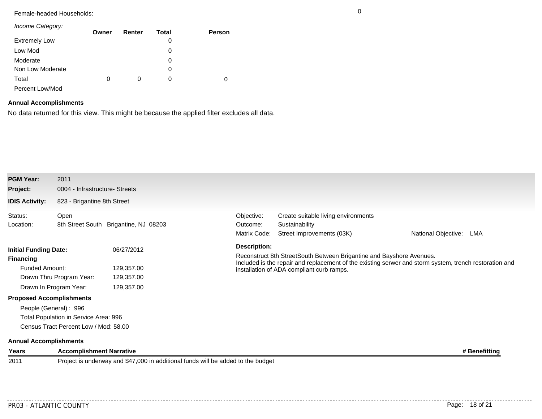## Female-headed Households: 0

| Income Category:     |       |        |       |        |
|----------------------|-------|--------|-------|--------|
|                      | Owner | Renter | Total | Person |
| <b>Extremely Low</b> |       |        | 0     |        |
| Low Mod              |       |        | 0     |        |
| Moderate             |       |        | 0     |        |
| Non Low Moderate     |       |        | 0     |        |
| Total                | 0     | 0      | 0     | 0      |
| Percent Low/Mod      |       |        |       |        |

## **Annual Accomplishments**

No data returned for this view. This might be because the applied filter excludes all data.

| <b>PGM Year:</b>                                                                 | 2011                                          |                                                                                  |                                                                                                                                                                                                                             |                                                       |                            |  |  |  |
|----------------------------------------------------------------------------------|-----------------------------------------------|----------------------------------------------------------------------------------|-----------------------------------------------------------------------------------------------------------------------------------------------------------------------------------------------------------------------------|-------------------------------------------------------|----------------------------|--|--|--|
| Project:                                                                         | 0004 - Infrastructure- Streets                |                                                                                  |                                                                                                                                                                                                                             |                                                       |                            |  |  |  |
| <b>IDIS Activity:</b>                                                            | 823 - Brigantine 8th Street                   |                                                                                  |                                                                                                                                                                                                                             |                                                       |                            |  |  |  |
| Status:<br>Location:                                                             | Open<br>8th Street South Brigantine, NJ 08203 |                                                                                  | Objective:<br>Outcome:<br>Matrix Code:                                                                                                                                                                                      | Create suitable living environments<br>Sustainability |                            |  |  |  |
|                                                                                  |                                               |                                                                                  |                                                                                                                                                                                                                             | Street Improvements (03K)                             | National Objective:<br>LMA |  |  |  |
|                                                                                  |                                               | 06/27/2012                                                                       | <b>Description:</b>                                                                                                                                                                                                         |                                                       |                            |  |  |  |
| <b>Initial Funding Date:</b><br><b>Financing</b><br>Funded Amount:<br>129,357.00 |                                               |                                                                                  | Reconstruct 8th StreetSouth Between Brigantine and Bayshore Avenues.<br>Included is the repair and replacement of the existing serwer and storm system, trench restoration and<br>installation of ADA compliant curb ramps. |                                                       |                            |  |  |  |
|                                                                                  |                                               |                                                                                  |                                                                                                                                                                                                                             |                                                       |                            |  |  |  |
|                                                                                  | Drawn Thru Program Year:                      | 129,357.00                                                                       |                                                                                                                                                                                                                             |                                                       |                            |  |  |  |
|                                                                                  | Drawn In Program Year:                        | 129,357.00                                                                       |                                                                                                                                                                                                                             |                                                       |                            |  |  |  |
|                                                                                  | <b>Proposed Accomplishments</b>               |                                                                                  |                                                                                                                                                                                                                             |                                                       |                            |  |  |  |
|                                                                                  | People (General): 996                         |                                                                                  |                                                                                                                                                                                                                             |                                                       |                            |  |  |  |
|                                                                                  | Total Population in Service Area: 996         |                                                                                  |                                                                                                                                                                                                                             |                                                       |                            |  |  |  |
|                                                                                  | Census Tract Percent Low / Mod: 58.00         |                                                                                  |                                                                                                                                                                                                                             |                                                       |                            |  |  |  |
| <b>Annual Accomplishments</b>                                                    |                                               |                                                                                  |                                                                                                                                                                                                                             |                                                       |                            |  |  |  |
| Years                                                                            | <b>Accomplishment Narrative</b>               |                                                                                  |                                                                                                                                                                                                                             |                                                       | # Benefitting              |  |  |  |
| 2011                                                                             |                                               | Project is underway and \$47,000 in additional funds will be added to the budget |                                                                                                                                                                                                                             |                                                       |                            |  |  |  |

. . . . . . . . . . . . . .

. . . . . . . . . . .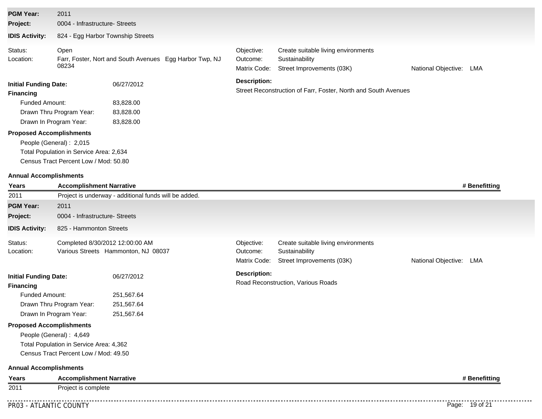| <b>PGM Year:</b>                                                                                             | 2011                                                                                                                                                              |                                                         |                                        |                                                                                    |                            |
|--------------------------------------------------------------------------------------------------------------|-------------------------------------------------------------------------------------------------------------------------------------------------------------------|---------------------------------------------------------|----------------------------------------|------------------------------------------------------------------------------------|----------------------------|
| Project:                                                                                                     | 0004 - Infrastructure- Streets                                                                                                                                    |                                                         |                                        |                                                                                    |                            |
| <b>IDIS Activity:</b>                                                                                        | 824 - Egg Harbor Township Streets                                                                                                                                 |                                                         |                                        |                                                                                    |                            |
| Status:<br>Location:                                                                                         | Open<br>08234                                                                                                                                                     | Farr, Foster, Nort and South Avenues Egg Harbor Twp, NJ | Objective:<br>Outcome:<br>Matrix Code: | Create suitable living environments<br>Sustainability<br>Street Improvements (03K) | National Objective:<br>LMA |
| <b>Initial Funding Date:</b><br><b>Financing</b><br><b>Funded Amount:</b><br><b>Proposed Accomplishments</b> | Drawn Thru Program Year:<br>Drawn In Program Year:<br>People (General): 2,015<br>Total Population in Service Area: 2,634<br>Census Tract Percent Low / Mod: 50.80 | 06/27/2012<br>83,828.00<br>83,828.00<br>83,828.00       | <b>Description:</b>                    | Street Reconstruction of Farr, Foster, North and South Avenues                     |                            |
| <b>Annual Accomplishments</b><br>Years                                                                       | <b>Accomplishment Narrative</b>                                                                                                                                   |                                                         |                                        |                                                                                    | # Benefitting              |
| 2011                                                                                                         |                                                                                                                                                                   | Project is underway - additional funds will be added.   |                                        |                                                                                    |                            |
| <b>PGM Year:</b>                                                                                             | 2011                                                                                                                                                              |                                                         |                                        |                                                                                    |                            |
| Project:                                                                                                     | 0004 - Infrastructure- Streets                                                                                                                                    |                                                         |                                        |                                                                                    |                            |
| <b>IDIS Activity:</b>                                                                                        | 825 - Hammonton Streets                                                                                                                                           |                                                         |                                        |                                                                                    |                            |
| Status:<br>Location:                                                                                         | Completed 8/30/2012 12:00:00 AM                                                                                                                                   | Various Streets Hammonton, NJ 08037                     | Objective:<br>Outcome:<br>Matrix Code: | Create suitable living environments<br>Sustainability<br>Street Improvements (03K) | National Objective: LMA    |
| <b>Initial Funding Date:</b><br><b>Financing</b><br>Funded Amount:<br><b>Proposed Accomplishments</b>        | Drawn Thru Program Year:<br>Drawn In Program Year:<br>People (General): 4,649<br>Total Population in Service Area: 4,362<br>Census Tract Percent Low / Mod: 49.50 | 06/27/2012<br>251,567.64<br>251,567.64<br>251,567.64    | <b>Description:</b>                    | Road Reconstruction, Various Roads                                                 |                            |
| <b>Annual Accomplishments</b>                                                                                |                                                                                                                                                                   |                                                         |                                        |                                                                                    |                            |
| Years                                                                                                        | <b>Accomplishment Narrative</b>                                                                                                                                   |                                                         |                                        |                                                                                    | # Benefitting              |
| 2011                                                                                                         | Project is complete                                                                                                                                               |                                                         |                                        |                                                                                    |                            |

...........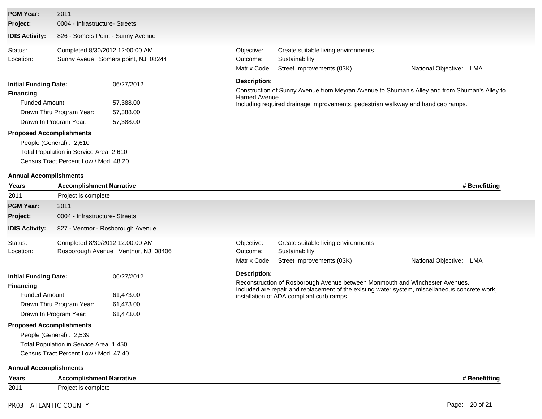| <b>PGM Year:</b>                                                            | 2011                                                                  |            |                                                                                                    |                                                                                    |                                                                                              |  |  |  |
|-----------------------------------------------------------------------------|-----------------------------------------------------------------------|------------|----------------------------------------------------------------------------------------------------|------------------------------------------------------------------------------------|----------------------------------------------------------------------------------------------|--|--|--|
| Project:                                                                    | 0004 - Infrastructure- Streets                                        |            |                                                                                                    |                                                                                    |                                                                                              |  |  |  |
| <b>IDIS Activity:</b>                                                       | 826 - Somers Point - Sunny Avenue                                     |            |                                                                                                    |                                                                                    |                                                                                              |  |  |  |
| Status:<br>Location:                                                        | Completed 8/30/2012 12:00:00 AM<br>Sunny Aveue Somers point, NJ 08244 |            | Objective:<br>Outcome:<br>Matrix Code:                                                             | Create suitable living environments<br>Sustainability<br>Street Improvements (03K) | National Objective:<br>LMA                                                                   |  |  |  |
| <b>Initial Funding Date:</b>                                                |                                                                       | 06/27/2012 | <b>Description:</b>                                                                                |                                                                                    |                                                                                              |  |  |  |
| <b>Financing</b>                                                            |                                                                       |            |                                                                                                    |                                                                                    | Construction of Sunny Avenue from Meyran Avenue to Shuman's Alley and from Shuman's Alley to |  |  |  |
| <b>Funded Amount:</b><br>57,388.00<br>Drawn Thru Program Year:<br>57,388.00 |                                                                       |            | Harned Avenue.<br>Including required drainage improvements, pedestrian walkway and handicap ramps. |                                                                                    |                                                                                              |  |  |  |
|                                                                             |                                                                       |            |                                                                                                    |                                                                                    |                                                                                              |  |  |  |
|                                                                             | Drawn In Program Year:                                                | 57,388.00  |                                                                                                    |                                                                                    |                                                                                              |  |  |  |
| <b>Proposed Accomplishments</b>                                             |                                                                       |            |                                                                                                    |                                                                                    |                                                                                              |  |  |  |
|                                                                             | People (General): 2,610                                               |            |                                                                                                    |                                                                                    |                                                                                              |  |  |  |
|                                                                             | Total Population in Service Area: 2,610                               |            |                                                                                                    |                                                                                    |                                                                                              |  |  |  |
|                                                                             | Census Tract Percent Low / Mod: 48.20                                 |            |                                                                                                    |                                                                                    |                                                                                              |  |  |  |
| <b>Annual Accomplishments</b>                                               |                                                                       |            |                                                                                                    |                                                                                    |                                                                                              |  |  |  |
| Years                                                                       | <b>Accomplishment Narrative</b>                                       |            |                                                                                                    |                                                                                    | # Benefitting                                                                                |  |  |  |
| 2011                                                                        | Project is complete                                                   |            |                                                                                                    |                                                                                    |                                                                                              |  |  |  |
| <b>PGM Year:</b>                                                            | 2011                                                                  |            |                                                                                                    |                                                                                    |                                                                                              |  |  |  |
| Project:                                                                    | 0004 - Infrastructure- Streets                                        |            |                                                                                                    |                                                                                    |                                                                                              |  |  |  |
| <b>IDIS Activity:</b>                                                       | 827 - Ventnor - Rosborough Avenue                                     |            |                                                                                                    |                                                                                    |                                                                                              |  |  |  |

| <b>Initial Funding Date:</b> |                                 | 06/27/2012                          | Description: |                                        |                     |     |
|------------------------------|---------------------------------|-------------------------------------|--------------|----------------------------------------|---------------------|-----|
|                              |                                 |                                     |              | Matrix Code: Street Improvements (03K) | National Objective: | LMA |
| Location:                    |                                 | Rosborough Avenue Ventnor, NJ 08406 | Outcome:     | Sustainability                         |                     |     |
| Status:                      | Completed 8/30/2012 12:00:00 AM |                                     | Obiective:   | Create suitable living environments    |                     |     |

Reconstruction of Rosborough Avenue between Monmouth and Winchester Avenues.

Included are repair and replacement of the existing water system, miscellaneous concrete work,

| <b>Financing</b>         |           |
|--------------------------|-----------|
| Funded Amount:           | 61,473.00 |
| Drawn Thru Program Year: | 61,473.00 |
| Drawn In Program Year:   | 61,473.00 |

## **Proposed Accomplishments**

People (General) : 2,539 Total Population in Service Area: 1,450 Census Tract Percent Low / Mod: 47.40

### **Annual Accomplishments**

| Years | <b>Accomplishment Narrative</b> | # Benefitting |
|-------|---------------------------------|---------------|
| 2011  | Project is complete             |               |

installation of ADA compliant curb ramps.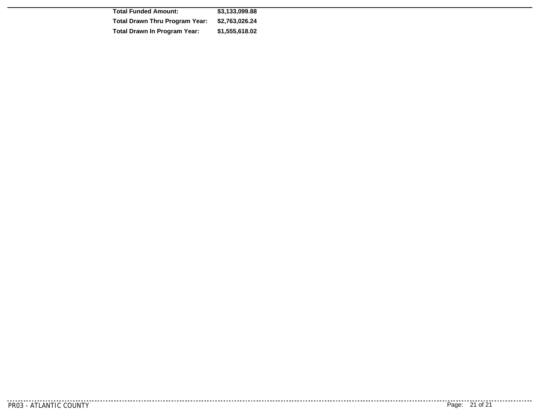| <b>Total Funded Amount:</b>           | \$3.133.099.88 |
|---------------------------------------|----------------|
| <b>Total Drawn Thru Program Year:</b> | \$2,763,026,24 |
| <b>Total Drawn In Program Year:</b>   | \$1,555,618.02 |

. . . . . . . . . . . .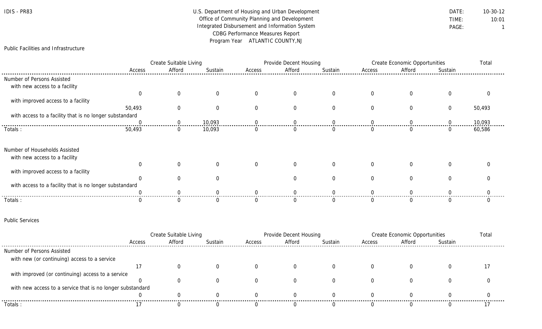| IDIS | PR83 |
|------|------|
|------|------|

## U.S. Department of Housing and Urban Development **DATE:** 10-30-12 Office of Community Planning and Development TIME: 10:01 Integrated Disbursement and Information System **PAGE:** PAGE: 1 CDBG Performance Measures Report Program Year ATLANTIC COUNTY,NJ

## Public Facilities and Infrastructure

|                                                         | Create Suitable Living |                | Provide Decent Housing |        |        | <b>Create Economic Opportunities</b> |          |        | Total    |        |
|---------------------------------------------------------|------------------------|----------------|------------------------|--------|--------|--------------------------------------|----------|--------|----------|--------|
|                                                         | Access                 | Afford         | Sustain                | Access | Afford | Sustain                              | Access   | Afford | Sustain  |        |
| Number of Persons Assisted                              |                        |                |                        |        |        |                                      |          |        |          |        |
| with new access to a facility                           |                        |                |                        |        |        |                                      |          |        |          |        |
|                                                         |                        |                |                        |        |        |                                      |          |        |          |        |
| with improved access to a facility                      |                        |                |                        |        |        |                                      |          |        |          |        |
|                                                         | 50,493                 | $\Omega$       |                        |        |        |                                      |          |        | $\Omega$ | 50,493 |
| with access to a facility that is no longer substandard |                        |                |                        |        |        |                                      |          |        |          |        |
|                                                         |                        |                | 10,093                 |        |        |                                      |          |        |          | 10,093 |
| Totals:                                                 | 50,493                 | $\overline{0}$ | 10,093                 |        |        |                                      |          |        |          | 60,586 |
| Number of Households Assisted                           |                        |                |                        |        |        |                                      |          |        |          |        |
| with new access to a facility                           |                        |                |                        |        |        |                                      |          |        |          |        |
|                                                         |                        |                |                        |        |        | $\Omega$                             | $\Omega$ |        |          |        |
| with improved access to a facility                      |                        |                |                        |        |        |                                      |          |        |          |        |
|                                                         |                        |                |                        |        |        |                                      |          |        |          |        |
| with access to a facility that is no longer substandard |                        |                |                        |        |        |                                      |          |        |          |        |
|                                                         |                        |                |                        |        |        |                                      |          |        |          |        |
| Totals:                                                 |                        |                |                        |        |        |                                      |          |        |          |        |

### Public Services

|                                                            | Create Suitable Living |        |         | <b>Provide Decent Housing</b> |        |         | Create Economic Opportunities |        |         |  |
|------------------------------------------------------------|------------------------|--------|---------|-------------------------------|--------|---------|-------------------------------|--------|---------|--|
|                                                            | Access                 | Afford | Sustain | Access                        | Afford | Sustain | Access                        | Afford | Sustain |  |
| Number of Persons Assisted                                 |                        |        |         |                               |        |         |                               |        |         |  |
| with new (or continuing) access to a service               |                        |        |         |                               |        |         |                               |        |         |  |
|                                                            |                        |        |         |                               |        |         |                               |        |         |  |
| with improved (or continuing) access to a service          |                        |        |         |                               |        |         |                               |        |         |  |
|                                                            |                        |        |         |                               |        |         |                               |        |         |  |
| with new access to a service that is no longer substandard |                        |        |         |                               |        |         |                               |        |         |  |
|                                                            |                        |        |         |                               |        |         |                               |        |         |  |
| Totals :                                                   |                        |        |         |                               |        |         |                               |        |         |  |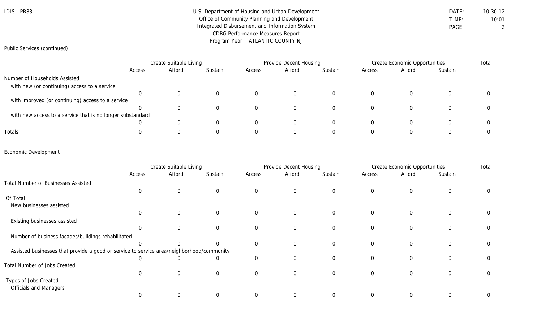| IDIS - | <b>PR83</b> |
|--------|-------------|
|--------|-------------|

## U.S. Department of Housing and Urban Development **DATE:** 10-30-12 Office of Community Planning and Development TIME: 10:01 Integrated Disbursement and Information System **PAGE:** PAGE: 2 CDBG Performance Measures Report Program Year ATLANTIC COUNTY,NJ

## Public Services (continued)

|                                                            | Create Suitable Living |        |         | Provide Decent Housing |        |         | Create Economic Opportunities |        |         | Total |
|------------------------------------------------------------|------------------------|--------|---------|------------------------|--------|---------|-------------------------------|--------|---------|-------|
|                                                            | Access                 | Afford | Sustain | Access                 | Afford | Sustain | Access                        | Afford | Sustain |       |
| Number of Households Assisted                              |                        |        |         |                        |        |         |                               |        |         |       |
| with new (or continuing) access to a service               |                        |        |         |                        |        |         |                               |        |         |       |
|                                                            |                        |        |         |                        |        |         |                               |        |         |       |
| with improved (or continuing) access to a service          |                        |        |         |                        |        |         |                               |        |         |       |
|                                                            |                        |        |         |                        |        |         |                               |        |         |       |
| with new access to a service that is no longer substandard |                        |        |         |                        |        |         |                               |        |         |       |
|                                                            |                        |        |         |                        |        |         |                               |        |         |       |
| Totals:                                                    |                        |        |         |                        |        |         |                               |        |         |       |

## Economic Development

|                                                                                           | Create Suitable Living |                | Provide Decent Housing |          |                | <b>Create Economic Opportunities</b> |                |                | Total       |  |
|-------------------------------------------------------------------------------------------|------------------------|----------------|------------------------|----------|----------------|--------------------------------------|----------------|----------------|-------------|--|
|                                                                                           | Access                 | Afford         | Sustain                | Access   | Afford         | Sustain                              | Access         | Afford         | Sustain     |  |
| Total Number of Businesses Assisted                                                       |                        |                |                        |          |                |                                      |                |                |             |  |
|                                                                                           | $\Omega$               | $\overline{0}$ | $\Omega$               | $\Omega$ | $\mathbf 0$    | $\overline{0}$                       | $\overline{0}$ | $\overline{0}$ | $\mathbf 0$ |  |
| Of Total                                                                                  |                        |                |                        |          |                |                                      |                |                |             |  |
| New businesses assisted                                                                   |                        |                |                        |          |                |                                      |                |                |             |  |
|                                                                                           | $\Omega$               | $\Omega$       | $\Omega$               | $\Omega$ | $\mathbf 0$    | $\overline{0}$                       | $\overline{0}$ | $\overline{0}$ | 0           |  |
| Existing businesses assisted                                                              |                        |                |                        |          |                |                                      |                |                |             |  |
|                                                                                           | $\Omega$               |                | $\Omega$               | $\Omega$ | $\Omega$       | $\Omega$                             | $\Omega$       | $\Omega$       | $\Omega$    |  |
| Number of business facades/buildings rehabilitated                                        |                        |                |                        |          |                |                                      |                |                |             |  |
|                                                                                           |                        |                | U                      | $\Omega$ | $\overline{0}$ | $\overline{0}$                       | $\Omega$       | $\Omega$       | $\mathbf 0$ |  |
| Assisted businesses that provide a good or service to service area/neighborhood/community |                        |                |                        |          |                |                                      |                |                |             |  |
|                                                                                           | $\Omega$               |                | 0                      | $\Omega$ | $\Omega$       | $\Omega$                             | $\Omega$       | $\Omega$       | $\mathbf 0$ |  |
| Total Number of Jobs Created                                                              |                        |                |                        |          |                |                                      |                |                |             |  |
|                                                                                           | $\Omega$               | $\Omega$       | 0                      | $\Omega$ | $\Omega$       | $\Omega$                             |                | $\Omega$       | $\Omega$    |  |
| Types of Jobs Created                                                                     |                        |                |                        |          |                |                                      |                |                |             |  |
| <b>Officials and Managers</b>                                                             |                        |                |                        |          |                |                                      |                |                |             |  |
|                                                                                           |                        | 0              |                        |          |                |                                      |                | $\Omega$       | $\Omega$    |  |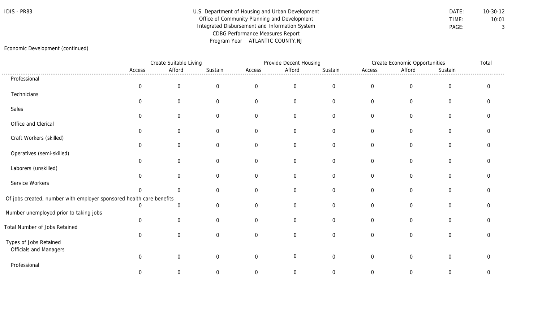## IDIS - PR83 Department of Housing and Urban Development DATE: 10-30-12 Office of Community Planning and Development TIME: 10:01 Integrated Disbursement and Information System **PAGE:** PAGE: 3 CDBG Performance Measures Report Program Year ATLANTIC COUNTY,NJ

## Economic Development (continued)

|                                                                      |                  | Create Suitable Living |                |                | Provide Decent Housing |                  |                | Create Economic Opportunities |                  |                |
|----------------------------------------------------------------------|------------------|------------------------|----------------|----------------|------------------------|------------------|----------------|-------------------------------|------------------|----------------|
|                                                                      | Access           | Afford                 | Sustain        | Access         | Afford                 | Sustain          | Access         | Afford                        | Sustain          |                |
| Professional                                                         |                  |                        |                |                |                        |                  |                |                               |                  |                |
|                                                                      | $\boldsymbol{0}$ | $\boldsymbol{0}$       | $\overline{0}$ | $\overline{0}$ | $\overline{0}$         | $\boldsymbol{0}$ | $\overline{0}$ | $\overline{0}$                | $\boldsymbol{0}$ | $\overline{0}$ |
| Technicians                                                          |                  |                        |                |                |                        |                  |                |                               |                  |                |
|                                                                      | $\Omega$         | $\overline{0}$         | $\Omega$       | $\Omega$       | $\overline{0}$         | $\overline{0}$   | $\overline{0}$ | $\mathbf 0$                   | $\overline{0}$   | $\Omega$       |
| Sales                                                                |                  |                        |                |                |                        |                  |                |                               |                  |                |
|                                                                      | $\Omega$         | $\overline{0}$         | 0              | $\Omega$       | 0                      | $\overline{0}$   | 0              | $\mathbf 0$                   | $\mathbf 0$      |                |
| Office and Clerical                                                  |                  |                        |                |                |                        |                  |                |                               |                  |                |
| Craft Workers (skilled)                                              | $\Omega$         | $\overline{0}$         | $\overline{0}$ | $\Omega$       | $\overline{0}$         | $\overline{0}$   | $\overline{0}$ | $\mathbf 0$                   | $\overline{0}$   | ∩              |
|                                                                      | 0                | 0                      | 0              | $\Omega$       | $\overline{0}$         | $\overline{0}$   | 0              | $\mathbf 0$                   | $\mathbf 0$      |                |
| Operatives (semi-skilled)                                            |                  |                        |                |                |                        |                  |                |                               |                  |                |
|                                                                      | 0                | $\mathbf 0$            | 0              | $\Omega$       | $\mathbf 0$            | $\mathbf 0$      | $\overline{0}$ | $\overline{0}$                | $\boldsymbol{0}$ |                |
| Laborers (unskilled)                                                 |                  |                        |                |                |                        |                  |                |                               |                  |                |
|                                                                      | $\overline{0}$   | $\Omega$               | $\Omega$       | $\Omega$       | $\mathbf 0$            | $\overline{0}$   | $\overline{0}$ | $\mathbf 0$                   | $\mathbf 0$      |                |
| Service Workers                                                      |                  |                        |                |                |                        |                  |                |                               |                  |                |
|                                                                      | $\Omega$         | $\Omega$               | $\Omega$       | $\Omega$       | $\overline{0}$         | $\overline{0}$   | $\overline{0}$ | $\overline{0}$                | $\mathbf 0$      |                |
| Of jobs created, number with employer sponsored health care benefits |                  |                        |                |                |                        |                  |                |                               |                  |                |
|                                                                      | $\Omega$         | $\mathbf{0}$           | $\Omega$       | $\Omega$       | $\overline{0}$         | $\overline{0}$   | $\overline{0}$ | $\mathbf 0$                   | $\overline{0}$   | ∩              |
| Number unemployed prior to taking jobs                               |                  |                        |                |                |                        |                  |                |                               |                  |                |
|                                                                      | 0                | $\mathbf 0$            | $\Omega$       | $\Omega$       | 0                      | $\mathbf 0$      | 0              | $\Omega$                      | $\mathbf 0$      |                |
| Total Number of Jobs Retained                                        |                  |                        |                |                |                        |                  |                |                               |                  |                |
|                                                                      | $\Omega$         | $\Omega$               | 0              | $\Omega$       | $\overline{0}$         | $\overline{0}$   | $\overline{0}$ | $\overline{0}$                | $\overline{0}$   | $\Omega$       |
| Types of Jobs Retained<br>Officials and Managers                     |                  |                        |                |                |                        |                  |                |                               |                  |                |
|                                                                      | $\Omega$         | $\Omega$               | $\Omega$       | $\Omega$       | $\overline{0}$         | $\mathbf 0$      | $\overline{0}$ | $\mathbf 0$                   | $\mathbf 0$      | ∩              |
| Professional                                                         |                  |                        |                |                |                        |                  |                |                               |                  |                |
|                                                                      | 0                | 0                      | 0              | 0              | 0                      | $\mathbf{0}$     | $\overline{0}$ | $\Omega$                      | $\mathbf{0}$     | 0              |
|                                                                      |                  |                        |                |                |                        |                  |                |                               |                  |                |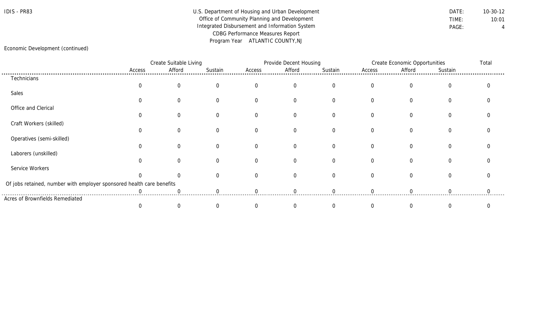## IDIS - PR83 Department of Housing and Urban Development DATE: 10-30-12 Office of Community Planning and Development TIME: 10:01 Integrated Disbursement and Information System **PAGE:** PAGE: 4 CDBG Performance Measures Report Program Year ATLANTIC COUNTY,NJ

## Economic Development (continued)

|                                                                       |        | Create Suitable Living |         |          | Provide Decent Housing |          |          | <b>Create Economic Opportunities</b> |                |  |
|-----------------------------------------------------------------------|--------|------------------------|---------|----------|------------------------|----------|----------|--------------------------------------|----------------|--|
|                                                                       | Access | Afford                 | Sustain | Access   | Afford                 | Sustain  | Access   | Afford                               | Sustain        |  |
| Technicians                                                           |        |                        |         |          |                        |          |          |                                      |                |  |
|                                                                       |        |                        |         | $\Omega$ | $\Omega$               | $\Omega$ | $\Omega$ | $\Omega$                             | $\Omega$       |  |
| Sales                                                                 |        |                        |         |          |                        |          |          |                                      |                |  |
|                                                                       |        |                        |         | $\Omega$ | $\Omega$               | $\Omega$ | $\Omega$ | $\Omega$                             | 0              |  |
| Office and Clerical                                                   |        |                        |         |          |                        |          |          |                                      |                |  |
|                                                                       |        |                        |         | $\Omega$ | 0                      |          |          | $\Omega$                             |                |  |
| Craft Workers (skilled)                                               |        |                        |         |          |                        |          |          |                                      |                |  |
|                                                                       |        |                        |         | $\Omega$ | $\Omega$               |          |          |                                      | $\Omega$       |  |
| Operatives (semi-skilled)                                             |        |                        |         |          |                        |          |          |                                      |                |  |
|                                                                       |        |                        |         | $\Omega$ | $\Omega$               | $\Omega$ |          | $\Omega$                             | $\overline{0}$ |  |
| Laborers (unskilled)                                                  |        |                        |         |          |                        |          |          |                                      |                |  |
|                                                                       |        |                        |         | $\Omega$ | $\Omega$               | $\Omega$ | $\Omega$ | $\Omega$                             | $\Omega$       |  |
| Service Workers                                                       |        |                        |         |          |                        |          |          |                                      |                |  |
|                                                                       |        |                        |         | $\Omega$ | $\Omega$               | $\Omega$ | $\Omega$ | $\Omega$                             | $\Omega$       |  |
| Of jobs retained, number with employer sponsored health care benefits |        |                        |         |          |                        |          |          |                                      |                |  |
|                                                                       |        |                        |         |          |                        |          |          |                                      |                |  |
| Acres of Brownfields Remediated                                       |        |                        |         |          |                        |          |          |                                      |                |  |
|                                                                       |        |                        |         |          |                        |          |          |                                      |                |  |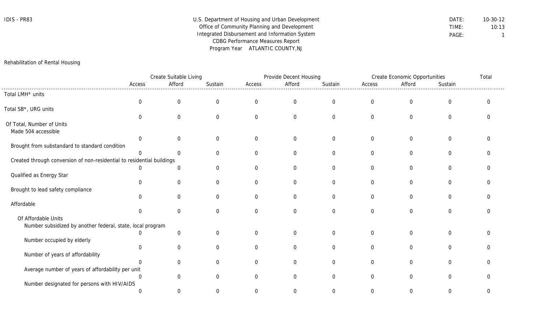| IDIS · | PR83 |
|--------|------|
|--------|------|

| IDIS - PR83 | U.S. Department of Housing and Urban Development | DATE: | $10-30-12$ |
|-------------|--------------------------------------------------|-------|------------|
|             | Office of Community Planning and Development     | TIME: | 10:13      |
|             | Integrated Disbursement and Information System   | PAGE: |            |
|             | CDBG Performance Measures Report                 |       |            |
|             | Program Year ATLANTIC COUNTY, NJ                 |       |            |

Rehabilitation of Rental Housing

|                                                                        |              | Create Suitable Living |                  |                | Provide Decent Housing |                  |                  | <b>Create Economic Opportunities</b> |                | Total    |
|------------------------------------------------------------------------|--------------|------------------------|------------------|----------------|------------------------|------------------|------------------|--------------------------------------|----------------|----------|
|                                                                        | Access       | Afford                 | Sustain          | Access         | Afford                 | Sustain          | Access           | Afford                               | Sustain        |          |
| Total LMH* units                                                       |              |                        |                  |                |                        |                  |                  |                                      |                |          |
|                                                                        | $\mathbf{0}$ | $\mathbf 0$            | $\boldsymbol{0}$ | $\overline{0}$ | $\mathbf 0$            | $\mathbf 0$      | $\boldsymbol{0}$ | $\overline{0}$                       | $\overline{0}$ | $\Omega$ |
| Total SB*, URG units                                                   |              |                        |                  |                |                        |                  |                  |                                      |                |          |
|                                                                        | $\cap$       | $\Omega$               | $\mathbf 0$      | $\overline{0}$ | $\overline{0}$         | $\overline{0}$   | $\overline{0}$   | $\overline{0}$                       | $\overline{0}$ | 0        |
| Of Total, Number of Units                                              |              |                        |                  |                |                        |                  |                  |                                      |                |          |
| Made 504 accessible                                                    |              |                        |                  |                |                        |                  |                  |                                      |                |          |
|                                                                        | $\Omega$     | $\Omega$               | $\mathbf 0$      | 0              | $\mathbf 0$            | $\overline{0}$   | $\boldsymbol{0}$ | $\overline{0}$                       | $\mathbf 0$    | 0        |
| Brought from substandard to standard condition                         |              |                        |                  |                |                        |                  |                  |                                      |                |          |
|                                                                        | $\Omega$     | $\Omega$               | $\mathbf 0$      | $\overline{0}$ | $\overline{0}$         | $\mathbf 0$      | $\boldsymbol{0}$ | $\overline{0}$                       | $\mathbf 0$    | 0        |
| Created through conversion of non-residential to residential buildings |              |                        |                  |                |                        |                  |                  |                                      |                |          |
|                                                                        |              | $\Omega$               | $\Omega$         | $\Omega$       | $\overline{0}$         | $\mathbf 0$      | $\mathbf 0$      | $\overline{0}$                       | $\mathbf 0$    | 0        |
| Qualified as Energy Star                                               | $\cap$       |                        |                  |                |                        |                  |                  |                                      |                | U        |
|                                                                        |              | $\mathbf 0$            | $\mathbf 0$      | $\overline{0}$ | $\overline{0}$         | $\overline{0}$   | $\mathbf 0$      | $\overline{0}$                       | $\Omega$       |          |
| Brought to lead safety compliance                                      | $\Omega$     | $\Omega$               | $\Omega$         | $\Omega$       | $\overline{0}$         | $\overline{0}$   | $\mathbf 0$      | $\Omega$                             | $\Omega$       | O        |
| Affordable                                                             |              |                        |                  |                |                        |                  |                  |                                      |                |          |
|                                                                        | $\Omega$     | $\mathbf 0$            | $\mathbf 0$      | $\Omega$       | $\overline{0}$         | $\overline{0}$   | $\mathbf 0$      | $\Omega$                             | $\Omega$       | U        |
| Of Affordable Units                                                    |              |                        |                  |                |                        |                  |                  |                                      |                |          |
| Number subsidized by another federal, state, local program             |              |                        |                  |                |                        |                  |                  |                                      |                |          |
|                                                                        |              | $\mathbf 0$            | $\mathbf 0$      | $\overline{0}$ | $\mathbf 0$            | $\boldsymbol{0}$ | $\boldsymbol{0}$ | 0                                    | $\mathbf 0$    | 0        |
| Number occupied by elderly                                             |              |                        |                  |                |                        |                  |                  |                                      |                |          |
|                                                                        | $\Omega$     | $\mathbf 0$            | $\mathbf 0$      | $\overline{0}$ | $\overline{0}$         | $\mathbf 0$      | $\mathbf 0$      | $\overline{0}$                       | $\overline{0}$ | U        |
| Number of years of affordability                                       |              |                        |                  |                |                        |                  |                  |                                      |                |          |
|                                                                        |              | $\overline{0}$         | $\mathbf 0$      | 0              | $\overline{0}$         | $\mathbf 0$      | $\boldsymbol{0}$ | $\overline{0}$                       | $\mathbf 0$    | U        |
| Average number of years of affordability per unit                      |              |                        |                  |                |                        |                  |                  |                                      |                |          |
|                                                                        | $\Omega$     | $\Omega$               | $\Omega$         | $\Omega$       | $\Omega$               | $\overline{0}$   | $\mathbf 0$      | $\Omega$                             | $\Omega$       | U        |
| Number designated for persons with HIV/AIDS                            |              |                        |                  |                |                        |                  |                  |                                      |                |          |
|                                                                        |              | $\Omega$               | $\Omega$         | $\Omega$       | $\Omega$               | $\Omega$         | $\Omega$         | 0                                    | $\Omega$       | 0        |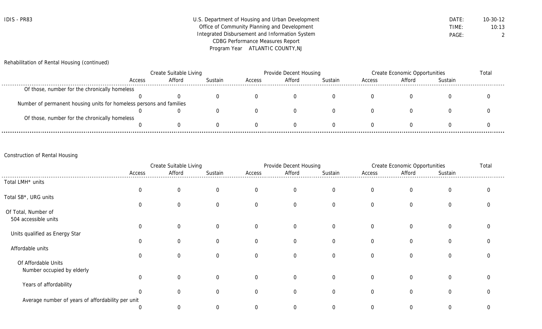| <b>IDIS - PR83</b> | U.S. Department of Housing and Urban Development | DATE: | 10-30-12 |
|--------------------|--------------------------------------------------|-------|----------|
|                    | Office of Community Planning and Development     | TIME: | 10:13    |
|                    | Integrated Disbursement and Information System   | PAGE: |          |
|                    | CDBG Performance Measures Report                 |       |          |
|                    | Program Year ATLANTIC COUNTY, NJ                 |       |          |

Rehabilitation of Rental Housing (continued)

|                                                                     | Create Suitable Living |        |         | Provide Decent Housing |        |         | Create Economic Opportunities |        |         | Total |
|---------------------------------------------------------------------|------------------------|--------|---------|------------------------|--------|---------|-------------------------------|--------|---------|-------|
|                                                                     | Access                 | Afford | Sustain | Access                 | Afford | Sustain | Access                        | Afford | Sustain |       |
| Of those, number for the chronically homeless                       |                        |        |         |                        |        |         |                               |        |         |       |
|                                                                     |                        |        |         |                        |        |         |                               |        |         |       |
| Number of permanent housing units for homeless persons and families |                        |        |         |                        |        |         |                               |        |         |       |
|                                                                     |                        |        |         |                        |        |         |                               |        |         |       |
| Of those, number for the chronically homeless                       |                        |        |         |                        |        |         |                               |        |         |       |
|                                                                     |                        |        |         |                        |        |         |                               |        |         |       |

## Construction of Rental Housing

|                                                   | Create Suitable Living |                |                |                  | Provide Decent Housing |                |                | <b>Create Economic Opportunities</b> |                |   |
|---------------------------------------------------|------------------------|----------------|----------------|------------------|------------------------|----------------|----------------|--------------------------------------|----------------|---|
|                                                   | Access                 | Afford         | Sustain        | Access           | Afford                 | Sustain        | Access         | Afford                               | Sustain        |   |
| Total LMH <sup>*</sup> units                      |                        |                |                |                  |                        |                |                |                                      |                |   |
|                                                   | $\mathbf 0$            | $\overline{0}$ | $\overline{0}$ | $\mathbf 0$      | $\overline{0}$         | $\overline{0}$ | $\overline{0}$ | $\overline{0}$                       | $\overline{0}$ |   |
| Total SB*, URG units                              |                        |                |                |                  |                        |                |                |                                      |                |   |
|                                                   | $\mathbf{0}$           | $\overline{0}$ | $\overline{0}$ | $\mathbf 0$      | $\overline{0}$         | $\overline{0}$ | $\overline{0}$ | $\overline{0}$                       | $\overline{0}$ |   |
| Of Total, Number of                               |                        |                |                |                  |                        |                |                |                                      |                |   |
| 504 accessible units                              |                        |                |                |                  |                        |                |                |                                      |                |   |
|                                                   | $\mathbf 0$            | $\mathbf 0$    | $\Omega$       | $\mathbf 0$      | $\overline{0}$         | $\Omega$       | $\Omega$       | $\overline{0}$                       | $\overline{0}$ | ∩ |
| Units qualified as Energy Star                    |                        |                |                |                  |                        |                |                |                                      |                |   |
|                                                   | $\Omega$               | $\Omega$       | $\overline{0}$ | $\boldsymbol{0}$ | $\overline{0}$         | $\overline{0}$ | $\overline{0}$ | $\overline{0}$                       | $\overline{0}$ |   |
| Affordable units                                  |                        |                |                |                  |                        |                |                |                                      |                |   |
|                                                   | $\overline{0}$         | $\Omega$       | $\Omega$       | $\mathbf 0$      | $\mathbf 0$            | $\Omega$       | $\Omega$       | 0                                    | $\overline{0}$ |   |
| Of Affordable Units                               |                        |                |                |                  |                        |                |                |                                      |                |   |
| Number occupied by elderly                        |                        |                |                |                  |                        |                |                |                                      |                |   |
|                                                   | $\Omega$               | $\Omega$       | $\overline{0}$ | $\overline{0}$   | $\overline{0}$         | $\overline{0}$ | $\overline{0}$ | $\overline{0}$                       | $\overline{0}$ |   |
| Years of affordability                            |                        |                |                |                  |                        |                |                |                                      |                |   |
|                                                   | $\mathbf 0$            | 0              | $\Omega$       | $\mathbf 0$      | $\overline{0}$         | $\overline{0}$ | $\Omega$       | $\overline{0}$                       | $\overline{0}$ |   |
| Average number of years of affordability per unit |                        |                |                |                  |                        |                |                |                                      |                |   |
|                                                   | $\mathbf 0$            | $\Omega$       | $\Omega$       | $\Omega$         | $\Omega$               | $\Omega$       | $\Omega$       | 0                                    | 0              | 0 |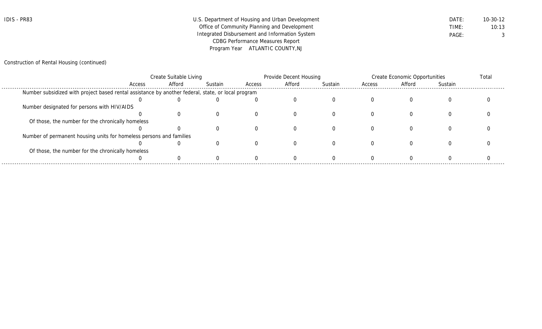| IDIS - PR83 | U.S. Department of Housing and Urban Development | DATE: | $10 - 30 - 12$ |
|-------------|--------------------------------------------------|-------|----------------|
|             | Office of Community Planning and Development     | TIME: | 10:13          |
|             | Integrated Disbursement and Information System   | PAGE: |                |
|             | <b>CDBG Performance Measures Report</b>          |       |                |
|             | Program Year ATLANTIC COUNTY, NJ                 |       |                |

## Construction of Rental Housing (continued)

|                                                                                                    | Create Suitable Living |        |         |        | Provide Decent Housing |          |        | <b>Create Economic Opportunities</b> |         |  |
|----------------------------------------------------------------------------------------------------|------------------------|--------|---------|--------|------------------------|----------|--------|--------------------------------------|---------|--|
|                                                                                                    | Access                 | Afford | Sustain | Access | Afford                 | Sustain  | Access | Afford                               | Sustain |  |
| Number subsidized with project based rental assistance by another federal, state, or local program |                        |        |         |        |                        |          |        |                                      |         |  |
|                                                                                                    |                        |        |         |        |                        |          |        |                                      |         |  |
| Number designated for persons with HIV/AIDS                                                        |                        |        |         |        |                        |          |        |                                      |         |  |
|                                                                                                    |                        |        |         |        |                        |          |        |                                      |         |  |
| Of those, the number for the chronically homeless                                                  |                        |        |         |        |                        |          |        |                                      |         |  |
|                                                                                                    |                        |        |         |        |                        |          |        |                                      |         |  |
| Number of permanent housing units for homeless persons and families                                |                        |        |         |        |                        |          |        |                                      |         |  |
|                                                                                                    |                        |        |         |        |                        | $\Omega$ |        |                                      |         |  |
| Of those, the number for the chronically homeless                                                  |                        |        |         |        |                        |          |        |                                      |         |  |
|                                                                                                    |                        |        |         |        |                        |          |        |                                      |         |  |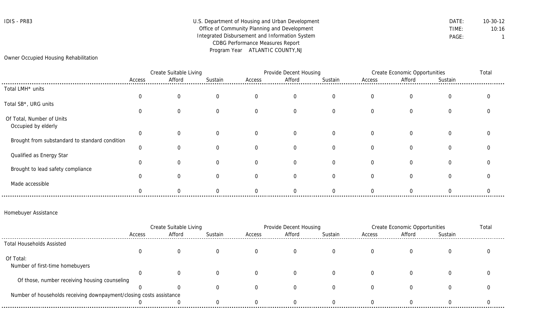## IDIS - PR83 Department of Housing and Urban Development DATE: 10-30-12 Office of Community Planning and Development TIME: TIME: 10:16 Integrated Disbursement and Information System **PAGE:** PAGE: 1 CDBG Performance Measures Report Program Year ATLANTIC COUNTY,NJ

## Owner Occupied Housing Rehabilitation

|                                                  | Create Suitable Living |        |         | Provide Decent Housing |                |                | Create Economic Opportunities |                |          | Total |
|--------------------------------------------------|------------------------|--------|---------|------------------------|----------------|----------------|-------------------------------|----------------|----------|-------|
|                                                  | Access                 | Afford | Sustain | Access                 | Afford         | Sustain        | Access                        | Afford         | Sustain  |       |
| Total LMH* units                                 |                        |        |         |                        |                |                |                               |                |          |       |
|                                                  |                        |        | 0       | $\Omega$               | $\overline{0}$ | $\overline{0}$ | $\Omega$                      | 0              | $\Omega$ |       |
| Total SB*, URG units                             |                        |        |         |                        |                |                |                               |                |          |       |
|                                                  |                        |        | 0       | $\Omega$               | $\Omega$       | $\Omega$       | $\Omega$                      | $\overline{0}$ | $\Omega$ |       |
| Of Total, Number of Units<br>Occupied by elderly |                        |        |         |                        |                |                |                               |                |          |       |
|                                                  | 0                      |        |         |                        | $\Omega$       | $\overline{0}$ | $\Omega$                      | $\overline{0}$ |          |       |
| Brought from substandard to standard condition   |                        |        |         |                        |                |                |                               |                |          |       |
|                                                  | 0                      |        | 0       |                        | $\Omega$       | $\Omega$       | $\Omega$                      | $\Omega$       | $\Omega$ |       |
| Qualified as Energy Star                         |                        |        |         |                        |                |                |                               |                |          |       |
|                                                  | $\Omega$               |        |         |                        | $\Omega$       | $\Omega$       |                               | $\Omega$       | $\Omega$ |       |
| Brought to lead safety compliance                |                        |        |         |                        | $\Omega$       | $\Omega$       |                               | $\Omega$       | $\Omega$ |       |
| Made accessible                                  |                        |        |         |                        |                |                |                               |                |          |       |
|                                                  |                        |        |         |                        |                |                |                               |                |          |       |

## Homebuyer Assistance

|                                                                     | Create Suitable Living |        |         | Provide Decent Housing |        |         | Create Economic Opportunities |        |         | Total |
|---------------------------------------------------------------------|------------------------|--------|---------|------------------------|--------|---------|-------------------------------|--------|---------|-------|
|                                                                     | Access                 | Afford | Sustain | Access                 | Afford | Sustain | Access                        | Afford | Sustain |       |
| <b>Total Households Assisted</b>                                    |                        |        |         |                        |        |         |                               |        |         |       |
|                                                                     |                        |        |         |                        |        |         |                               |        |         |       |
| Of Total:                                                           |                        |        |         |                        |        |         |                               |        |         |       |
| Number of first-time homebuyers                                     |                        |        |         |                        |        |         |                               |        |         |       |
|                                                                     |                        |        |         |                        |        |         |                               |        |         |       |
| Of those, number receiving housing counseling                       |                        |        |         |                        |        |         |                               |        |         |       |
|                                                                     |                        |        |         |                        |        |         |                               |        |         |       |
| Number of households receiving downpayment/closing costs assistance |                        |        |         |                        |        |         |                               |        |         |       |
|                                                                     |                        |        |         |                        |        |         |                               |        |         |       |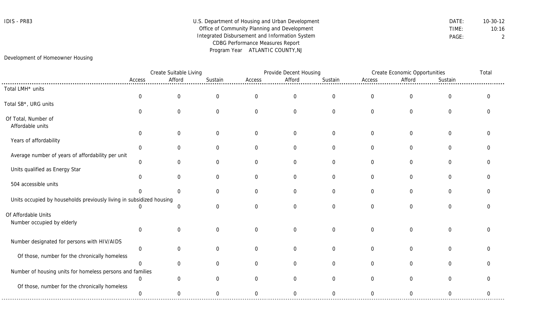## IDIS - PR83 Department of Housing and Urban Development DATE: 10-30-12 Office of Community Planning and Development TIME: 10:16 Integrated Disbursement and Information System **PAGE:** PAGE: 2 CDBG Performance Measures Report Program Year ATLANTIC COUNTY,NJ

## Development of Homeowner Housing

|                                                                      |                | Create Suitable Living |                | Provide Decent Housing |                  |                  |                | Create Economic Opportunities |                  |             |
|----------------------------------------------------------------------|----------------|------------------------|----------------|------------------------|------------------|------------------|----------------|-------------------------------|------------------|-------------|
|                                                                      | Access         | Afford                 | Sustain        | Access                 | Afford           | Sustain          | Access         | Afford                        | Sustain          |             |
| Total LMH* units                                                     |                |                        |                |                        |                  |                  |                |                               |                  |             |
|                                                                      | $\mathbf 0$    | $\mathbf 0$            | $\overline{0}$ | $\mathbf 0$            | $\boldsymbol{0}$ | $\mathbf 0$      | $\mathbf 0$    | $\mathbf 0$                   | $\mathbf 0$      | $\mathbf 0$ |
| Total SB <sup>*</sup> , URG units                                    |                |                        |                |                        |                  |                  |                |                               |                  |             |
|                                                                      | $\Omega$       | $\mathbf 0$            | $\Omega$       | $\mathbf 0$            | $\boldsymbol{0}$ | $\boldsymbol{0}$ | $\overline{0}$ | $\mathbf 0$                   | $\boldsymbol{0}$ |             |
| Of Total, Number of                                                  |                |                        |                |                        |                  |                  |                |                               |                  |             |
| Affordable units                                                     |                |                        |                |                        |                  |                  |                |                               |                  |             |
|                                                                      | $\mathbf 0$    | $\mathbf 0$            | $\overline{0}$ | $\overline{0}$         | $\mathbf 0$      | $\mathbf 0$      | $\overline{0}$ | $\mathbf 0$                   | $\overline{0}$   |             |
| Years of affordability                                               |                |                        |                |                        |                  |                  |                |                               |                  |             |
|                                                                      | $\Omega$       | $\Omega$               | $\Omega$       | $\mathbf 0$            | $\overline{0}$   | $\overline{0}$   | $\overline{0}$ | $\Omega$                      | 0                | U           |
| Average number of years of affordability per unit                    |                |                        |                |                        |                  |                  |                |                               |                  |             |
|                                                                      | $\mathbf 0$    | $\Omega$               | $\Omega$       | $\Omega$               | $\overline{0}$   | $\overline{0}$   | $\overline{0}$ | $\Omega$                      | $\overline{0}$   |             |
| Units qualified as Energy Star                                       |                |                        |                |                        |                  |                  |                |                               |                  |             |
|                                                                      | $\mathbf 0$    | $\mathbf 0$            | $\Omega$       | $\mathbf 0$            | $\overline{0}$   | $\overline{0}$   | $\overline{0}$ | $\Omega$                      | $\mathbf 0$      |             |
| 504 accessible units                                                 | $\cap$         | $\overline{0}$         | $\Omega$       | $\mathbf 0$            | $\mathbf 0$      | $\mathbf 0$      | $\overline{0}$ | $\mathbf 0$                   | $\mathbf 0$      |             |
|                                                                      |                |                        |                |                        |                  |                  |                |                               |                  |             |
| Units occupied by households previously living in subsidized housing | $\Omega$       | $\overline{0}$         | $\Omega$       | $\mathbf 0$            | $\overline{0}$   | $\overline{0}$   | $\Omega$       | $\mathbf 0$                   | $\overline{0}$   | ∩           |
|                                                                      |                |                        |                |                        |                  |                  |                |                               |                  |             |
| Of Affordable Units                                                  |                |                        |                |                        |                  |                  |                |                               |                  |             |
| Number occupied by elderly                                           | $\mathbf 0$    | $\mathbf 0$            | $\Omega$       | $\overline{0}$         | $\overline{0}$   | $\overline{0}$   | $\overline{0}$ | $\overline{0}$                | $\mathbf 0$      |             |
|                                                                      |                |                        |                |                        |                  |                  |                |                               |                  |             |
| Number designated for persons with HIV/AIDS                          |                |                        |                |                        |                  |                  |                |                               |                  |             |
|                                                                      | $\mathbf 0$    | $\Omega$               | $\Omega$       | $\Omega$               | $\overline{0}$   | $\overline{0}$   | $\overline{0}$ | $\Omega$                      | $\overline{0}$   |             |
| Of those, number for the chronically homeless                        |                |                        |                |                        |                  |                  |                |                               |                  |             |
|                                                                      | $\mathbf{0}$   | $\Omega$               | $\Omega$       | $\Omega$               | $\overline{0}$   | $\overline{0}$   | $\Omega$       | $\Omega$                      | $\Omega$         |             |
| Number of housing units for homeless persons and families            |                |                        |                |                        |                  |                  |                |                               |                  |             |
|                                                                      | $\mathbf 0$    | $\Omega$               | ∩              | $\Omega$               | $\overline{0}$   | $\overline{0}$   | $\Omega$       | $\Omega$                      | $\Omega$         |             |
| Of those, number for the chronically homeless                        |                |                        |                |                        |                  |                  |                |                               |                  |             |
|                                                                      | $\overline{0}$ | $\mathbf 0$            | $\overline{0}$ | $\overline{0}$         | $\mathbf 0$      | $\mathbf 0$      | $\overline{0}$ | $\overline{0}$                | $\mathbf 0$      | $\Omega$    |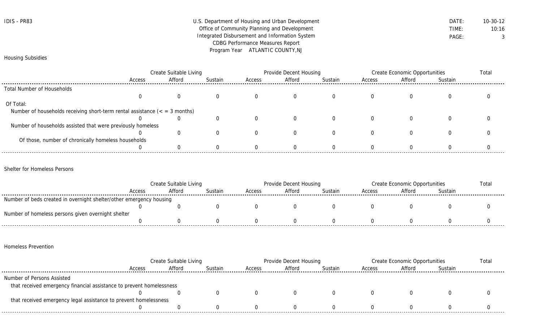| IDIS - | PR83 |
|--------|------|
|--------|------|

## U.S. Department of Housing and Urban Development **DATE:** 10-30-12 Office of Community Planning and Development TIME: 10:16 Integrated Disbursement and Information System **PAGE:** PAGE: 3 CDBG Performance Measures Report Program Year ATLANTIC COUNTY,NJ

## Housing Subsidies

|                                                                             | Create Suitable Living |        |         | Provide Decent Housing |        |         | Create Economic Opportunities |        |         | Total |
|-----------------------------------------------------------------------------|------------------------|--------|---------|------------------------|--------|---------|-------------------------------|--------|---------|-------|
|                                                                             | Access                 | Afford | Sustain | Access                 | Afford | Sustain | Access                        | Afford | Sustain |       |
| Total Number of Households                                                  |                        |        |         |                        |        |         |                               |        |         |       |
|                                                                             |                        |        |         |                        |        |         |                               |        |         |       |
| Of Total:                                                                   |                        |        |         |                        |        |         |                               |        |         |       |
| Number of households receiving short-term rental assistance $($ = 3 months) |                        |        |         |                        |        |         |                               |        |         |       |
|                                                                             |                        |        |         |                        |        |         |                               |        |         |       |
| Number of households assisted that were previously homeless                 |                        |        |         |                        |        |         |                               |        |         |       |
|                                                                             |                        |        |         |                        |        |         |                               |        |         |       |
| Of those, number of chronically homeless households                         |                        |        |         |                        |        |         |                               |        |         |       |
|                                                                             |                        |        |         |                        |        |         |                               |        |         |       |

Shelter for Homeless Persons

|                                                                     | Create Suitable Living |        |         | Provide Decent Housing |        |         | Create Economic Opportunities |        |         | Totai |
|---------------------------------------------------------------------|------------------------|--------|---------|------------------------|--------|---------|-------------------------------|--------|---------|-------|
|                                                                     | Access                 | Afford | Sustain | Access                 | Afford | Sustain | Access                        | Afford | Sustain |       |
| Number of beds created in overnight shelter/other emergency housing |                        |        |         |                        |        |         |                               |        |         |       |
|                                                                     |                        |        |         |                        |        |         |                               |        |         |       |
| Number of homeless persons given overnight shelter                  |                        |        |         |                        |        |         |                               |        |         |       |
|                                                                     |                        |        |         |                        |        |         |                               |        |         |       |

## Homeless Prevention

|                                                                      | Create Suitable Living |        |         | Provide Decent Housing |        |         | Create Economic Opportunities |        |         | Total |
|----------------------------------------------------------------------|------------------------|--------|---------|------------------------|--------|---------|-------------------------------|--------|---------|-------|
|                                                                      | Access                 | Afford | Sustain | Access                 | Afford | Sustain | Access                        | Afford | Sustain |       |
| Number of Persons Assisted                                           |                        |        |         |                        |        |         |                               |        |         |       |
| that received emergency financial assistance to prevent homelessness |                        |        |         |                        |        |         |                               |        |         |       |
|                                                                      |                        |        |         |                        |        |         |                               |        |         |       |
| that received emergency legal assistance to prevent homelessness     |                        |        |         |                        |        |         |                               |        |         |       |
|                                                                      |                        |        |         |                        |        |         |                               |        |         |       |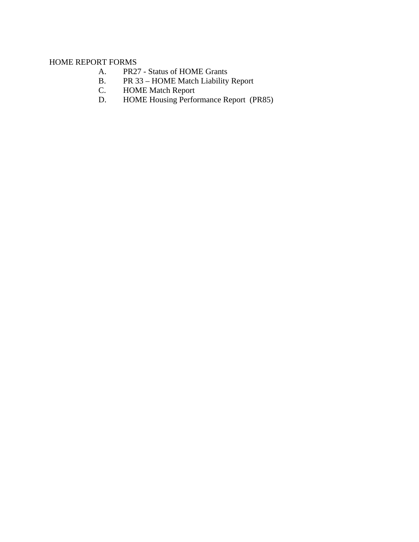## HOME REPORT FORMS

- A. PR27 Status of HOME Grants
- B. PR 33 HOME Match Liability Report<br>C. HOME Match Report
- C. HOME Match Report<br>D. HOME Housing Perfo
- HOME Housing Performance Report (PR85)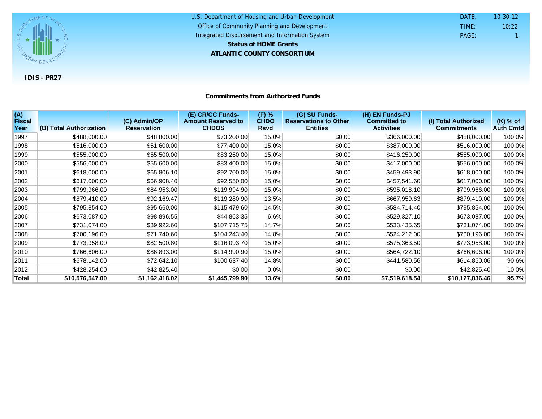

#### U.S. Department of Housing and Urban Development **ATLANTIC COUNTY CONSORTIUM** Office of Community Planning and Development Integrated Disbursement and Information System DATE: TIME: PAGE: 1 10:22 10-30-12 **Status of HOME Grants**

### **Commitments from Authorized Funds**

| (A)<br><b>Fiscal</b> |                         | (C) Admin/OP       | (E) CR/CC Funds-<br><b>Amount Reserved to</b><br><b>CHDOS</b> | (F) %<br><b>CHDO</b> | (G) SU Funds-<br><b>Reservations to Other</b> | (H) EN Funds-PJ<br><b>Committed to</b> | (I) Total Authorized<br><b>Commitments</b> | (K) % of         |
|----------------------|-------------------------|--------------------|---------------------------------------------------------------|----------------------|-----------------------------------------------|----------------------------------------|--------------------------------------------|------------------|
| Year                 | (B) Total Authorization | <b>Reservation</b> |                                                               | <b>Rsvd</b>          | <b>Entities</b>                               | <b>Activities</b>                      |                                            | <b>Auth Cmtd</b> |
| 1997                 | \$488,000.00            | \$48,800.00        | \$73,200.00                                                   | 15.0%                | \$0.00                                        | \$366,000.00                           | \$488,000.00                               | 100.0%           |
| 1998                 | \$516,000.00            | \$51,600.00        | \$77,400.00                                                   | 15.0%                | \$0.00                                        | \$387,000.00                           | \$516,000.00                               | 100.0%           |
| 1999                 | \$555,000.00            | \$55,500.00        | \$83,250.00                                                   | 15.0%                | \$0.00                                        | \$416,250.00                           | \$555,000.00                               | 100.0%           |
| 2000                 | \$556,000.00            | \$55,600.00        | \$83,400.00                                                   | 15.0%                | \$0.00                                        | \$417,000.00                           | \$556,000.00                               | 100.0%           |
| 2001                 | \$618,000.00            | \$65,806.10        | \$92,700.00                                                   | 15.0%                | \$0.00                                        | \$459,493.90                           | \$618,000.00                               | 100.0%           |
| 2002                 | \$617,000.00            | \$66,908.40        | \$92,550.00                                                   | 15.0%                | \$0.00                                        | \$457,541.60                           | \$617,000.00                               | 100.0%           |
| 2003                 | \$799,966.00            | \$84,953.00        | \$119,994.90                                                  | 15.0%                | \$0.00                                        | \$595,018.10                           | \$799,966.00                               | 100.0%           |
| 2004                 | \$879,410.00            | \$92,169.47        | \$119,280.90                                                  | 13.5%                | \$0.00                                        | \$667,959.63                           | \$879,410.00                               | 100.0%           |
| 2005                 | \$795,854.00            | \$95,660.00        | \$115,479.60                                                  | 14.5%                | \$0.00                                        | \$584,714.40                           | \$795,854.00                               | 100.0%           |
| 2006                 | \$673,087.00            | \$98,896.55        | \$44,863.35                                                   | 6.6%                 | \$0.00                                        | \$529,327.10                           | \$673,087.00                               | 100.0%           |
| 2007                 | \$731,074.00            | \$89,922.60        | \$107,715.75                                                  | 14.7%                | \$0.00                                        | \$533,435.65                           | \$731,074.00                               | 100.0%           |
| 2008                 | \$700,196.00            | \$71,740.60        | \$104,243.40                                                  | 14.8%                | \$0.00                                        | \$524,212.00                           | \$700,196.00                               | 100.0%           |
| 2009                 | \$773,958.00            | \$82,500.80        | \$116,093.70                                                  | 15.0%                | \$0.00                                        | \$575,363.50                           | \$773,958.00                               | 100.0%           |
| 2010                 | \$766,606.00            | \$86,893.00        | \$114,990.90                                                  | 15.0%                | \$0.00                                        | \$564,722.10                           | \$766,606.00                               | 100.0%           |
| 2011                 | \$678,142.00            | \$72,642.10        | \$100,637.40                                                  | 14.8%                | \$0.00                                        | \$441,580.56                           | \$614,860.06                               | 90.6%            |
| 2012                 | \$428,254.00            | \$42,825.40        | \$0.00                                                        | 0.0%                 | \$0.00                                        | \$0.00                                 | \$42,825.40                                | 10.0%            |
| Total                | \$10,576,547.00         | \$1,162,418.02     | \$1,445,799.90                                                | 13.6%                | \$0.00                                        | \$7,519,618.54                         | \$10,127,836.46                            | 95.7%            |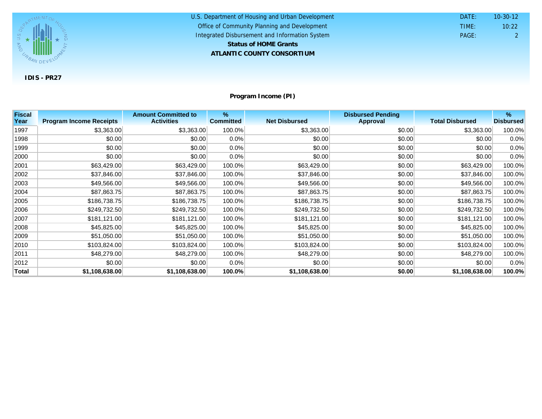

| U.S. Department of Housing and Urban Development | DATE: | $10 - 30 - 12$ |
|--------------------------------------------------|-------|----------------|
| Office of Community Planning and Development     | TIME: | 10:22          |
| Integrated Disbursement and Information System   | PAGE: |                |
| <b>Status of HOME Grants</b>                     |       |                |
| ATLANTIC COUNTY CONSORTIUM                       |       |                |

**Program Income (PI)**

| <b>Fiscal</b> |                                | <b>Amount Committed to</b> | %                |                      | <b>Disbursed Pending</b> |                        | %                |
|---------------|--------------------------------|----------------------------|------------------|----------------------|--------------------------|------------------------|------------------|
| Year          | <b>Program Income Receipts</b> | <b>Activities</b>          | <b>Committed</b> | <b>Net Disbursed</b> | <b>Approval</b>          | <b>Total Disbursed</b> | <b>Disbursed</b> |
| 1997          | \$3,363.00                     | \$3,363.00                 | 100.0%           | \$3,363.00           | \$0.00                   | \$3,363.00             | 100.0%           |
| 1998          | \$0.00                         | \$0.00                     | $0.0\%$          | \$0.00               | \$0.00                   | \$0.00                 | 0.0%             |
| 1999          | \$0.00                         | \$0.00                     | $0.0\%$          | \$0.00               | \$0.00                   | \$0.00                 | 0.0%             |
| 2000          | \$0.00                         | \$0.00                     | $0.0\%$          | \$0.00               | \$0.00                   | \$0.00                 | 0.0%             |
| 2001          | \$63,429.00                    | \$63,429.00                | 100.0%           | \$63,429.00          | \$0.00                   | \$63,429.00            | 100.0%           |
| 2002          | \$37,846.00                    | \$37,846.00                | 100.0%           | \$37,846.00          | \$0.00                   | \$37,846.00            | 100.0%           |
| 2003          | \$49,566.00                    | \$49,566.00                | 100.0%           | \$49,566.00          | \$0.00                   | \$49,566.00            | 100.0%           |
| 2004          | \$87,863.75                    | \$87,863.75                | 100.0%           | \$87,863.75          | \$0.00                   | \$87,863.75            | 100.0%           |
| 2005          | \$186,738.75                   | \$186,738.75               | 100.0%           | \$186,738.75         | \$0.00                   | \$186,738.75           | 100.0%           |
| 2006          | \$249,732.50                   | \$249,732.50               | 100.0%           | \$249,732.50         | \$0.00                   | \$249,732.50           | 100.0%           |
| 2007          | \$181,121.00                   | \$181,121.00               | 100.0%           | \$181,121.00         | \$0.00                   | \$181,121.00           | 100.0%           |
| 2008          | \$45,825.00                    | \$45,825.00                | 100.0%           | \$45,825.00          | \$0.00                   | \$45,825.00            | 100.0%           |
| 2009          | \$51,050.00                    | \$51,050.00                | 100.0%           | \$51,050.00          | \$0.00                   | \$51,050.00            | 100.0%           |
| 2010          | \$103,824.00                   | \$103,824.00               | 100.0%           | \$103,824.00         | \$0.00                   | \$103,824.00           | 100.0%           |
| 2011          | \$48,279.00                    | \$48,279.00                | 100.0%           | \$48,279.00          | \$0.00                   | \$48,279.00            | 100.0%           |
| 2012          | \$0.00                         | \$0.00                     | $0.0\%$          | \$0.00               | \$0.00                   | \$0.00                 | 0.0%             |
| <b>Total</b>  | \$1,108,638.00                 | \$1,108,638.00             | 100.0%           | \$1,108,638.00       | \$0.00                   | \$1,108,638.00         | 100.0%           |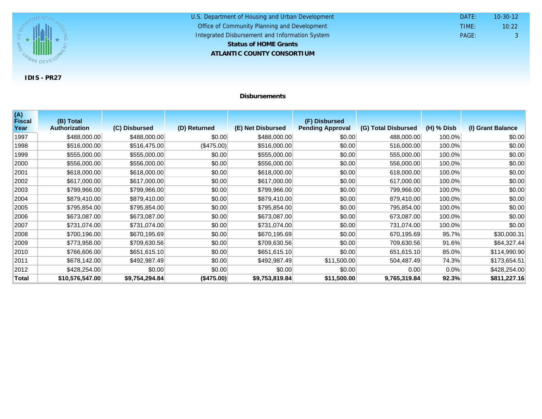

#### U.S. Department of Housing and Urban Development **ATLANTIC COUNTY CONSORTIUM** Office of Community Planning and Development Integrated Disbursement and Information System DATE: TIME: PAGE: 3 10:22 10-30-12 **Status of HOME Grants**

## **Disbursements**

| (A)<br>Fiscal | (B) Total            |                |              |                   | (F) Disbursed           |                     |              |                   |
|---------------|----------------------|----------------|--------------|-------------------|-------------------------|---------------------|--------------|-------------------|
| Year          | <b>Authorization</b> | (C) Disbursed  | (D) Returned | (E) Net Disbursed | <b>Pending Approval</b> | (G) Total Disbursed | $(H)$ % Disb | (I) Grant Balance |
| 1997          | \$488,000.00         | \$488,000.00   | \$0.00       | \$488,000.00      | \$0.00                  | 488,000.00          | 100.0%       | \$0.00            |
| 1998          | \$516,000.00         | \$516,475.00   | (\$475.00)   | \$516,000.00      | \$0.00                  | 516,000.00          | 100.0%       | \$0.00            |
| 1999          | \$555,000.00         | \$555,000.00   | \$0.00       | \$555,000.00      | \$0.00                  | 555,000.00          | 100.0%       | \$0.00            |
| 2000          | \$556,000.00         | \$556,000.00   | \$0.00       | \$556,000.00      | \$0.00                  | 556,000.00          | 100.0%       | \$0.00            |
| 2001          | \$618,000.00         | \$618,000.00   | \$0.00       | \$618,000.00      | \$0.00                  | 618,000.00          | 100.0%       | \$0.00            |
| 2002          | \$617,000.00         | \$617,000.00   | \$0.00       | \$617,000.00      | \$0.00                  | 617,000.00          | 100.0%       | \$0.00            |
| 2003          | \$799,966.00         | \$799,966.00   | \$0.00       | \$799,966.00      | \$0.00                  | 799,966.00          | 100.0%       | \$0.00            |
| 2004          | \$879,410.00         | \$879,410.00   | \$0.00       | \$879,410.00      | \$0.00                  | 879,410.00          | 100.0%       | \$0.00            |
| 2005          | \$795,854.00         | \$795,854.00   | \$0.00       | \$795,854.00      | \$0.00                  | 795,854.00          | 100.0%       | \$0.00            |
| 2006          | \$673,087.00         | \$673,087.00   | \$0.00       | \$673,087.00      | \$0.00                  | 673,087.00          | 100.0%       | \$0.00            |
| 2007          | \$731,074.00         | \$731,074.00   | \$0.00       | \$731,074.00      | \$0.00                  | 731,074.00          | 100.0%       | \$0.00            |
| 2008          | \$700,196.00         | \$670,195.69   | \$0.00       | \$670,195.69      | \$0.00                  | 670,195.69          | 95.7%        | \$30,000.31       |
| 2009          | \$773,958.00         | \$709,630.56   | \$0.00       | \$709,630.56      | \$0.00                  | 709,630.56          | 91.6%        | \$64,327.44       |
| 2010          | \$766,606.00         | \$651,615.10   | \$0.00       | \$651,615.10      | \$0.00                  | 651,615.10          | 85.0%        | \$114,990.90      |
| 2011          | \$678,142.00         | \$492,987.49   | \$0.00       | \$492,987.49      | \$11,500.00             | 504,487.49          | 74.3%        | \$173,654.51      |
| 2012          | \$428,254.00         | \$0.00         | \$0.00       | \$0.00            | \$0.00                  | 0.00                | $0.0\%$      | \$428,254.00      |
| Total         | \$10,576,547.00      | \$9,754,294.84 | (\$475.00)   | \$9,753,819.84    | \$11,500.00             | 9,765,319.84        | 92.3%        | \$811,227.16      |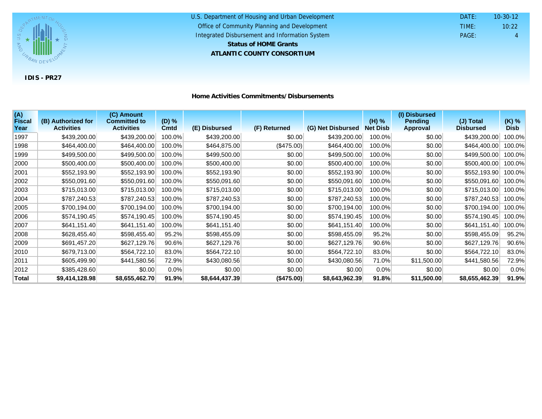

| U.S. Department of Housing and Urban Development | DATE: | $10 - 30 - 12$ |
|--------------------------------------------------|-------|----------------|
| Office of Community Planning and Development     | TIME: | 10:22          |
| Integrated Disbursement and Information System   | PAGE: | 4              |
| <b>Status of HOME Grants</b>                     |       |                |
| ATLANTIC COUNTY CONSORTIUM                       |       |                |

| (A)<br><b>Fiscal</b><br>Year | (B) Authorized for<br><b>Activities</b> | (C) Amount<br><b>Committed to</b><br><b>Activities</b> | (D) %<br><b>Cmtd</b> | (E) Disbursed  | (F) Returned | (G) Net Disbursed | $(H)$ %<br><b>Net Disb</b> | (I) Disbursed<br><b>Pending</b><br><b>Approval</b> | (J) Total<br><b>Disbursed</b> | $(K)$ %<br><b>Disb</b> |
|------------------------------|-----------------------------------------|--------------------------------------------------------|----------------------|----------------|--------------|-------------------|----------------------------|----------------------------------------------------|-------------------------------|------------------------|
| 1997                         | \$439,200.00                            | \$439,200.00                                           | 100.0%               | \$439,200.00   | \$0.00       | \$439,200.00      | 100.0%                     | \$0.00                                             | \$439,200.00                  | 100.0%                 |
| 1998                         | \$464,400.00                            |                                                        |                      |                |              | \$464,400.00      | 100.0%                     |                                                    | \$464,400.00                  | 100.0%                 |
|                              |                                         | \$464,400.00                                           | 100.0%               | \$464,875.00   | (\$475.00)   |                   |                            | \$0.00                                             |                               |                        |
| 1999                         | \$499,500.00                            | \$499,500.00                                           | 100.0%               | \$499,500.00   | \$0.00       | \$499,500.00      | 100.0%                     | \$0.00                                             | \$499,500.00                  | 100.0%                 |
| 2000                         | \$500,400.00                            | \$500,400.00                                           | 100.0%               | \$500,400.00   | \$0.00       | \$500,400.00      | 100.0%                     | \$0.00                                             | \$500,400.00                  | 100.0%                 |
| 2001                         | \$552,193.90                            | \$552,193.90                                           | 100.0%               | \$552,193.90   | \$0.00       | \$552,193.90      | 100.0%                     | \$0.00                                             | \$552,193.90                  | 100.0%                 |
| 2002                         | \$550,091.60                            | \$550,091.60                                           | 100.0%               | \$550,091.60   | \$0.00       | \$550,091.60      | 100.0%                     | \$0.00                                             | \$550,091.60                  | 100.0%                 |
| 2003                         | \$715,013.00                            | \$715,013.00                                           | 100.0%               | \$715,013.00   | \$0.00       | \$715,013.00      | 100.0%                     | \$0.00                                             | \$715,013.00                  | 100.0%                 |
| 2004                         | \$787,240.53                            | \$787,240.53                                           | 100.0%               | \$787,240.53   | \$0.00       | \$787,240.53      | 100.0%                     | \$0.00                                             | \$787,240.53                  | 100.0%                 |
| 2005                         | \$700,194.00                            | \$700,194.00                                           | 100.0%               | \$700,194.00   | \$0.00       | \$700,194.00      | 100.0%                     | \$0.00                                             | \$700,194.00                  | 100.0%                 |
| 2006                         | \$574,190.45                            | \$574,190.45                                           | 100.0%               | \$574,190.45   | \$0.00       | \$574,190.45      | 100.0%                     | \$0.00                                             | \$574,190.45                  | 100.0%                 |
| 2007                         | \$641,151.40                            | \$641,151.40                                           | 100.0%               | \$641,151.40   | \$0.00       | \$641,151.40      | 100.0%                     | \$0.00                                             | \$641,151.40                  | 100.0%                 |
| 2008                         | \$628,455.40                            | \$598,455.40                                           | 95.2%                | \$598,455.09   | \$0.00       | \$598,455.09      | 95.2%                      | \$0.00                                             | \$598,455.09                  | 95.2%                  |
| 2009                         | \$691,457.20                            | \$627,129.76                                           | 90.6%                | \$627,129.76   | \$0.00       | \$627,129.76      | 90.6%                      | \$0.00                                             | \$627,129.76                  | 90.6%                  |
| 2010                         | \$679,713.00                            | \$564,722.10                                           | 83.0%                | \$564,722.10   | \$0.00       | \$564,722.10      | 83.0%                      | \$0.00                                             | \$564,722.10                  | 83.0%                  |
| 2011                         | \$605,499.90                            | \$441,580.56                                           | 72.9%                | \$430,080.56   | \$0.00       | \$430,080.56      | 71.0%                      | \$11,500.00                                        | \$441,580.56                  | 72.9%                  |
| 2012                         | \$385,428.60                            | \$0.00                                                 | 0.0%                 | \$0.00         | \$0.00       | \$0.00            | $0.0\%$                    | \$0.00                                             | \$0.00                        | 0.0%                   |
| <b>Total</b>                 | \$9,414,128.98                          | \$8,655,462.70                                         | 91.9%                | \$8,644,437.39 | (\$475.00)   | \$8,643,962.39    | 91.8%                      | \$11,500.00                                        | \$8,655,462.39                | 91.9%                  |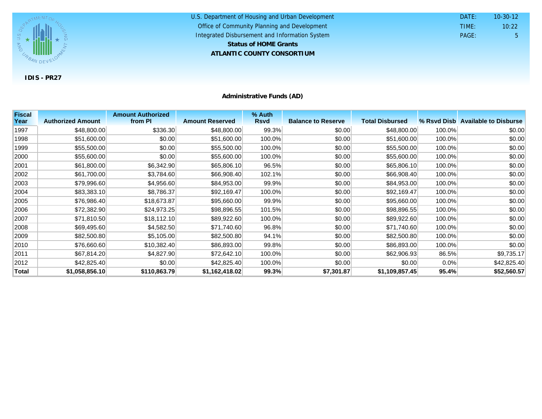

U.S. Department of Housing and Urban Development **ATLANTIC COUNTY CONSORTIUM** Office of Community Planning and Development Integrated Disbursement and Information System DATE: TIME: PAGE: 5 10:22 10-30-12 **Status of HOME Grants**

**Administrative Funds (AD)**

| <b>Fiscal</b> |                          | <b>Amount Authorized</b> |                        | % Auth      |                           |                        |        |                                   |
|---------------|--------------------------|--------------------------|------------------------|-------------|---------------------------|------------------------|--------|-----------------------------------|
| Year          | <b>Authorized Amount</b> | from PI                  | <b>Amount Reserved</b> | <b>Rsvd</b> | <b>Balance to Reserve</b> | <b>Total Disbursed</b> |        | % Rsyd Disb Available to Disburse |
| 1997          | \$48,800.00              | \$336.30                 | \$48,800.00            | 99.3%       | \$0.00                    | \$48,800.00            | 100.0% | \$0.00                            |
| 1998          | \$51,600.00              | \$0.00                   | \$51,600.00            | 100.0%      | \$0.00                    | \$51,600.00            | 100.0% | \$0.00                            |
| 1999          | \$55,500.00              | \$0.00                   | \$55,500.00            | 100.0%      | \$0.00                    | \$55,500.00            | 100.0% | \$0.00                            |
| 2000          | \$55,600.00              | \$0.00                   | \$55,600.00            | 100.0%      | \$0.00                    | \$55,600.00            | 100.0% | \$0.00                            |
| 2001          | \$61,800.00              | \$6,342.90               | \$65,806.10            | 96.5%       | \$0.00                    | \$65,806.10            | 100.0% | \$0.00                            |
| 2002          | \$61,700.00              | \$3,784.60               | \$66,908.40            | 102.1%      | \$0.00                    | \$66,908.40            | 100.0% | \$0.00                            |
| 2003          | \$79,996.60              | \$4,956.60               | \$84,953.00            | 99.9%       | \$0.00                    | \$84,953.00            | 100.0% | \$0.00                            |
| 2004          | \$83,383.10              | \$8,786.37               | \$92,169.47            | 100.0%      | \$0.00                    | \$92,169.47            | 100.0% | \$0.00                            |
| 2005          | \$76,986.40              | \$18,673.87              | \$95,660.00            | 99.9%       | \$0.00                    | \$95,660.00            | 100.0% | \$0.00                            |
| 2006          | \$72,382.90              | \$24,973.25              | \$98,896.55            | 101.5%      | \$0.00                    | \$98,896.55            | 100.0% | \$0.00                            |
| 2007          | \$71,810.50              | \$18,112.10              | \$89,922.60            | 100.0%      | \$0.00                    | \$89,922.60            | 100.0% | \$0.00                            |
| 2008          | \$69,495.60              | \$4,582.50               | \$71,740.60            | 96.8%       | \$0.00                    | \$71,740.60            | 100.0% | \$0.00                            |
| 2009          | \$82,500.80              | \$5,105.00               | \$82,500.80            | 94.1%       | \$0.00                    | \$82,500.80            | 100.0% | \$0.00                            |
| 2010          | \$76,660.60              | \$10,382.40              | \$86,893.00            | 99.8%       | \$0.00                    | \$86,893.00            | 100.0% | \$0.00                            |
| 2011          | \$67,814.20              | \$4,827.90               | \$72,642.10            | 100.0%      | \$0.00                    | \$62,906.93            | 86.5%  | \$9,735.17                        |
| 2012          | \$42,825.40              | \$0.00                   | \$42,825.40            | 100.0%      | \$0.00                    | \$0.00                 | 0.0%   | \$42,825.40                       |
| <b>Total</b>  | \$1,058,856.10           | \$110,863.79             | \$1,162,418.02         | 99.3%       | \$7,301.87                | \$1,109,857.45         | 95.4%  | \$52,560.57                       |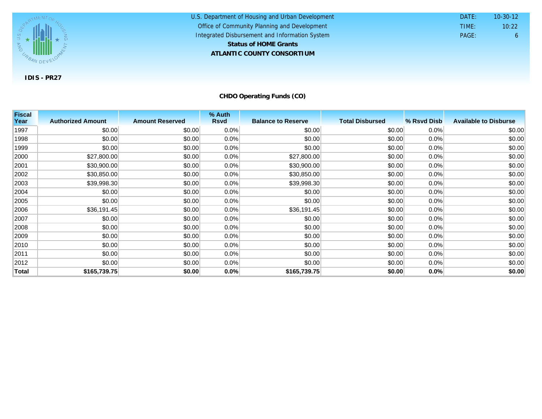

U.S. Department of Housing and Urban Development **ATLANTIC COUNTY CONSORTIUM** Office of Community Planning and Development Integrated Disbursement and Information System DATE: TIME: PAGE: 6 10:22 10-30-12 **Status of HOME Grants**

**CHDO Operating Funds (CO)**

| <b>Fiscal</b> |                          |                        | % Auth      |                           |                        |             |                              |
|---------------|--------------------------|------------------------|-------------|---------------------------|------------------------|-------------|------------------------------|
| Year          | <b>Authorized Amount</b> | <b>Amount Reserved</b> | <b>Rsvd</b> | <b>Balance to Reserve</b> | <b>Total Disbursed</b> | % Rsvd Disb | <b>Available to Disburse</b> |
| 1997          | \$0.00                   | \$0.00                 | 0.0%        | \$0.00                    | \$0.00                 | 0.0%        | \$0.00                       |
| 1998          | \$0.00                   | \$0.00                 | 0.0%        | \$0.00                    | \$0.00                 | 0.0%        | \$0.00                       |
| 1999          | \$0.00                   | \$0.00                 | 0.0%        | \$0.00                    | \$0.00                 | 0.0%        | \$0.00                       |
| 2000          | \$27,800.00              | \$0.00                 | 0.0%        | \$27,800.00               | \$0.00                 | 0.0%        | \$0.00                       |
| 2001          | \$30,900.00              | \$0.00                 | 0.0%        | \$30,900.00               | \$0.00                 | 0.0%        | \$0.00                       |
| 2002          | \$30,850.00              | \$0.00                 | 0.0%        | \$30,850.00               | \$0.00                 | 0.0%        | \$0.00                       |
| 2003          | \$39,998.30              | \$0.00                 | 0.0%        | \$39,998.30               | \$0.00                 | 0.0%        | \$0.00                       |
| 2004          | \$0.00                   | \$0.00                 | 0.0%        | \$0.00                    | \$0.00                 | 0.0%        | \$0.00                       |
| 2005          | \$0.00                   | \$0.00                 | 0.0%        | \$0.00                    | \$0.00                 | 0.0%        | \$0.00                       |
| 2006          | \$36,191.45              | \$0.00                 | 0.0%        | \$36,191.45               | \$0.00                 | 0.0%        | \$0.00                       |
| 2007          | \$0.00                   | \$0.00                 | 0.0%        | \$0.00                    | \$0.00                 | 0.0%        | \$0.00                       |
| 2008          | \$0.00                   | \$0.00                 | 0.0%        | \$0.00                    | \$0.00                 | 0.0%        | \$0.00                       |
| 2009          | \$0.00                   | \$0.00                 | 0.0%        | \$0.00                    | \$0.00                 | 0.0%        | \$0.00                       |
| 2010          | \$0.00                   | \$0.00                 | 0.0%        | \$0.00                    | \$0.00                 | 0.0%        | \$0.00                       |
| 2011          | \$0.00                   | \$0.00                 | 0.0%        | \$0.00                    | \$0.00                 | 0.0%        | \$0.00                       |
| 2012          | \$0.00                   | \$0.00                 | 0.0%        | \$0.00                    | \$0.00                 | 0.0%        | \$0.00                       |
| <b>Total</b>  | \$165,739.75             | \$0.00                 | 0.0%        | \$165,739.75              | \$0.00                 | 0.0%        | \$0.00                       |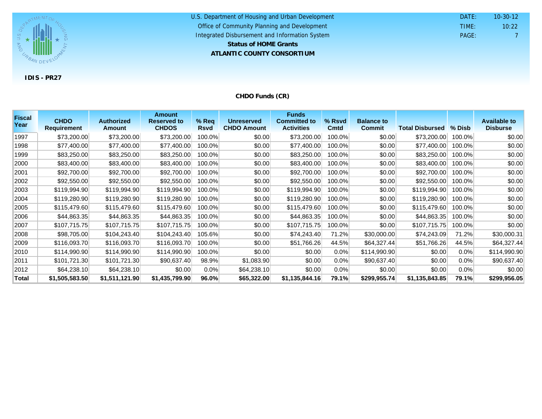

#### U.S. Department of Housing and Urban Development **ATLANTIC COUNTY CONSORTIUM** Office of Community Planning and Development Integrated Disbursement and Information System DATE: TIME: PAGE: 7 10:22 10-30-12 **Status of HOME Grants**

## **CHDO Funds (CR)**

| <b>Fiscal</b><br>Year | <b>CHDO</b><br><b>Requirement</b> | <b>Authorized</b><br><b>Amount</b> | <b>Amount</b><br><b>Reserved to</b><br><b>CHDOS</b> | $%$ Req<br><b>Rsvd</b> | <b>Unreserved</b><br><b>CHDO Amount</b> | <b>Funds</b><br><b>Committed to</b><br><b>Activities</b> | % Rsvd<br><b>Cmtd</b> | <b>Balance to</b><br><b>Commit</b> | <b>Total Disbursed</b> | $%$ Disb | <b>Available to</b><br><b>Disburse</b> |
|-----------------------|-----------------------------------|------------------------------------|-----------------------------------------------------|------------------------|-----------------------------------------|----------------------------------------------------------|-----------------------|------------------------------------|------------------------|----------|----------------------------------------|
| 1997                  | \$73,200.00                       | \$73,200.00                        | \$73,200.00                                         | 100.0%                 | \$0.00                                  | \$73,200.00                                              | 100.0%                | \$0.00                             | \$73,200.00            | 100.0%   | \$0.00                                 |
|                       |                                   |                                    |                                                     |                        |                                         |                                                          |                       |                                    |                        |          |                                        |
| 1998                  | \$77,400.00                       | \$77,400.00                        | \$77,400.00                                         | 100.0%                 | \$0.00                                  | \$77,400.00                                              | 100.0%                | \$0.00                             | \$77,400.00            | 100.0%   | \$0.00                                 |
| 1999                  | \$83,250.00                       | \$83,250.00                        | \$83,250.00                                         | 100.0%                 | \$0.00                                  | \$83,250.00                                              | 100.0%                | \$0.00                             | \$83,250.00            | 100.0%   | \$0.00                                 |
| 2000                  | \$83,400.00                       | \$83,400.00                        | \$83,400.00                                         | 100.0%                 | \$0.00                                  | \$83,400.00                                              | 100.0%                | \$0.00                             | \$83,400.00            | 100.0%   | \$0.00                                 |
| 2001                  | \$92,700.00                       | \$92,700.00                        | \$92,700.00                                         | 100.0%                 | \$0.00                                  | \$92,700.00                                              | 100.0%                | \$0.00                             | \$92,700.00            | 100.0%   | \$0.00                                 |
| 2002                  | \$92,550.00                       | \$92,550.00                        | \$92,550.00                                         | 100.0%                 | \$0.00                                  | \$92,550.00                                              | 100.0%                | \$0.00                             | \$92,550.00            | 100.0%   | \$0.00                                 |
| 2003                  | \$119,994.90                      | \$119,994.90                       | \$119,994.90                                        | 100.0%                 | \$0.00                                  | \$119,994.90                                             | 100.0%                | \$0.00                             | \$119,994.90           | 100.0%   | \$0.00                                 |
| 2004                  | \$119,280.90                      | \$119,280.90                       | \$119,280.90                                        | 100.0%                 | \$0.00                                  | \$119,280.90                                             | 100.0%                | \$0.00                             | \$119,280.90           | 100.0%   | \$0.00                                 |
| 2005                  | \$115,479.60                      | \$115,479.60                       | \$115,479.60                                        | 100.0%                 | \$0.00                                  | \$115,479.60                                             | 100.0%                | \$0.00                             | \$115,479.60           | 100.0%   | \$0.00                                 |
| 2006                  | \$44,863.35                       | \$44,863.35                        | \$44,863.35                                         | 100.0%                 | \$0.00                                  | \$44,863.35                                              | 100.0%                | \$0.00                             | \$44,863.35            | 100.0%   | \$0.00                                 |
| 2007                  | \$107,715.75                      | \$107,715.75                       | \$107,715.75                                        | 100.0%                 | \$0.00                                  | \$107,715.75                                             | 100.0%                | \$0.00                             | \$107,715.75           | 100.0%   | \$0.00                                 |
| 2008                  | \$98,705.00                       | \$104,243.40                       | \$104,243.40                                        | 105.6%                 | \$0.00                                  | \$74,243.40                                              | 71.2%                 | \$30,000.00                        | \$74,243.09            | 71.2%    | \$30,000.31                            |
| 2009                  | \$116,093.70                      | \$116,093.70                       | \$116,093.70                                        | 100.0%                 | \$0.00                                  | \$51,766.26                                              | 44.5%                 | \$64,327.44                        | \$51,766.26            | 44.5%    | \$64,327.44                            |
| 2010                  | \$114,990.90                      | \$114,990.90                       | \$114,990.90                                        | 100.0%                 | \$0.00                                  | \$0.00                                                   | $0.0\%$               | \$114,990.90                       | \$0.00                 | $0.0\%$  | \$114,990.90                           |
| 2011                  | \$101,721.30                      | \$101,721.30                       | \$90,637.40                                         | 98.9%                  | \$1,083.90                              | \$0.00                                                   | 0.0%                  | \$90,637.40                        | \$0.00                 | $0.0\%$  | \$90,637.40                            |
| 2012                  | \$64,238.10                       | \$64,238.10                        | \$0.00                                              | 0.0%                   | \$64,238.10                             | \$0.00                                                   | 0.0%                  | \$0.00                             | \$0.00                 | $0.0\%$  | \$0.00                                 |
| Total                 | \$1,505,583.50                    | \$1,511,121.90                     | \$1,435,799.90                                      | 96.0%                  | \$65,322.00                             | \$1,135,844.16                                           | 79.1%                 | \$299,955.74                       | \$1,135,843.85         | 79.1%    | \$299,956.05                           |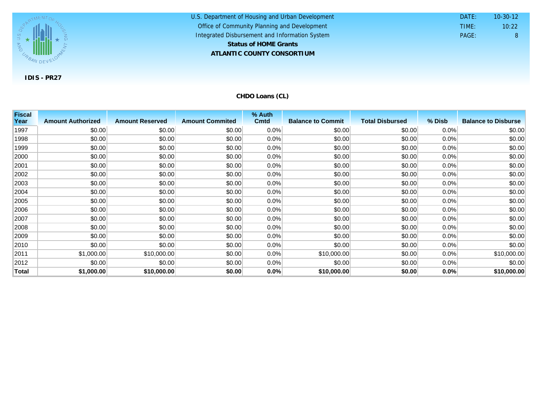

| U.S. Department of Housing and Urban Development | DATE: | $10 - 30 - 12$ |
|--------------------------------------------------|-------|----------------|
| Office of Community Planning and Development     | TIME: | 10:22          |
| Integrated Disbursement and Information System   | PAGE: | 8              |
| <b>Status of HOME Grants</b>                     |       |                |
| ATLANTIC COUNTY CONSORTIUM                       |       |                |

**CHDO Loans (CL)**

| <b>Fiscal</b> |                          |                        |                        | % Auth      |                          |                        |        |                            |
|---------------|--------------------------|------------------------|------------------------|-------------|--------------------------|------------------------|--------|----------------------------|
| Year          | <b>Amount Authorized</b> | <b>Amount Reserved</b> | <b>Amount Commited</b> | <b>Cmtd</b> | <b>Balance to Commit</b> | <b>Total Disbursed</b> | % Disb | <b>Balance to Disburse</b> |
| 1997          | \$0.00                   | \$0.00                 | \$0.00                 | 0.0%        | \$0.00                   | \$0.00                 | 0.0%   | \$0.00                     |
| 1998          | \$0.00                   | \$0.00                 | \$0.00                 | 0.0%        | \$0.00                   | \$0.00                 | 0.0%   | \$0.00                     |
| 1999          | \$0.00                   | \$0.00                 | \$0.00                 | 0.0%        | \$0.00                   | \$0.00                 | 0.0%   | \$0.00                     |
| 2000          | \$0.00                   | \$0.00                 | \$0.00                 | 0.0%        | \$0.00                   | \$0.00                 | 0.0%   | \$0.00                     |
| 2001          | \$0.00                   | \$0.00                 | \$0.00                 | 0.0%        | \$0.00                   | \$0.00                 | 0.0%   | \$0.00                     |
| 2002          | \$0.00                   | \$0.00                 | \$0.00                 | 0.0%        | \$0.00                   | \$0.00                 | 0.0%   | \$0.00                     |
| 2003          | \$0.00                   | \$0.00                 | \$0.00                 | 0.0%        | \$0.00                   | \$0.00                 | 0.0%   | \$0.00                     |
| 2004          | \$0.00                   | \$0.00                 | \$0.00                 | 0.0%        | \$0.00                   | \$0.00                 | 0.0%   | \$0.00                     |
| 2005          | \$0.00                   | \$0.00                 | \$0.00                 | 0.0%        | \$0.00                   | \$0.00                 | 0.0%   | \$0.00                     |
| 2006          | \$0.00                   | \$0.00                 | \$0.00                 | 0.0%        | \$0.00                   | \$0.00                 | 0.0%   | \$0.00                     |
| 2007          | \$0.00                   | \$0.00                 | \$0.00                 | 0.0%        | \$0.00                   | \$0.00                 | 0.0%   | \$0.00                     |
| 2008          | \$0.00                   | \$0.00                 | \$0.00                 | 0.0%        | \$0.00                   | \$0.00                 | 0.0%   | \$0.00                     |
| 2009          | \$0.00                   | \$0.00                 | \$0.00                 | 0.0%        | \$0.00                   | \$0.00                 | 0.0%   | \$0.00                     |
| 2010          | \$0.00                   | \$0.00                 | \$0.00                 | 0.0%        | \$0.00                   | \$0.00                 | 0.0%   | \$0.00                     |
| 2011          | \$1,000.00               | \$10,000.00            | \$0.00                 | 0.0%        | \$10,000.00              | \$0.00                 | 0.0%   | \$10,000.00                |
| 2012          | \$0.00                   | \$0.00                 | \$0.00                 | 0.0%        | \$0.00                   | \$0.00                 | 0.0%   | \$0.00                     |
| Total         | \$1,000.00               | \$10,000.00            | \$0.00                 | 0.0%        | \$10,000.00              | \$0.00                 | 0.0%   | \$10,000.00                |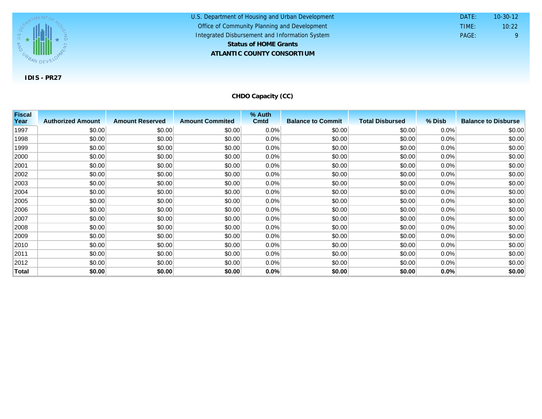

U.S. Department of Housing and Urban Development **ATLANTIC COUNTY CONSORTIUM** Office of Community Planning and Development Integrated Disbursement and Information System DATE: TIME: PAGE: 9 10:22 10-30-12 **Status of HOME Grants**

**CHDO Capacity (CC)**

| <b>Fiscal</b> |                          |                        |                        | % Auth      |                          |                        |        |                            |
|---------------|--------------------------|------------------------|------------------------|-------------|--------------------------|------------------------|--------|----------------------------|
| Year          | <b>Authorized Amount</b> | <b>Amount Reserved</b> | <b>Amount Commited</b> | <b>Cmtd</b> | <b>Balance to Commit</b> | <b>Total Disbursed</b> | % Disb | <b>Balance to Disburse</b> |
| 1997          | \$0.00                   | \$0.00                 | \$0.00                 | 0.0%        | \$0.00                   | \$0.00                 | 0.0%   | \$0.00                     |
| 1998          | \$0.00                   | \$0.00                 | \$0.00                 | 0.0%        | \$0.00                   | \$0.00                 | 0.0%   | \$0.00                     |
| 1999          | \$0.00                   | \$0.00                 | \$0.00                 | 0.0%        | \$0.00                   | \$0.00                 | 0.0%   | \$0.00                     |
| 2000          | \$0.00                   | \$0.00                 | \$0.00                 | 0.0%        | \$0.00                   | \$0.00                 | 0.0%   | \$0.00                     |
| 2001          | \$0.00                   | \$0.00                 | \$0.00                 | 0.0%        | \$0.00                   | \$0.00                 | 0.0%   | \$0.00                     |
| 2002          | \$0.00                   | \$0.00                 | \$0.00                 | 0.0%        | \$0.00                   | \$0.00                 | 0.0%   | \$0.00                     |
| 2003          | \$0.00                   | \$0.00                 | \$0.00                 | 0.0%        | \$0.00                   | \$0.00                 | 0.0%   | \$0.00                     |
| 2004          | \$0.00                   | \$0.00                 | \$0.00                 | 0.0%        | \$0.00                   | \$0.00                 | 0.0%   | \$0.00                     |
| 2005          | \$0.00                   | \$0.00                 | \$0.00                 | 0.0%        | \$0.00                   | \$0.00                 | 0.0%   | \$0.00                     |
| 2006          | \$0.00                   | \$0.00                 | \$0.00                 | 0.0%        | \$0.00                   | \$0.00                 | 0.0%   | \$0.00                     |
| 2007          | \$0.00                   | \$0.00                 | \$0.00                 | 0.0%        | \$0.00                   | \$0.00                 | 0.0%   | \$0.00                     |
| 2008          | \$0.00                   | \$0.00                 | \$0.00                 | 0.0%        | \$0.00                   | \$0.00                 | 0.0%   | \$0.00                     |
| 2009          | \$0.00                   | \$0.00                 | \$0.00                 | $0.0\%$     | \$0.00                   | \$0.00                 | 0.0%   | \$0.00                     |
| 2010          | \$0.00                   | \$0.00                 | \$0.00                 | 0.0%        | \$0.00                   | \$0.00                 | 0.0%   | \$0.00                     |
| 2011          | \$0.00                   | \$0.00                 | \$0.00                 | 0.0%        | \$0.00                   | \$0.00                 | 0.0%   | \$0.00                     |
| 2012          | \$0.00                   | \$0.00                 | \$0.00                 | 0.0%        | \$0.00                   | \$0.00                 | 0.0%   | \$0.00                     |
| Total         | \$0.00                   | \$0.00                 | \$0.00                 | 0.0%        | \$0.00                   | \$0.00                 | 0.0%   | \$0.00                     |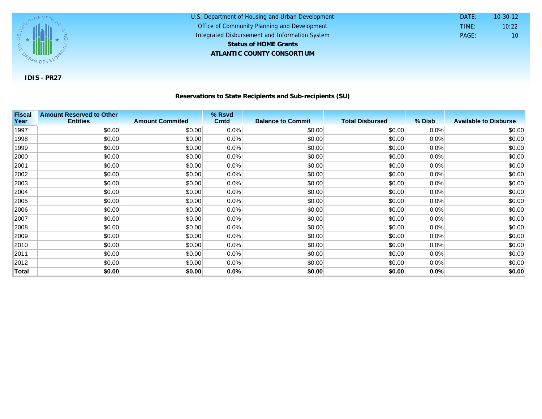

### **Reservations to State Recipients and Sub-recipients (SU)**

U.S. Department of Housing and Urban Development

 DATE: TIME:

PAGE: 10

10:22 10-30-12

Office of Community Planning and Development Integrated Disbursement and Information System

**ATLANTIC COUNTY CONSORTIUM**

**Status of HOME Grants**

| <b>Fiscal</b> | <b>Amount Reserved to Other</b> |                        | % Rsvd  |                          |                        |        |                              |
|---------------|---------------------------------|------------------------|---------|--------------------------|------------------------|--------|------------------------------|
| Year          | <b>Entities</b>                 | <b>Amount Commited</b> | Cmtd    | <b>Balance to Commit</b> | <b>Total Disbursed</b> | % Disb | <b>Available to Disburse</b> |
| 1997          | \$0.00                          | \$0.00                 | 0.0%    | \$0.00                   | \$0.00                 | 0.0%   | \$0.00                       |
| 1998          | \$0.00                          | \$0.00                 | 0.0%    | \$0.00                   | \$0.00                 | 0.0%   | \$0.00                       |
| 1999          | \$0.00                          | \$0.00                 | 0.0%    | \$0.00                   | \$0.00                 | 0.0%   | \$0.00                       |
| 2000          | \$0.00                          | \$0.00                 | $0.0\%$ | \$0.00                   | \$0.00                 | 0.0%   | \$0.00                       |
| 2001          | \$0.00                          | \$0.00                 | 0.0%    | \$0.00                   | \$0.00                 | 0.0%   | \$0.00                       |
| 2002          | \$0.00                          | \$0.00                 | $0.0\%$ | \$0.00                   | \$0.00                 | 0.0%   | \$0.00                       |
| 2003          | \$0.00                          | \$0.00                 | $0.0\%$ | \$0.00                   | \$0.00                 | 0.0%   | \$0.00                       |
| 2004          | \$0.00                          | \$0.00                 | $0.0\%$ | \$0.00                   | \$0.00                 | 0.0%   | \$0.00                       |
| 2005          | \$0.00                          | \$0.00                 | $0.0\%$ | \$0.00                   | \$0.00                 | 0.0%   | \$0.00                       |
| 2006          | \$0.00                          | \$0.00                 | $0.0\%$ | \$0.00                   | \$0.00                 | 0.0%   | \$0.00                       |
| 2007          | \$0.00                          | \$0.00                 | $0.0\%$ | \$0.00                   | \$0.00                 | 0.0%   | \$0.00                       |
| 2008          | \$0.00                          | \$0.00                 | $0.0\%$ | \$0.00                   | \$0.00                 | 0.0%   | \$0.00                       |
| 2009          | \$0.00                          | \$0.00                 | $0.0\%$ | \$0.00                   | \$0.00                 | 0.0%   | \$0.00                       |
| 2010          | \$0.00                          | \$0.00                 | $0.0\%$ | \$0.00                   | \$0.00                 | 0.0%   | \$0.00                       |
| 2011          | \$0.00                          | \$0.00                 | $0.0\%$ | \$0.00                   | \$0.00                 | 0.0%   | \$0.00                       |
| 2012          | \$0.00                          | \$0.00                 | 0.0%    | \$0.00                   | \$0.00                 | 0.0%   | \$0.00                       |
| <b>Total</b>  | \$0.00                          | \$0.00                 | 0.0%    | \$0.00                   | \$0.00                 | 0.0%   | \$0.00                       |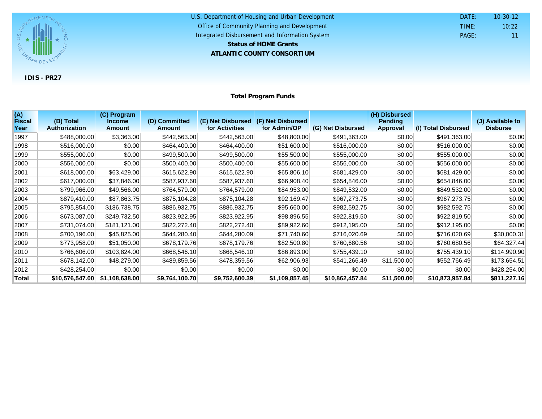

| U.S. Department of Housing and Urban Development | DATF: | $10 - 30 - 12$  |
|--------------------------------------------------|-------|-----------------|
| Office of Community Planning and Development     | TIME: | 10:22           |
| Integrated Disbursement and Information System   | PAGE: | 11 <sup>1</sup> |
| <b>Status of HOME Grants</b>                     |       |                 |
| ATLANTIC COUNTY CONSORTIUM                       |       |                 |

**Total Program Funds**

| (A)<br><b>Fiscal</b> | (B) Total            | (C) Program<br><b>Income</b> | (D) Committed  | (E) Net Disbursed | (F) Net Disbursed |                   | (H) Disbursed<br><b>Pending</b> |                     | (J) Available to |
|----------------------|----------------------|------------------------------|----------------|-------------------|-------------------|-------------------|---------------------------------|---------------------|------------------|
| Year                 | <b>Authorization</b> | <b>Amount</b>                | <b>Amount</b>  | for Activities    | for Admin/OP      | (G) Net Disbursed | <b>Approval</b>                 | (I) Total Disbursed | <b>Disburse</b>  |
| 1997                 | \$488,000.00         | \$3,363.00                   | \$442,563.00   | \$442,563.00      | \$48,800.00       | \$491,363.00      | \$0.00                          | \$491,363.00        | \$0.00           |
| 1998                 | \$516,000.00         | \$0.00                       | \$464,400.00   | \$464,400.00      | \$51,600.00       | \$516,000.00      | \$0.00                          | \$516,000.00        | \$0.00           |
| 1999                 | \$555,000.00         | \$0.00                       | \$499,500.00   | \$499,500.00      | \$55,500.00       | \$555,000.00      | \$0.00                          | \$555,000.00        | \$0.00           |
| 2000                 | \$556,000.00         | \$0.00                       | \$500,400.00   | \$500,400.00      | \$55,600.00       | \$556,000.00      | \$0.00                          | \$556,000.00        | \$0.00           |
| 2001                 | \$618,000.00         | \$63,429.00                  | \$615,622.90   | \$615,622.90      | \$65,806.10       | \$681,429.00      | \$0.00                          | \$681,429.00        | \$0.00           |
| 2002                 | \$617,000.00         | \$37,846.00                  | \$587,937.60   | \$587,937.60      | \$66,908.40       | \$654,846.00      | \$0.00                          | \$654,846.00        | \$0.00           |
| 2003                 | \$799,966.00         | \$49,566.00                  | \$764,579.00   | \$764,579.00      | \$84,953.00       | \$849,532.00      | \$0.00                          | \$849,532.00        | \$0.00           |
| 2004                 | \$879,410.00         | \$87,863.75                  | \$875,104.28   | \$875,104.28      | \$92,169.47       | \$967,273.75      | \$0.00                          | \$967,273.75        | \$0.00           |
| 2005                 | \$795,854.00         | \$186,738.75                 | \$886,932.75   | \$886,932.75      | \$95,660.00       | \$982,592.75      | \$0.00                          | \$982,592.75        | \$0.00           |
| 2006                 | \$673,087.00         | \$249,732.50                 | \$823,922.95   | \$823,922.95      | \$98,896.55       | \$922,819.50      | \$0.00                          | \$922,819.50        | \$0.00           |
| 2007                 | \$731,074.00         | \$181,121.00                 | \$822,272.40   | \$822,272.40      | \$89,922.60       | \$912,195.00      | \$0.00                          | \$912,195.00        | \$0.00           |
| 2008                 | \$700,196.00         | \$45,825.00                  | \$644,280.40   | \$644,280.09      | \$71,740.60       | \$716,020.69      | \$0.00                          | \$716,020.69        | \$30,000.31      |
| 2009                 | \$773,958.00         | \$51,050.00                  | \$678,179.76   | \$678,179.76      | \$82,500.80       | \$760,680.56      | \$0.00                          | \$760,680.56        | \$64,327.44      |
| 2010                 | \$766,606.00         | \$103,824.00                 | \$668,546.10   | \$668,546.10      | \$86,893.00       | \$755,439.10      | \$0.00                          | \$755,439.10        | \$114,990.90     |
| 2011                 | \$678,142.00         | \$48,279.00                  | \$489,859.56   | \$478,359.56      | \$62,906.93       | \$541,266.49      | \$11,500.00                     | \$552,766.49        | \$173,654.51     |
| 2012                 | \$428,254.00         | \$0.00                       | \$0.00         | \$0.00            | \$0.00            | \$0.00            | \$0.00                          | \$0.00              | \$428,254.00     |
| <b>Total</b>         | \$10,576,547.00      | \$1,108,638.00               | \$9,764,100.70 | \$9,752,600.39    | \$1,109,857.45    | \$10,862,457.84   | \$11,500.00                     | \$10,873,957.84     | \$811,227.16     |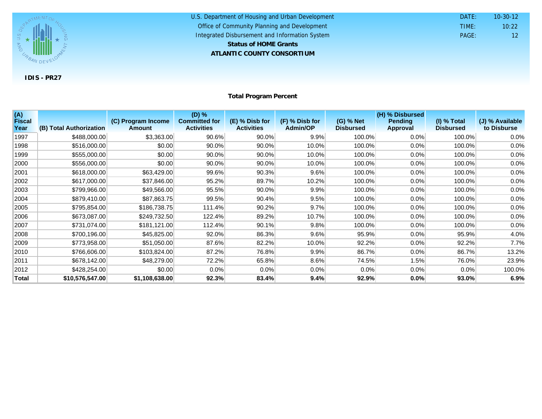

#### U.S. Department of Housing and Urban Development **ATLANTIC COUNTY CONSORTIUM** Office of Community Planning and Development Integrated Disbursement and Information System DATE: TIME: PAGE: 12 10:22 10-30-12 **Status of HOME Grants**

## **Total Program Percent**

| (A)<br><b>Fiscal</b><br>Year | (B) Total Authorization | (C) Program Income<br><b>Amount</b> | $(D)$ %<br><b>Committed for</b><br><b>Activities</b> | (E) % Disb for<br><b>Activities</b> | (F) % Disb for<br><b>Admin/OP</b> | (G) % Net<br><b>Disbursed</b> | (H) % Disbursed<br><b>Pending</b><br><b>Approval</b> | $(I)$ % Total<br><b>Disbursed</b> | (J) % Available<br>to Disburse |
|------------------------------|-------------------------|-------------------------------------|------------------------------------------------------|-------------------------------------|-----------------------------------|-------------------------------|------------------------------------------------------|-----------------------------------|--------------------------------|
| 1997                         | \$488,000.00            | \$3,363.00                          | 90.6%                                                | 90.0%                               | 9.9%                              | 100.0%                        | 0.0%                                                 | 100.0%                            | 0.0%                           |
| 1998                         | \$516,000.00            | \$0.00                              | $90.0\%$                                             | 90.0%                               | 10.0%                             | 100.0%                        | 0.0%                                                 | 100.0%                            | 0.0%                           |
| 1999                         | \$555,000.00            | \$0.00                              | $90.0\%$                                             | $90.0\%$                            | 10.0%                             | 100.0%                        | 0.0%                                                 | 100.0%                            | 0.0%                           |
| 2000                         | \$556,000.00            | \$0.00                              | $90.0\%$                                             | 90.0%                               | 10.0%                             | 100.0%                        | 0.0%                                                 | 100.0%                            | 0.0%                           |
| 2001                         | \$618,000.00            | \$63,429.00                         | 99.6%                                                | 90.3%                               | 9.6%                              | 100.0%                        | 0.0%                                                 | 100.0%                            | 0.0%                           |
| 2002                         | \$617,000.00            | \$37,846.00                         | 95.2%                                                | 89.7%                               | 10.2%                             | 100.0%                        | 0.0%                                                 | 100.0%                            | 0.0%                           |
| 2003                         | \$799,966.00            | \$49,566.00                         | 95.5%                                                | 90.0%                               | 9.9%                              | 100.0%                        | 0.0%                                                 | 100.0%                            | 0.0%                           |
| 2004                         | \$879,410.00            | \$87,863.75                         | 99.5%                                                | 90.4%                               | 9.5%                              | 100.0%                        | 0.0%                                                 | 100.0%                            | 0.0%                           |
| 2005                         | \$795,854.00            | \$186,738.75                        | 111.4%                                               | 90.2%                               | 9.7%                              | 100.0%                        | 0.0%                                                 | 100.0%                            | 0.0%                           |
| 2006                         | \$673,087.00            | \$249,732.50                        | 122.4%                                               | 89.2%                               | 10.7%                             | 100.0%                        | 0.0%                                                 | 100.0%                            | 0.0%                           |
| 2007                         | \$731,074.00            | \$181,121.00                        | 112.4%                                               | 90.1%                               | 9.8%                              | 100.0%                        | 0.0%                                                 | 100.0%                            | 0.0%                           |
| 2008                         | \$700,196.00            | \$45,825.00                         | 92.0%                                                | 86.3%                               | $9.6\%$                           | 95.9%                         | 0.0%                                                 | 95.9%                             | 4.0%                           |
| 2009                         | \$773,958.00            | \$51,050.00                         | 87.6%                                                | 82.2%                               | 10.0%                             | 92.2%                         | 0.0%                                                 | 92.2%                             | 7.7%                           |
| 2010                         | \$766,606.00            | \$103,824.00                        | 87.2%                                                | 76.8%                               | 9.9%                              | 86.7%                         | 0.0%                                                 | 86.7%                             | 13.2%                          |
| 2011                         | \$678,142.00            | \$48,279.00                         | 72.2%                                                | 65.8%                               | 8.6%                              | 74.5%                         | 1.5%                                                 | 76.0%                             | 23.9%                          |
| 2012                         | \$428,254.00            | \$0.00                              | 0.0%                                                 | 0.0%                                | 0.0%                              | 0.0%                          | 0.0%                                                 | 0.0%                              | 100.0%                         |
| <b>Total</b>                 | \$10,576,547.00         | \$1,108,638.00                      | 92.3%                                                | 83.4%                               | 9.4%                              | 92.9%                         | 0.0%                                                 | 93.0%                             | 6.9%                           |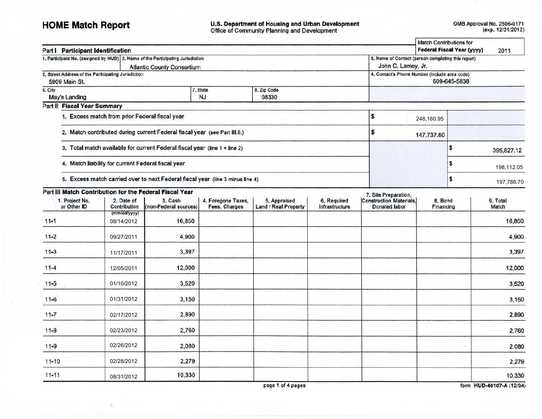# **HOME Match Report**

岩

U.S. Department of Housing and Urban Development<br>Office of Community Planning and Development

| Part   Participant Identification                                    |                                                |                                                                                |                                                                                     |                                      |                               |                                                        |                      | <b>Match Contributions for</b><br><b>Federal Fiscal Year (yyyy)</b> | 2011              |
|----------------------------------------------------------------------|------------------------------------------------|--------------------------------------------------------------------------------|-------------------------------------------------------------------------------------|--------------------------------------|-------------------------------|--------------------------------------------------------|----------------------|---------------------------------------------------------------------|-------------------|
|                                                                      |                                                | 1. Participant No. (assigned by HUD) 2. Name of the Participating Jurisdiction | 3. Name of Contact (person completing this report)                                  |                                      |                               |                                                        |                      |                                                                     |                   |
| 5. Street Address of the Participating Jurisdiction<br>5909 Main St. |                                                | <b>Atlantic County Consortium</b>                                              | John C. Lamey, Jr.<br>4. Contact's Phone Number (include area code)<br>609-645-5838 |                                      |                               |                                                        |                      |                                                                     |                   |
| 6. City<br>May's Landing                                             |                                                | 7. State<br><b>NJ</b>                                                          |                                                                                     |                                      |                               |                                                        |                      |                                                                     |                   |
| Part II Fiscal Year Summary                                          |                                                |                                                                                |                                                                                     |                                      |                               |                                                        |                      |                                                                     |                   |
|                                                                      | 1. Excess match from prior Federal fiscal year |                                                                                |                                                                                     |                                      |                               | \$                                                     | 248,160.95           |                                                                     |                   |
|                                                                      |                                                | 2. Match contributed during current Federal fiscal year (see Part III.9.)      |                                                                                     |                                      |                               | \$                                                     | 147,737.80           |                                                                     |                   |
|                                                                      |                                                | 3. Total match available for current Federal fiscal year (line 1 + line 2)     |                                                                                     |                                      |                               |                                                        |                      | \$                                                                  | 395,827.12        |
|                                                                      |                                                | 4. Match liability for current Federal fiscal year                             |                                                                                     |                                      |                               |                                                        |                      | \$                                                                  | 198,112.05        |
|                                                                      |                                                | 5. Excess match carried over to next Federal fiscal year (line 3 minus line 4) |                                                                                     |                                      |                               |                                                        |                      | \$                                                                  | 197,786.70        |
| Part III Match Contribution for the Federal Fiscal Year              |                                                |                                                                                |                                                                                     |                                      |                               | 7. Site Preparation,                                   |                      |                                                                     |                   |
| 1. Project No.<br>or Other ID                                        | 2. Date of<br>Contribution                     | 3. Cash<br>(non-Federal sources)                                               | 4. Foregone Taxes,<br>Fees, Charges                                                 | 5. Appraised<br>Land / Real Property | 6. Required<br>Infrastructure | <b>Construction Materials.</b><br><b>Donated labor</b> | 8. Bond<br>Financing |                                                                     | 9. Total<br>Match |
| $11 - 1$                                                             | (mm/dd/yyyy)<br>08/14/2012                     | 16,850                                                                         |                                                                                     |                                      |                               |                                                        |                      |                                                                     | 16,850            |
| $11 - 2$                                                             | 09/27/2011                                     | 4,900                                                                          |                                                                                     |                                      |                               |                                                        |                      |                                                                     | 4,900             |
| $11 - 3$                                                             | 11/17/2011                                     | 3,397                                                                          |                                                                                     |                                      |                               |                                                        |                      |                                                                     | 3,397             |
| $11-4$                                                               | 12/05/2011                                     | 12,000                                                                         |                                                                                     |                                      |                               |                                                        |                      |                                                                     | 12,000            |
| $11 - 5$                                                             | 01/10/2012                                     | 3,520                                                                          |                                                                                     |                                      |                               |                                                        |                      |                                                                     | 3,520             |
| $11 - 6$                                                             | 01/31/2012                                     | 3,150                                                                          |                                                                                     |                                      |                               |                                                        |                      |                                                                     | 3,150             |
| $11 - 7$                                                             | 02/17/2012                                     | 2.890                                                                          |                                                                                     |                                      |                               |                                                        |                      |                                                                     | 2,890             |
| $11 - 8$                                                             | 02/23/2012                                     | 2,760                                                                          |                                                                                     |                                      |                               |                                                        |                      |                                                                     | 2,760             |
| $11 - 9$                                                             | 02/26/2012                                     | 2,080                                                                          |                                                                                     |                                      |                               |                                                        |                      |                                                                     | 2,080             |
| $11 - 10$                                                            | 02/28/2012                                     | 2,279                                                                          |                                                                                     |                                      |                               |                                                        |                      |                                                                     | 2,279             |
| $11 - 11$                                                            | 08/31/2012                                     | 10,330                                                                         |                                                                                     |                                      |                               |                                                        |                      |                                                                     | 10.330            |

page 1 of 4 pages

form HUD-40107-A (12/94)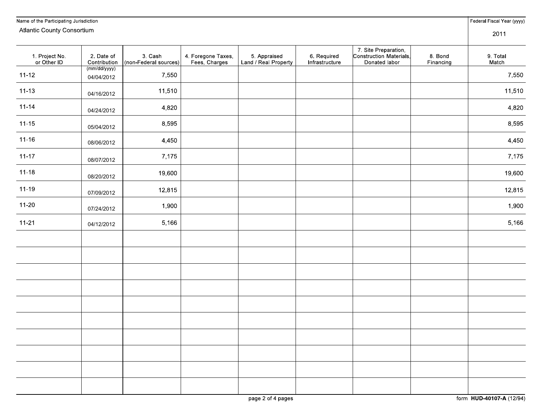| Name of the Participating Jurisdiction |                            |                                  |                                     |                                     |                              |                                                                  |                      | Federal Fiscal Year (yyyy) |
|----------------------------------------|----------------------------|----------------------------------|-------------------------------------|-------------------------------------|------------------------------|------------------------------------------------------------------|----------------------|----------------------------|
| <b>Atlantic County Consortium</b>      |                            |                                  |                                     |                                     |                              |                                                                  |                      | 2011                       |
| 1. Project No.<br>or Other ID          | 2. Date of<br>Contribution | 3. Cash<br>(non-Federal sources) | 4. Foregone Taxes,<br>Fees, Charges | 5 Appraised<br>Land / Real Property | 6 Required<br>Infrastructure | 7. Site Preparation,<br>Construction Materials,<br>Donated labor | 8. Bond<br>Financing | 9. Total<br>Match          |
| $11 - 12$                              | (mm/dd/yyyy)<br>04/04/2012 | 7,550                            |                                     |                                     |                              |                                                                  |                      | 7,550                      |
| $11 - 13$                              | 04/16/2012                 | 11,510                           |                                     |                                     |                              |                                                                  |                      | 11,510                     |
| $11 - 14$                              | 04/24/2012                 | 4,820                            |                                     |                                     |                              |                                                                  |                      | 4,820                      |
| $11 - 15$                              | 05/04/2012                 | 8,595                            |                                     |                                     |                              |                                                                  |                      | 8,595                      |
| $11 - 16$                              | 08/06/2012                 | 4,450                            |                                     |                                     |                              |                                                                  |                      | 4,450                      |
| $11 - 17$                              | 08/07/2012                 | 7,175                            |                                     |                                     |                              |                                                                  |                      | 7,175                      |
| $11 - 18$                              | 08/20/2012                 | 19,600                           |                                     |                                     |                              |                                                                  |                      | 19,600                     |
| $11 - 19$                              | 07/09/2012                 | 12,815                           |                                     |                                     |                              |                                                                  |                      | 12,815                     |
| $11 - 20$                              | 07/24/2012                 | 1,900                            |                                     |                                     |                              |                                                                  |                      | 1,900                      |
| $11 - 21$                              | 04/12/2012                 | 5,166                            |                                     |                                     |                              |                                                                  |                      | 5,166                      |
|                                        |                            |                                  |                                     |                                     |                              |                                                                  |                      |                            |
|                                        |                            |                                  |                                     |                                     |                              |                                                                  |                      |                            |
|                                        |                            |                                  |                                     |                                     |                              |                                                                  |                      |                            |
|                                        |                            |                                  |                                     |                                     |                              |                                                                  |                      |                            |
|                                        |                            |                                  |                                     |                                     |                              |                                                                  |                      |                            |
|                                        |                            |                                  |                                     |                                     |                              |                                                                  |                      |                            |
|                                        |                            |                                  |                                     |                                     |                              |                                                                  |                      |                            |
|                                        |                            |                                  |                                     |                                     |                              |                                                                  |                      |                            |
|                                        |                            |                                  |                                     |                                     |                              |                                                                  |                      |                            |
|                                        |                            |                                  |                                     |                                     |                              |                                                                  |                      |                            |